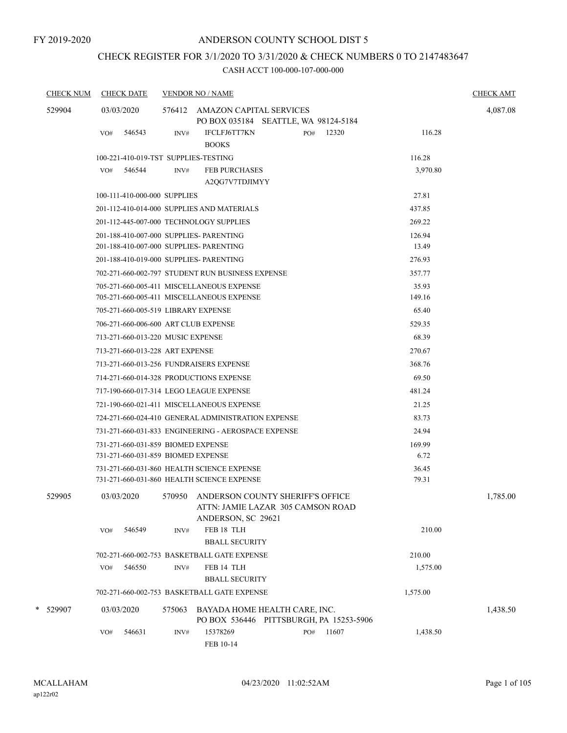# CHECK REGISTER FOR 3/1/2020 TO 3/31/2020 & CHECK NUMBERS 0 TO 2147483647

| <b>CHECK NUM</b> | <b>CHECK DATE</b>               | <b>VENDOR NO / NAME</b>                                                                             |          | <b>CHECK AMT</b> |
|------------------|---------------------------------|-----------------------------------------------------------------------------------------------------|----------|------------------|
| 529904           | 03/03/2020                      | 576412 AMAZON CAPITAL SERVICES<br>PO BOX 035184 SEATTLE, WA 98124-5184                              |          | 4,087.08         |
|                  | 546543<br>VO#                   | <b>IFCLFJ6TT7KN</b><br>12320<br>INV#<br>PO#<br><b>BOOKS</b>                                         | 116.28   |                  |
|                  |                                 | 100-221-410-019-TST SUPPLIES-TESTING                                                                | 116.28   |                  |
|                  | 546544<br>VO#                   | <b>FEB PURCHASES</b><br>INV#<br>A2QG7V7TDJIMYY                                                      | 3,970.80 |                  |
|                  | 100-111-410-000-000 SUPPLIES    |                                                                                                     | 27.81    |                  |
|                  |                                 | 201-112-410-014-000 SUPPLIES AND MATERIALS                                                          | 437.85   |                  |
|                  |                                 | 201-112-445-007-000 TECHNOLOGY SUPPLIES                                                             | 269.22   |                  |
|                  |                                 | 201-188-410-007-000 SUPPLIES- PARENTING                                                             | 126.94   |                  |
|                  |                                 | 201-188-410-007-000 SUPPLIES- PARENTING                                                             | 13.49    |                  |
|                  |                                 | 201-188-410-019-000 SUPPLIES- PARENTING                                                             | 276.93   |                  |
|                  |                                 | 702-271-660-002-797 STUDENT RUN BUSINESS EXPENSE                                                    | 357.77   |                  |
|                  |                                 | 705-271-660-005-411 MISCELLANEOUS EXPENSE                                                           | 35.93    |                  |
|                  |                                 | 705-271-660-005-411 MISCELLANEOUS EXPENSE                                                           | 149.16   |                  |
|                  |                                 | 705-271-660-005-519 LIBRARY EXPENSE                                                                 | 65.40    |                  |
|                  |                                 | 706-271-660-006-600 ART CLUB EXPENSE                                                                | 529.35   |                  |
|                  |                                 | 713-271-660-013-220 MUSIC EXPENSE                                                                   | 68.39    |                  |
|                  | 713-271-660-013-228 ART EXPENSE |                                                                                                     | 270.67   |                  |
|                  |                                 | 713-271-660-013-256 FUNDRAISERS EXPENSE                                                             | 368.76   |                  |
|                  |                                 | 714-271-660-014-328 PRODUCTIONS EXPENSE                                                             | 69.50    |                  |
|                  |                                 | 717-190-660-017-314 LEGO LEAGUE EXPENSE                                                             | 481.24   |                  |
|                  |                                 | 721-190-660-021-411 MISCELLANEOUS EXPENSE                                                           | 21.25    |                  |
|                  |                                 | 724-271-660-024-410 GENERAL ADMINISTRATION EXPENSE                                                  | 83.73    |                  |
|                  |                                 | 731-271-660-031-833 ENGINEERING - AEROSPACE EXPENSE                                                 | 24.94    |                  |
|                  |                                 | 731-271-660-031-859 BIOMED EXPENSE                                                                  | 169.99   |                  |
|                  |                                 | 731-271-660-031-859 BIOMED EXPENSE                                                                  | 6.72     |                  |
|                  |                                 | 731-271-660-031-860 HEALTH SCIENCE EXPENSE                                                          | 36.45    |                  |
|                  |                                 | 731-271-660-031-860 HEALTH SCIENCE EXPENSE                                                          | 79.31    |                  |
| 529905           | 03/03/2020                      | 570950 ANDERSON COUNTY SHERIFF'S OFFICE<br>ATTN: JAMIE LAZAR  305 CAMSON ROAD<br>ANDERSON, SC 29621 |          | 1,785.00         |
|                  | 546549<br>VO#                   | FEB 18 TLH<br>INV#<br><b>BBALL SECURITY</b>                                                         | 210.00   |                  |
|                  |                                 | 702-271-660-002-753 BASKETBALL GATE EXPENSE                                                         | 210.00   |                  |
|                  | 546550<br>VO#                   | FEB 14 TLH<br>INV#                                                                                  | 1,575.00 |                  |
|                  |                                 | <b>BBALL SECURITY</b>                                                                               |          |                  |
|                  |                                 | 702-271-660-002-753 BASKETBALL GATE EXPENSE                                                         | 1,575.00 |                  |
| *<br>529907      | 03/03/2020                      | BAYADA HOME HEALTH CARE, INC.<br>575063<br>PO BOX 536446 PITTSBURGH, PA 15253-5906                  |          | 1,438.50         |
|                  | 546631<br>VO#                   | 15378269<br>11607<br>INV#<br>PO#<br>FEB 10-14                                                       | 1,438.50 |                  |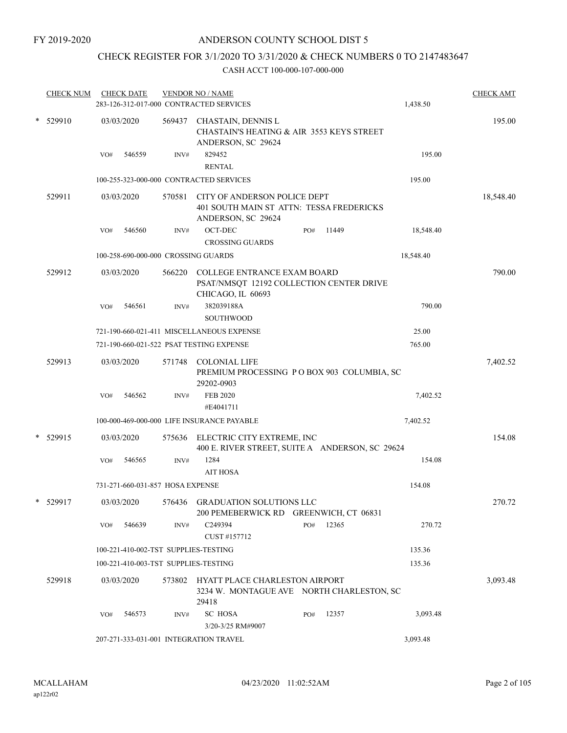# CHECK REGISTER FOR 3/1/2020 TO 3/31/2020 & CHECK NUMBERS 0 TO 2147483647

|            | <b>CHECK NUM</b> |     | <b>CHECK DATE</b>                |        | <b>VENDOR NO / NAME</b><br>283-126-312-017-000 CONTRACTED SERVICES                             |     |       | 1,438.50  | <b>CHECK AMT</b> |
|------------|------------------|-----|----------------------------------|--------|------------------------------------------------------------------------------------------------|-----|-------|-----------|------------------|
| $*$ 529910 |                  |     | 03/03/2020                       | 569437 | CHASTAIN, DENNIS L<br>CHASTAIN'S HEATING & AIR 3553 KEYS STREET<br>ANDERSON, SC 29624          |     |       |           | 195.00           |
|            |                  | VO# | 546559                           | INV#   | 829452<br><b>RENTAL</b>                                                                        |     |       | 195.00    |                  |
|            |                  |     |                                  |        | 100-255-323-000-000 CONTRACTED SERVICES                                                        |     |       | 195.00    |                  |
|            | 529911           |     | 03/03/2020                       | 570581 | CITY OF ANDERSON POLICE DEPT<br>401 SOUTH MAIN ST ATTN: TESSA FREDERICKS<br>ANDERSON, SC 29624 |     |       |           | 18,548.40        |
|            |                  | VO# | 546560                           | INV#   | OCT-DEC<br><b>CROSSING GUARDS</b>                                                              | PO# | 11449 | 18,548.40 |                  |
|            |                  |     |                                  |        | 100-258-690-000-000 CROSSING GUARDS                                                            |     |       | 18,548.40 |                  |
|            | 529912           |     | 03/03/2020                       | 566220 | COLLEGE ENTRANCE EXAM BOARD<br>PSAT/NMSQT 12192 COLLECTION CENTER DRIVE<br>CHICAGO, IL 60693   |     |       |           | 790.00           |
|            |                  | VO# | 546561                           | INV#   | 382039188A<br><b>SOUTHWOOD</b>                                                                 |     |       | 790.00    |                  |
|            |                  |     |                                  |        | 721-190-660-021-411 MISCELLANEOUS EXPENSE                                                      |     |       | 25.00     |                  |
|            |                  |     |                                  |        | 721-190-660-021-522 PSAT TESTING EXPENSE                                                       |     |       | 765.00    |                  |
|            | 529913           |     | 03/03/2020                       | 571748 | <b>COLONIAL LIFE</b><br>PREMIUM PROCESSING PO BOX 903 COLUMBIA, SC<br>29202-0903               |     |       |           | 7,402.52         |
|            |                  | VO# | 546562                           | INV#   | <b>FEB 2020</b><br>#E4041711                                                                   |     |       | 7,402.52  |                  |
|            |                  |     |                                  |        | 100-000-469-000-000 LIFE INSURANCE PAYABLE                                                     |     |       | 7,402.52  |                  |
|            | * 529915         |     | 03/03/2020                       | 575636 | ELECTRIC CITY EXTREME, INC<br>400 E. RIVER STREET, SUITE A ANDERSON, SC 29624                  |     |       |           | 154.08           |
|            |                  | VO# | 546565                           | INV#   | 1284<br><b>AIT HOSA</b>                                                                        |     |       | 154.08    |                  |
|            |                  |     | 731-271-660-031-857 HOSA EXPENSE |        |                                                                                                |     |       | 154.08    |                  |
|            | * 529917         |     | 03/03/2020                       |        | 576436 GRADUATION SOLUTIONS LLC<br>200 PEMEBERWICK RD GREENWICH, CT 06831                      |     |       |           | 270.72           |
|            |                  | VO# | 546639                           | INV#   | C249394<br>CUST #157712                                                                        | PO# | 12365 | 270.72    |                  |
|            |                  |     |                                  |        | 100-221-410-002-TST SUPPLIES-TESTING                                                           |     |       | 135.36    |                  |
|            |                  |     |                                  |        | 100-221-410-003-TST SUPPLIES-TESTING                                                           |     |       | 135.36    |                  |
|            | 529918           |     | 03/03/2020                       |        | 573802 HYATT PLACE CHARLESTON AIRPORT<br>3234 W. MONTAGUE AVE NORTH CHARLESTON, SC<br>29418    |     |       |           | 3,093.48         |
|            |                  | VO# | 546573                           | INV#   | <b>SC HOSA</b><br>3/20-3/25 RM#9007                                                            | PO# | 12357 | 3,093.48  |                  |
|            |                  |     |                                  |        | 207-271-333-031-001 INTEGRATION TRAVEL                                                         |     |       | 3,093.48  |                  |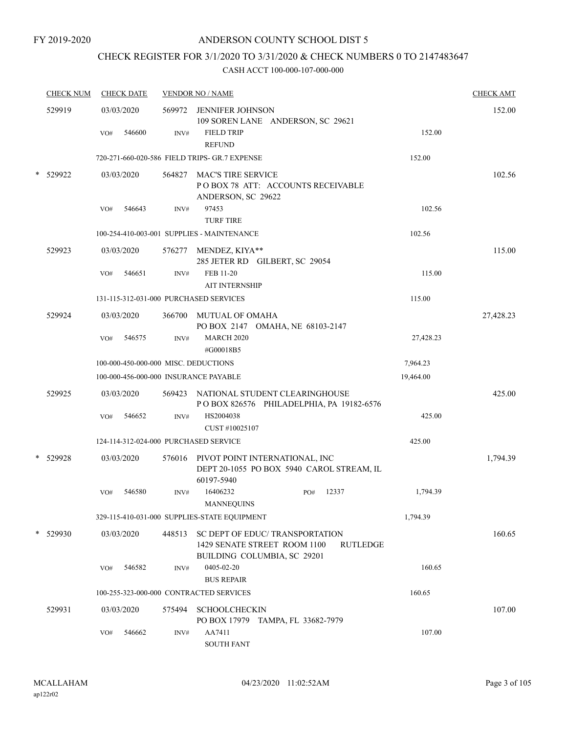# CHECK REGISTER FOR 3/1/2020 TO 3/31/2020 & CHECK NUMBERS 0 TO 2147483647

|   | <b>CHECK NUM</b> |     | <b>CHECK DATE</b> |        | <b>VENDOR NO / NAME</b>                                                                                           |           | <b>CHECK AMT</b> |
|---|------------------|-----|-------------------|--------|-------------------------------------------------------------------------------------------------------------------|-----------|------------------|
|   | 529919           |     | 03/03/2020        | 569972 | JENNIFER JOHNSON<br>109 SOREN LANE ANDERSON, SC 29621                                                             |           | 152.00           |
|   |                  | VO# | 546600            | INV#   | <b>FIELD TRIP</b><br><b>REFUND</b>                                                                                | 152.00    |                  |
|   |                  |     |                   |        | 720-271-660-020-586 FIELD TRIPS- GR.7 EXPENSE                                                                     | 152.00    |                  |
|   | 529922           |     | 03/03/2020        |        | 564827 MAC'S TIRE SERVICE<br>POBOX 78 ATT: ACCOUNTS RECEIVABLE<br>ANDERSON, SC 29622                              |           | 102.56           |
|   |                  | VO# | 546643            | INV#   | 97453<br><b>TURF TIRE</b>                                                                                         | 102.56    |                  |
|   |                  |     |                   |        | 100-254-410-003-001 SUPPLIES - MAINTENANCE                                                                        | 102.56    |                  |
|   | 529923           |     | 03/03/2020        |        | 576277 MENDEZ, KIYA**<br>285 JETER RD GILBERT, SC 29054                                                           |           | 115.00           |
|   |                  | VO# | 546651            | INV#   | FEB 11-20<br><b>AIT INTERNSHIP</b>                                                                                | 115.00    |                  |
|   |                  |     |                   |        | 131-115-312-031-000 PURCHASED SERVICES                                                                            | 115.00    |                  |
|   | 529924           |     | 03/03/2020        | 366700 | MUTUAL OF OMAHA<br>PO BOX 2147 OMAHA, NE 68103-2147                                                               |           | 27,428.23        |
|   |                  | VO# | 546575            | INV#   | <b>MARCH 2020</b><br>#G00018B5                                                                                    | 27,428.23 |                  |
|   |                  |     |                   |        | 100-000-450-000-000 MISC. DEDUCTIONS                                                                              | 7,964.23  |                  |
|   |                  |     |                   |        | 100-000-456-000-000 INSURANCE PAYABLE                                                                             | 19,464.00 |                  |
|   | 529925           |     | 03/03/2020        |        | 569423 NATIONAL STUDENT CLEARINGHOUSE<br>POBOX 826576 PHILADELPHIA, PA 19182-6576                                 |           | 425.00           |
|   |                  | VO# | 546652            | INV#   | HS2004038<br>CUST#10025107                                                                                        | 425.00    |                  |
|   |                  |     |                   |        | 124-114-312-024-000 PURCHASED SERVICE                                                                             | 425.00    |                  |
|   | 529928           |     | 03/03/2020        |        | 576016 PIVOT POINT INTERNATIONAL, INC<br>DEPT 20-1055 PO BOX 5940 CAROL STREAM, IL<br>60197-5940                  |           | 1,794.39         |
|   |                  | VO# | 546580            | INV#   | 16406232<br>PO#<br>12337<br><b>MANNEOUINS</b>                                                                     | 1,794.39  |                  |
|   |                  |     |                   |        | 329-115-410-031-000 SUPPLIES-STATE EQUIPMENT                                                                      | 1,794.39  |                  |
| * | 529930           |     | 03/03/2020        | 448513 | SC DEPT OF EDUC/ TRANSPORTATION<br>1429 SENATE STREET ROOM 1100<br><b>RUTLEDGE</b><br>BUILDING COLUMBIA, SC 29201 |           | 160.65           |
|   |                  | VO# | 546582            | INV#   | 0405-02-20<br><b>BUS REPAIR</b>                                                                                   | 160.65    |                  |
|   |                  |     |                   |        | 100-255-323-000-000 CONTRACTED SERVICES                                                                           | 160.65    |                  |
|   | 529931           |     | 03/03/2020        | 575494 | <b>SCHOOLCHECKIN</b><br>PO BOX 17979 TAMPA, FL 33682-7979                                                         |           | 107.00           |
|   |                  | VO# | 546662            | INV#   | AA7411<br><b>SOUTH FANT</b>                                                                                       | 107.00    |                  |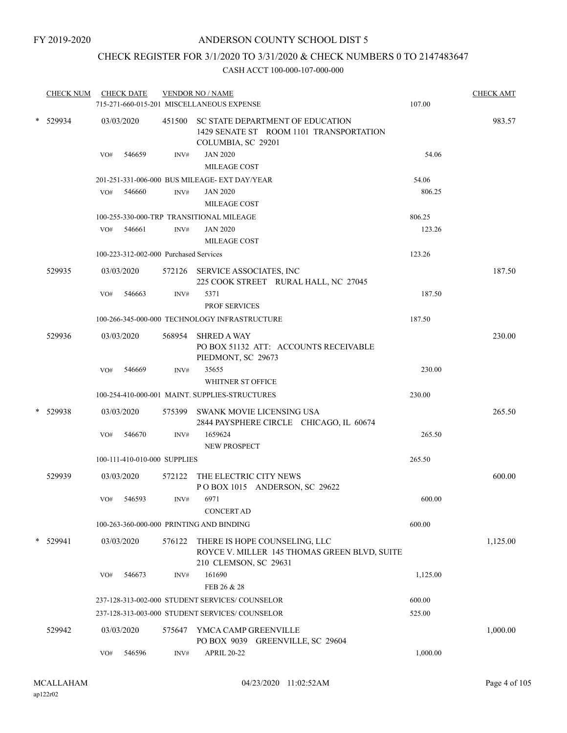# CHECK REGISTER FOR 3/1/2020 TO 3/31/2020 & CHECK NUMBERS 0 TO 2147483647

|        | <b>CHECK NUM</b> |     | <b>CHECK DATE</b> |                                                 | <b>VENDOR NO / NAME</b><br>715-271-660-015-201 MISCELLANEOUS EXPENSE                                     | 107.00   | <b>CHECK AMT</b> |
|--------|------------------|-----|-------------------|-------------------------------------------------|----------------------------------------------------------------------------------------------------------|----------|------------------|
|        | * 529934         |     | 03/03/2020        |                                                 | 451500 SC STATE DEPARTMENT OF EDUCATION<br>1429 SENATE ST ROOM 1101 TRANSPORTATION<br>COLUMBIA, SC 29201 |          | 983.57           |
|        |                  | VO# | 546659            | INV#                                            | <b>JAN 2020</b><br>MILEAGE COST                                                                          | 54.06    |                  |
|        |                  |     |                   |                                                 | 201-251-331-006-000 BUS MILEAGE- EXT DAY/YEAR                                                            | 54.06    |                  |
|        |                  | VO# | 546660            | INV#                                            | <b>JAN 2020</b>                                                                                          | 806.25   |                  |
|        |                  |     |                   |                                                 | MILEAGE COST                                                                                             |          |                  |
|        |                  |     |                   |                                                 | 100-255-330-000-TRP TRANSITIONAL MILEAGE                                                                 | 806.25   |                  |
|        |                  | VO# | 546661            | INV#                                            | <b>JAN 2020</b>                                                                                          | 123.26   |                  |
|        |                  |     |                   |                                                 | MILEAGE COST                                                                                             |          |                  |
|        |                  |     |                   | 100-223-312-002-000 Purchased Services          |                                                                                                          | 123.26   |                  |
|        | 529935           |     | 03/03/2020        |                                                 | 572126 SERVICE ASSOCIATES, INC<br>225 COOK STREET RURAL HALL, NC 27045                                   |          | 187.50           |
|        |                  | VO# | 546663            | INV#                                            | 5371                                                                                                     | 187.50   |                  |
|        |                  |     |                   |                                                 | <b>PROF SERVICES</b>                                                                                     |          |                  |
|        |                  |     |                   |                                                 | 100-266-345-000-000 TECHNOLOGY INFRASTRUCTURE                                                            | 187.50   |                  |
|        | 529936           |     | 03/03/2020        |                                                 | 568954 SHRED A WAY<br>PO BOX 51132 ATT: ACCOUNTS RECEIVABLE                                              |          | 230.00           |
|        |                  | VO# | 546669            | INV#                                            | PIEDMONT, SC 29673<br>35655<br><b>WHITNER ST OFFICE</b>                                                  | 230.00   |                  |
|        |                  |     |                   |                                                 | 100-254-410-000-001 MAINT. SUPPLIES-STRUCTURES                                                           | 230.00   |                  |
| $\ast$ | 529938           |     | 03/03/2020        |                                                 | 575399 SWANK MOVIE LICENSING USA                                                                         |          | 265.50           |
|        |                  |     |                   |                                                 | 2844 PAYSPHERE CIRCLE CHICAGO, IL 60674                                                                  |          |                  |
|        |                  | VO# | 546670            | INV#                                            | 1659624                                                                                                  | 265.50   |                  |
|        |                  |     |                   |                                                 | <b>NEW PROSPECT</b>                                                                                      |          |                  |
|        |                  |     |                   | 100-111-410-010-000 SUPPLIES                    |                                                                                                          | 265.50   |                  |
|        | 529939           |     | 03/03/2020        | 572122                                          | THE ELECTRIC CITY NEWS<br>POBOX 1015 ANDERSON, SC 29622                                                  |          | 600.00           |
|        |                  | VO# | 546593            | INV#                                            | 6971                                                                                                     | 600.00   |                  |
|        |                  |     |                   |                                                 | <b>CONCERT AD</b>                                                                                        |          |                  |
|        |                  |     |                   |                                                 | 100-263-360-000-000 PRINTING AND BINDING                                                                 | 600.00   |                  |
|        | * 529941         |     | 03/03/2020        | 576122                                          | THERE IS HOPE COUNSELING, LLC<br>ROYCE V. MILLER 145 THOMAS GREEN BLVD, SUITE<br>210 CLEMSON, SC 29631   |          | 1,125.00         |
|        |                  | VO# | 546673            | INV#                                            | 161690<br>FEB 26 & 28                                                                                    | 1,125.00 |                  |
|        |                  |     |                   |                                                 | 237-128-313-002-000 STUDENT SERVICES/ COUNSELOR                                                          | 600.00   |                  |
|        |                  |     |                   | 237-128-313-003-000 STUDENT SERVICES/ COUNSELOR | 525.00                                                                                                   |          |                  |
|        | 529942           |     | 03/03/2020        | 575647                                          | YMCA CAMP GREENVILLE<br>PO BOX 9039 GREENVILLE, SC 29604                                                 |          | 1,000.00         |
|        |                  | VO# | 546596            | INV#                                            | <b>APRIL 20-22</b>                                                                                       | 1,000.00 |                  |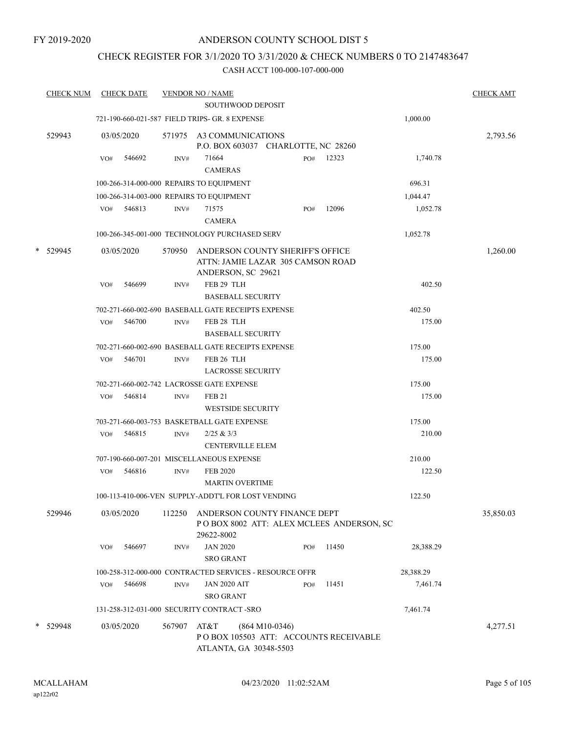## CHECK REGISTER FOR 3/1/2020 TO 3/31/2020 & CHECK NUMBERS 0 TO 2147483647

| <b>CHECK NUM</b> |     | <b>CHECK DATE</b>                              |        | <b>VENDOR NO / NAME</b> |                                                                                                    |     |       |           | <b>CHECK AMT</b> |
|------------------|-----|------------------------------------------------|--------|-------------------------|----------------------------------------------------------------------------------------------------|-----|-------|-----------|------------------|
|                  |     |                                                |        |                         | <b>SOUTHWOOD DEPOSIT</b>                                                                           |     |       |           |                  |
|                  |     | 721-190-660-021-587 FIELD TRIPS- GR. 8 EXPENSE |        |                         |                                                                                                    |     |       | 1,000.00  |                  |
| 529943           |     | 03/05/2020                                     |        |                         | 571975 A3 COMMUNICATIONS<br>P.O. BOX 603037 CHARLOTTE, NC 28260                                    |     |       |           | 2,793.56         |
|                  | VO# | 546692                                         | INV#   | 71664                   |                                                                                                    | PO# | 12323 | 1,740.78  |                  |
|                  |     |                                                |        | <b>CAMERAS</b>          |                                                                                                    |     |       |           |                  |
|                  |     | 100-266-314-000-000 REPAIRS TO EQUIPMENT       |        |                         |                                                                                                    |     |       | 696.31    |                  |
|                  |     | 100-266-314-003-000 REPAIRS TO EQUIPMENT       |        |                         |                                                                                                    |     |       | 1,044.47  |                  |
|                  |     | VO# 546813                                     | INV#   | 71575<br><b>CAMERA</b>  |                                                                                                    | PO# | 12096 | 1,052.78  |                  |
|                  |     |                                                |        |                         | 100-266-345-001-000 TECHNOLOGY PURCHASED SERV                                                      |     |       | 1,052.78  |                  |
| * 529945         |     | 03/05/2020                                     |        |                         | 570950 ANDERSON COUNTY SHERIFF'S OFFICE<br>ATTN: JAMIE LAZAR 305 CAMSON ROAD<br>ANDERSON, SC 29621 |     |       |           | 1,260.00         |
|                  | VO# | 546699                                         | INV#   |                         | FEB 29 TLH<br><b>BASEBALL SECURITY</b>                                                             |     |       | 402.50    |                  |
|                  |     |                                                |        |                         | 702-271-660-002-690 BASEBALL GATE RECEIPTS EXPENSE                                                 |     |       | 402.50    |                  |
|                  | VO# | 546700                                         | INV#   |                         | FEB 28 TLH<br><b>BASEBALL SECURITY</b>                                                             |     |       | 175.00    |                  |
|                  |     |                                                |        |                         | 702-271-660-002-690 BASEBALL GATE RECEIPTS EXPENSE                                                 |     |       | 175.00    |                  |
|                  | VO# | 546701                                         | INV#   |                         | FEB 26 TLH<br><b>LACROSSE SECURITY</b>                                                             |     |       | 175.00    |                  |
|                  |     | 702-271-660-002-742 LACROSSE GATE EXPENSE      |        |                         |                                                                                                    |     |       | 175.00    |                  |
|                  | VO# | 546814                                         | INV#   | <b>FEB 21</b>           | <b>WESTSIDE SECURITY</b>                                                                           |     |       | 175.00    |                  |
|                  |     |                                                |        |                         | 703-271-660-003-753 BASKETBALL GATE EXPENSE                                                        |     |       | 175.00    |                  |
|                  | VO# | 546815                                         | INV#   | 2/25 & 3/3              | <b>CENTERVILLE ELEM</b>                                                                            |     |       | 210.00    |                  |
|                  |     | 707-190-660-007-201 MISCELLANEOUS EXPENSE      |        |                         |                                                                                                    |     |       | 210.00    |                  |
|                  | VO# | 546816                                         | INV#   | <b>FEB 2020</b>         | <b>MARTIN OVERTIME</b>                                                                             |     |       | 122.50    |                  |
|                  |     |                                                |        |                         | 100-113-410-006-VEN SUPPLY-ADDT'L FOR LOST VENDING                                                 |     |       | 122.50    |                  |
| 529946           |     | 03/05/2020                                     | 112250 | 29622-8002              | ANDERSON COUNTY FINANCE DEPT<br>POBOX 8002 ATT: ALEX MCLEES ANDERSON, SC                           |     |       |           | 35,850.03        |
|                  | VO# | 546697                                         | INV#   | <b>JAN 2020</b>         | <b>SRO GRANT</b>                                                                                   | PO# | 11450 | 28,388.29 |                  |
|                  |     |                                                |        |                         | 100-258-312-000-000 CONTRACTED SERVICES - RESOURCE OFFR                                            |     |       | 28,388.29 |                  |
|                  | VO# | 546698                                         | INV#   |                         | <b>JAN 2020 AIT</b><br><b>SRO GRANT</b>                                                            | PO# | 11451 | 7,461.74  |                  |
|                  |     | 131-258-312-031-000 SECURITY CONTRACT -SRO     |        |                         |                                                                                                    |     |       | 7,461.74  |                  |
| * 529948         |     | 03/05/2020                                     | 567907 | AT&T                    | $(864 M10-0346)$<br>POBOX 105503 ATT: ACCOUNTS RECEIVABLE<br>ATLANTA, GA 30348-5503                |     |       |           | 4,277.51         |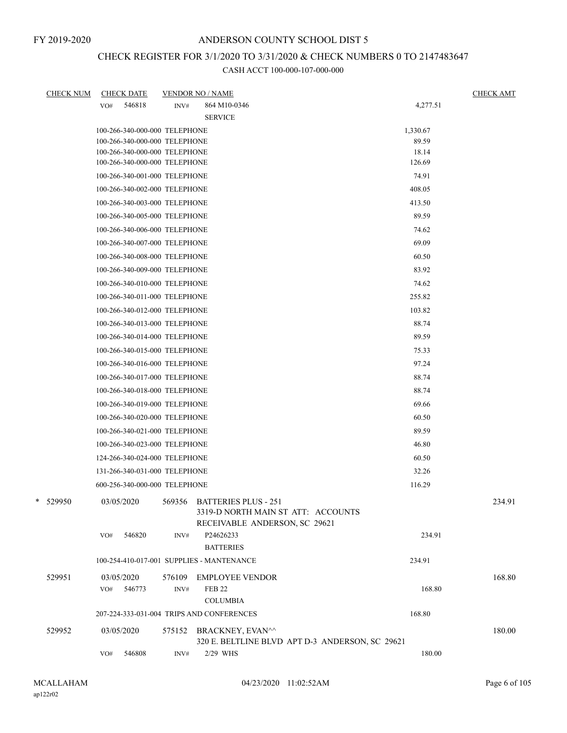## CHECK REGISTER FOR 3/1/2020 TO 3/31/2020 & CHECK NUMBERS 0 TO 2147483647

| <b>CHECK NUM</b> | <b>CHECK DATE</b>                         | <b>VENDOR NO / NAME</b> |                                                                                                    |          | <b>CHECK AMT</b> |
|------------------|-------------------------------------------|-------------------------|----------------------------------------------------------------------------------------------------|----------|------------------|
|                  | 546818<br>VO#                             | INV#                    | 864 M10-0346                                                                                       | 4,277.51 |                  |
|                  |                                           |                         | <b>SERVICE</b>                                                                                     |          |                  |
|                  | 100-266-340-000-000 TELEPHONE             |                         |                                                                                                    | 1,330.67 |                  |
|                  | 100-266-340-000-000 TELEPHONE             |                         |                                                                                                    | 89.59    |                  |
|                  | 100-266-340-000-000 TELEPHONE             |                         |                                                                                                    | 18.14    |                  |
|                  | 100-266-340-000-000 TELEPHONE             |                         |                                                                                                    | 126.69   |                  |
|                  | 100-266-340-001-000 TELEPHONE             |                         |                                                                                                    | 74.91    |                  |
|                  | 100-266-340-002-000 TELEPHONE             |                         |                                                                                                    | 408.05   |                  |
|                  | 100-266-340-003-000 TELEPHONE             |                         |                                                                                                    | 413.50   |                  |
|                  | 100-266-340-005-000 TELEPHONE             |                         |                                                                                                    | 89.59    |                  |
|                  | 100-266-340-006-000 TELEPHONE             |                         |                                                                                                    | 74.62    |                  |
|                  | 100-266-340-007-000 TELEPHONE             |                         |                                                                                                    | 69.09    |                  |
|                  | 100-266-340-008-000 TELEPHONE             |                         |                                                                                                    | 60.50    |                  |
|                  | 100-266-340-009-000 TELEPHONE             |                         |                                                                                                    | 83.92    |                  |
|                  | 100-266-340-010-000 TELEPHONE             |                         |                                                                                                    | 74.62    |                  |
|                  | 100-266-340-011-000 TELEPHONE             |                         |                                                                                                    | 255.82   |                  |
|                  | 100-266-340-012-000 TELEPHONE             |                         |                                                                                                    | 103.82   |                  |
|                  | 100-266-340-013-000 TELEPHONE             |                         |                                                                                                    | 88.74    |                  |
|                  | 100-266-340-014-000 TELEPHONE             |                         |                                                                                                    | 89.59    |                  |
|                  | 100-266-340-015-000 TELEPHONE             |                         |                                                                                                    | 75.33    |                  |
|                  | 100-266-340-016-000 TELEPHONE             |                         |                                                                                                    | 97.24    |                  |
|                  | 100-266-340-017-000 TELEPHONE             |                         |                                                                                                    | 88.74    |                  |
|                  | 100-266-340-018-000 TELEPHONE             |                         |                                                                                                    | 88.74    |                  |
|                  | 100-266-340-019-000 TELEPHONE             |                         |                                                                                                    | 69.66    |                  |
|                  |                                           |                         |                                                                                                    |          |                  |
|                  | 100-266-340-020-000 TELEPHONE             |                         |                                                                                                    | 60.50    |                  |
|                  | 100-266-340-021-000 TELEPHONE             |                         |                                                                                                    | 89.59    |                  |
|                  | 100-266-340-023-000 TELEPHONE             |                         |                                                                                                    | 46.80    |                  |
|                  | 124-266-340-024-000 TELEPHONE             |                         |                                                                                                    | 60.50    |                  |
|                  | 131-266-340-031-000 TELEPHONE             |                         |                                                                                                    | 32.26    |                  |
|                  | 600-256-340-000-000 TELEPHONE             |                         |                                                                                                    | 116.29   |                  |
| $*$ 529950       | 03/05/2020                                |                         | 569356 BATTERIES PLUS - 251<br>3319-D NORTH MAIN ST ATT: ACCOUNTS<br>RECEIVABLE ANDERSON, SC 29621 |          | 234.91           |
|                  | 546820<br>VO#                             | INV#                    | P24626233<br><b>BATTERIES</b>                                                                      | 234.91   |                  |
|                  | 100-254-410-017-001 SUPPLIES - MANTENANCE |                         |                                                                                                    | 234.91   |                  |
| 529951           | 03/05/2020                                | 576109                  | <b>EMPLOYEE VENDOR</b>                                                                             |          | 168.80           |
|                  | 546773<br>VO#                             | INV#                    | <b>FEB 22</b>                                                                                      | 168.80   |                  |
|                  |                                           |                         | <b>COLUMBIA</b>                                                                                    |          |                  |
|                  | 207-224-333-031-004 TRIPS AND CONFERENCES |                         |                                                                                                    | 168.80   |                  |
| 529952           | 03/05/2020                                | 575152                  | BRACKNEY, EVAN^^<br>320 E. BELTLINE BLVD APT D-3 ANDERSON, SC 29621                                |          | 180.00           |
|                  | 546808<br>VO#                             | INV#                    | 2/29 WHS                                                                                           | 180.00   |                  |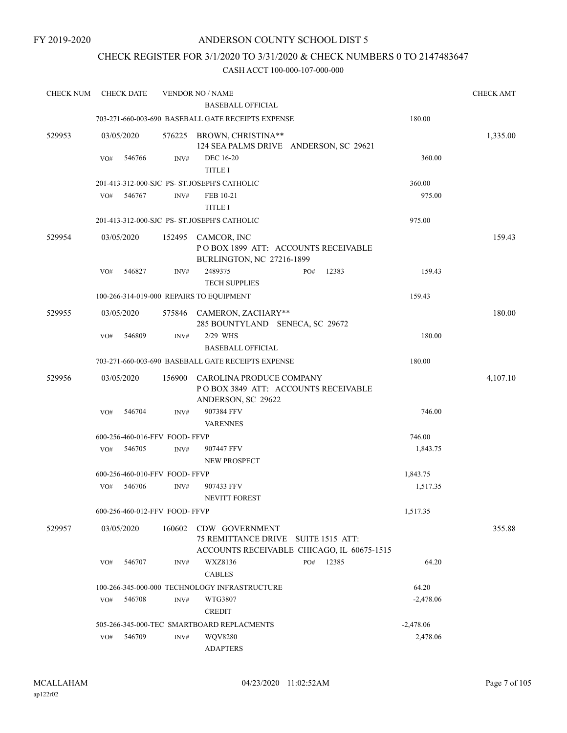## CHECK REGISTER FOR 3/1/2020 TO 3/31/2020 & CHECK NUMBERS 0 TO 2147483647

| <b>CHECK NUM</b> | <b>CHECK DATE</b>                        |        | <b>VENDOR NO / NAME</b>                                                                             |     |       |             | <b>CHECK AMT</b> |
|------------------|------------------------------------------|--------|-----------------------------------------------------------------------------------------------------|-----|-------|-------------|------------------|
|                  |                                          |        | <b>BASEBALL OFFICIAL</b>                                                                            |     |       |             |                  |
|                  |                                          |        | 703-271-660-003-690 BASEBALL GATE RECEIPTS EXPENSE                                                  |     |       | 180.00      |                  |
| 529953           | 03/05/2020                               | 576225 | BROWN, CHRISTINA**<br>124 SEA PALMS DRIVE ANDERSON, SC 29621                                        |     |       |             | 1,335.00         |
|                  | 546766<br>VO#                            | INV#   | <b>DEC</b> 16-20<br><b>TITLE I</b>                                                                  |     |       | 360.00      |                  |
|                  |                                          |        | 201-413-312-000-SJC PS- ST.JOSEPH'S CATHOLIC                                                        |     |       | 360.00      |                  |
|                  | 546767<br>VO#                            | INV#   | FEB 10-21                                                                                           |     |       | 975.00      |                  |
|                  |                                          |        | <b>TITLE I</b>                                                                                      |     |       |             |                  |
|                  |                                          |        | 201-413-312-000-SJC PS- ST.JOSEPH'S CATHOLIC                                                        |     |       | 975.00      |                  |
| 529954           | 03/05/2020                               |        | 152495 CAMCOR, INC<br>POBOX 1899 ATT: ACCOUNTS RECEIVABLE<br>BURLINGTON, NC 27216-1899              |     |       |             | 159.43           |
|                  | 546827<br>VO#                            | INV#   | 2489375<br><b>TECH SUPPLIES</b>                                                                     | PO# | 12383 | 159.43      |                  |
|                  | 100-266-314-019-000 REPAIRS TO EQUIPMENT |        |                                                                                                     |     |       | 159.43      |                  |
| 529955           | 03/05/2020                               |        | 575846 CAMERON, ZACHARY**<br>285 BOUNTYLAND SENECA, SC 29672                                        |     |       |             | 180.00           |
|                  | 546809<br>VO#                            | INV#   | 2/29 WHS                                                                                            |     |       | 180.00      |                  |
|                  |                                          |        | <b>BASEBALL OFFICIAL</b>                                                                            |     |       |             |                  |
|                  |                                          |        | 703-271-660-003-690 BASEBALL GATE RECEIPTS EXPENSE                                                  |     |       | 180.00      |                  |
| 529956           | 03/05/2020                               | 156900 | CAROLINA PRODUCE COMPANY<br>POBOX 3849 ATT: ACCOUNTS RECEIVABLE<br>ANDERSON, SC 29622               |     |       |             | 4,107.10         |
|                  | 546704<br>VO#                            | INV#   | 907384 FFV<br><b>VARENNES</b>                                                                       |     |       | 746.00      |                  |
|                  | 600-256-460-016-FFV FOOD- FFVP           |        |                                                                                                     |     |       | 746.00      |                  |
|                  | 546705<br>VO#                            | INV#   | 907447 FFV<br>NEW PROSPECT                                                                          |     |       | 1,843.75    |                  |
|                  | 600-256-460-010-FFV FOOD-FFVP            |        |                                                                                                     |     |       | 1,843.75    |                  |
|                  | 546706<br>VO#                            | INV#   | 907433 FFV<br>NEVITT FOREST                                                                         |     |       | 1,517.35    |                  |
|                  | 600-256-460-012-FFV FOOD- FFVP           |        |                                                                                                     |     |       | 1,517.35    |                  |
| 529957           | 03/05/2020                               | 160602 | CDW GOVERNMENT<br>75 REMITTANCE DRIVE SUITE 1515 ATT:<br>ACCOUNTS RECEIVABLE CHICAGO, IL 60675-1515 |     |       |             | 355.88           |
|                  | 546707<br>VO#                            | INV#   | WXZ8136<br><b>CABLES</b>                                                                            | PO# | 12385 | 64.20       |                  |
|                  |                                          |        | 100-266-345-000-000 TECHNOLOGY INFRASTRUCTURE                                                       |     |       | 64.20       |                  |
|                  | 546708<br>VO#                            | INV#   | WTG3807<br><b>CREDIT</b>                                                                            |     |       | $-2,478.06$ |                  |
|                  |                                          |        | 505-266-345-000-TEC SMARTBOARD REPLACMENTS                                                          |     |       | $-2,478.06$ |                  |
|                  | 546709<br>VO#                            | INV#   | <b>WQV8280</b><br><b>ADAPTERS</b>                                                                   |     |       | 2,478.06    |                  |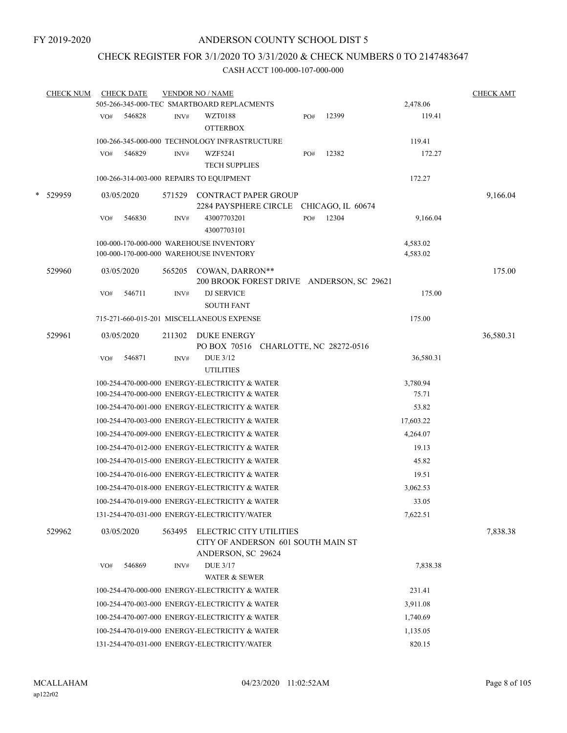## CHECK REGISTER FOR 3/1/2020 TO 3/31/2020 & CHECK NUMBERS 0 TO 2147483647

| <b>CHECK NUM</b> |     | <b>CHECK DATE</b> |        | <b>VENDOR NO / NAME</b>                                                                    |     |       |                      | <b>CHECK AMT</b> |
|------------------|-----|-------------------|--------|--------------------------------------------------------------------------------------------|-----|-------|----------------------|------------------|
|                  |     |                   |        | 505-266-345-000-TEC SMARTBOARD REPLACMENTS                                                 |     |       | 2,478.06             |                  |
|                  | VO# | 546828            | INV#   | WZT0188<br><b>OTTERBOX</b>                                                                 | PO# | 12399 | 119.41               |                  |
|                  |     |                   |        | 100-266-345-000-000 TECHNOLOGY INFRASTRUCTURE                                              |     |       | 119.41               |                  |
|                  | VO# | 546829            | INV#   | WZF5241<br><b>TECH SUPPLIES</b>                                                            | PO# | 12382 | 172.27               |                  |
|                  |     |                   |        | 100-266-314-003-000 REPAIRS TO EQUIPMENT                                                   |     |       | 172.27               |                  |
| * 529959         |     | 03/05/2020        | 571529 | CONTRACT PAPER GROUP<br>2284 PAYSPHERE CIRCLE CHICAGO, IL 60674                            |     |       |                      | 9,166.04         |
|                  | VO# | 546830            | INV#   | 43007703201<br>43007703101                                                                 | PO# | 12304 | 9,166.04             |                  |
|                  |     |                   |        | 100-000-170-000-000 WAREHOUSE INVENTORY<br>100-000-170-000-000 WAREHOUSE INVENTORY         |     |       | 4,583.02<br>4,583.02 |                  |
| 529960           |     | 03/05/2020        | 565205 | COWAN, DARRON**<br>200 BROOK FOREST DRIVE ANDERSON, SC 29621                               |     |       |                      | 175.00           |
|                  | VO# | 546711            | INV#   | DJ SERVICE<br><b>SOUTH FANT</b>                                                            |     |       | 175.00               |                  |
|                  |     |                   |        | 715-271-660-015-201 MISCELLANEOUS EXPENSE                                                  |     |       | 175.00               |                  |
| 529961           |     | 03/05/2020        | 211302 | DUKE ENERGY<br>PO BOX 70516 CHARLOTTE, NC 28272-0516                                       |     |       |                      | 36,580.31        |
|                  | VO# | 546871            | INV#   | <b>DUE 3/12</b><br><b>UTILITIES</b>                                                        |     |       | 36,580.31            |                  |
|                  |     |                   |        | 100-254-470-000-000 ENERGY-ELECTRICITY & WATER                                             |     |       | 3,780.94             |                  |
|                  |     |                   |        | 100-254-470-000-000 ENERGY-ELECTRICITY & WATER                                             |     |       | 75.71                |                  |
|                  |     |                   |        | 100-254-470-001-000 ENERGY-ELECTRICITY & WATER                                             |     |       | 53.82                |                  |
|                  |     |                   |        | 100-254-470-003-000 ENERGY-ELECTRICITY & WATER                                             |     |       | 17,603.22            |                  |
|                  |     |                   |        | 100-254-470-009-000 ENERGY-ELECTRICITY & WATER                                             |     |       | 4,264.07             |                  |
|                  |     |                   |        | 100-254-470-012-000 ENERGY-ELECTRICITY & WATER                                             |     |       | 19.13                |                  |
|                  |     |                   |        | 100-254-470-015-000 ENERGY-ELECTRICITY & WATER                                             |     |       | 45.82                |                  |
|                  |     |                   |        | 100-254-470-016-000 ENERGY-ELECTRICITY & WATER                                             |     |       | 19.51                |                  |
|                  |     |                   |        | 100-254-470-018-000 ENERGY-ELECTRICITY & WATER                                             |     |       | 3,062.53             |                  |
|                  |     |                   |        | 100-254-470-019-000 ENERGY-ELECTRICITY & WATER                                             |     |       | 33.05                |                  |
|                  |     |                   |        | 131-254-470-031-000 ENERGY-ELECTRICITY/WATER                                               |     |       | 7,622.51             |                  |
| 529962           |     | 03/05/2020        |        | 563495 ELECTRIC CITY UTILITIES<br>CITY OF ANDERSON 601 SOUTH MAIN ST<br>ANDERSON, SC 29624 |     |       |                      | 7,838.38         |
|                  | VO# | 546869            | INV#   | <b>DUE 3/17</b><br><b>WATER &amp; SEWER</b>                                                |     |       | 7,838.38             |                  |
|                  |     |                   |        | 100-254-470-000-000 ENERGY-ELECTRICITY & WATER                                             |     |       | 231.41               |                  |
|                  |     |                   |        | 100-254-470-003-000 ENERGY-ELECTRICITY & WATER                                             |     |       | 3,911.08             |                  |
|                  |     |                   |        | 100-254-470-007-000 ENERGY-ELECTRICITY & WATER                                             |     |       | 1,740.69             |                  |
|                  |     |                   |        | 100-254-470-019-000 ENERGY-ELECTRICITY & WATER                                             |     |       | 1,135.05             |                  |
|                  |     |                   |        | 131-254-470-031-000 ENERGY-ELECTRICITY/WATER                                               |     |       | 820.15               |                  |
|                  |     |                   |        |                                                                                            |     |       |                      |                  |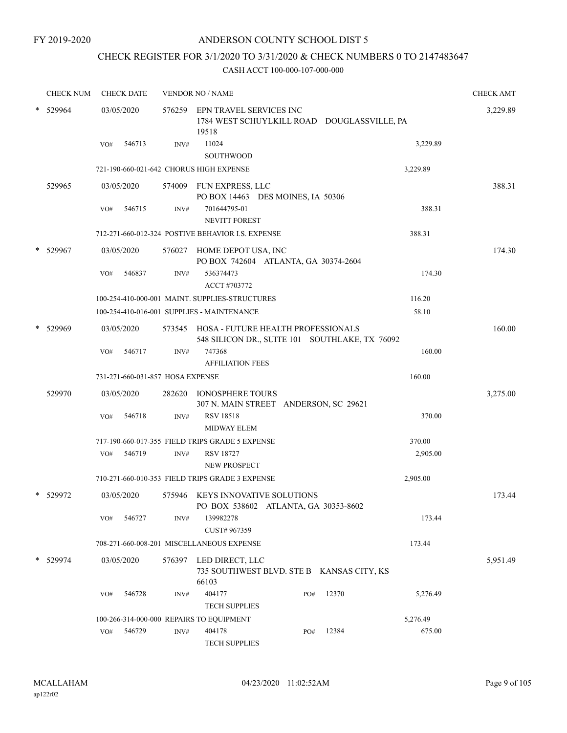# CHECK REGISTER FOR 3/1/2020 TO 3/31/2020 & CHECK NUMBERS 0 TO 2147483647

| <b>CHECK NUM</b> | <b>CHECK DATE</b> |                                  | <b>VENDOR NO / NAME</b>                                                                     |     |       |          | <b>CHECK AMT</b> |
|------------------|-------------------|----------------------------------|---------------------------------------------------------------------------------------------|-----|-------|----------|------------------|
| 529964           | 03/05/2020        |                                  | 576259 EPN TRAVEL SERVICES INC<br>1784 WEST SCHUYLKILL ROAD DOUGLASSVILLE, PA<br>19518      |     |       |          | 3,229.89         |
|                  | 546713<br>VO#     | INV#                             | 11024<br><b>SOUTHWOOD</b>                                                                   |     |       | 3,229.89 |                  |
|                  |                   |                                  | 721-190-660-021-642 CHORUS HIGH EXPENSE                                                     |     |       | 3,229.89 |                  |
| 529965           | 03/05/2020        |                                  | 574009 FUN EXPRESS, LLC<br>PO BOX 14463 DES MOINES, IA 50306                                |     |       |          | 388.31           |
|                  | 546715<br>VO#     | INV#                             | 701644795-01<br><b>NEVITT FOREST</b>                                                        |     |       | 388.31   |                  |
|                  |                   |                                  | 712-271-660-012-324 POSTIVE BEHAVIOR I.S. EXPENSE                                           |     |       | 388.31   |                  |
| 529967           | 03/05/2020        |                                  | 576027 HOME DEPOT USA, INC<br>PO BOX 742604 ATLANTA, GA 30374-2604                          |     |       |          | 174.30           |
|                  | 546837<br>VO#     | INV#                             | 536374473<br>ACCT #703772                                                                   |     |       | 174.30   |                  |
|                  |                   |                                  | 100-254-410-000-001 MAINT. SUPPLIES-STRUCTURES                                              |     |       | 116.20   |                  |
|                  |                   |                                  | 100-254-410-016-001 SUPPLIES - MAINTENANCE                                                  |     |       | 58.10    |                  |
| 529969           | 03/05/2020        |                                  | 573545 HOSA - FUTURE HEALTH PROFESSIONALS<br>548 SILICON DR., SUITE 101 SOUTHLAKE, TX 76092 |     |       |          | 160.00           |
|                  | 546717<br>VO#     | INV#                             | 747368<br><b>AFFILIATION FEES</b>                                                           |     |       | 160.00   |                  |
|                  |                   | 731-271-660-031-857 HOSA EXPENSE |                                                                                             |     |       | 160.00   |                  |
| 529970           | 03/05/2020        |                                  | 282620 IONOSPHERE TOURS<br>307 N. MAIN STREET ANDERSON, SC 29621                            |     |       |          | 3,275.00         |
|                  | 546718<br>VO#     | INV#                             | <b>RSV 18518</b><br><b>MIDWAY ELEM</b>                                                      |     |       | 370.00   |                  |
|                  |                   |                                  | 717-190-660-017-355 FIELD TRIPS GRADE 5 EXPENSE                                             |     |       | 370.00   |                  |
|                  | 546719<br>VO#     | INV#                             | <b>RSV 18727</b><br><b>NEW PROSPECT</b>                                                     |     |       | 2,905.00 |                  |
|                  |                   |                                  | 710-271-660-010-353 FIELD TRIPS GRADE 3 EXPENSE                                             |     |       | 2,905.00 |                  |
| 529972           | 03/05/2020        |                                  | 575946 KEYS INNOVATIVE SOLUTIONS<br>PO BOX 538602 ATLANTA, GA 30353-8602                    |     |       |          | 173.44           |
|                  | 546727<br>VO#     | INV#                             | 139982278<br>CUST# 967359                                                                   |     |       | 173.44   |                  |
|                  |                   |                                  | 708-271-660-008-201 MISCELLANEOUS EXPENSE                                                   |     |       | 173.44   |                  |
| 529974           | 03/05/2020        | 576397                           | LED DIRECT, LLC<br>735 SOUTHWEST BLVD. STE B KANSAS CITY, KS<br>66103                       |     |       |          | 5,951.49         |
|                  | VO#<br>546728     | INV#                             | 404177<br><b>TECH SUPPLIES</b>                                                              | PO# | 12370 | 5,276.49 |                  |
|                  |                   |                                  | 100-266-314-000-000 REPAIRS TO EQUIPMENT                                                    |     |       | 5,276.49 |                  |
|                  | 546729<br>VO#     | $\text{INV}\#$                   | 404178<br>TECH SUPPLIES                                                                     | PO# | 12384 | 675.00   |                  |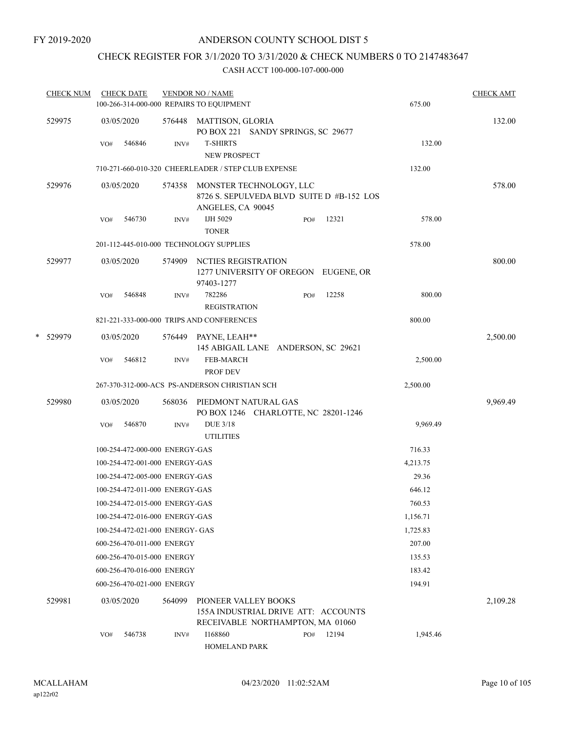# CHECK REGISTER FOR 3/1/2020 TO 3/31/2020 & CHECK NUMBERS 0 TO 2147483647

|   | <b>CHECK NUM</b> |     | <b>CHECK DATE</b>               |        | <b>VENDOR NO / NAME</b><br>100-266-314-000-000 REPAIRS TO EQUIPMENT                       |     |       | 675.00   | <b>CHECK AMT</b> |
|---|------------------|-----|---------------------------------|--------|-------------------------------------------------------------------------------------------|-----|-------|----------|------------------|
|   | 529975           |     | 03/05/2020                      |        | 576448 MATTISON, GLORIA                                                                   |     |       |          | 132.00           |
|   |                  | VO# | 546846                          | INV#   | PO BOX 221 SANDY SPRINGS, SC 29677<br><b>T-SHIRTS</b>                                     |     |       | 132.00   |                  |
|   |                  |     |                                 |        | <b>NEW PROSPECT</b><br>710-271-660-010-320 CHEERLEADER / STEP CLUB EXPENSE                |     |       | 132.00   |                  |
|   |                  |     |                                 |        |                                                                                           |     |       |          |                  |
|   | 529976           |     | 03/05/2020                      | 574358 | MONSTER TECHNOLOGY, LLC<br>8726 S. SEPULVEDA BLVD SUITE D #B-152 LOS<br>ANGELES, CA 90045 |     |       |          | 578.00           |
|   |                  | VO# | 546730                          | INV#   | IJH 5029<br><b>TONER</b>                                                                  | PO# | 12321 | 578.00   |                  |
|   |                  |     |                                 |        | 201-112-445-010-000 TECHNOLOGY SUPPLIES                                                   |     |       | 578.00   |                  |
|   | 529977           |     | 03/05/2020                      | 574909 | NCTIES REGISTRATION<br>1277 UNIVERSITY OF OREGON EUGENE, OR<br>97403-1277                 |     |       |          | 800.00           |
|   |                  | VO# | 546848                          | INV#   | 782286<br><b>REGISTRATION</b>                                                             | PO# | 12258 | 800.00   |                  |
|   |                  |     |                                 |        | 821-221-333-000-000 TRIPS AND CONFERENCES                                                 |     |       | 800.00   |                  |
| * | 529979           |     | 03/05/2020                      |        | 576449 PAYNE, LEAH**<br>145 ABIGAIL LANE ANDERSON, SC 29621                               |     |       |          | 2,500.00         |
|   |                  | VO# | 546812                          | INV#   | FEB-MARCH<br>PROF DEV                                                                     |     |       | 2,500.00 |                  |
|   |                  |     |                                 |        | 267-370-312-000-ACS PS-ANDERSON CHRISTIAN SCH                                             |     |       | 2,500.00 |                  |
|   | 529980           |     | 03/05/2020                      |        | 568036 PIEDMONT NATURAL GAS<br>PO BOX 1246 CHARLOTTE, NC 28201-1246                       |     |       |          | 9,969.49         |
|   |                  | VO# | 546870                          | INV#   | <b>DUE 3/18</b><br><b>UTILITIES</b>                                                       |     |       | 9,969.49 |                  |
|   |                  |     | 100-254-472-000-000 ENERGY-GAS  |        |                                                                                           |     |       | 716.33   |                  |
|   |                  |     | 100-254-472-001-000 ENERGY-GAS  |        |                                                                                           |     |       | 4,213.75 |                  |
|   |                  |     | 100-254-472-005-000 ENERGY-GAS  |        |                                                                                           |     |       | 29.36    |                  |
|   |                  |     | 100-254-472-011-000 ENERGY-GAS  |        |                                                                                           |     |       | 646.12   |                  |
|   |                  |     | 100-254-472-015-000 ENERGY-GAS  |        |                                                                                           |     |       | 760.53   |                  |
|   |                  |     | 100-254-472-016-000 ENERGY-GAS  |        |                                                                                           |     |       | 1,156.71 |                  |
|   |                  |     | 100-254-472-021-000 ENERGY- GAS |        |                                                                                           |     |       | 1,725.83 |                  |
|   |                  |     | 600-256-470-011-000 ENERGY      |        |                                                                                           |     |       | 207.00   |                  |
|   |                  |     | 600-256-470-015-000 ENERGY      |        |                                                                                           |     |       | 135.53   |                  |
|   |                  |     | 600-256-470-016-000 ENERGY      |        |                                                                                           |     |       | 183.42   |                  |
|   |                  |     | 600-256-470-021-000 ENERGY      |        |                                                                                           |     |       | 194.91   |                  |
|   | 529981           |     | 03/05/2020                      | 564099 | <b>PIONEER VALLEY BOOKS</b>                                                               |     |       |          | 2,109.28         |
|   |                  |     |                                 |        | 155A INDUSTRIAL DRIVE ATT: ACCOUNTS<br>RECEIVABLE NORTHAMPTON, MA 01060                   |     |       |          |                  |
|   |                  | VO# | 546738                          | INV#   | I168860<br>HOMELAND PARK                                                                  | PO# | 12194 | 1,945.46 |                  |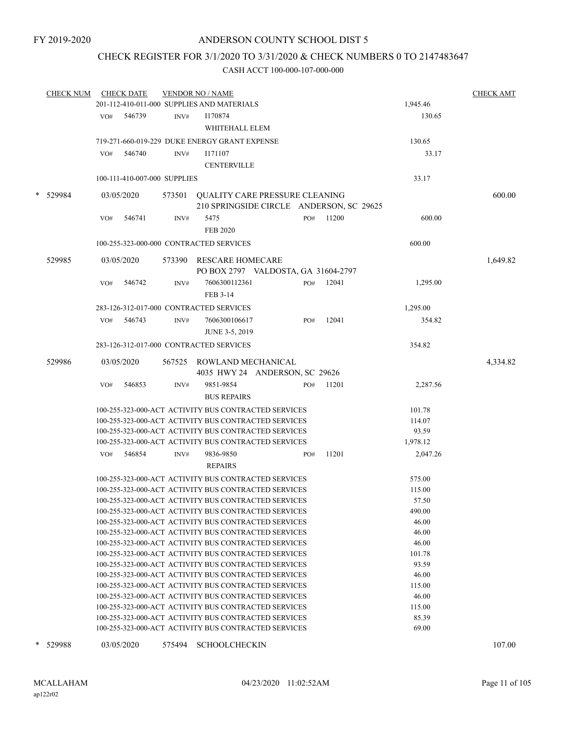## CHECK REGISTER FOR 3/1/2020 TO 3/31/2020 & CHECK NUMBERS 0 TO 2147483647

|   | <b>CHECK NUM</b> |     | <b>CHECK DATE</b>            |        | <b>VENDOR NO / NAME</b>                                                                                      |     |       |                 | <b>CHECK AMT</b> |
|---|------------------|-----|------------------------------|--------|--------------------------------------------------------------------------------------------------------------|-----|-------|-----------------|------------------|
|   |                  |     |                              |        | 201-112-410-011-000 SUPPLIES AND MATERIALS                                                                   |     |       | 1,945.46        |                  |
|   |                  | VO# | 546739                       | INV#   | I170874                                                                                                      |     |       | 130.65          |                  |
|   |                  |     |                              |        | WHITEHALL ELEM                                                                                               |     |       |                 |                  |
|   |                  |     |                              |        | 719-271-660-019-229 DUKE ENERGY GRANT EXPENSE                                                                |     |       | 130.65          |                  |
|   |                  | VO# | 546740                       | INV#   | I171107                                                                                                      |     |       | 33.17           |                  |
|   |                  |     |                              |        | <b>CENTERVILLE</b>                                                                                           |     |       |                 |                  |
|   |                  |     | 100-111-410-007-000 SUPPLIES |        |                                                                                                              |     |       | 33.17           |                  |
|   |                  |     |                              |        |                                                                                                              |     |       |                 |                  |
|   | * 529984         |     | 03/05/2020                   | 573501 | <b>QUALITY CARE PRESSURE CLEANING</b>                                                                        |     |       |                 | 600.00           |
|   |                  |     |                              |        | 210 SPRINGSIDE CIRCLE ANDERSON, SC 29625                                                                     |     |       |                 |                  |
|   |                  | VO# | 546741                       | INV#   | 5475                                                                                                         | PO# | 11200 | 600.00          |                  |
|   |                  |     |                              |        | <b>FEB 2020</b>                                                                                              |     |       |                 |                  |
|   |                  |     |                              |        | 100-255-323-000-000 CONTRACTED SERVICES                                                                      |     |       | 600.00          |                  |
|   |                  |     |                              |        |                                                                                                              |     |       |                 |                  |
|   | 529985           |     | 03/05/2020                   |        | 573390 RESCARE HOMECARE                                                                                      |     |       |                 | 1,649.82         |
|   |                  |     |                              |        | PO BOX 2797 VALDOSTA, GA 31604-2797                                                                          |     |       |                 |                  |
|   |                  | VO# | 546742                       | INV#   | 7606300112361                                                                                                | PO# | 12041 | 1,295.00        |                  |
|   |                  |     |                              |        | FEB 3-14                                                                                                     |     |       |                 |                  |
|   |                  |     |                              |        | 283-126-312-017-000 CONTRACTED SERVICES                                                                      |     |       | 1,295.00        |                  |
|   |                  | VO# | 546743                       | INV#   | 7606300106617                                                                                                | PO# | 12041 | 354.82          |                  |
|   |                  |     |                              |        | <b>JUNE 3-5, 2019</b>                                                                                        |     |       |                 |                  |
|   |                  |     |                              |        | 283-126-312-017-000 CONTRACTED SERVICES                                                                      |     |       | 354.82          |                  |
|   |                  |     |                              |        |                                                                                                              |     |       |                 |                  |
|   | 529986           |     | 03/05/2020                   |        | 567525 ROWLAND MECHANICAL                                                                                    |     |       |                 | 4,334.82         |
|   |                  |     |                              |        | 4035 HWY 24 ANDERSON, SC 29626                                                                               |     |       |                 |                  |
|   |                  | VO# | 546853                       | INV#   | 9851-9854                                                                                                    | PO# | 11201 | 2,287.56        |                  |
|   |                  |     |                              |        | <b>BUS REPAIRS</b>                                                                                           |     |       |                 |                  |
|   |                  |     |                              |        | 100-255-323-000-ACT ACTIVITY BUS CONTRACTED SERVICES                                                         |     |       | 101.78          |                  |
|   |                  |     |                              |        | 100-255-323-000-ACT ACTIVITY BUS CONTRACTED SERVICES                                                         |     |       | 114.07          |                  |
|   |                  |     |                              |        | 100-255-323-000-ACT ACTIVITY BUS CONTRACTED SERVICES                                                         |     |       | 93.59           |                  |
|   |                  |     |                              |        | 100-255-323-000-ACT ACTIVITY BUS CONTRACTED SERVICES                                                         |     |       | 1,978.12        |                  |
|   |                  | VO# | 546854                       | INV#   | 9836-9850                                                                                                    | PO# | 11201 | 2,047.26        |                  |
|   |                  |     |                              |        | <b>REPAIRS</b>                                                                                               |     |       |                 |                  |
|   |                  |     |                              |        | 100-255-323-000-ACT ACTIVITY BUS CONTRACTED SERVICES                                                         |     |       | 575.00          |                  |
|   |                  |     |                              |        | 100-255-323-000-ACT ACTIVITY BUS CONTRACTED SERVICES                                                         |     |       | 115.00          |                  |
|   |                  |     |                              |        | 100-255-323-000-ACT ACTIVITY BUS CONTRACTED SERVICES                                                         |     |       | 57.50           |                  |
|   |                  |     |                              |        | 100-255-323-000-ACT ACTIVITY BUS CONTRACTED SERVICES                                                         |     |       | 490.00          |                  |
|   |                  |     |                              |        | 100-255-323-000-ACT ACTIVITY BUS CONTRACTED SERVICES                                                         |     |       | 46.00           |                  |
|   |                  |     |                              |        | 100-255-323-000-ACT ACTIVITY BUS CONTRACTED SERVICES                                                         |     |       | 46.00           |                  |
|   |                  |     |                              |        | 100-255-323-000-ACT ACTIVITY BUS CONTRACTED SERVICES                                                         |     |       | 46.00           |                  |
|   |                  |     |                              |        | 100-255-323-000-ACT ACTIVITY BUS CONTRACTED SERVICES                                                         |     |       | 101.78          |                  |
|   |                  |     |                              |        | 100-255-323-000-ACT ACTIVITY BUS CONTRACTED SERVICES                                                         |     |       | 93.59           |                  |
|   |                  |     |                              |        | 100-255-323-000-ACT ACTIVITY BUS CONTRACTED SERVICES                                                         |     |       | 46.00           |                  |
|   |                  |     |                              |        | 100-255-323-000-ACT ACTIVITY BUS CONTRACTED SERVICES<br>100-255-323-000-ACT ACTIVITY BUS CONTRACTED SERVICES |     |       | 115.00<br>46.00 |                  |
|   |                  |     |                              |        | 100-255-323-000-ACT ACTIVITY BUS CONTRACTED SERVICES                                                         |     |       | 115.00          |                  |
|   |                  |     |                              |        | 100-255-323-000-ACT ACTIVITY BUS CONTRACTED SERVICES                                                         |     |       | 85.39           |                  |
|   |                  |     |                              |        | 100-255-323-000-ACT ACTIVITY BUS CONTRACTED SERVICES                                                         |     |       | 69.00           |                  |
|   |                  |     |                              |        |                                                                                                              |     |       |                 |                  |
| * | 529988           |     | 03/05/2020                   |        | 575494 SCHOOLCHECKIN                                                                                         |     |       |                 | 107.00           |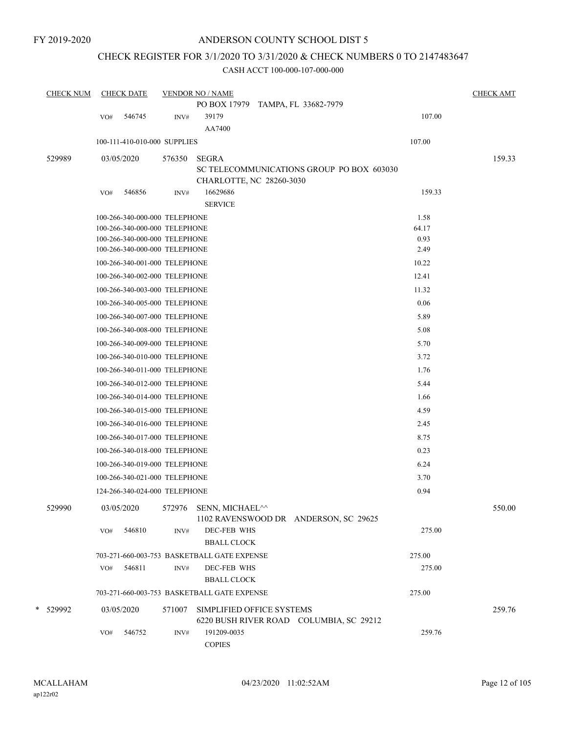# CHECK REGISTER FOR 3/1/2020 TO 3/31/2020 & CHECK NUMBERS 0 TO 2147483647

| <b>CHECK NUM</b> |     | <b>CHECK DATE</b>             |        | <b>VENDOR NO / NAME</b>                     |                                           |        | <b>CHECK AMT</b> |
|------------------|-----|-------------------------------|--------|---------------------------------------------|-------------------------------------------|--------|------------------|
|                  |     |                               |        | PO BOX 17979 TAMPA, FL 33682-7979           |                                           |        |                  |
|                  | VO# | 546745                        | INV#   | 39179                                       |                                           | 107.00 |                  |
|                  |     |                               |        | AA7400                                      |                                           |        |                  |
|                  |     | 100-111-410-010-000 SUPPLIES  |        |                                             |                                           | 107.00 |                  |
| 529989           |     | 03/05/2020                    | 576350 | <b>SEGRA</b>                                |                                           |        | 159.33           |
|                  |     |                               |        |                                             | SC TELECOMMUNICATIONS GROUP PO BOX 603030 |        |                  |
|                  |     |                               |        | CHARLOTTE, NC 28260-3030<br>16629686        |                                           | 159.33 |                  |
|                  | VO# | 546856                        | INV#   | <b>SERVICE</b>                              |                                           |        |                  |
|                  |     | 100-266-340-000-000 TELEPHONE |        |                                             |                                           | 1.58   |                  |
|                  |     | 100-266-340-000-000 TELEPHONE |        |                                             |                                           | 64.17  |                  |
|                  |     | 100-266-340-000-000 TELEPHONE |        |                                             |                                           | 0.93   |                  |
|                  |     | 100-266-340-000-000 TELEPHONE |        |                                             |                                           | 2.49   |                  |
|                  |     | 100-266-340-001-000 TELEPHONE |        |                                             |                                           | 10.22  |                  |
|                  |     | 100-266-340-002-000 TELEPHONE |        |                                             |                                           | 12.41  |                  |
|                  |     | 100-266-340-003-000 TELEPHONE |        |                                             |                                           | 11.32  |                  |
|                  |     | 100-266-340-005-000 TELEPHONE |        |                                             |                                           | 0.06   |                  |
|                  |     | 100-266-340-007-000 TELEPHONE |        |                                             |                                           | 5.89   |                  |
|                  |     | 100-266-340-008-000 TELEPHONE |        |                                             |                                           | 5.08   |                  |
|                  |     | 100-266-340-009-000 TELEPHONE |        |                                             |                                           | 5.70   |                  |
|                  |     | 100-266-340-010-000 TELEPHONE |        |                                             |                                           | 3.72   |                  |
|                  |     | 100-266-340-011-000 TELEPHONE |        |                                             |                                           | 1.76   |                  |
|                  |     | 100-266-340-012-000 TELEPHONE |        |                                             |                                           | 5.44   |                  |
|                  |     | 100-266-340-014-000 TELEPHONE |        |                                             |                                           | 1.66   |                  |
|                  |     | 100-266-340-015-000 TELEPHONE |        |                                             |                                           | 4.59   |                  |
|                  |     | 100-266-340-016-000 TELEPHONE |        |                                             |                                           | 2.45   |                  |
|                  |     |                               |        |                                             |                                           |        |                  |
|                  |     | 100-266-340-017-000 TELEPHONE |        |                                             |                                           | 8.75   |                  |
|                  |     | 100-266-340-018-000 TELEPHONE |        |                                             |                                           | 0.23   |                  |
|                  |     | 100-266-340-019-000 TELEPHONE |        |                                             |                                           | 6.24   |                  |
|                  |     | 100-266-340-021-000 TELEPHONE |        |                                             |                                           | 3.70   |                  |
|                  |     | 124-266-340-024-000 TELEPHONE |        |                                             |                                           | 0.94   |                  |
| 529990           |     | 03/05/2020                    |        | 572976 SENN, MICHAEL <sup>^^</sup>          | 1102 RAVENSWOOD DR ANDERSON, SC 29625     |        | 550.00           |
|                  | VO# | 546810                        | INV#   | DEC-FEB WHS<br><b>BBALL CLOCK</b>           |                                           | 275.00 |                  |
|                  |     |                               |        | 703-271-660-003-753 BASKETBALL GATE EXPENSE |                                           | 275.00 |                  |
|                  | VO# | 546811                        | INV#   | DEC-FEB WHS                                 |                                           | 275.00 |                  |
|                  |     |                               |        | <b>BBALL CLOCK</b>                          |                                           |        |                  |
|                  |     |                               |        | 703-271-660-003-753 BASKETBALL GATE EXPENSE |                                           | 275.00 |                  |
| * 529992         |     | 03/05/2020                    | 571007 | SIMPLIFIED OFFICE SYSTEMS                   |                                           |        | 259.76           |
|                  |     |                               |        |                                             | 6220 BUSH RIVER ROAD COLUMBIA, SC 29212   |        |                  |
|                  | VO# | 546752                        | INV#   | 191209-0035<br><b>COPIES</b>                |                                           | 259.76 |                  |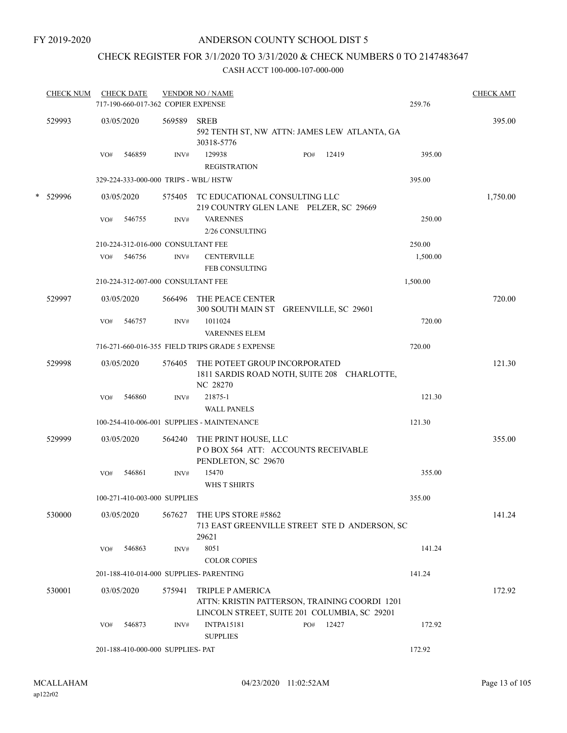## CHECK REGISTER FOR 3/1/2020 TO 3/31/2020 & CHECK NUMBERS 0 TO 2147483647

| <b>CHECK NUM</b> |     | <b>CHECK DATE</b><br>717-190-660-017-362 COPIER EXPENSE |        | <b>VENDOR NO / NAME</b>                                                            |     |       | 259.76   | <b>CHECK AMT</b> |
|------------------|-----|---------------------------------------------------------|--------|------------------------------------------------------------------------------------|-----|-------|----------|------------------|
|                  |     |                                                         |        |                                                                                    |     |       |          |                  |
| 529993           |     | 03/05/2020                                              | 569589 | <b>SREB</b><br>592 TENTH ST, NW ATTN: JAMES LEW ATLANTA, GA<br>30318-5776          |     |       |          | 395.00           |
|                  | VO# | 546859                                                  | INV#   | 129938<br><b>REGISTRATION</b>                                                      | PO# | 12419 | 395.00   |                  |
|                  |     | 329-224-333-000-000 TRIPS - WBL/HSTW                    |        |                                                                                    |     |       | 395.00   |                  |
| * 529996         |     | 03/05/2020                                              |        | 575405 TC EDUCATIONAL CONSULTING LLC<br>219 COUNTRY GLEN LANE PELZER, SC 29669     |     |       |          | 1,750.00         |
|                  | VO# | 546755                                                  | INV#   | <b>VARENNES</b><br>2/26 CONSULTING                                                 |     |       | 250.00   |                  |
|                  |     | 210-224-312-016-000 CONSULTANT FEE                      |        |                                                                                    |     |       | 250.00   |                  |
|                  | VO# | 546756                                                  | INV#   | <b>CENTERVILLE</b><br>FEB CONSULTING                                               |     |       | 1,500.00 |                  |
|                  |     | 210-224-312-007-000 CONSULTANT FEE                      |        |                                                                                    |     |       | 1,500.00 |                  |
| 529997           |     | 03/05/2020                                              |        | 566496 THE PEACE CENTER<br>300 SOUTH MAIN ST GREENVILLE, SC 29601                  |     |       |          | 720.00           |
|                  | VO# | 546757                                                  | INV#   | 1011024<br><b>VARENNES ELEM</b>                                                    |     |       | 720.00   |                  |
|                  |     |                                                         |        | 716-271-660-016-355 FIELD TRIPS GRADE 5 EXPENSE                                    |     |       | 720.00   |                  |
| 529998           |     | 03/05/2020                                              | 576405 | THE POTEET GROUP INCORPORATED<br>1811 SARDIS ROAD NOTH, SUITE 208 CHARLOTTE,       |     |       |          | 121.30           |
|                  |     |                                                         |        | NC 28270                                                                           |     |       |          |                  |
|                  | VO# | 546860                                                  | INV#   | 21875-1                                                                            |     |       | 121.30   |                  |
|                  |     |                                                         |        | <b>WALL PANELS</b>                                                                 |     |       |          |                  |
|                  |     |                                                         |        | 100-254-410-006-001 SUPPLIES - MAINTENANCE                                         |     |       | 121.30   |                  |
| 529999           |     | 03/05/2020                                              | 564240 | THE PRINT HOUSE, LLC<br>PO BOX 564 ATT: ACCOUNTS RECEIVABLE<br>PENDLETON, SC 29670 |     |       |          | 355.00           |
|                  | VO# | 546861                                                  | INV#   | 15470<br><b>WHS T SHIRTS</b>                                                       |     |       | 355.00   |                  |
|                  |     | 100-271-410-003-000 SUPPLIES                            |        |                                                                                    |     |       | 355.00   |                  |
| 530000           |     | 03/05/2020                                              | 567627 | THE UPS STORE #5862<br>713 EAST GREENVILLE STREET STE D ANDERSON, SC<br>29621      |     |       |          | 141.24           |
|                  | VO# | 546863                                                  | INV#   | 8051<br><b>COLOR COPIES</b>                                                        |     |       | 141.24   |                  |
|                  |     |                                                         |        | 201-188-410-014-000 SUPPLIES- PARENTING                                            |     |       | 141.24   |                  |
| 530001           |     | 03/05/2020                                              | 575941 | TRIPLE P AMERICA<br>ATTN: KRISTIN PATTERSON, TRAINING COORDI 1201                  |     |       |          | 172.92           |
|                  |     |                                                         |        | LINCOLN STREET, SUITE 201 COLUMBIA, SC 29201                                       |     |       |          |                  |
|                  | VO# | 546873                                                  | INV#   | <b>INTPA15181</b><br><b>SUPPLIES</b>                                               | PO# | 12427 | 172.92   |                  |
|                  |     | 201-188-410-000-000 SUPPLIES- PAT                       |        |                                                                                    |     |       | 172.92   |                  |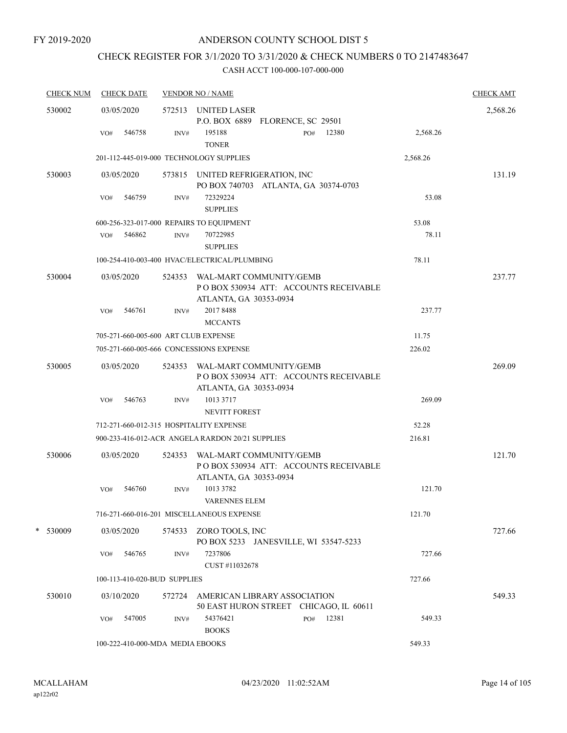# CHECK REGISTER FOR 3/1/2020 TO 3/31/2020 & CHECK NUMBERS 0 TO 2147483647

| <b>CHECK NUM</b> | <b>CHECK DATE</b>                        |        | <b>VENDOR NO / NAME</b>                                                                            |          | <b>CHECK AMT</b> |
|------------------|------------------------------------------|--------|----------------------------------------------------------------------------------------------------|----------|------------------|
| 530002           | 03/05/2020                               |        | 572513 UNITED LASER<br>P.O. BOX 6889 FLORENCE, SC 29501                                            |          | 2,568.26         |
|                  | 546758<br>VO#                            | INV#   | 195188<br>12380<br>PO#<br><b>TONER</b>                                                             | 2,568.26 |                  |
|                  | 201-112-445-019-000 TECHNOLOGY SUPPLIES  |        |                                                                                                    | 2,568.26 |                  |
| 530003           | 03/05/2020                               |        | 573815 UNITED REFRIGERATION, INC<br>PO BOX 740703 ATLANTA, GA 30374-0703                           |          | 131.19           |
|                  | 546759<br>VO#                            | INV#   | 72329224<br><b>SUPPLIES</b>                                                                        | 53.08    |                  |
|                  | 600-256-323-017-000 REPAIRS TO EQUIPMENT |        |                                                                                                    | 53.08    |                  |
|                  | 546862<br>VO#                            | INV#   | 70722985<br><b>SUPPLIES</b>                                                                        | 78.11    |                  |
|                  |                                          |        | 100-254-410-003-400 HVAC/ELECTRICAL/PLUMBING                                                       | 78.11    |                  |
| 530004           | 03/05/2020                               |        | 524353 WAL-MART COMMUNITY/GEMB<br>PO BOX 530934 ATT: ACCOUNTS RECEIVABLE<br>ATLANTA, GA 30353-0934 |          | 237.77           |
|                  | 546761<br>VO#                            | INV#   | 2017 8488<br><b>MCCANTS</b>                                                                        | 237.77   |                  |
|                  | 705-271-660-005-600 ART CLUB EXPENSE     |        |                                                                                                    | 11.75    |                  |
|                  | 705-271-660-005-666 CONCESSIONS EXPENSE  |        |                                                                                                    | 226.02   |                  |
| 530005           | 03/05/2020                               |        | 524353 WAL-MART COMMUNITY/GEMB<br>PO BOX 530934 ATT: ACCOUNTS RECEIVABLE<br>ATLANTA, GA 30353-0934 |          | 269.09           |
|                  | 546763<br>VO#                            | INV#   | 1013 3717<br><b>NEVITT FOREST</b>                                                                  | 269.09   |                  |
|                  | 712-271-660-012-315 HOSPITALITY EXPENSE  |        |                                                                                                    | 52.28    |                  |
|                  |                                          |        | 900-233-416-012-ACR ANGELA RARDON 20/21 SUPPLIES                                                   | 216.81   |                  |
| 530006           | 03/05/2020                               | 524353 | WAL-MART COMMUNITY/GEMB<br>PO BOX 530934 ATT: ACCOUNTS RECEIVABLE<br>ATLANTA, GA 30353-0934        |          | 121.70           |
|                  | 546760<br>VO#                            | INV#   | 1013 3782<br><b>VARENNES ELEM</b>                                                                  | 121.70   |                  |
|                  |                                          |        | 716-271-660-016-201 MISCELLANEOUS EXPENSE                                                          | 121.70   |                  |
| * 530009         | 03/05/2020                               |        | 574533 ZORO TOOLS, INC<br>PO BOX 5233 JANESVILLE, WI 53547-5233                                    |          | 727.66           |
|                  | VO#<br>546765                            | INV#   | 7237806<br>CUST #11032678                                                                          | 727.66   |                  |
|                  | 100-113-410-020-BUD SUPPLIES             |        |                                                                                                    | 727.66   |                  |
| 530010           | 03/10/2020                               |        | 572724 AMERICAN LIBRARY ASSOCIATION<br>50 EAST HURON STREET CHICAGO, IL 60611                      |          | 549.33           |
|                  | 547005<br>VO#                            | INV#   | 12381<br>54376421<br>PO#<br><b>BOOKS</b>                                                           | 549.33   |                  |
|                  | 100-222-410-000-MDA MEDIA EBOOKS         |        |                                                                                                    | 549.33   |                  |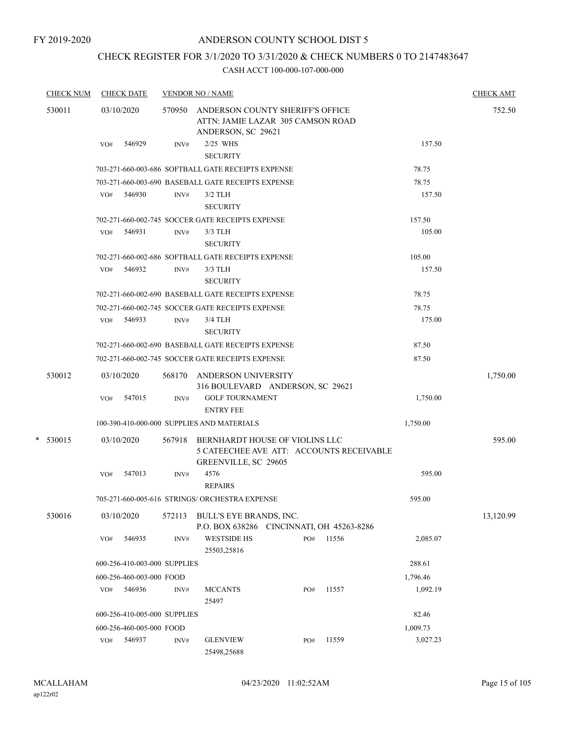FY 2019-2020

## ANDERSON COUNTY SCHOOL DIST 5

# CHECK REGISTER FOR 3/1/2020 TO 3/31/2020 & CHECK NUMBERS 0 TO 2147483647

| <b>CHECK NUM</b> |     | <b>CHECK DATE</b>            |        | <b>VENDOR NO / NAME</b>                                                                            |     |       |          | <b>CHECK AMT</b> |
|------------------|-----|------------------------------|--------|----------------------------------------------------------------------------------------------------|-----|-------|----------|------------------|
| 530011           |     | 03/10/2020                   |        | 570950 ANDERSON COUNTY SHERIFF'S OFFICE<br>ATTN: JAMIE LAZAR 305 CAMSON ROAD<br>ANDERSON, SC 29621 |     |       |          | 752.50           |
|                  | VO# | 546929                       | INV#   | 2/25 WHS<br><b>SECURITY</b>                                                                        |     |       | 157.50   |                  |
|                  |     |                              |        | 703-271-660-003-686 SOFTBALL GATE RECEIPTS EXPENSE                                                 |     |       | 78.75    |                  |
|                  |     |                              |        | 703-271-660-003-690 BASEBALL GATE RECEIPTS EXPENSE                                                 |     |       | 78.75    |                  |
|                  |     | VO# 546930                   | INV#   | $3/2$ TLH<br><b>SECURITY</b>                                                                       |     |       | 157.50   |                  |
|                  |     |                              |        | 702-271-660-002-745 SOCCER GATE RECEIPTS EXPENSE                                                   |     |       | 157.50   |                  |
|                  | VO# | 546931                       | INV#   | $3/3$ TLH<br><b>SECURITY</b>                                                                       |     |       | 105.00   |                  |
|                  |     |                              |        | 702-271-660-002-686 SOFTBALL GATE RECEIPTS EXPENSE                                                 |     |       | 105.00   |                  |
|                  | VO# | 546932                       | INV#   | $3/3$ TLH<br><b>SECURITY</b>                                                                       |     |       | 157.50   |                  |
|                  |     |                              |        | 702-271-660-002-690 BASEBALL GATE RECEIPTS EXPENSE                                                 |     |       | 78.75    |                  |
|                  |     |                              |        | 702-271-660-002-745 SOCCER GATE RECEIPTS EXPENSE                                                   |     |       | 78.75    |                  |
|                  |     | $VO#$ 546933                 | INV#   | 3/4 TLH<br><b>SECURITY</b>                                                                         |     |       | 175.00   |                  |
|                  |     |                              |        | 702-271-660-002-690 BASEBALL GATE RECEIPTS EXPENSE                                                 |     |       | 87.50    |                  |
|                  |     |                              |        | 702-271-660-002-745 SOCCER GATE RECEIPTS EXPENSE                                                   |     |       | 87.50    |                  |
| 530012           |     | 03/10/2020                   |        | 568170 ANDERSON UNIVERSITY<br>316 BOULEVARD ANDERSON, SC 29621                                     |     |       |          | 1,750.00         |
|                  | VO# | 547015                       | INV#   | <b>GOLF TOURNAMENT</b><br><b>ENTRY FEE</b>                                                         |     |       | 1,750.00 |                  |
|                  |     |                              |        | 100-390-410-000-000 SUPPLIES AND MATERIALS                                                         |     |       | 1,750.00 |                  |
| $*$ 530015       |     | 03/10/2020                   | 567918 | BERNHARDT HOUSE OF VIOLINS LLC<br>5 CATEECHEE AVE ATT: ACCOUNTS RECEIVABLE<br>GREENVILLE, SC 29605 |     |       |          | 595.00           |
|                  | VO# | 547013                       | INV#   | 4576<br><b>REPAIRS</b>                                                                             |     |       | 595.00   |                  |
|                  |     |                              |        | 705-271-660-005-616 STRINGS/ ORCHESTRA EXPENSE                                                     |     |       | 595.00   |                  |
| 530016           |     | 03/10/2020                   | 572113 | BULL'S EYE BRANDS, INC.<br>P.O. BOX 638286 CINCINNATI, OH 45263-8286                               |     |       |          | 13,120.99        |
|                  | VO# | 546935                       | INV#   | <b>WESTSIDE HS</b><br>25503,25816                                                                  | PO# | 11556 | 2,085.07 |                  |
|                  |     | 600-256-410-003-000 SUPPLIES |        |                                                                                                    |     |       | 288.61   |                  |
|                  |     | 600-256-460-003-000 FOOD     |        |                                                                                                    |     |       | 1,796.46 |                  |
|                  | VO# | 546936                       | INV#   | <b>MCCANTS</b><br>25497                                                                            | PO# | 11557 | 1,092.19 |                  |
|                  |     | 600-256-410-005-000 SUPPLIES |        |                                                                                                    |     |       | 82.46    |                  |
|                  |     | 600-256-460-005-000 FOOD     |        |                                                                                                    |     |       | 1,009.73 |                  |
|                  | VO# | 546937                       | INV#   | <b>GLENVIEW</b><br>25498,25688                                                                     | PO# | 11559 | 3,027.23 |                  |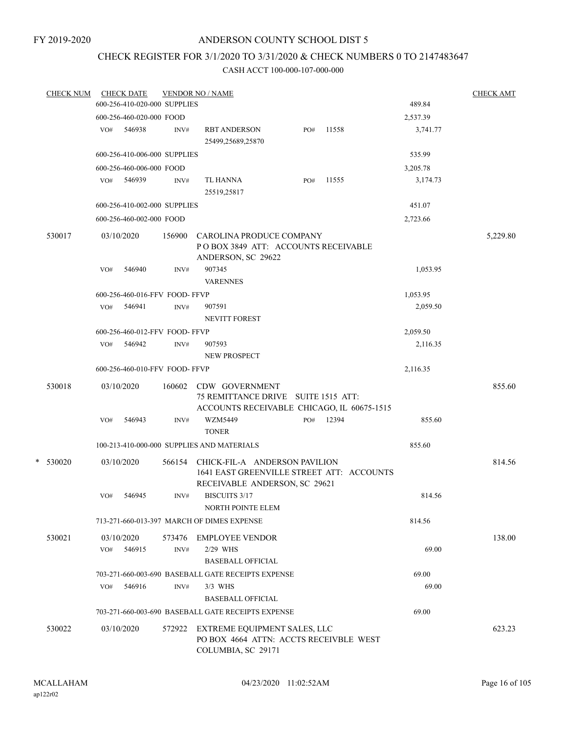## CHECK REGISTER FOR 3/1/2020 TO 3/31/2020 & CHECK NUMBERS 0 TO 2147483647

| <b>CHECK NUM</b> |     | <b>CHECK DATE</b>             |        | <b>VENDOR NO / NAME</b>                                                                                               |     |       |          | <b>CHECK AMT</b> |
|------------------|-----|-------------------------------|--------|-----------------------------------------------------------------------------------------------------------------------|-----|-------|----------|------------------|
|                  |     | 600-256-410-020-000 SUPPLIES  |        |                                                                                                                       |     |       | 489.84   |                  |
|                  |     | 600-256-460-020-000 FOOD      |        |                                                                                                                       |     |       | 2,537.39 |                  |
|                  |     | VO# 546938                    | INV#   | <b>RBT ANDERSON</b><br>25499,25689,25870                                                                              | PO# | 11558 | 3,741.77 |                  |
|                  |     | 600-256-410-006-000 SUPPLIES  |        |                                                                                                                       |     |       | 535.99   |                  |
|                  |     | 600-256-460-006-000 FOOD      |        |                                                                                                                       |     |       | 3,205.78 |                  |
|                  |     | VO# 546939                    | INV#   | TL HANNA<br>25519,25817                                                                                               | PO# | 11555 | 3,174.73 |                  |
|                  |     | 600-256-410-002-000 SUPPLIES  |        |                                                                                                                       |     |       | 451.07   |                  |
|                  |     | 600-256-460-002-000 FOOD      |        |                                                                                                                       |     |       | 2,723.66 |                  |
| 530017           |     | 03/10/2020                    | 156900 | CAROLINA PRODUCE COMPANY<br>POBOX 3849 ATT: ACCOUNTS RECEIVABLE<br>ANDERSON, SC 29622                                 |     |       |          | 5,229.80         |
|                  | VO# | 546940                        | INV#   | 907345<br><b>VARENNES</b>                                                                                             |     |       | 1,053.95 |                  |
|                  |     | 600-256-460-016-FFV FOOD-FFVP |        |                                                                                                                       |     |       | 1,053.95 |                  |
|                  | VO# | 546941                        | INV#   | 907591<br><b>NEVITT FOREST</b>                                                                                        |     |       | 2,059.50 |                  |
|                  |     | 600-256-460-012-FFV FOOD-FFVP |        |                                                                                                                       |     |       | 2,059.50 |                  |
|                  | VO# | 546942                        | INV#   | 907593<br>NEW PROSPECT                                                                                                |     |       | 2,116.35 |                  |
|                  |     | 600-256-460-010-FFV FOOD-FFVP |        |                                                                                                                       |     |       | 2,116.35 |                  |
| 530018           | VO# | 03/10/2020<br>546943          | INV#   | 160602 CDW GOVERNMENT<br>75 REMITTANCE DRIVE SUITE 1515 ATT:<br>ACCOUNTS RECEIVABLE CHICAGO, IL 60675-1515<br>WZM5449 | PO# | 12394 | 855.60   | 855.60           |
|                  |     |                               |        | <b>TONER</b>                                                                                                          |     |       |          |                  |
|                  |     |                               |        | 100-213-410-000-000 SUPPLIES AND MATERIALS                                                                            |     |       | 855.60   |                  |
| $*$ 530020       |     | 03/10/2020                    | 566154 | CHICK-FIL-A ANDERSON PAVILION<br>1641 EAST GREENVILLE STREET ATT: ACCOUNTS<br>RECEIVABLE ANDERSON, SC 29621           |     |       |          | 814.56           |
|                  | VO# | 546945                        | INV#   | <b>BISCUITS 3/17</b><br><b>NORTH POINTE ELEM</b>                                                                      |     |       | 814.56   |                  |
|                  |     |                               |        | 713-271-660-013-397 MARCH OF DIMES EXPENSE                                                                            |     |       | 814.56   |                  |
| 530021           |     | 03/10/2020                    | 573476 | <b>EMPLOYEE VENDOR</b>                                                                                                |     |       |          | 138.00           |
|                  | VO# | 546915                        | INV#   | 2/29 WHS<br><b>BASEBALL OFFICIAL</b>                                                                                  |     |       | 69.00    |                  |
|                  |     |                               |        | 703-271-660-003-690 BASEBALL GATE RECEIPTS EXPENSE                                                                    |     |       | 69.00    |                  |
|                  | VO# | 546916                        | INV#   | $3/3$ WHS<br><b>BASEBALL OFFICIAL</b>                                                                                 |     |       | 69.00    |                  |
|                  |     |                               |        | 703-271-660-003-690 BASEBALL GATE RECEIPTS EXPENSE                                                                    |     |       | 69.00    |                  |
| 530022           |     | 03/10/2020                    | 572922 | EXTREME EQUIPMENT SALES, LLC<br>PO BOX 4664 ATTN: ACCTS RECEIVBLE WEST<br>COLUMBIA, SC 29171                          |     |       |          | 623.23           |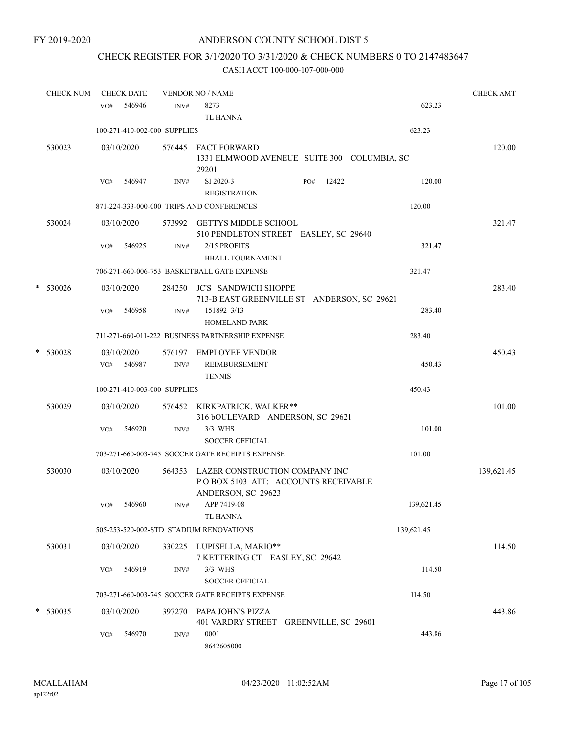# CHECK REGISTER FOR 3/1/2020 TO 3/31/2020 & CHECK NUMBERS 0 TO 2147483647

| <b>CHECK NUM</b> |     | <b>CHECK DATE</b>    |                              | <b>VENDOR NO / NAME</b>                                                                            |            | <b>CHECK AMT</b> |
|------------------|-----|----------------------|------------------------------|----------------------------------------------------------------------------------------------------|------------|------------------|
|                  | VO# | 546946               | INV#                         | 8273<br><b>TL HANNA</b>                                                                            | 623.23     |                  |
|                  |     |                      | 100-271-410-002-000 SUPPLIES |                                                                                                    | 623.23     |                  |
| 530023           |     | 03/10/2020           |                              | 576445 FACT FORWARD<br>1331 ELMWOOD AVENEUE SUITE 300 COLUMBIA, SC<br>29201                        |            | 120.00           |
|                  | VO# | 546947               | INV#                         | SI 2020-3<br>12422<br>PO#<br><b>REGISTRATION</b>                                                   | 120.00     |                  |
|                  |     |                      |                              | 871-224-333-000-000 TRIPS AND CONFERENCES                                                          | 120.00     |                  |
| 530024           |     | 03/10/2020           |                              | 573992 GETTYS MIDDLE SCHOOL<br>510 PENDLETON STREET EASLEY, SC 29640                               |            | 321.47           |
|                  | VO# | 546925               | INV#                         | 2/15 PROFITS<br><b>BBALL TOURNAMENT</b>                                                            | 321.47     |                  |
|                  |     |                      |                              | 706-271-660-006-753 BASKETBALL GATE EXPENSE                                                        | 321.47     |                  |
| $*$ 530026       |     | 03/10/2020           |                              | 284250 JC'S SANDWICH SHOPPE<br>713-B EAST GREENVILLE ST ANDERSON, SC 29621                         |            | 283.40           |
|                  | VO# | 546958               | INV#                         | 151892 3/13<br><b>HOMELAND PARK</b>                                                                | 283.40     |                  |
|                  |     |                      |                              | 711-271-660-011-222 BUSINESS PARTNERSHIP EXPENSE                                                   | 283.40     |                  |
| * 530028         | VO# | 03/10/2020<br>546987 | INV#                         | 576197 EMPLOYEE VENDOR<br>REIMBURSEMENT<br><b>TENNIS</b>                                           | 450.43     | 450.43           |
|                  |     |                      | 100-271-410-003-000 SUPPLIES |                                                                                                    | 450.43     |                  |
| 530029           |     | 03/10/2020           |                              | 576452 KIRKPATRICK, WALKER**<br>316 bOULEVARD ANDERSON, SC 29621                                   |            | 101.00           |
|                  | VO# | 546920               | INV#                         | 3/3 WHS<br><b>SOCCER OFFICIAL</b>                                                                  | 101.00     |                  |
|                  |     |                      |                              | 703-271-660-003-745 SOCCER GATE RECEIPTS EXPENSE                                                   | 101.00     |                  |
| 530030           |     | 03/10/2020           |                              | 564353 LAZER CONSTRUCTION COMPANY INC<br>POBOX 5103 ATT: ACCOUNTS RECEIVABLE<br>ANDERSON, SC 29623 |            | 139,621.45       |
|                  |     | VO# 546960           | INV#                         | APP 7419-08<br><b>TL HANNA</b>                                                                     | 139,621.45 |                  |
|                  |     |                      |                              | 505-253-520-002-STD STADIUM RENOVATIONS                                                            | 139,621.45 |                  |
| 530031           |     | 03/10/2020           |                              | 330225 LUPISELLA, MARIO**<br>7 KETTERING CT EASLEY, SC 29642                                       |            | 114.50           |
|                  | VO# | 546919               | INV#                         | 3/3 WHS<br><b>SOCCER OFFICIAL</b>                                                                  | 114.50     |                  |
|                  |     |                      |                              | 703-271-660-003-745 SOCCER GATE RECEIPTS EXPENSE                                                   | 114.50     |                  |
| * 530035         |     | 03/10/2020           |                              | 397270 PAPA JOHN'S PIZZA<br>401 VARDRY STREET GREENVILLE, SC 29601                                 |            | 443.86           |
|                  | VO# | 546970               | INV#                         | 0001<br>8642605000                                                                                 | 443.86     |                  |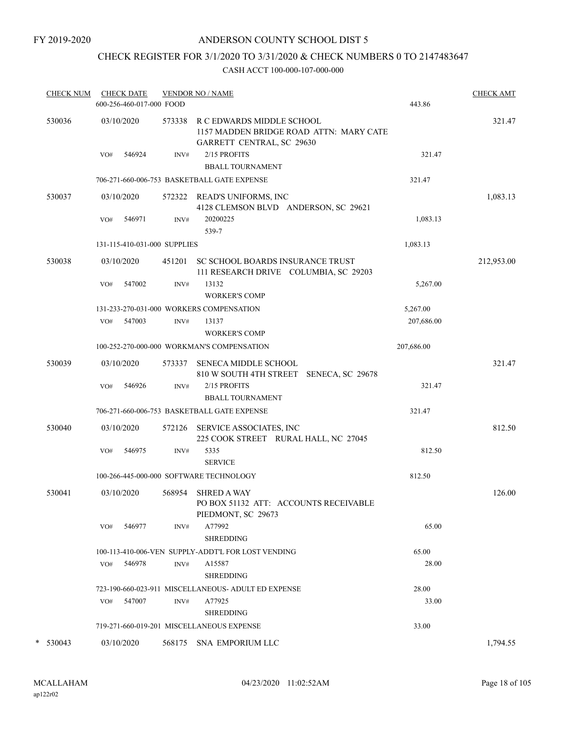FY 2019-2020

## ANDERSON COUNTY SCHOOL DIST 5

# CHECK REGISTER FOR 3/1/2020 TO 3/31/2020 & CHECK NUMBERS 0 TO 2147483647

| <b>CHECK NUM</b> |     | <b>CHECK DATE</b><br>600-256-460-017-000 FOOD |        | <b>VENDOR NO / NAME</b>                                                                           | 443.86     | <b>CHECK AMT</b> |
|------------------|-----|-----------------------------------------------|--------|---------------------------------------------------------------------------------------------------|------------|------------------|
| 530036           |     | 03/10/2020                                    | 573338 | R C EDWARDS MIDDLE SCHOOL<br>1157 MADDEN BRIDGE ROAD ATTN: MARY CATE<br>GARRETT CENTRAL, SC 29630 |            | 321.47           |
|                  | VO# | 546924                                        | INV#   | 2/15 PROFITS<br><b>BBALL TOURNAMENT</b>                                                           | 321.47     |                  |
|                  |     |                                               |        | 706-271-660-006-753 BASKETBALL GATE EXPENSE                                                       | 321.47     |                  |
| 530037           |     | 03/10/2020                                    |        | 572322 READ'S UNIFORMS, INC<br>4128 CLEMSON BLVD ANDERSON, SC 29621                               |            | 1,083.13         |
|                  | VO# | 546971                                        | INV#   | 20200225<br>539-7                                                                                 | 1,083.13   |                  |
|                  |     | 131-115-410-031-000 SUPPLIES                  |        |                                                                                                   | 1,083.13   |                  |
| 530038           |     | 03/10/2020                                    | 451201 | SC SCHOOL BOARDS INSURANCE TRUST<br>111 RESEARCH DRIVE COLUMBIA, SC 29203                         |            | 212,953.00       |
|                  | VO# | 547002                                        | INV#   | 13132<br><b>WORKER'S COMP</b>                                                                     | 5,267.00   |                  |
|                  |     |                                               |        | 131-233-270-031-000 WORKERS COMPENSATION                                                          | 5,267.00   |                  |
|                  |     | VO# 547003                                    | INV#   | 13137<br><b>WORKER'S COMP</b>                                                                     | 207,686.00 |                  |
|                  |     |                                               |        | 100-252-270-000-000 WORKMAN'S COMPENSATION                                                        | 207,686.00 |                  |
| 530039           |     | 03/10/2020                                    |        | 573337 SENECA MIDDLE SCHOOL<br>810 W SOUTH 4TH STREET SENECA, SC 29678                            |            | 321.47           |
|                  | VO# | 546926                                        | INV#   | 2/15 PROFITS<br><b>BBALL TOURNAMENT</b>                                                           | 321.47     |                  |
|                  |     |                                               |        | 706-271-660-006-753 BASKETBALL GATE EXPENSE                                                       | 321.47     |                  |
| 530040           |     | 03/10/2020                                    |        | 572126 SERVICE ASSOCIATES, INC<br>225 COOK STREET RURAL HALL, NC 27045                            |            | 812.50           |
|                  | VO# | 546975                                        | INV#   | 5335<br><b>SERVICE</b>                                                                            | 812.50     |                  |
|                  |     |                                               |        | 100-266-445-000-000 SOFTWARE TECHNOLOGY                                                           | 812.50     |                  |
| 530041           |     | 03/10/2020                                    | 568954 | <b>SHRED A WAY</b><br>PO BOX 51132 ATT: ACCOUNTS RECEIVABLE<br>PIEDMONT, SC 29673                 |            | 126.00           |
|                  | VO# | 546977                                        | INV#   | A77992<br><b>SHREDDING</b>                                                                        | 65.00      |                  |
|                  |     |                                               |        | 100-113-410-006-VEN SUPPLY-ADDT'L FOR LOST VENDING                                                | 65.00      |                  |
|                  | VO# | 546978                                        | INV#   | A15587<br><b>SHREDDING</b>                                                                        | 28.00      |                  |
|                  |     |                                               |        | 723-190-660-023-911 MISCELLANEOUS- ADULT ED EXPENSE                                               | 28.00      |                  |
|                  | VO# | 547007                                        | INV#   | A77925<br><b>SHREDDING</b>                                                                        | 33.00      |                  |
|                  |     |                                               |        | 719-271-660-019-201 MISCELLANEOUS EXPENSE                                                         | 33.00      |                  |
| $\ast$<br>530043 |     | 03/10/2020                                    |        | 568175 SNA EMPORIUM LLC                                                                           |            | 1,794.55         |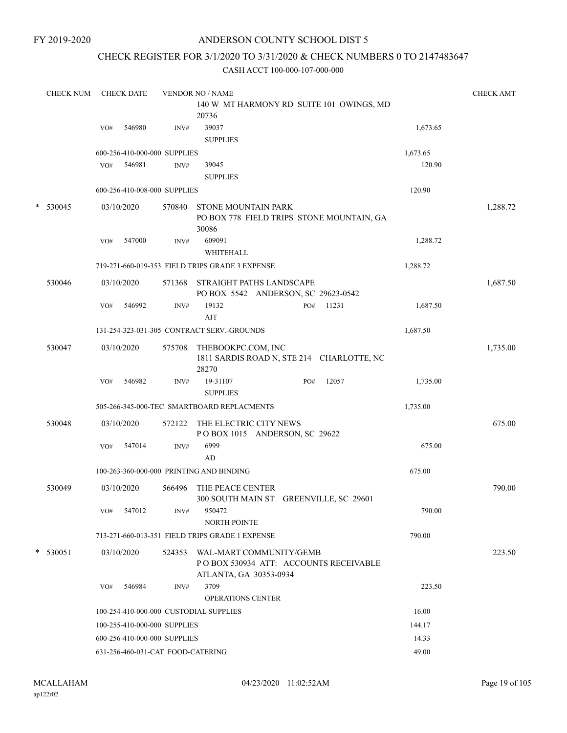FY 2019-2020

### ANDERSON COUNTY SCHOOL DIST 5

## CHECK REGISTER FOR 3/1/2020 TO 3/31/2020 & CHECK NUMBERS 0 TO 2147483647

|        | <b>CHECK NUM</b> |     | <b>CHECK DATE</b> |                                   | <b>VENDOR NO / NAME</b>                                 |                                           |          | <b>CHECK AMT</b> |
|--------|------------------|-----|-------------------|-----------------------------------|---------------------------------------------------------|-------------------------------------------|----------|------------------|
|        |                  |     |                   |                                   | 20736                                                   | 140 W MT HARMONY RD SUITE 101 OWINGS, MD  |          |                  |
|        |                  | VO# | 546980            | INV#                              | 39037<br><b>SUPPLIES</b>                                |                                           | 1,673.65 |                  |
|        |                  |     |                   | 600-256-410-000-000 SUPPLIES      |                                                         |                                           | 1,673.65 |                  |
|        |                  | VO# | 546981            | INV#                              | 39045<br><b>SUPPLIES</b>                                |                                           | 120.90   |                  |
|        |                  |     |                   | 600-256-410-008-000 SUPPLIES      |                                                         |                                           | 120.90   |                  |
|        | * 530045         |     | 03/10/2020        | 570840                            | <b>STONE MOUNTAIN PARK</b><br>30086                     | PO BOX 778 FIELD TRIPS STONE MOUNTAIN, GA |          | 1,288.72         |
|        |                  | VO# | 547000            | INV#                              | 609091                                                  |                                           | 1,288.72 |                  |
|        |                  |     |                   |                                   | WHITEHALL                                               |                                           |          |                  |
|        |                  |     |                   |                                   | 719-271-660-019-353 FIELD TRIPS GRADE 3 EXPENSE         |                                           | 1,288.72 |                  |
|        | 530046           |     | 03/10/2020        | 571368                            | STRAIGHT PATHS LANDSCAPE                                | PO BOX 5542 ANDERSON, SC 29623-0542       |          | 1,687.50         |
|        |                  | VO# | 546992            | INV#                              | 19132<br>AIT                                            | 11231<br>PO#                              | 1,687.50 |                  |
|        |                  |     |                   |                                   | 131-254-323-031-305 CONTRACT SERV.-GROUNDS              |                                           | 1,687.50 |                  |
|        | 530047           |     | 03/10/2020        | 575708                            | THEBOOKPC.COM, INC<br>28270                             | 1811 SARDIS ROAD N, STE 214 CHARLOTTE, NC |          | 1,735.00         |
|        |                  | VO# | 546982            | INV#                              | 19-31107<br><b>SUPPLIES</b>                             | 12057<br>PO#                              | 1,735.00 |                  |
|        |                  |     |                   |                                   | 505-266-345-000-TEC SMARTBOARD REPLACMENTS              |                                           | 1,735.00 |                  |
|        | 530048           |     | 03/10/2020        | 572122                            | THE ELECTRIC CITY NEWS<br>POBOX 1015 ANDERSON, SC 29622 |                                           |          | 675.00           |
|        |                  | VO# | 547014            | INV#                              | 6999<br>AD                                              |                                           | 675.00   |                  |
|        |                  |     |                   |                                   | 100-263-360-000-000 PRINTING AND BINDING                |                                           | 675.00   |                  |
|        | 530049           |     | 03/10/2020        | 566496                            | THE PEACE CENTER                                        | 300 SOUTH MAIN ST GREENVILLE, SC 29601    |          | 790.00           |
|        |                  | VO# | 547012            | INV#                              | 950472<br><b>NORTH POINTE</b>                           |                                           | 790.00   |                  |
|        |                  |     |                   |                                   | 713-271-660-013-351 FIELD TRIPS GRADE 1 EXPENSE         |                                           | 790.00   |                  |
| $\ast$ | 530051           |     | 03/10/2020        | 524353                            | WAL-MART COMMUNITY/GEMB<br>ATLANTA, GA 30353-0934       | POBOX 530934 ATT: ACCOUNTS RECEIVABLE     |          | 223.50           |
|        |                  | VO# | 546984            | INV#                              | 3709<br><b>OPERATIONS CENTER</b>                        |                                           | 223.50   |                  |
|        |                  |     |                   |                                   | 100-254-410-000-000 CUSTODIAL SUPPLIES                  |                                           | 16.00    |                  |
|        |                  |     |                   | 100-255-410-000-000 SUPPLIES      |                                                         |                                           | 144.17   |                  |
|        |                  |     |                   | 600-256-410-000-000 SUPPLIES      |                                                         |                                           | 14.33    |                  |
|        |                  |     |                   | 631-256-460-031-CAT FOOD-CATERING |                                                         |                                           | 49.00    |                  |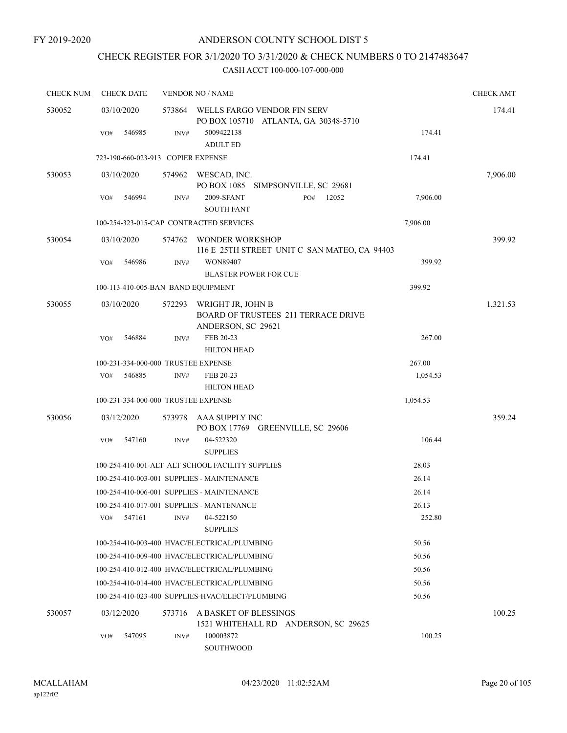# CHECK REGISTER FOR 3/1/2020 TO 3/31/2020 & CHECK NUMBERS 0 TO 2147483647

| <b>CHECK NUM</b> | <b>CHECK DATE</b>                   |                | <b>VENDOR NO / NAME</b>                                                               |          | <b>CHECK AMT</b> |
|------------------|-------------------------------------|----------------|---------------------------------------------------------------------------------------|----------|------------------|
| 530052           | 03/10/2020                          | 573864         | WELLS FARGO VENDOR FIN SERV<br>PO BOX 105710 ATLANTA, GA 30348-5710                   |          | 174.41           |
|                  | 546985<br>VO#                       | INV#           | 5009422138<br><b>ADULT ED</b>                                                         | 174.41   |                  |
|                  | 723-190-660-023-913 COPIER EXPENSE  |                |                                                                                       | 174.41   |                  |
| 530053           | 03/10/2020                          |                | 574962 WESCAD, INC.<br>PO BOX 1085 SIMPSONVILLE, SC 29681                             |          | 7,906.00         |
|                  | 546994<br>VO#                       | $\text{INV}\#$ | 2009-SFANT<br>12052<br>PO#<br><b>SOUTH FANT</b>                                       | 7,906.00 |                  |
|                  |                                     |                | 100-254-323-015-CAP CONTRACTED SERVICES                                               | 7,906.00 |                  |
| 530054           | 03/10/2020                          | 574762         | WONDER WORKSHOP<br>116 E 25TH STREET UNIT C SAN MATEO, CA 94403                       |          | 399.92           |
|                  | 546986<br>VO#                       | INV#           | WON89407<br>BLASTER POWER FOR CUE                                                     | 399.92   |                  |
|                  | 100-113-410-005-BAN BAND EQUIPMENT  |                |                                                                                       | 399.92   |                  |
| 530055           | 03/10/2020                          | 572293         | WRIGHT JR, JOHN B<br><b>BOARD OF TRUSTEES 211 TERRACE DRIVE</b><br>ANDERSON, SC 29621 |          | 1,321.53         |
|                  | 546884<br>VO#                       | INV#           | FEB 20-23<br><b>HILTON HEAD</b>                                                       | 267.00   |                  |
|                  | 100-231-334-000-000 TRUSTEE EXPENSE |                |                                                                                       | 267.00   |                  |
|                  | 546885<br>VO#                       | INV#           | FEB 20-23<br><b>HILTON HEAD</b>                                                       | 1,054.53 |                  |
|                  | 100-231-334-000-000 TRUSTEE EXPENSE |                |                                                                                       | 1,054.53 |                  |
| 530056           | 03/12/2020                          | 573978         | AAA SUPPLY INC<br>PO BOX 17769 GREENVILLE, SC 29606                                   |          | 359.24           |
|                  | 547160<br>VO#                       | INV#           | 04-522320<br><b>SUPPLIES</b>                                                          | 106.44   |                  |
|                  |                                     |                | 100-254-410-001-ALT ALT SCHOOL FACILITY SUPPLIES                                      | 28.03    |                  |
|                  |                                     |                | 100-254-410-003-001 SUPPLIES - MAINTENANCE                                            | 26.14    |                  |
|                  |                                     |                | 100-254-410-006-001 SUPPLIES - MAINTENANCE                                            | 26.14    |                  |
|                  |                                     |                | 100-254-410-017-001 SUPPLIES - MANTENANCE                                             | 26.13    |                  |
|                  | 547161<br>VO#                       | INV#           | 04-522150<br><b>SUPPLIES</b>                                                          | 252.80   |                  |
|                  |                                     |                | 100-254-410-003-400 HVAC/ELECTRICAL/PLUMBING                                          | 50.56    |                  |
|                  |                                     |                | 100-254-410-009-400 HVAC/ELECTRICAL/PLUMBING                                          | 50.56    |                  |
|                  |                                     |                | 100-254-410-012-400 HVAC/ELECTRICAL/PLUMBING                                          | 50.56    |                  |
|                  |                                     |                | 100-254-410-014-400 HVAC/ELECTRICAL/PLUMBING                                          | 50.56    |                  |
|                  |                                     |                | 100-254-410-023-400 SUPPLIES-HVAC/ELECT/PLUMBING                                      | 50.56    |                  |
| 530057           | 03/12/2020                          | 573716         | A BASKET OF BLESSINGS<br>1521 WHITEHALL RD ANDERSON, SC 29625                         |          | 100.25           |
|                  | 547095<br>VO#                       | INV#           | 100003872<br>SOUTHWOOD                                                                | 100.25   |                  |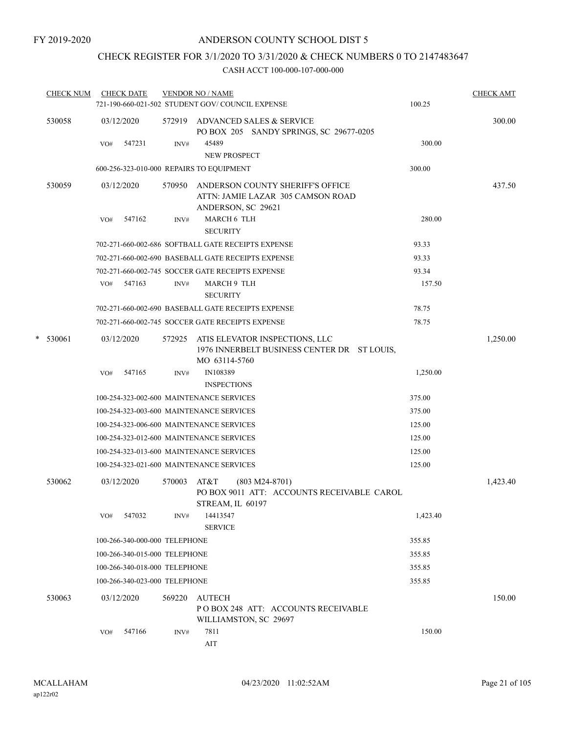# CHECK REGISTER FOR 3/1/2020 TO 3/31/2020 & CHECK NUMBERS 0 TO 2147483647

| <b>CHECK NUM</b> | <b>CHECK DATE</b>                        |                | <b>VENDOR NO / NAME</b>                                                                        |          | <b>CHECK AMT</b> |
|------------------|------------------------------------------|----------------|------------------------------------------------------------------------------------------------|----------|------------------|
|                  |                                          |                | 721-190-660-021-502 STUDENT GOV/COUNCIL EXPENSE                                                | 100.25   |                  |
| 530058           | 03/12/2020                               |                | 572919 ADVANCED SALES & SERVICE<br>PO BOX 205 SANDY SPRINGS, SC 29677-0205                     |          | 300.00           |
|                  | 547231<br>VO#                            | INV#           | 45489                                                                                          | 300.00   |                  |
|                  |                                          |                | NEW PROSPECT                                                                                   |          |                  |
|                  | 600-256-323-010-000 REPAIRS TO EQUIPMENT |                |                                                                                                | 300.00   |                  |
| 530059           | 03/12/2020                               | 570950         | ANDERSON COUNTY SHERIFF'S OFFICE<br>ATTN: JAMIE LAZAR 305 CAMSON ROAD<br>ANDERSON, SC 29621    |          | 437.50           |
|                  | 547162<br>VO#                            | INV#           | MARCH 6 TLH<br><b>SECURITY</b>                                                                 | 280.00   |                  |
|                  |                                          |                | 702-271-660-002-686 SOFTBALL GATE RECEIPTS EXPENSE                                             | 93.33    |                  |
|                  |                                          |                | 702-271-660-002-690 BASEBALL GATE RECEIPTS EXPENSE                                             | 93.33    |                  |
|                  |                                          |                | 702-271-660-002-745 SOCCER GATE RECEIPTS EXPENSE                                               | 93.34    |                  |
|                  | VO#<br>547163                            | INV#           | MARCH 9 TLH<br><b>SECURITY</b>                                                                 | 157.50   |                  |
|                  |                                          |                | 702-271-660-002-690 BASEBALL GATE RECEIPTS EXPENSE                                             | 78.75    |                  |
|                  |                                          |                | 702-271-660-002-745 SOCCER GATE RECEIPTS EXPENSE                                               | 78.75    |                  |
| $*$ 530061       | 03/12/2020                               | 572925         | ATIS ELEVATOR INSPECTIONS, LLC<br>1976 INNERBELT BUSINESS CENTER DR ST LOUIS,<br>MO 63114-5760 |          | 1,250.00         |
|                  | 547165<br>VO#                            | INV#           | IN108389<br><b>INSPECTIONS</b>                                                                 | 1,250.00 |                  |
|                  | 100-254-323-002-600 MAINTENANCE SERVICES |                |                                                                                                | 375.00   |                  |
|                  | 100-254-323-003-600 MAINTENANCE SERVICES |                |                                                                                                | 375.00   |                  |
|                  | 100-254-323-006-600 MAINTENANCE SERVICES |                |                                                                                                | 125.00   |                  |
|                  | 100-254-323-012-600 MAINTENANCE SERVICES |                |                                                                                                | 125.00   |                  |
|                  | 100-254-323-013-600 MAINTENANCE SERVICES |                |                                                                                                | 125.00   |                  |
|                  | 100-254-323-021-600 MAINTENANCE SERVICES |                |                                                                                                | 125.00   |                  |
| 530062           | 03/12/2020                               | 570003         | AT&T<br>$(803 M24-8701)$<br>PO BOX 9011 ATT: ACCOUNTS RECEIVABLE CAROL<br>STREAM, IL 60197     |          | 1,423.40         |
|                  | 547032<br>VO#                            | INV#           | 14413547<br><b>SERVICE</b>                                                                     | 1,423.40 |                  |
|                  | 100-266-340-000-000 TELEPHONE            |                |                                                                                                | 355.85   |                  |
|                  | 100-266-340-015-000 TELEPHONE            |                |                                                                                                | 355.85   |                  |
|                  | 100-266-340-018-000 TELEPHONE            |                |                                                                                                | 355.85   |                  |
|                  | 100-266-340-023-000 TELEPHONE            |                |                                                                                                | 355.85   |                  |
| 530063           | 03/12/2020                               | 569220         | <b>AUTECH</b><br>POBOX 248 ATT: ACCOUNTS RECEIVABLE<br>WILLIAMSTON, SC 29697                   |          | 150.00           |
|                  | 547166<br>VO#                            | $\text{INV}\#$ | 7811<br>$\rm{AIT}$                                                                             | 150.00   |                  |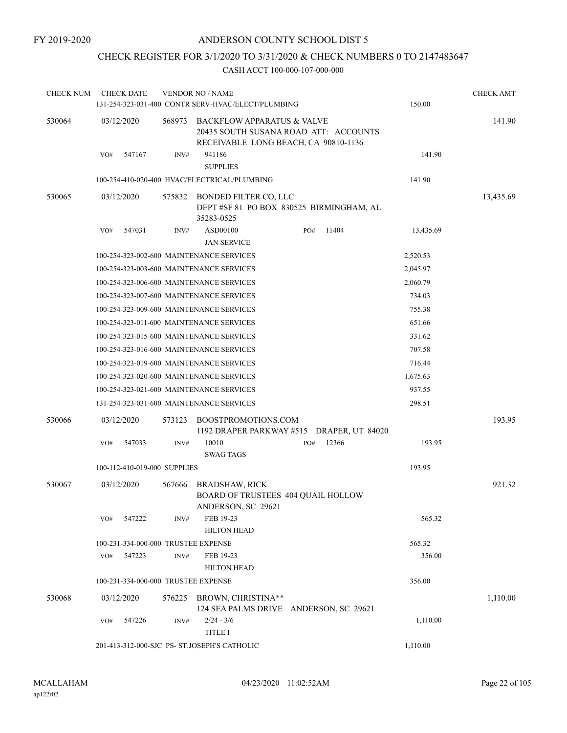# CHECK REGISTER FOR 3/1/2020 TO 3/31/2020 & CHECK NUMBERS 0 TO 2147483647

| <b>CHECK NUM</b> | <b>CHECK DATE</b>                   |        | <b>VENDOR NO / NAME</b><br>131-254-323-031-400 CONTR SERV-HVAC/ELECT/PLUMBING                                          |     |       | 150.00    | <b>CHECK AMT</b> |
|------------------|-------------------------------------|--------|------------------------------------------------------------------------------------------------------------------------|-----|-------|-----------|------------------|
| 530064           | 03/12/2020                          | 568973 | <b>BACKFLOW APPARATUS &amp; VALVE</b><br>20435 SOUTH SUSANA ROAD ATT: ACCOUNTS<br>RECEIVABLE LONG BEACH, CA 90810-1136 |     |       |           | 141.90           |
|                  | 547167<br>VO#                       | INV#   | 941186<br><b>SUPPLIES</b>                                                                                              |     |       | 141.90    |                  |
|                  |                                     |        | 100-254-410-020-400 HVAC/ELECTRICAL/PLUMBING                                                                           |     |       | 141.90    |                  |
| 530065           | 03/12/2020                          | 575832 | BONDED FILTER CO, LLC<br>DEPT #SF 81 PO BOX 830525 BIRMINGHAM, AL<br>35283-0525                                        |     |       |           | 13,435.69        |
|                  | 547031<br>VO#                       | INV#   | ASD00100<br><b>JAN SERVICE</b>                                                                                         | PO# | 11404 | 13,435.69 |                  |
|                  |                                     |        | 100-254-323-002-600 MAINTENANCE SERVICES                                                                               |     |       | 2,520.53  |                  |
|                  |                                     |        | 100-254-323-003-600 MAINTENANCE SERVICES                                                                               |     |       | 2,045.97  |                  |
|                  |                                     |        | 100-254-323-006-600 MAINTENANCE SERVICES                                                                               |     |       | 2,060.79  |                  |
|                  |                                     |        | 100-254-323-007-600 MAINTENANCE SERVICES                                                                               |     |       | 734.03    |                  |
|                  |                                     |        | 100-254-323-009-600 MAINTENANCE SERVICES                                                                               |     |       | 755.38    |                  |
|                  |                                     |        | 100-254-323-011-600 MAINTENANCE SERVICES                                                                               |     |       | 651.66    |                  |
|                  |                                     |        | 100-254-323-015-600 MAINTENANCE SERVICES                                                                               |     |       | 331.62    |                  |
|                  |                                     |        | 100-254-323-016-600 MAINTENANCE SERVICES                                                                               |     |       | 707.58    |                  |
|                  |                                     |        | 100-254-323-019-600 MAINTENANCE SERVICES                                                                               |     |       | 716.44    |                  |
|                  |                                     |        | 100-254-323-020-600 MAINTENANCE SERVICES                                                                               |     |       | 1,675.63  |                  |
|                  |                                     |        | 100-254-323-021-600 MAINTENANCE SERVICES                                                                               |     |       | 937.55    |                  |
|                  |                                     |        | 131-254-323-031-600 MAINTENANCE SERVICES                                                                               |     |       | 298.51    |                  |
| 530066           | 03/12/2020                          | 573123 | BOOSTPROMOTIONS.COM<br>1192 DRAPER PARKWAY #515 DRAPER, UT 84020                                                       |     |       |           | 193.95           |
|                  | VO#<br>547033                       | INV#   | 10010<br><b>SWAG TAGS</b>                                                                                              | PO# | 12366 | 193.95    |                  |
|                  | 100-112-410-019-000 SUPPLIES        |        |                                                                                                                        |     |       | 193.95    |                  |
| 530067           | 03/12/2020                          | 567666 | <b>BRADSHAW, RICK</b><br>BOARD OF TRUSTEES 404 QUAIL HOLLOW<br>ANDERSON, SC 29621                                      |     |       |           | 921.32           |
|                  | 547222<br>VO#                       | INV#   | FEB 19-23<br><b>HILTON HEAD</b>                                                                                        |     |       | 565.32    |                  |
|                  | 100-231-334-000-000 TRUSTEE EXPENSE |        |                                                                                                                        |     |       | 565.32    |                  |
|                  | VO#<br>547223                       | INV#   | FEB 19-23<br><b>HILTON HEAD</b>                                                                                        |     |       | 356.00    |                  |
|                  | 100-231-334-000-000 TRUSTEE EXPENSE |        |                                                                                                                        |     |       | 356.00    |                  |
| 530068           | 03/12/2020                          |        | 576225 BROWN, CHRISTINA**<br>124 SEA PALMS DRIVE ANDERSON, SC 29621                                                    |     |       |           | 1,110.00         |
|                  | 547226<br>VO#                       | INV#   | $2/24 - 3/6$<br><b>TITLE I</b>                                                                                         |     |       | 1,110.00  |                  |
|                  |                                     |        | 201-413-312-000-SJC PS- ST.JOSEPH'S CATHOLIC                                                                           |     |       | 1,110.00  |                  |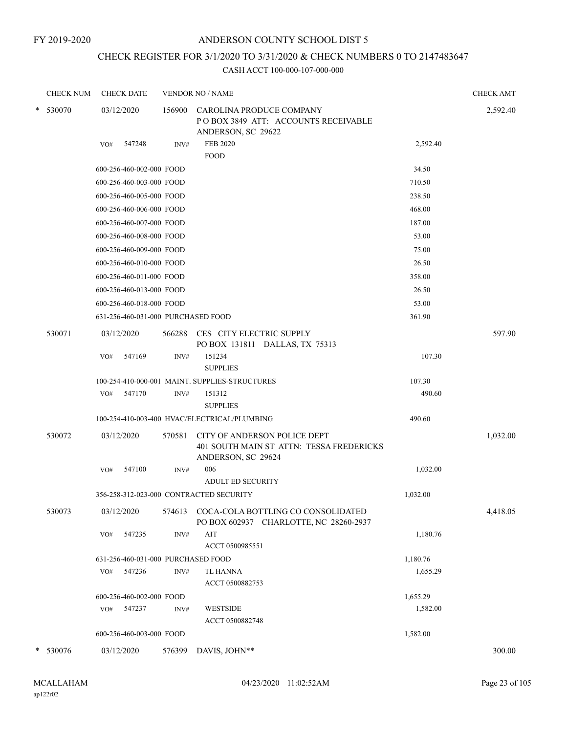FY 2019-2020

## ANDERSON COUNTY SCHOOL DIST 5

# CHECK REGISTER FOR 3/1/2020 TO 3/31/2020 & CHECK NUMBERS 0 TO 2147483647

|   | <b>CHECK NUM</b> | <b>CHECK DATE</b>                       |        | <b>VENDOR NO / NAME</b>                                                                        |          | <b>CHECK AMT</b> |
|---|------------------|-----------------------------------------|--------|------------------------------------------------------------------------------------------------|----------|------------------|
| * | 530070           | 03/12/2020                              | 156900 | CAROLINA PRODUCE COMPANY<br>POBOX 3849 ATT: ACCOUNTS RECEIVABLE<br>ANDERSON, SC 29622          |          | 2,592.40         |
|   |                  | 547248<br>VO#                           | INV#   | <b>FEB 2020</b><br><b>FOOD</b>                                                                 | 2,592.40 |                  |
|   |                  | 600-256-460-002-000 FOOD                |        |                                                                                                | 34.50    |                  |
|   |                  | 600-256-460-003-000 FOOD                |        |                                                                                                | 710.50   |                  |
|   |                  | 600-256-460-005-000 FOOD                |        |                                                                                                | 238.50   |                  |
|   |                  | 600-256-460-006-000 FOOD                |        |                                                                                                | 468.00   |                  |
|   |                  | 600-256-460-007-000 FOOD                |        |                                                                                                | 187.00   |                  |
|   |                  | 600-256-460-008-000 FOOD                |        |                                                                                                | 53.00    |                  |
|   |                  | 600-256-460-009-000 FOOD                |        |                                                                                                | 75.00    |                  |
|   |                  | 600-256-460-010-000 FOOD                |        |                                                                                                | 26.50    |                  |
|   |                  | 600-256-460-011-000 FOOD                |        |                                                                                                | 358.00   |                  |
|   |                  | 600-256-460-013-000 FOOD                |        |                                                                                                | 26.50    |                  |
|   |                  | 600-256-460-018-000 FOOD                |        |                                                                                                | 53.00    |                  |
|   |                  | 631-256-460-031-000 PURCHASED FOOD      |        |                                                                                                | 361.90   |                  |
|   | 530071           | 03/12/2020                              | 566288 | CES CITY ELECTRIC SUPPLY<br>PO BOX 131811 DALLAS, TX 75313                                     |          | 597.90           |
|   |                  | 547169<br>VO#                           | INV#   | 151234<br><b>SUPPLIES</b>                                                                      | 107.30   |                  |
|   |                  |                                         |        | 100-254-410-000-001 MAINT. SUPPLIES-STRUCTURES                                                 | 107.30   |                  |
|   |                  | 547170<br>VO#                           | INV#   | 151312<br><b>SUPPLIES</b>                                                                      | 490.60   |                  |
|   |                  |                                         |        | 100-254-410-003-400 HVAC/ELECTRICAL/PLUMBING                                                   | 490.60   |                  |
|   | 530072           | 03/12/2020                              | 570581 | CITY OF ANDERSON POLICE DEPT<br>401 SOUTH MAIN ST ATTN: TESSA FREDERICKS<br>ANDERSON, SC 29624 |          | 1,032.00         |
|   |                  | 547100<br>VO#                           | INV#   | 006<br><b>ADULT ED SECURITY</b>                                                                | 1,032.00 |                  |
|   |                  | 356-258-312-023-000 CONTRACTED SECURITY |        |                                                                                                | 1,032.00 |                  |
|   | 530073           | 03/12/2020                              | 574613 | COCA-COLA BOTTLING CO CONSOLIDATED<br>PO BOX 602937 CHARLOTTE, NC 28260-2937                   |          | 4,418.05         |
|   |                  | 547235<br>VO#                           | INV#   | $\rm AIT$<br>ACCT 0500985551                                                                   | 1,180.76 |                  |
|   |                  | 631-256-460-031-000 PURCHASED FOOD      |        |                                                                                                | 1,180.76 |                  |
|   |                  | 547236<br>VO#                           | INV#   | TL HANNA<br>ACCT 0500882753                                                                    | 1,655.29 |                  |
|   |                  | 600-256-460-002-000 FOOD                |        |                                                                                                | 1,655.29 |                  |
|   |                  | 547237<br>VO#                           | INV#   | <b>WESTSIDE</b><br>ACCT 0500882748                                                             | 1,582.00 |                  |
|   |                  | 600-256-460-003-000 FOOD                |        |                                                                                                | 1,582.00 |                  |
|   | * 530076         | 03/12/2020                              | 576399 | DAVIS, JOHN**                                                                                  |          | 300.00           |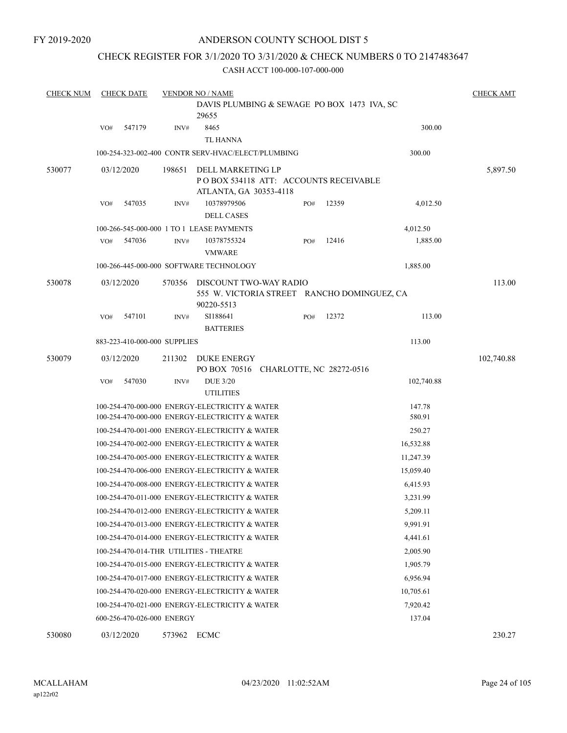## CHECK REGISTER FOR 3/1/2020 TO 3/31/2020 & CHECK NUMBERS 0 TO 2147483647

| <b>CHECK NUM</b> |     | <b>CHECK DATE</b>            |                  | <b>VENDOR NO / NAME</b>                                                              |     |       |                      | <b>CHECK AMT</b> |
|------------------|-----|------------------------------|------------------|--------------------------------------------------------------------------------------|-----|-------|----------------------|------------------|
|                  |     |                              |                  | DAVIS PLUMBING & SEWAGE PO BOX 1473 IVA, SC<br>29655                                 |     |       |                      |                  |
|                  | VO# | 547179                       | $\mathrm{INV}\#$ | 8465<br><b>TL HANNA</b>                                                              |     |       | 300.00               |                  |
|                  |     |                              |                  | 100-254-323-002-400 CONTR SERV-HVAC/ELECT/PLUMBING                                   |     |       | 300.00               |                  |
| 530077           |     | 03/12/2020                   | 198651           | DELL MARKETING LP<br>POBOX 534118 ATT: ACCOUNTS RECEIVABLE<br>ATLANTA, GA 30353-4118 |     |       |                      | 5,897.50         |
|                  | VO# | 547035                       | INV#             | 10378979506<br><b>DELL CASES</b>                                                     | PO# | 12359 | 4,012.50             |                  |
|                  |     |                              |                  | 100-266-545-000-000 1 TO 1 LEASE PAYMENTS                                            |     |       |                      |                  |
|                  | VO# | 547036                       | INV#             | 10378755324                                                                          | PO# | 12416 | 4,012.50<br>1,885.00 |                  |
|                  |     |                              |                  | <b>VMWARE</b>                                                                        |     |       |                      |                  |
|                  |     |                              |                  | 100-266-445-000-000 SOFTWARE TECHNOLOGY                                              |     |       | 1,885.00             |                  |
| 530078           |     | 03/12/2020                   | 570356           | DISCOUNT TWO-WAY RADIO<br>555 W. VICTORIA STREET RANCHO DOMINGUEZ, CA<br>90220-5513  |     |       |                      | 113.00           |
|                  | VO# | 547101                       | INV#             | SI188641<br><b>BATTERIES</b>                                                         | PO# | 12372 | 113.00               |                  |
|                  |     | 883-223-410-000-000 SUPPLIES |                  |                                                                                      |     |       | 113.00               |                  |
| 530079           |     | 03/12/2020                   | 211302           | <b>DUKE ENERGY</b><br>PO BOX 70516 CHARLOTTE, NC 28272-0516                          |     |       |                      | 102,740.88       |
|                  | VO# | 547030                       | INV#             | <b>DUE 3/20</b><br><b>UTILITIES</b>                                                  |     |       | 102,740.88           |                  |
|                  |     |                              |                  | 100-254-470-000-000 ENERGY-ELECTRICITY & WATER                                       |     |       | 147.78               |                  |
|                  |     |                              |                  | 100-254-470-000-000 ENERGY-ELECTRICITY & WATER                                       |     |       | 580.91               |                  |
|                  |     |                              |                  | 100-254-470-001-000 ENERGY-ELECTRICITY & WATER                                       |     |       | 250.27               |                  |
|                  |     |                              |                  | 100-254-470-002-000 ENERGY-ELECTRICITY & WATER                                       |     |       | 16,532.88            |                  |
|                  |     |                              |                  | 100-254-470-005-000 ENERGY-ELECTRICITY & WATER                                       |     |       | 11,247.39            |                  |
|                  |     |                              |                  | 100-254-470-006-000 ENERGY-ELECTRICITY & WATER                                       |     |       | 15,059.40            |                  |
|                  |     |                              |                  | 100-254-470-008-000 ENERGY-ELECTRICITY & WATER                                       |     |       | 6,415.93             |                  |
|                  |     |                              |                  | 100-254-470-011-000 ENERGY-ELECTRICITY & WATER                                       |     |       | 3,231.99             |                  |
|                  |     |                              |                  | 100-254-470-012-000 ENERGY-ELECTRICITY & WATER                                       |     |       | 5,209.11             |                  |
|                  |     |                              |                  | 100-254-470-013-000 ENERGY-ELECTRICITY & WATER                                       |     |       | 9,991.91             |                  |
|                  |     |                              |                  | 100-254-470-014-000 ENERGY-ELECTRICITY & WATER                                       |     |       | 4,441.61             |                  |
|                  |     |                              |                  | 100-254-470-014-THR UTILITIES - THEATRE                                              |     |       | 2,005.90             |                  |
|                  |     |                              |                  | 100-254-470-015-000 ENERGY-ELECTRICITY & WATER                                       |     |       | 1,905.79             |                  |
|                  |     |                              |                  | 100-254-470-017-000 ENERGY-ELECTRICITY & WATER                                       |     |       | 6,956.94             |                  |
|                  |     |                              |                  | 100-254-470-020-000 ENERGY-ELECTRICITY & WATER                                       |     |       | 10,705.61            |                  |
|                  |     |                              |                  | 100-254-470-021-000 ENERGY-ELECTRICITY & WATER                                       |     |       | 7,920.42             |                  |
|                  |     | 600-256-470-026-000 ENERGY   |                  |                                                                                      |     |       | 137.04               |                  |
| 530080           |     | 03/12/2020                   | 573962 ECMC      |                                                                                      |     |       |                      | 230.27           |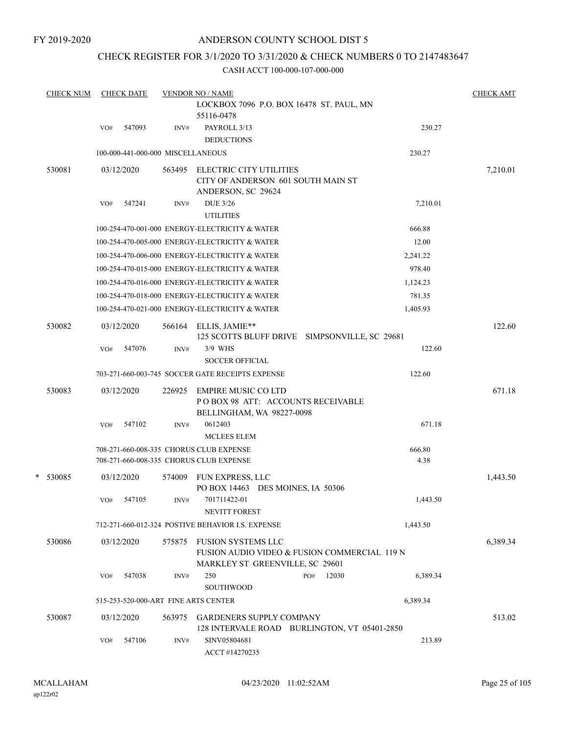FY 2019-2020

## ANDERSON COUNTY SCHOOL DIST 5

## CHECK REGISTER FOR 3/1/2020 TO 3/31/2020 & CHECK NUMBERS 0 TO 2147483647

|   | <b>CHECK NUM</b> |     | <b>CHECK DATE</b>                 |        | <b>VENDOR NO / NAME</b>                                                               |     |       |          |          | <b>CHECK AMT</b> |
|---|------------------|-----|-----------------------------------|--------|---------------------------------------------------------------------------------------|-----|-------|----------|----------|------------------|
|   |                  |     |                                   |        | LOCKBOX 7096 P.O. BOX 16478 ST. PAUL, MN<br>55116-0478                                |     |       |          |          |                  |
|   |                  | VO# | 547093                            | INV#   | PAYROLL 3/13                                                                          |     |       |          | 230.27   |                  |
|   |                  |     |                                   |        | <b>DEDUCTIONS</b>                                                                     |     |       |          |          |                  |
|   |                  |     | 100-000-441-000-000 MISCELLANEOUS |        |                                                                                       |     |       |          | 230.27   |                  |
|   | 530081           |     | 03/12/2020                        | 563495 | ELECTRIC CITY UTILITIES                                                               |     |       |          |          | 7,210.01         |
|   |                  |     |                                   |        | CITY OF ANDERSON 601 SOUTH MAIN ST<br>ANDERSON, SC 29624                              |     |       |          |          |                  |
|   |                  | VO# | 547241                            | INV#   | <b>DUE 3/26</b><br><b>UTILITIES</b>                                                   |     |       |          | 7,210.01 |                  |
|   |                  |     |                                   |        | 100-254-470-001-000 ENERGY-ELECTRICITY & WATER                                        |     |       |          | 666.88   |                  |
|   |                  |     |                                   |        | 100-254-470-005-000 ENERGY-ELECTRICITY & WATER                                        |     |       |          | 12.00    |                  |
|   |                  |     |                                   |        | 100-254-470-006-000 ENERGY-ELECTRICITY & WATER                                        |     |       | 2,241.22 |          |                  |
|   |                  |     |                                   |        | 100-254-470-015-000 ENERGY-ELECTRICITY & WATER                                        |     |       |          | 978.40   |                  |
|   |                  |     |                                   |        | 100-254-470-016-000 ENERGY-ELECTRICITY & WATER                                        |     |       | 1,124.23 |          |                  |
|   |                  |     |                                   |        | 100-254-470-018-000 ENERGY-ELECTRICITY & WATER                                        |     |       |          | 781.35   |                  |
|   |                  |     |                                   |        | 100-254-470-021-000 ENERGY-ELECTRICITY & WATER                                        |     |       | 1,405.93 |          |                  |
|   | 530082           |     | 03/12/2020                        | 566164 | ELLIS, JAMIE**<br>125 SCOTTS BLUFF DRIVE SIMPSONVILLE, SC 29681                       |     |       |          |          | 122.60           |
|   |                  | VO# | 547076                            | INV#   | 3/9 WHS                                                                               |     |       |          | 122.60   |                  |
|   |                  |     |                                   |        | <b>SOCCER OFFICIAL</b>                                                                |     |       |          |          |                  |
|   |                  |     |                                   |        | 703-271-660-003-745 SOCCER GATE RECEIPTS EXPENSE                                      |     |       |          | 122.60   |                  |
|   | 530083           |     | 03/12/2020                        | 226925 | EMPIRE MUSIC CO LTD<br>POBOX 98 ATT: ACCOUNTS RECEIVABLE<br>BELLINGHAM, WA 98227-0098 |     |       |          |          | 671.18           |
|   |                  | VO# | 547102                            | INV#   | 0612403<br><b>MCLEES ELEM</b>                                                         |     |       |          | 671.18   |                  |
|   |                  |     |                                   |        | 708-271-660-008-335 CHORUS CLUB EXPENSE                                               |     |       |          | 666.80   |                  |
|   |                  |     |                                   |        | 708-271-660-008-335 CHORUS CLUB EXPENSE                                               |     |       |          | 4.38     |                  |
| * | 530085           |     | 03/12/2020                        | 574009 | FUN EXPRESS, LLC<br>PO BOX 14463 DES MOINES, IA 50306                                 |     |       |          |          | 1,443.50         |
|   |                  | VO# | 547105                            | INV#   | 701711422-01<br><b>NEVITT FOREST</b>                                                  |     |       |          | 1,443.50 |                  |
|   |                  |     |                                   |        | 712-271-660-012-324 POSTIVE BEHAVIOR I.S. EXPENSE                                     |     |       |          | 1,443.50 |                  |
|   | 530086           |     | 03/12/2020                        | 575875 | <b>FUSION SYSTEMS LLC</b><br>FUSION AUDIO VIDEO & FUSION COMMERCIAL 119 N             |     |       |          |          | 6,389.34         |
|   |                  | VO# | 547038                            | INV#   | MARKLEY ST GREENVILLE, SC 29601<br>250                                                | PO# | 12030 |          | 6,389.34 |                  |
|   |                  |     |                                   |        | <b>SOUTHWOOD</b>                                                                      |     |       |          |          |                  |
|   |                  |     |                                   |        | 515-253-520-000-ART FINE ARTS CENTER                                                  |     |       | 6,389.34 |          |                  |
|   | 530087           |     | 03/12/2020                        | 563975 | <b>GARDENERS SUPPLY COMPANY</b>                                                       |     |       |          |          | 513.02           |
|   |                  |     |                                   |        | 128 INTERVALE ROAD BURLINGTON, VT 05401-2850                                          |     |       |          |          |                  |
|   |                  | VO# | 547106                            | INV#   | SINV05804681<br>ACCT #14270235                                                        |     |       |          | 213.89   |                  |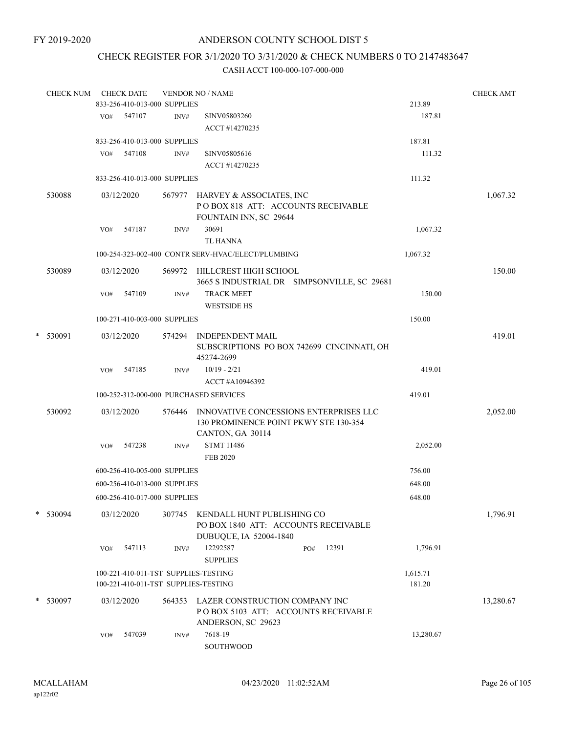## CHECK REGISTER FOR 3/1/2020 TO 3/31/2020 & CHECK NUMBERS 0 TO 2147483647

|   | <b>CHECK NUM</b> |     | <b>CHECK DATE</b>                    |        | <b>VENDOR NO / NAME</b>                                                                                    |       |           | <b>CHECK AMT</b> |
|---|------------------|-----|--------------------------------------|--------|------------------------------------------------------------------------------------------------------------|-------|-----------|------------------|
|   |                  |     | 833-256-410-013-000 SUPPLIES         |        |                                                                                                            |       | 213.89    |                  |
|   |                  |     | VO# 547107                           | INV#   | SINV05803260<br>ACCT #14270235                                                                             |       | 187.81    |                  |
|   |                  |     | 833-256-410-013-000 SUPPLIES         |        |                                                                                                            |       | 187.81    |                  |
|   |                  | VO# | 547108                               | INV#   | SINV05805616                                                                                               |       | 111.32    |                  |
|   |                  |     |                                      |        | ACCT #14270235                                                                                             |       |           |                  |
|   |                  |     | 833-256-410-013-000 SUPPLIES         |        |                                                                                                            |       | 111.32    |                  |
|   | 530088           |     | 03/12/2020                           |        | 567977 HARVEY & ASSOCIATES, INC<br>POBOX 818 ATT: ACCOUNTS RECEIVABLE<br>FOUNTAIN INN, SC 29644            |       |           | 1,067.32         |
|   |                  | VO# | 547187                               | INV#   | 30691<br><b>TL HANNA</b>                                                                                   |       | 1,067.32  |                  |
|   |                  |     |                                      |        | 100-254-323-002-400 CONTR SERV-HVAC/ELECT/PLUMBING                                                         |       | 1,067.32  |                  |
|   |                  |     |                                      |        |                                                                                                            |       |           |                  |
|   | 530089           |     | 03/12/2020                           |        | 569972 HILLCREST HIGH SCHOOL<br>3665 S INDUSTRIAL DR SIMPSONVILLE, SC 29681                                |       |           | 150.00           |
|   |                  | VO# | 547109                               | INV#   | <b>TRACK MEET</b><br><b>WESTSIDE HS</b>                                                                    |       | 150.00    |                  |
|   |                  |     | 100-271-410-003-000 SUPPLIES         |        |                                                                                                            |       | 150.00    |                  |
| * | 530091           |     | 03/12/2020                           | 574294 | <b>INDEPENDENT MAIL</b><br>SUBSCRIPTIONS PO BOX 742699 CINCINNATI, OH                                      |       |           | 419.01           |
|   |                  |     |                                      |        | 45274-2699                                                                                                 |       |           |                  |
|   |                  | VO# | 547185                               | INV#   | $10/19 - 2/21$                                                                                             |       | 419.01    |                  |
|   |                  |     |                                      |        | ACCT#A10946392                                                                                             |       |           |                  |
|   |                  |     |                                      |        | 100-252-312-000-000 PURCHASED SERVICES                                                                     |       | 419.01    |                  |
|   | 530092           |     | 03/12/2020                           |        | 576446 INNOVATIVE CONCESSIONS ENTERPRISES LLC<br>130 PROMINENCE POINT PKWY STE 130-354<br>CANTON, GA 30114 |       |           | 2,052.00         |
|   |                  | VO# | 547238                               | INV#   | <b>STMT 11486</b><br><b>FEB 2020</b>                                                                       |       | 2,052.00  |                  |
|   |                  |     | 600-256-410-005-000 SUPPLIES         |        |                                                                                                            |       | 756.00    |                  |
|   |                  |     | 600-256-410-013-000 SUPPLIES         |        |                                                                                                            |       | 648.00    |                  |
|   |                  |     | 600-256-410-017-000 SUPPLIES         |        |                                                                                                            |       | 648.00    |                  |
|   | * 530094         |     | 03/12/2020                           |        | 307745 KENDALL HUNT PUBLISHING CO<br>PO BOX 1840 ATT: ACCOUNTS RECEIVABLE                                  |       |           | 1,796.91         |
|   |                  | VO# | 547113                               | INV#   | DUBUQUE, IA 52004-1840<br>12292587<br>PO#<br><b>SUPPLIES</b>                                               | 12391 | 1,796.91  |                  |
|   |                  |     | 100-221-410-011-TST SUPPLIES-TESTING |        |                                                                                                            |       | 1,615.71  |                  |
|   |                  |     | 100-221-410-011-TST SUPPLIES-TESTING |        |                                                                                                            |       | 181.20    |                  |
|   | * 530097         |     | 03/12/2020                           | 564353 | LAZER CONSTRUCTION COMPANY INC<br>PO BOX 5103 ATT: ACCOUNTS RECEIVABLE<br>ANDERSON, SC 29623               |       |           | 13,280.67        |
|   |                  | VO# | 547039                               | INV#   | 7618-19<br>SOUTHWOOD                                                                                       |       | 13,280.67 |                  |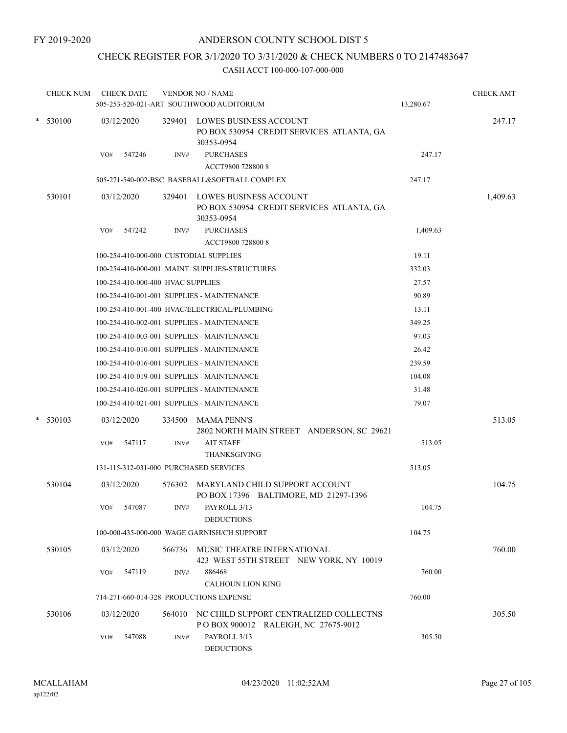# CHECK REGISTER FOR 3/1/2020 TO 3/31/2020 & CHECK NUMBERS 0 TO 2147483647

| <b>CHECK NUM</b> |                                                      | <b>CHECK DATE</b>                              |        | <b>VENDOR NO / NAME</b><br>505-253-520-021-ART SOUTHWOOD AUDITORIUM                      | 13,280.67 | <b>CHECK AMT</b> |  |  |  |
|------------------|------------------------------------------------------|------------------------------------------------|--------|------------------------------------------------------------------------------------------|-----------|------------------|--|--|--|
| $*$ 530100       |                                                      | 03/12/2020                                     |        | 329401 LOWES BUSINESS ACCOUNT<br>PO BOX 530954 CREDIT SERVICES ATLANTA, GA               |           | 247.17           |  |  |  |
|                  | VO#                                                  | 547246                                         | INV#   | 30353-0954<br><b>PURCHASES</b><br>ACCT9800 728800 8                                      | 247.17    |                  |  |  |  |
|                  |                                                      |                                                |        | 505-271-540-002-BSC BASEBALL&SOFTBALL COMPLEX                                            | 247.17    |                  |  |  |  |
| 530101           |                                                      | 03/12/2020                                     | 329401 | <b>LOWES BUSINESS ACCOUNT</b><br>PO BOX 530954 CREDIT SERVICES ATLANTA, GA<br>30353-0954 |           | 1,409.63         |  |  |  |
|                  | VO#                                                  | 547242                                         | INV#   | <b>PURCHASES</b><br>ACCT9800 728800 8                                                    | 1,409.63  |                  |  |  |  |
|                  |                                                      | 100-254-410-000-000 CUSTODIAL SUPPLIES         | 19.11  |                                                                                          |           |                  |  |  |  |
|                  |                                                      | 100-254-410-000-001 MAINT. SUPPLIES-STRUCTURES | 332.03 |                                                                                          |           |                  |  |  |  |
|                  |                                                      | 100-254-410-000-400 HVAC SUPPLIES              | 27.57  |                                                                                          |           |                  |  |  |  |
|                  |                                                      | 100-254-410-001-001 SUPPLIES - MAINTENANCE     | 90.89  |                                                                                          |           |                  |  |  |  |
|                  |                                                      |                                                |        | 100-254-410-001-400 HVAC/ELECTRICAL/PLUMBING                                             | 13.11     |                  |  |  |  |
|                  | 100-254-410-002-001 SUPPLIES - MAINTENANCE<br>349.25 |                                                |        |                                                                                          |           |                  |  |  |  |
|                  |                                                      |                                                |        | 100-254-410-003-001 SUPPLIES - MAINTENANCE                                               | 97.03     |                  |  |  |  |
|                  |                                                      |                                                |        | 100-254-410-010-001 SUPPLIES - MAINTENANCE                                               | 26.42     |                  |  |  |  |
|                  |                                                      |                                                |        | 100-254-410-016-001 SUPPLIES - MAINTENANCE                                               | 239.59    |                  |  |  |  |
|                  |                                                      |                                                |        | 100-254-410-019-001 SUPPLIES - MAINTENANCE                                               | 104.08    |                  |  |  |  |
|                  |                                                      |                                                |        | 100-254-410-020-001 SUPPLIES - MAINTENANCE                                               | 31.48     |                  |  |  |  |
|                  |                                                      |                                                |        | 100-254-410-021-001 SUPPLIES - MAINTENANCE                                               | 79.07     |                  |  |  |  |
| $*$ 530103       |                                                      | 03/12/2020                                     | 334500 | <b>MAMA PENN'S</b><br>2802 NORTH MAIN STREET ANDERSON, SC 29621                          |           | 513.05           |  |  |  |
|                  | VO#                                                  | 547117                                         | INV#   | <b>AIT STAFF</b><br><b>THANKSGIVING</b>                                                  | 513.05    |                  |  |  |  |
|                  |                                                      |                                                |        | 131-115-312-031-000 PURCHASED SERVICES                                                   | 513.05    |                  |  |  |  |
| 530104           |                                                      | 03/12/2020                                     | 576302 | MARYLAND CHILD SUPPORT ACCOUNT<br>PO BOX 17396 BALTIMORE, MD 21297-1396                  |           | 104.75           |  |  |  |
|                  | VO#                                                  | 547087                                         | INV#   | PAYROLL 3/13<br><b>DEDUCTIONS</b>                                                        | 104.75    |                  |  |  |  |
|                  |                                                      |                                                |        | 100-000-435-000-000 WAGE GARNISH/CH SUPPORT                                              | 104.75    |                  |  |  |  |
| 530105           |                                                      | 03/12/2020                                     |        | 566736 MUSIC THEATRE INTERNATIONAL<br>423 WEST 55TH STREET NEW YORK, NY 10019            |           | 760.00           |  |  |  |
|                  | VO#                                                  | 547119                                         | INV#   | 886468<br><b>CALHOUN LION KING</b>                                                       | 760.00    |                  |  |  |  |
|                  |                                                      |                                                |        | 714-271-660-014-328 PRODUCTIONS EXPENSE                                                  | 760.00    |                  |  |  |  |
| 530106           |                                                      | 03/12/2020                                     | 564010 | NC CHILD SUPPORT CENTRALIZED COLLECTNS<br>POBOX 900012 RALEIGH, NC 27675-9012            |           | 305.50           |  |  |  |
|                  | VO#                                                  | 547088                                         | INV#   | PAYROLL 3/13<br><b>DEDUCTIONS</b>                                                        | 305.50    |                  |  |  |  |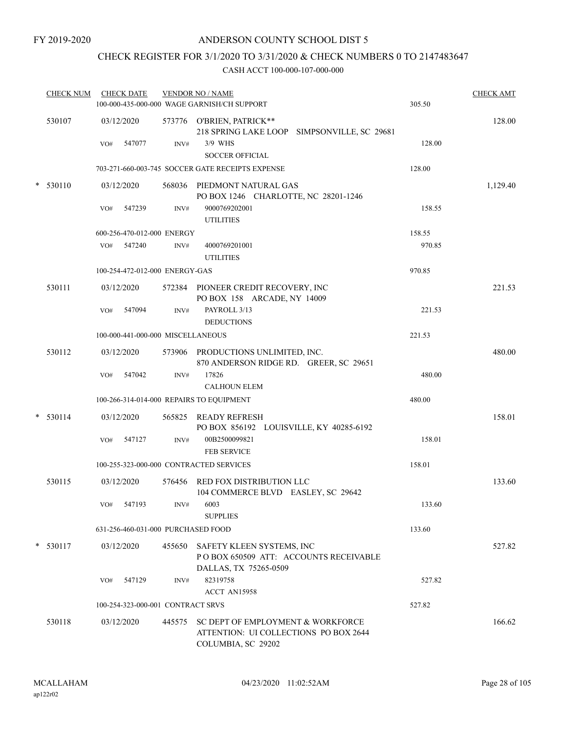# CHECK REGISTER FOR 3/1/2020 TO 3/31/2020 & CHECK NUMBERS 0 TO 2147483647

| <b>CHECK NUM</b> |     | <b>CHECK DATE</b> |                                   | <b>VENDOR NO / NAME</b><br>100-000-435-000-000 WAGE GARNISH/CH SUPPORT                                  | 305.50 | <b>CHECK AMT</b> |
|------------------|-----|-------------------|-----------------------------------|---------------------------------------------------------------------------------------------------------|--------|------------------|
| 530107           |     | 03/12/2020        |                                   | 573776 O'BRIEN, PATRICK**<br>218 SPRING LAKE LOOP SIMPSONVILLE, SC 29681                                |        | 128.00           |
|                  | VO# | 547077            | INV#                              | 3/9 WHS<br><b>SOCCER OFFICIAL</b>                                                                       | 128.00 |                  |
|                  |     |                   |                                   | 703-271-660-003-745 SOCCER GATE RECEIPTS EXPENSE                                                        | 128.00 |                  |
| * 530110         |     | 03/12/2020        |                                   | 568036 PIEDMONT NATURAL GAS<br>PO BOX 1246 CHARLOTTE, NC 28201-1246                                     |        | 1,129.40         |
|                  | VO# | 547239            | INV#                              | 9000769202001<br><b>UTILITIES</b>                                                                       | 158.55 |                  |
|                  |     |                   | 600-256-470-012-000 ENERGY        |                                                                                                         | 158.55 |                  |
|                  | VO# | 547240            | INV#                              | 4000769201001<br><b>UTILITIES</b>                                                                       | 970.85 |                  |
|                  |     |                   | 100-254-472-012-000 ENERGY-GAS    |                                                                                                         | 970.85 |                  |
| 530111           |     | 03/12/2020        |                                   | 572384 PIONEER CREDIT RECOVERY, INC<br>PO BOX 158 ARCADE, NY 14009                                      |        | 221.53           |
|                  | VO# | 547094            | INV#                              | PAYROLL 3/13<br><b>DEDUCTIONS</b>                                                                       | 221.53 |                  |
|                  |     |                   | 100-000-441-000-000 MISCELLANEOUS |                                                                                                         | 221.53 |                  |
| 530112           |     | 03/12/2020        |                                   | 573906 PRODUCTIONS UNLIMITED, INC.<br>870 ANDERSON RIDGE RD. GREER, SC 29651                            |        | 480.00           |
|                  | VO# | 547042            | INV#                              | 17826<br><b>CALHOUN ELEM</b>                                                                            | 480.00 |                  |
|                  |     |                   |                                   | 100-266-314-014-000 REPAIRS TO EQUIPMENT                                                                | 480.00 |                  |
| * 530114         |     | 03/12/2020        |                                   | 565825 READY REFRESH<br>PO BOX 856192 LOUISVILLE, KY 40285-6192                                         |        | 158.01           |
|                  | VO# | 547127            | INV#                              | 00B2500099821<br><b>FEB SERVICE</b>                                                                     | 158.01 |                  |
|                  |     |                   |                                   | 100-255-323-000-000 CONTRACTED SERVICES                                                                 | 158.01 |                  |
| 530115           |     | 03/12/2020        |                                   | 576456 RED FOX DISTRIBUTION LLC<br>104 COMMERCE BLVD EASLEY, SC 29642                                   |        | 133.60           |
|                  |     | VO# 547193        | INV#                              | 6003<br><b>SUPPLIES</b>                                                                                 | 133.60 |                  |
|                  |     |                   |                                   | 631-256-460-031-000 PURCHASED FOOD                                                                      | 133.60 |                  |
| $* 530117$       |     | 03/12/2020        |                                   | 455650 SAFETY KLEEN SYSTEMS, INC<br>POBOX 650509 ATT: ACCOUNTS RECEIVABLE<br>DALLAS, TX 75265-0509      |        | 527.82           |
|                  | VO# | 547129            | INV#                              | 82319758<br>ACCT AN15958                                                                                | 527.82 |                  |
|                  |     |                   | 100-254-323-000-001 CONTRACT SRVS |                                                                                                         | 527.82 |                  |
| 530118           |     | 03/12/2020        |                                   | 445575 SC DEPT OF EMPLOYMENT & WORKFORCE<br>ATTENTION: UI COLLECTIONS PO BOX 2644<br>COLUMBIA, SC 29202 |        | 166.62           |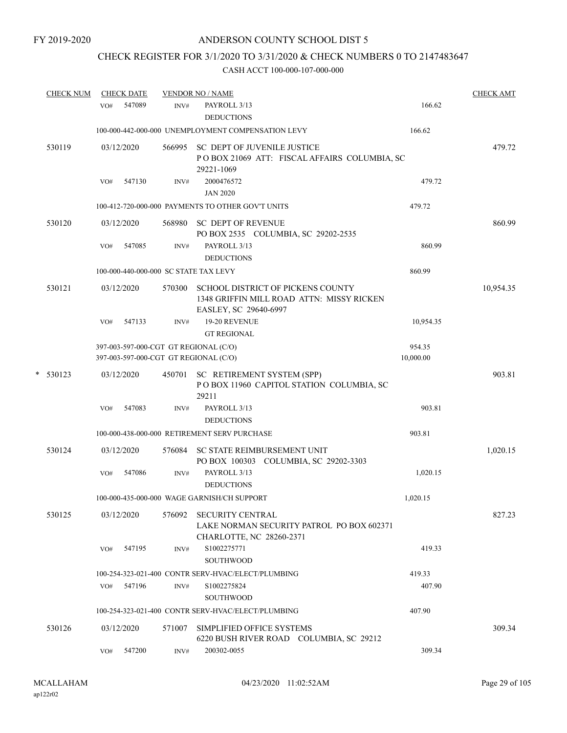# CHECK REGISTER FOR 3/1/2020 TO 3/31/2020 & CHECK NUMBERS 0 TO 2147483647

|   | <b>CHECK NUM</b> | <b>CHECK DATE</b> |            |        | <b>VENDOR NO / NAME</b>                                                                                 |                     | <b>CHECK AMT</b> |
|---|------------------|-------------------|------------|--------|---------------------------------------------------------------------------------------------------------|---------------------|------------------|
|   |                  | VO#               | 547089     | INV#   | PAYROLL 3/13<br><b>DEDUCTIONS</b>                                                                       | 166.62              |                  |
|   |                  |                   |            |        | 100-000-442-000-000 UNEMPLOYMENT COMPENSATION LEVY                                                      | 166.62              |                  |
|   | 530119           |                   | 03/12/2020 | 566995 | SC DEPT OF JUVENILE JUSTICE<br>POBOX 21069 ATT: FISCAL AFFAIRS COLUMBIA, SC<br>29221-1069               |                     | 479.72           |
|   |                  | VO#               | 547130     | INV#   | 2000476572<br><b>JAN 2020</b>                                                                           | 479.72              |                  |
|   |                  |                   |            |        | 100-412-720-000-000 PAYMENTS TO OTHER GOV'T UNITS                                                       | 479.72              |                  |
|   | 530120           |                   | 03/12/2020 |        | 568980 SC DEPT OF REVENUE<br>PO BOX 2535 COLUMBIA, SC 29202-2535                                        |                     | 860.99           |
|   |                  | VO#               | 547085     | INV#   | PAYROLL 3/13<br><b>DEDUCTIONS</b>                                                                       | 860.99              |                  |
|   |                  |                   |            |        | 100-000-440-000-000 SC STATE TAX LEVY                                                                   | 860.99              |                  |
|   | 530121           |                   | 03/12/2020 | 570300 | SCHOOL DISTRICT OF PICKENS COUNTY<br>1348 GRIFFIN MILL ROAD ATTN: MISSY RICKEN<br>EASLEY, SC 29640-6997 |                     | 10,954.35        |
|   |                  | VO#               | 547133     | INV#   | 19-20 REVENUE<br><b>GT REGIONAL</b>                                                                     | 10,954.35           |                  |
|   |                  |                   |            |        | 397-003-597-000-CGT GT REGIONAL (C/O)<br>397-003-597-000-CGT GT REGIONAL (C/O)                          | 954.35<br>10,000.00 |                  |
| * | 530123           |                   | 03/12/2020 |        | 450701 SC RETIREMENT SYSTEM (SPP)<br>POBOX 11960 CAPITOL STATION COLUMBIA, SC<br>29211                  |                     | 903.81           |
|   |                  | VO#               | 547083     | INV#   | PAYROLL 3/13<br><b>DEDUCTIONS</b>                                                                       | 903.81              |                  |
|   |                  |                   |            |        | 100-000-438-000-000 RETIREMENT SERV PURCHASE                                                            | 903.81              |                  |
|   | 530124           |                   | 03/12/2020 | 576084 | <b>SC STATE REIMBURSEMENT UNIT</b><br>PO BOX 100303 COLUMBIA, SC 29202-3303                             |                     | 1,020.15         |
|   |                  | VO#               | 547086     | INV#   | PAYROLL 3/13<br><b>DEDUCTIONS</b>                                                                       | 1,020.15            |                  |
|   |                  |                   |            |        | 100-000-435-000-000 WAGE GARNISH/CH SUPPORT                                                             | 1.020.15            |                  |
|   | 530125           |                   | 03/12/2020 | 576092 | <b>SECURITY CENTRAL</b><br>LAKE NORMAN SECURITY PATROL PO BOX 602371<br>CHARLOTTE, NC 28260-2371        |                     | 827.23           |
|   |                  | VO#               | 547195     | INV#   | S1002275771<br><b>SOUTHWOOD</b>                                                                         | 419.33              |                  |
|   |                  |                   |            |        | 100-254-323-021-400 CONTR SERV-HVAC/ELECT/PLUMBING                                                      | 419.33              |                  |
|   |                  |                   | VO# 547196 | INV#   | S1002275824<br><b>SOUTHWOOD</b>                                                                         | 407.90              |                  |
|   |                  |                   |            |        | 100-254-323-021-400 CONTR SERV-HVAC/ELECT/PLUMBING                                                      | 407.90              |                  |
|   | 530126           |                   | 03/12/2020 | 571007 | SIMPLIFIED OFFICE SYSTEMS<br>6220 BUSH RIVER ROAD COLUMBIA, SC 29212                                    |                     | 309.34           |
|   |                  | VO#               | 547200     | INV#   | 200302-0055                                                                                             | 309.34              |                  |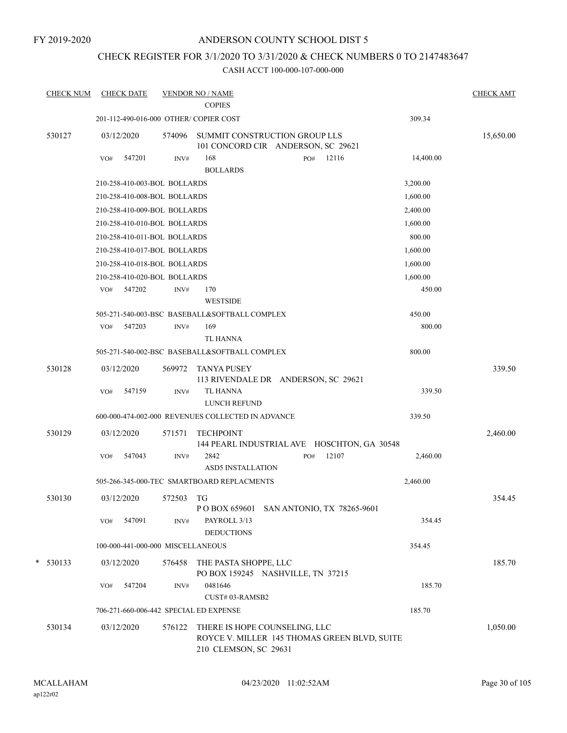FY 2019-2020

## ANDERSON COUNTY SCHOOL DIST 5

## CHECK REGISTER FOR 3/1/2020 TO 3/31/2020 & CHECK NUMBERS 0 TO 2147483647

| <b>CHECK NUM</b> | <b>CHECK DATE</b>                      |        | <b>VENDOR NO / NAME</b><br><b>COPIES</b>                                                               |     |       |           | <b>CHECK AMT</b> |
|------------------|----------------------------------------|--------|--------------------------------------------------------------------------------------------------------|-----|-------|-----------|------------------|
|                  | 201-112-490-016-000 OTHER/ COPIER COST |        |                                                                                                        |     |       | 309.34    |                  |
| 530127           | 03/12/2020                             | 574096 | SUMMIT CONSTRUCTION GROUP LLS<br>101 CONCORD CIR ANDERSON, SC 29621                                    |     |       |           | 15,650.00        |
|                  | 547201<br>VO#                          | INV#   | 168<br><b>BOLLARDS</b>                                                                                 | PO# | 12116 | 14,400.00 |                  |
|                  | 210-258-410-003-BOL BOLLARDS           |        |                                                                                                        |     |       | 3,200.00  |                  |
|                  | 210-258-410-008-BOL BOLLARDS           |        |                                                                                                        |     |       | 1,600.00  |                  |
|                  | 210-258-410-009-BOL BOLLARDS           |        |                                                                                                        |     |       | 2,400.00  |                  |
|                  | 210-258-410-010-BOL BOLLARDS           |        |                                                                                                        |     |       | 1,600.00  |                  |
|                  | 210-258-410-011-BOL BOLLARDS           |        |                                                                                                        |     |       | 800.00    |                  |
|                  | 210-258-410-017-BOL BOLLARDS           |        |                                                                                                        |     |       | 1,600.00  |                  |
|                  | 210-258-410-018-BOL BOLLARDS           |        |                                                                                                        |     |       | 1,600.00  |                  |
|                  | 210-258-410-020-BOL BOLLARDS           |        |                                                                                                        |     |       | 1,600.00  |                  |
|                  | 547202<br>VO#                          | INV#   | 170                                                                                                    |     |       | 450.00    |                  |
|                  |                                        |        | <b>WESTSIDE</b>                                                                                        |     |       |           |                  |
|                  |                                        |        | 505-271-540-003-BSC BASEBALL&SOFTBALL COMPLEX                                                          |     |       | 450.00    |                  |
|                  | 547203<br>VO#                          | INV#   | 169                                                                                                    |     |       | 800.00    |                  |
|                  |                                        |        | <b>TL HANNA</b>                                                                                        |     |       |           |                  |
|                  |                                        |        | 505-271-540-002-BSC BASEBALL&SOFTBALL COMPLEX                                                          |     |       | 800.00    |                  |
| 530128           | 03/12/2020                             | 569972 | <b>TANYA PUSEY</b><br>113 RIVENDALE DR ANDERSON, SC 29621                                              |     |       |           | 339.50           |
|                  | 547159<br>VO#                          | INV#   | <b>TL HANNA</b><br>LUNCH REFUND                                                                        |     |       | 339.50    |                  |
|                  |                                        |        | 600-000-474-002-000 REVENUES COLLECTED IN ADVANCE                                                      |     |       | 339.50    |                  |
| 530129           | 03/12/2020                             | 571571 | <b>TECHPOINT</b><br>144 PEARL INDUSTRIAL AVE HOSCHTON, GA 30548                                        |     |       |           | 2,460.00         |
|                  | 547043<br>VO#                          | INV#   | 2842                                                                                                   | PO# | 12107 | 2,460.00  |                  |
|                  |                                        |        | <b>ASD5 INSTALLATION</b>                                                                               |     |       |           |                  |
|                  |                                        |        | 505-266-345-000-TEC SMARTBOARD REPLACMENTS                                                             |     |       | 2,460.00  |                  |
| 530130           | 03/12/2020                             | 572503 | TG                                                                                                     |     |       |           | 354.45           |
|                  |                                        |        | P O BOX 659601 SAN ANTONIO, TX 78265-9601                                                              |     |       |           |                  |
|                  | VO#<br>547091                          | INV#   | PAYROLL 3/13<br><b>DEDUCTIONS</b>                                                                      |     |       | 354.45    |                  |
|                  | 100-000-441-000-000 MISCELLANEOUS      |        |                                                                                                        |     |       | 354.45    |                  |
| $*$ 530133       | 03/12/2020                             | 576458 | THE PASTA SHOPPE, LLC<br>PO BOX 159245 NASHVILLE, TN 37215                                             |     |       |           | 185.70           |
|                  | 547204<br>VO#                          | INV#   | 0481646                                                                                                |     |       | 185.70    |                  |
|                  |                                        |        | CUST#03-RAMSB2                                                                                         |     |       |           |                  |
|                  | 706-271-660-006-442 SPECIAL ED EXPENSE |        |                                                                                                        |     |       | 185.70    |                  |
| 530134           | 03/12/2020                             | 576122 | THERE IS HOPE COUNSELING, LLC<br>ROYCE V. MILLER 145 THOMAS GREEN BLVD, SUITE<br>210 CLEMSON, SC 29631 |     |       |           | 1,050.00         |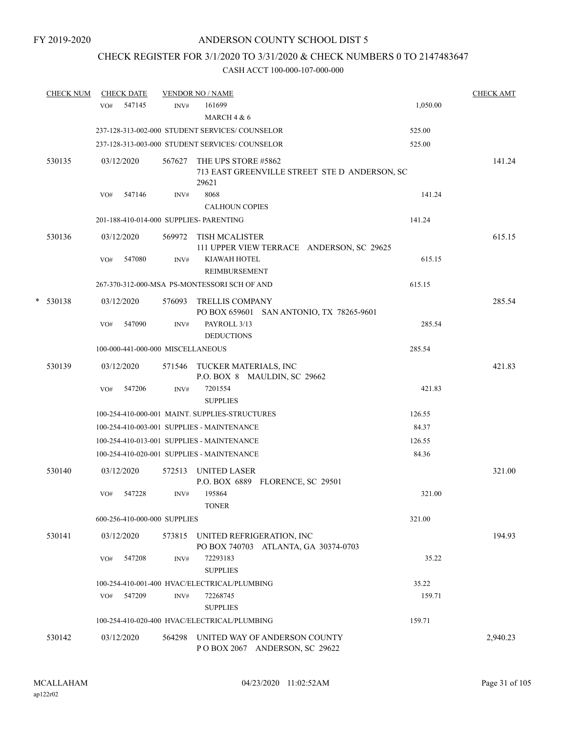## CHECK REGISTER FOR 3/1/2020 TO 3/31/2020 & CHECK NUMBERS 0 TO 2147483647

|   | <b>CHECK NUM</b> | <b>CHECK DATE</b> |                                   |        | <b>VENDOR NO / NAME</b>                                                       |          | <b>CHECK AMT</b> |
|---|------------------|-------------------|-----------------------------------|--------|-------------------------------------------------------------------------------|----------|------------------|
|   |                  | VO#               | 547145                            | INV#   | 161699<br>MARCH $4 & 6$                                                       | 1,050.00 |                  |
|   |                  |                   |                                   |        | 237-128-313-002-000 STUDENT SERVICES/COUNSELOR                                | 525.00   |                  |
|   |                  |                   |                                   |        | 237-128-313-003-000 STUDENT SERVICES/ COUNSELOR                               | 525.00   |                  |
|   | 530135           |                   | 03/12/2020                        | 567627 | THE UPS STORE #5862<br>713 EAST GREENVILLE STREET STE D ANDERSON, SC<br>29621 |          | 141.24           |
|   |                  | VO#               | 547146                            | INV#   | 8068<br><b>CALHOUN COPIES</b>                                                 | 141.24   |                  |
|   |                  |                   |                                   |        | 201-188-410-014-000 SUPPLIES- PARENTING                                       | 141.24   |                  |
|   | 530136           |                   | 03/12/2020                        | 569972 | <b>TISH MCALISTER</b><br>111 UPPER VIEW TERRACE ANDERSON, SC 29625            |          | 615.15           |
|   |                  | VO#               | 547080                            | INV#   | KIAWAH HOTEL<br><b>REIMBURSEMENT</b>                                          | 615.15   |                  |
|   |                  |                   |                                   |        | 267-370-312-000-MSA PS-MONTESSORI SCH OF AND                                  | 615.15   |                  |
| * | 530138           |                   | 03/12/2020                        | 576093 | <b>TRELLIS COMPANY</b><br>PO BOX 659601 SAN ANTONIO, TX 78265-9601            |          | 285.54           |
|   |                  | VO#               | 547090                            | INV#   | PAYROLL 3/13<br><b>DEDUCTIONS</b>                                             | 285.54   |                  |
|   |                  |                   | 100-000-441-000-000 MISCELLANEOUS |        |                                                                               | 285.54   |                  |
|   | 530139           |                   | 03/12/2020                        |        | 571546 TUCKER MATERIALS, INC<br>P.O. BOX 8 MAULDIN, SC 29662                  |          | 421.83           |
|   |                  | VO#               | 547206                            | INV#   | 7201554<br><b>SUPPLIES</b>                                                    | 421.83   |                  |
|   |                  |                   |                                   |        | 100-254-410-000-001 MAINT. SUPPLIES-STRUCTURES                                | 126.55   |                  |
|   |                  |                   |                                   |        | 100-254-410-003-001 SUPPLIES - MAINTENANCE                                    | 84.37    |                  |
|   |                  |                   |                                   |        | 100-254-410-013-001 SUPPLIES - MAINTENANCE                                    | 126.55   |                  |
|   |                  |                   |                                   |        | 100-254-410-020-001 SUPPLIES - MAINTENANCE                                    | 84.36    |                  |
|   | 530140           |                   | 03/12/2020                        | 572513 | <b>UNITED LASER</b><br>P.O. BOX 6889 FLORENCE, SC 29501                       |          | 321.00           |
|   |                  | VO#               | 547228                            | INV#   | 195864<br><b>TONER</b>                                                        | 321.00   |                  |
|   |                  |                   | 600-256-410-000-000 SUPPLIES      |        |                                                                               | 321.00   |                  |
|   | 530141           |                   | 03/12/2020                        | 573815 | UNITED REFRIGERATION, INC<br>PO BOX 740703 ATLANTA, GA 30374-0703             |          | 194.93           |
|   |                  | VO#               | 547208                            | INV#   | 72293183<br><b>SUPPLIES</b>                                                   | 35.22    |                  |
|   |                  |                   |                                   |        | 100-254-410-001-400 HVAC/ELECTRICAL/PLUMBING                                  | 35.22    |                  |
|   |                  | VO#               | 547209                            | INV#   | 72268745<br><b>SUPPLIES</b>                                                   | 159.71   |                  |
|   |                  |                   |                                   |        | 100-254-410-020-400 HVAC/ELECTRICAL/PLUMBING                                  | 159.71   |                  |
|   | 530142           |                   | 03/12/2020                        | 564298 | UNITED WAY OF ANDERSON COUNTY<br>POBOX 2067 ANDERSON, SC 29622                |          | 2,940.23         |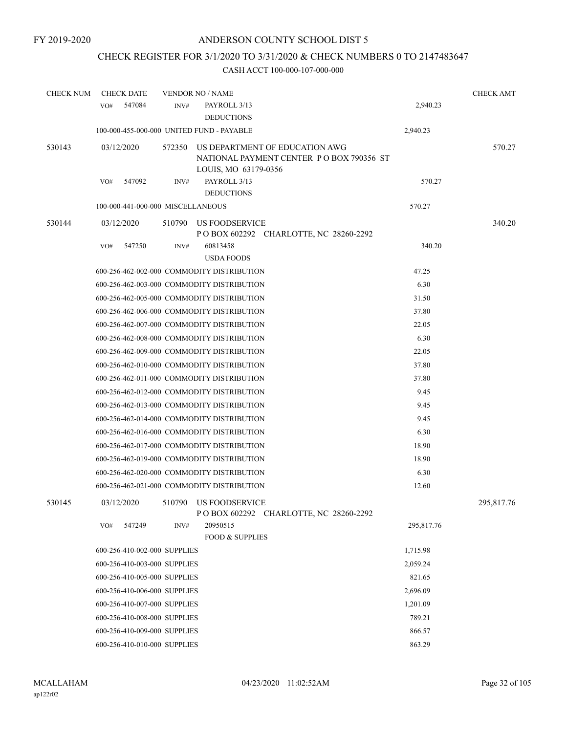# CHECK REGISTER FOR 3/1/2020 TO 3/31/2020 & CHECK NUMBERS 0 TO 2147483647

| <b>CHECK NUM</b> | <b>CHECK DATE</b>                 |        | <b>VENDOR NO / NAME</b>                    |                                                                            |            | <b>CHECK AMT</b> |
|------------------|-----------------------------------|--------|--------------------------------------------|----------------------------------------------------------------------------|------------|------------------|
|                  | 547084<br>VO#                     | INV#   | PAYROLL 3/13<br><b>DEDUCTIONS</b>          |                                                                            | 2,940.23   |                  |
|                  |                                   |        | 100-000-455-000-000 UNITED FUND - PAYABLE  |                                                                            | 2,940.23   |                  |
| 530143           | 03/12/2020                        | 572350 | LOUIS, MO 63179-0356                       | US DEPARTMENT OF EDUCATION AWG<br>NATIONAL PAYMENT CENTER PO BOX 790356 ST |            | 570.27           |
|                  | 547092<br>VO#                     | INV#   | PAYROLL 3/13<br><b>DEDUCTIONS</b>          |                                                                            | 570.27     |                  |
|                  | 100-000-441-000-000 MISCELLANEOUS |        |                                            |                                                                            | 570.27     |                  |
| 530144           | 03/12/2020                        | 510790 | US FOODSERVICE                             | P O BOX 602292 CHARLOTTE, NC 28260-2292                                    |            | 340.20           |
|                  | 547250<br>VO#                     | INV#   | 60813458<br><b>USDA FOODS</b>              |                                                                            | 340.20     |                  |
|                  |                                   |        | 600-256-462-002-000 COMMODITY DISTRIBUTION |                                                                            | 47.25      |                  |
|                  |                                   |        | 600-256-462-003-000 COMMODITY DISTRIBUTION |                                                                            | 6.30       |                  |
|                  |                                   |        | 600-256-462-005-000 COMMODITY DISTRIBUTION |                                                                            | 31.50      |                  |
|                  |                                   |        | 600-256-462-006-000 COMMODITY DISTRIBUTION |                                                                            | 37.80      |                  |
|                  |                                   |        | 600-256-462-007-000 COMMODITY DISTRIBUTION |                                                                            | 22.05      |                  |
|                  |                                   |        | 600-256-462-008-000 COMMODITY DISTRIBUTION |                                                                            | 6.30       |                  |
|                  |                                   |        | 600-256-462-009-000 COMMODITY DISTRIBUTION |                                                                            | 22.05      |                  |
|                  |                                   |        | 600-256-462-010-000 COMMODITY DISTRIBUTION |                                                                            | 37.80      |                  |
|                  |                                   |        | 600-256-462-011-000 COMMODITY DISTRIBUTION |                                                                            | 37.80      |                  |
|                  |                                   |        | 600-256-462-012-000 COMMODITY DISTRIBUTION |                                                                            | 9.45       |                  |
|                  |                                   |        | 600-256-462-013-000 COMMODITY DISTRIBUTION |                                                                            | 9.45       |                  |
|                  |                                   |        | 600-256-462-014-000 COMMODITY DISTRIBUTION |                                                                            | 9.45       |                  |
|                  |                                   |        | 600-256-462-016-000 COMMODITY DISTRIBUTION |                                                                            | 6.30       |                  |
|                  |                                   |        | 600-256-462-017-000 COMMODITY DISTRIBUTION |                                                                            | 18.90      |                  |
|                  |                                   |        | 600-256-462-019-000 COMMODITY DISTRIBUTION |                                                                            | 18.90      |                  |
|                  |                                   |        | 600-256-462-020-000 COMMODITY DISTRIBUTION |                                                                            | 6.30       |                  |
|                  |                                   |        | 600-256-462-021-000 COMMODITY DISTRIBUTION |                                                                            | 12.60      |                  |
| 530145           | 03/12/2020                        |        | 510790 US FOODSERVICE                      | POBOX 602292 CHARLOTTE, NC 28260-2292                                      |            | 295,817.76       |
|                  | VO#<br>547249                     | INV#   | 20950515<br><b>FOOD &amp; SUPPLIES</b>     |                                                                            | 295,817.76 |                  |
|                  | 600-256-410-002-000 SUPPLIES      |        |                                            |                                                                            | 1,715.98   |                  |
|                  | 600-256-410-003-000 SUPPLIES      |        |                                            |                                                                            | 2,059.24   |                  |
|                  | 600-256-410-005-000 SUPPLIES      |        |                                            |                                                                            | 821.65     |                  |
|                  | 600-256-410-006-000 SUPPLIES      |        |                                            |                                                                            | 2,696.09   |                  |
|                  | 600-256-410-007-000 SUPPLIES      |        |                                            |                                                                            | 1,201.09   |                  |
|                  | 600-256-410-008-000 SUPPLIES      |        |                                            |                                                                            | 789.21     |                  |
|                  | 600-256-410-009-000 SUPPLIES      |        |                                            |                                                                            | 866.57     |                  |
|                  | 600-256-410-010-000 SUPPLIES      |        |                                            |                                                                            | 863.29     |                  |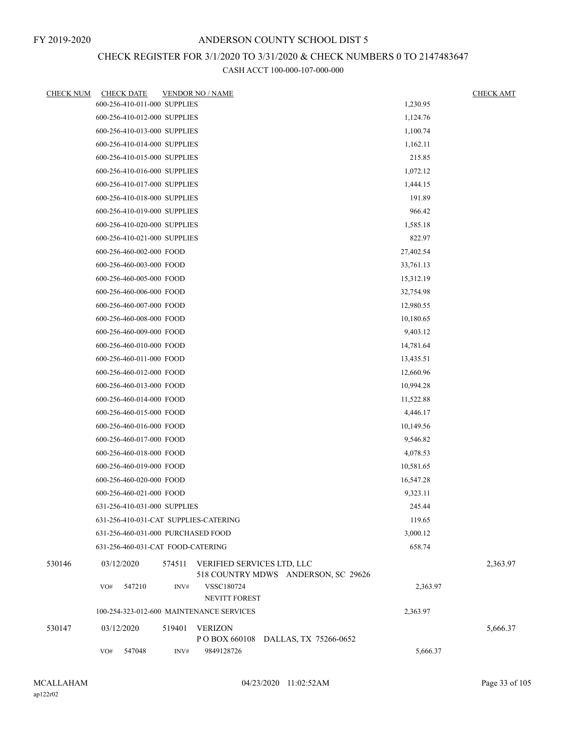# CHECK REGISTER FOR 3/1/2020 TO 3/31/2020 & CHECK NUMBERS 0 TO 2147483647

| <b>CHECK NUM</b> | <b>CHECK DATE</b>                     |        | <b>VENDOR NO / NAME</b>                                           |           | <b>CHECK AMT</b> |
|------------------|---------------------------------------|--------|-------------------------------------------------------------------|-----------|------------------|
|                  | 600-256-410-011-000 SUPPLIES          |        |                                                                   | 1,230.95  |                  |
|                  | 600-256-410-012-000 SUPPLIES          |        |                                                                   | 1,124.76  |                  |
|                  | 600-256-410-013-000 SUPPLIES          |        |                                                                   | 1,100.74  |                  |
|                  | 600-256-410-014-000 SUPPLIES          |        |                                                                   | 1,162.11  |                  |
|                  | 600-256-410-015-000 SUPPLIES          |        |                                                                   | 215.85    |                  |
|                  | 600-256-410-016-000 SUPPLIES          |        |                                                                   | 1,072.12  |                  |
|                  | 600-256-410-017-000 SUPPLIES          |        |                                                                   | 1,444.15  |                  |
|                  | 600-256-410-018-000 SUPPLIES          |        |                                                                   | 191.89    |                  |
|                  | 600-256-410-019-000 SUPPLIES          |        |                                                                   | 966.42    |                  |
|                  | 600-256-410-020-000 SUPPLIES          |        |                                                                   | 1,585.18  |                  |
|                  | 600-256-410-021-000 SUPPLIES          |        |                                                                   | 822.97    |                  |
|                  | 600-256-460-002-000 FOOD              |        |                                                                   | 27,402.54 |                  |
|                  | 600-256-460-003-000 FOOD              |        |                                                                   | 33,761.13 |                  |
|                  | 600-256-460-005-000 FOOD              |        |                                                                   | 15,312.19 |                  |
|                  | 600-256-460-006-000 FOOD              |        |                                                                   | 32,754.98 |                  |
|                  | 600-256-460-007-000 FOOD              |        |                                                                   | 12,980.55 |                  |
|                  | 600-256-460-008-000 FOOD              |        |                                                                   | 10,180.65 |                  |
|                  | 600-256-460-009-000 FOOD              |        |                                                                   | 9,403.12  |                  |
|                  | 600-256-460-010-000 FOOD              |        |                                                                   | 14,781.64 |                  |
|                  | 600-256-460-011-000 FOOD              |        |                                                                   | 13,435.51 |                  |
|                  | 600-256-460-012-000 FOOD              |        |                                                                   | 12,660.96 |                  |
|                  | 600-256-460-013-000 FOOD              |        |                                                                   | 10,994.28 |                  |
|                  | 600-256-460-014-000 FOOD              |        |                                                                   | 11,522.88 |                  |
|                  | 600-256-460-015-000 FOOD              |        |                                                                   | 4,446.17  |                  |
|                  | 600-256-460-016-000 FOOD              |        |                                                                   | 10,149.56 |                  |
|                  | 600-256-460-017-000 FOOD              |        |                                                                   | 9,546.82  |                  |
|                  | 600-256-460-018-000 FOOD              |        | 4,078.53                                                          |           |                  |
|                  | 600-256-460-019-000 FOOD              |        |                                                                   | 10,581.65 |                  |
|                  | 600-256-460-020-000 FOOD              |        |                                                                   | 16,547.28 |                  |
|                  | 600-256-460-021-000 FOOD              |        |                                                                   | 9,323.11  |                  |
|                  | 631-256-410-031-000 SUPPLIES          |        |                                                                   | 245.44    |                  |
|                  | 631-256-410-031-CAT SUPPLIES-CATERING |        |                                                                   | 119.65    |                  |
|                  | 631-256-460-031-000 PURCHASED FOOD    |        |                                                                   | 3,000.12  |                  |
|                  | 631-256-460-031-CAT FOOD-CATERING     |        |                                                                   | 658.74    |                  |
| 530146           | 03/12/2020                            | 574511 | VERIFIED SERVICES LTD, LLC<br>518 COUNTRY MDWS ANDERSON, SC 29626 |           | 2,363.97         |
|                  | 547210<br>VO#                         | INV#   | VSSC180724<br>NEVITT FOREST                                       | 2,363.97  |                  |
|                  |                                       |        | 100-254-323-012-600 MAINTENANCE SERVICES                          | 2,363.97  |                  |
| 530147           | 03/12/2020                            | 519401 | <b>VERIZON</b><br>P O BOX 660108<br>DALLAS, TX 75266-0652         |           | 5,666.37         |
|                  | 547048<br>VO#                         | INV#   | 9849128726                                                        | 5,666.37  |                  |
|                  |                                       |        |                                                                   |           |                  |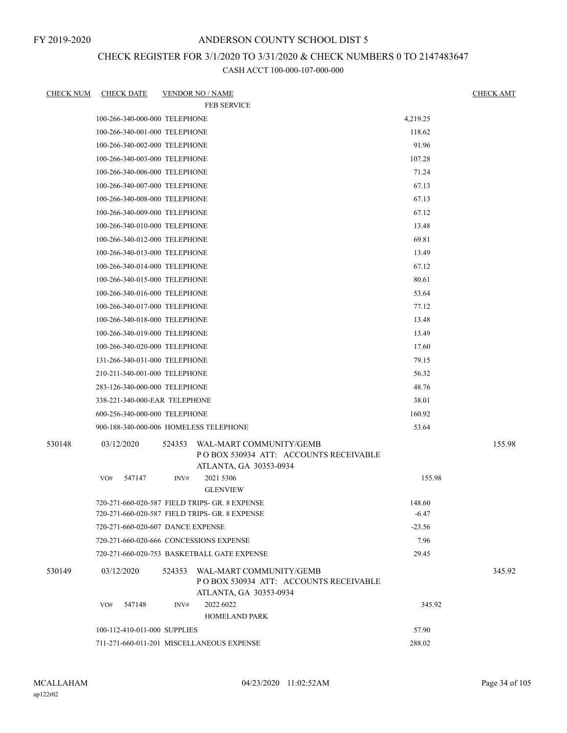FY 2019-2020

### ANDERSON COUNTY SCHOOL DIST 5

## CHECK REGISTER FOR 3/1/2020 TO 3/31/2020 & CHECK NUMBERS 0 TO 2147483647

| <b>CHECK NUM</b> | <b>CHECK DATE</b>                       |        | <b>VENDOR NO / NAME</b>                                                                           |          | <b>CHECK AMT</b> |
|------------------|-----------------------------------------|--------|---------------------------------------------------------------------------------------------------|----------|------------------|
|                  |                                         |        | <b>FEB SERVICE</b>                                                                                |          |                  |
|                  | 100-266-340-000-000 TELEPHONE           |        |                                                                                                   | 4,219.25 |                  |
|                  | 100-266-340-001-000 TELEPHONE           |        |                                                                                                   | 118.62   |                  |
|                  | 100-266-340-002-000 TELEPHONE           |        |                                                                                                   | 91.96    |                  |
|                  | 100-266-340-003-000 TELEPHONE           |        |                                                                                                   | 107.28   |                  |
|                  | 100-266-340-006-000 TELEPHONE           |        |                                                                                                   | 71.24    |                  |
|                  | 100-266-340-007-000 TELEPHONE           |        |                                                                                                   | 67.13    |                  |
|                  | 100-266-340-008-000 TELEPHONE           |        |                                                                                                   | 67.13    |                  |
|                  | 100-266-340-009-000 TELEPHONE           |        |                                                                                                   | 67.12    |                  |
|                  | 100-266-340-010-000 TELEPHONE           |        |                                                                                                   | 13.48    |                  |
|                  | 100-266-340-012-000 TELEPHONE           |        |                                                                                                   | 69.81    |                  |
|                  | 100-266-340-013-000 TELEPHONE           |        |                                                                                                   | 13.49    |                  |
|                  | 100-266-340-014-000 TELEPHONE           |        |                                                                                                   | 67.12    |                  |
|                  | 100-266-340-015-000 TELEPHONE           |        |                                                                                                   | 80.61    |                  |
|                  | 100-266-340-016-000 TELEPHONE           |        |                                                                                                   | 53.64    |                  |
|                  | 100-266-340-017-000 TELEPHONE           |        |                                                                                                   | 77.12    |                  |
|                  | 100-266-340-018-000 TELEPHONE           |        |                                                                                                   | 13.48    |                  |
|                  | 100-266-340-019-000 TELEPHONE           |        |                                                                                                   | 13.49    |                  |
|                  | 100-266-340-020-000 TELEPHONE           |        |                                                                                                   | 17.60    |                  |
|                  | 131-266-340-031-000 TELEPHONE           |        |                                                                                                   | 79.15    |                  |
|                  | 210-211-340-001-000 TELEPHONE           |        |                                                                                                   | 56.32    |                  |
|                  | 283-126-340-000-000 TELEPHONE           |        |                                                                                                   | 48.76    |                  |
|                  | 338-221-340-000-EAR TELEPHONE           |        |                                                                                                   | 38.01    |                  |
|                  | 600-256-340-000-000 TELEPHONE           |        |                                                                                                   | 160.92   |                  |
|                  | 900-188-340-000-006 HOMELESS TELEPHONE  |        |                                                                                                   | 53.64    |                  |
| 530148           | 03/12/2020                              | 524353 | WAL-MART COMMUNITY/GEMB<br>PO BOX 530934 ATT: ACCOUNTS RECEIVABLE<br>ATLANTA, GA 30353-0934       |          | 155.98           |
|                  | 547147<br>VO#                           | INV#   | 2021 5306<br><b>GLENVIEW</b>                                                                      | 155.98   |                  |
|                  |                                         |        | 720-271-660-020-587 FIELD TRIPS- GR. 8 EXPENSE                                                    | 148.60   |                  |
|                  |                                         |        | 720-271-660-020-587 FIELD TRIPS- GR. 8 EXPENSE                                                    | $-6.47$  |                  |
|                  | 720-271-660-020-607 DANCE EXPENSE       |        |                                                                                                   | $-23.56$ |                  |
|                  | 720-271-660-020-666 CONCESSIONS EXPENSE |        |                                                                                                   | 7.96     |                  |
|                  |                                         |        | 720-271-660-020-753 BASKETBALL GATE EXPENSE                                                       | 29.45    |                  |
| 530149           | 03/12/2020                              |        | 524353 WAL-MART COMMUNITY/GEMB<br>POBOX 530934 ATT: ACCOUNTS RECEIVABLE<br>ATLANTA, GA 30353-0934 |          | 345.92           |
|                  | 547148<br>VO#                           | INV#   | 2022 6022<br><b>HOMELAND PARK</b>                                                                 | 345.92   |                  |
|                  | 100-112-410-011-000 SUPPLIES            |        |                                                                                                   | 57.90    |                  |
|                  |                                         |        | 711-271-660-011-201 MISCELLANEOUS EXPENSE                                                         | 288.02   |                  |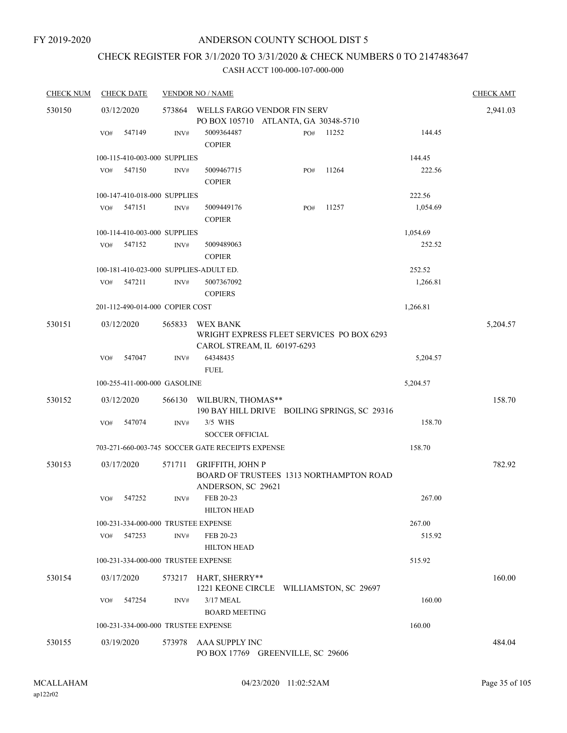# CHECK REGISTER FOR 3/1/2020 TO 3/31/2020 & CHECK NUMBERS 0 TO 2147483647

| <b>CHECK NUM</b> |     | <b>CHECK DATE</b>                   |        | <b>VENDOR NO / NAME</b>                                                                  |          | <b>CHECK AMT</b> |
|------------------|-----|-------------------------------------|--------|------------------------------------------------------------------------------------------|----------|------------------|
| 530150           |     | 03/12/2020                          | 573864 | WELLS FARGO VENDOR FIN SERV                                                              |          | 2,941.03         |
|                  |     |                                     |        | PO BOX 105710 ATLANTA, GA 30348-5710                                                     |          |                  |
|                  | VO# | 547149                              | INV#   | 5009364487<br>11252<br>PO#<br><b>COPIER</b>                                              | 144.45   |                  |
|                  |     | 100-115-410-003-000 SUPPLIES        |        |                                                                                          | 144.45   |                  |
|                  | VO# | 547150                              | INV#   | 11264<br>5009467715<br>PO#<br><b>COPIER</b>                                              | 222.56   |                  |
|                  |     | 100-147-410-018-000 SUPPLIES        |        |                                                                                          | 222.56   |                  |
|                  | VO# | 547151                              | INV#   | 11257<br>5009449176<br>PO#<br><b>COPIER</b>                                              | 1,054.69 |                  |
|                  |     | 100-114-410-003-000 SUPPLIES        |        |                                                                                          | 1,054.69 |                  |
|                  | VO# | 547152                              | INV#   | 5009489063<br><b>COPIER</b>                                                              | 252.52   |                  |
|                  |     |                                     |        | 100-181-410-023-000 SUPPLIES-ADULT ED.                                                   | 252.52   |                  |
|                  | VO# | 547211                              | INV#   | 5007367092<br><b>COPIERS</b>                                                             | 1,266.81 |                  |
|                  |     | 201-112-490-014-000 COPIER COST     |        |                                                                                          | 1,266.81 |                  |
| 530151           |     | 03/12/2020                          | 565833 | <b>WEX BANK</b><br>WRIGHT EXPRESS FLEET SERVICES PO BOX 6293                             |          | 5,204.57         |
|                  | VO# | 547047                              | INV#   | CAROL STREAM, IL 60197-6293<br>64348435<br><b>FUEL</b>                                   | 5,204.57 |                  |
|                  |     | 100-255-411-000-000 GASOLINE        |        |                                                                                          | 5,204.57 |                  |
| 530152           |     | 03/12/2020                          | 566130 | WILBURN, THOMAS**<br>190 BAY HILL DRIVE BOILING SPRINGS, SC 29316                        |          | 158.70           |
|                  | VO# | 547074                              | INV#   | 3/5 WHS<br><b>SOCCER OFFICIAL</b>                                                        | 158.70   |                  |
|                  |     |                                     |        | 703-271-660-003-745 SOCCER GATE RECEIPTS EXPENSE                                         | 158.70   |                  |
| 530153           |     | 03/17/2020                          | 571711 | <b>GRIFFITH, JOHN P</b><br>BOARD OF TRUSTEES 1313 NORTHAMPTON ROAD<br>ANDERSON, SC 29621 |          | 782.92           |
|                  | VO# | 547252                              | INV#   | FEB 20-23<br><b>HILTON HEAD</b>                                                          | 267.00   |                  |
|                  |     | 100-231-334-000-000 TRUSTEE EXPENSE |        |                                                                                          | 267.00   |                  |
|                  | VO# | 547253                              | INV#   | FEB 20-23<br><b>HILTON HEAD</b>                                                          | 515.92   |                  |
|                  |     | 100-231-334-000-000 TRUSTEE EXPENSE |        |                                                                                          | 515.92   |                  |
| 530154           |     | 03/17/2020                          |        | 573217 HART, SHERRY**<br>1221 KEONE CIRCLE WILLIAMSTON, SC 29697                         |          | 160.00           |
|                  | VO# | 547254                              | INV#   | 3/17 MEAL                                                                                | 160.00   |                  |
|                  |     |                                     |        | <b>BOARD MEETING</b>                                                                     |          |                  |
|                  |     | 100-231-334-000-000 TRUSTEE EXPENSE |        |                                                                                          | 160.00   |                  |
| 530155           |     | 03/19/2020                          | 573978 | AAA SUPPLY INC<br>PO BOX 17769 GREENVILLE, SC 29606                                      |          | 484.04           |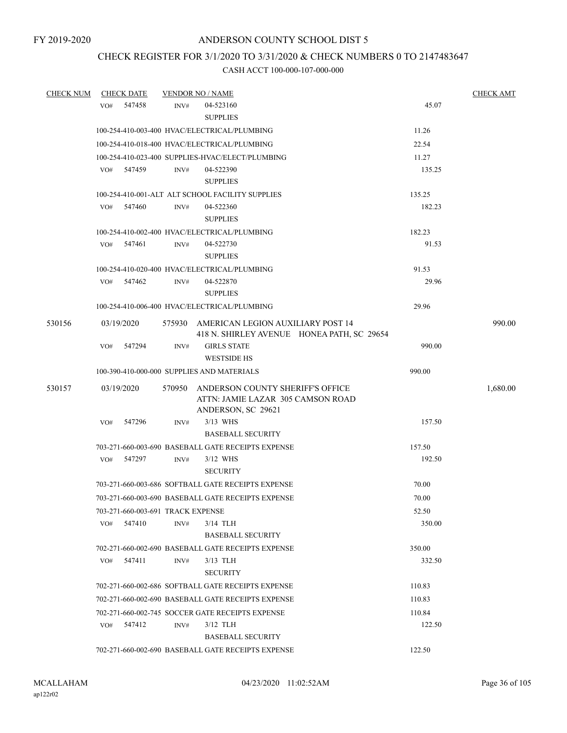## CHECK REGISTER FOR 3/1/2020 TO 3/31/2020 & CHECK NUMBERS 0 TO 2147483647

| <b>CHECK NUM</b> |     | <b>CHECK DATE</b>                            |        | <b>VENDOR NO / NAME</b>                                                                     |                  | <b>CHECK AMT</b> |
|------------------|-----|----------------------------------------------|--------|---------------------------------------------------------------------------------------------|------------------|------------------|
|                  | VO# | 547458                                       | INV#   | 04-523160<br><b>SUPPLIES</b>                                                                | 45.07            |                  |
|                  |     |                                              |        | 100-254-410-003-400 HVAC/ELECTRICAL/PLUMBING                                                | 11.26            |                  |
|                  |     | 100-254-410-018-400 HVAC/ELECTRICAL/PLUMBING | 22.54  |                                                                                             |                  |                  |
|                  |     |                                              |        | 100-254-410-023-400 SUPPLIES-HVAC/ELECT/PLUMBING                                            | 11.27            |                  |
|                  |     | VO# 547459                                   | INV#   | 04-522390<br><b>SUPPLIES</b>                                                                | 135.25           |                  |
|                  |     |                                              |        | 100-254-410-001-ALT ALT SCHOOL FACILITY SUPPLIES                                            | 135.25           |                  |
|                  | VO# | 547460                                       | INV#   | 04-522360<br><b>SUPPLIES</b>                                                                | 182.23           |                  |
|                  |     |                                              |        | 100-254-410-002-400 HVAC/ELECTRICAL/PLUMBING                                                | 182.23           |                  |
|                  | VO# | 547461                                       | INV#   | 04-522730<br><b>SUPPLIES</b>                                                                | 91.53            |                  |
|                  |     |                                              |        | 100-254-410-020-400 HVAC/ELECTRICAL/PLUMBING                                                | 91.53            |                  |
|                  |     | VO# 547462                                   | INV#   | 04-522870<br><b>SUPPLIES</b>                                                                | 29.96            |                  |
|                  |     |                                              |        | 100-254-410-006-400 HVAC/ELECTRICAL/PLUMBING                                                | 29.96            |                  |
| 530156           |     | 03/19/2020                                   |        | 575930 AMERICAN LEGION AUXILIARY POST 14<br>418 N. SHIRLEY AVENUE HONEA PATH, SC 29654      |                  | 990.00           |
|                  | VO# | 547294                                       | INV#   | <b>GIRLS STATE</b><br><b>WESTSIDE HS</b>                                                    | 990.00           |                  |
|                  |     |                                              |        | 100-390-410-000-000 SUPPLIES AND MATERIALS                                                  | 990.00           |                  |
| 530157           |     | 03/19/2020                                   | 570950 | ANDERSON COUNTY SHERIFF'S OFFICE<br>ATTN: JAMIE LAZAR 305 CAMSON ROAD<br>ANDERSON, SC 29621 |                  | 1,680.00         |
|                  | VO# | 547296                                       | INV#   | 3/13 WHS<br><b>BASEBALL SECURITY</b>                                                        | 157.50           |                  |
|                  |     |                                              |        | 703-271-660-003-690 BASEBALL GATE RECEIPTS EXPENSE                                          | 157.50           |                  |
|                  | VO# | 547297                                       | INV#   | $3/12$ WHS<br><b>SECURITY</b>                                                               | 192.50           |                  |
|                  |     |                                              |        | 703-271-660-003-686 SOFTBALL GATE RECEIPTS EXPENSE                                          | 70.00            |                  |
|                  |     |                                              |        | 703-271-660-003-690 BASEBALL GATE RECEIPTS EXPENSE                                          | 70.00            |                  |
|                  |     | 703-271-660-003-691 TRACK EXPENSE            |        |                                                                                             | 52.50            |                  |
|                  | VO# | 547410                                       | INV#   | $3/14$ TLH<br><b>BASEBALL SECURITY</b>                                                      | 350.00           |                  |
|                  |     |                                              |        | 702-271-660-002-690 BASEBALL GATE RECEIPTS EXPENSE                                          | 350.00           |                  |
|                  | VO# | 547411                                       | INV#   | $3/13$ TLH<br><b>SECURITY</b>                                                               | 332.50           |                  |
|                  |     |                                              |        | 702-271-660-002-686 SOFTBALL GATE RECEIPTS EXPENSE                                          | 110.83           |                  |
|                  |     |                                              |        | 702-271-660-002-690 BASEBALL GATE RECEIPTS EXPENSE                                          | 110.83           |                  |
|                  | VO# | 547412                                       | INV#   | 702-271-660-002-745 SOCCER GATE RECEIPTS EXPENSE<br>$3/12$ TLH                              | 110.84<br>122.50 |                  |
|                  |     |                                              |        | <b>BASEBALL SECURITY</b><br>702-271-660-002-690 BASEBALL GATE RECEIPTS EXPENSE              | 122.50           |                  |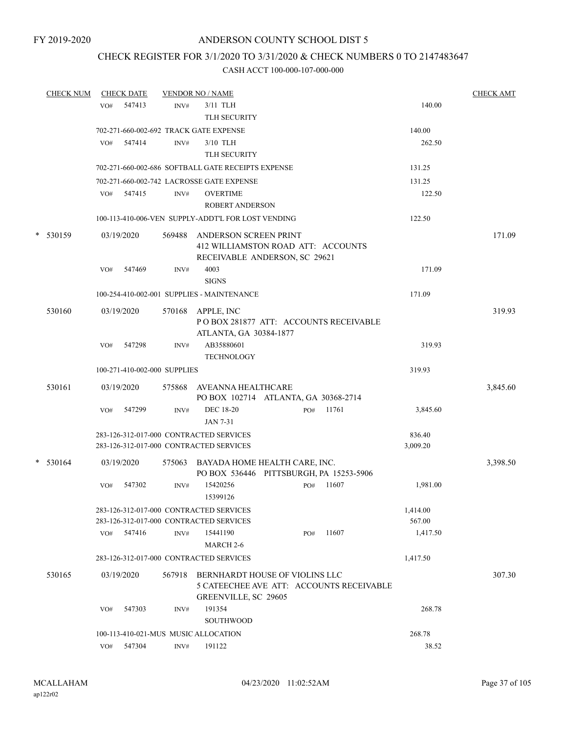## CHECK REGISTER FOR 3/1/2020 TO 3/31/2020 & CHECK NUMBERS 0 TO 2147483647

| <b>CHECK NUM</b> |     | <b>CHECK DATE</b> |                              | <b>VENDOR NO / NAME</b>                                                                            |     |       |                    | <b>CHECK AMT</b> |
|------------------|-----|-------------------|------------------------------|----------------------------------------------------------------------------------------------------|-----|-------|--------------------|------------------|
|                  | VO# | 547413            | INV#                         | 3/11 TLH                                                                                           |     |       | 140.00             |                  |
|                  |     |                   |                              | TLH SECURITY                                                                                       |     |       |                    |                  |
|                  |     |                   |                              | 702-271-660-002-692 TRACK GATE EXPENSE                                                             |     |       | 140.00             |                  |
|                  | VO# | 547414            | INV#                         | $3/10$ TLH                                                                                         |     |       | 262.50             |                  |
|                  |     |                   |                              | TLH SECURITY                                                                                       |     |       |                    |                  |
|                  |     |                   |                              | 702-271-660-002-686 SOFTBALL GATE RECEIPTS EXPENSE                                                 |     |       | 131.25             |                  |
|                  |     |                   |                              | 702-271-660-002-742 LACROSSE GATE EXPENSE                                                          |     |       | 131.25             |                  |
|                  |     | VO# 547415        | INV#                         | <b>OVERTIME</b>                                                                                    |     |       | 122.50             |                  |
|                  |     |                   |                              | <b>ROBERT ANDERSON</b>                                                                             |     |       |                    |                  |
|                  |     |                   |                              | 100-113-410-006-VEN SUPPLY-ADDT'L FOR LOST VENDING                                                 |     |       | 122.50             |                  |
| $*$ 530159       |     | 03/19/2020        | 569488                       | ANDERSON SCREEN PRINT<br>412 WILLIAMSTON ROAD ATT: ACCOUNTS<br>RECEIVABLE ANDERSON, SC 29621       |     |       |                    | 171.09           |
|                  | VO# | 547469            | INV#                         | 4003<br><b>SIGNS</b>                                                                               |     |       | 171.09             |                  |
|                  |     |                   |                              | 100-254-410-002-001 SUPPLIES - MAINTENANCE                                                         |     |       | 171.09             |                  |
| 530160           |     | 03/19/2020        | 570168                       | APPLE, INC<br>PO BOX 281877 ATT: ACCOUNTS RECEIVABLE<br>ATLANTA, GA 30384-1877                     |     |       |                    | 319.93           |
|                  | VO# | 547298            | INV#                         | AB35880601<br><b>TECHNOLOGY</b>                                                                    |     |       | 319.93             |                  |
|                  |     |                   | 100-271-410-002-000 SUPPLIES |                                                                                                    |     |       | 319.93             |                  |
| 530161           |     | 03/19/2020        |                              | 575868 AVEANNA HEALTHCARE<br>PO BOX 102714 ATLANTA, GA 30368-2714                                  |     |       |                    | 3,845.60         |
|                  | VO# | 547299            | INV#                         | <b>DEC 18-20</b><br>JAN 7-31                                                                       | PO# | 11761 | 3,845.60           |                  |
|                  |     |                   |                              | 283-126-312-017-000 CONTRACTED SERVICES                                                            |     |       | 836.40             |                  |
|                  |     |                   |                              | 283-126-312-017-000 CONTRACTED SERVICES                                                            |     |       | 3,009.20           |                  |
| $*$ 530164       |     | 03/19/2020        | 575063                       | BAYADA HOME HEALTH CARE, INC.<br>PO BOX 536446 PITTSBURGH, PA 15253-5906                           |     |       |                    | 3,398.50         |
|                  | VO# | 547302            | INV#                         | 15420256<br>15399126                                                                               | PO# | 11607 | 1,981.00           |                  |
|                  |     |                   |                              | 283-126-312-017-000 CONTRACTED SERVICES<br>283-126-312-017-000 CONTRACTED SERVICES                 |     |       | 1,414.00<br>567.00 |                  |
|                  |     | VO# 547416        | INV#                         | 15441190                                                                                           | PO# | 11607 | 1,417.50           |                  |
|                  |     |                   |                              | MARCH <sub>2-6</sub>                                                                               |     |       |                    |                  |
|                  |     |                   |                              | 283-126-312-017-000 CONTRACTED SERVICES                                                            |     |       | 1,417.50           |                  |
| 530165           |     | 03/19/2020        | 567918                       | BERNHARDT HOUSE OF VIOLINS LLC<br>5 CATEECHEE AVE ATT: ACCOUNTS RECEIVABLE<br>GREENVILLE, SC 29605 |     |       |                    | 307.30           |
|                  | VO# | 547303            | INV#                         | 191354<br><b>SOUTHWOOD</b>                                                                         |     |       | 268.78             |                  |
|                  |     |                   |                              | 100-113-410-021-MUS MUSIC ALLOCATION                                                               |     |       | 268.78             |                  |
|                  | VO# | 547304            | INV#                         | 191122                                                                                             |     |       | 38.52              |                  |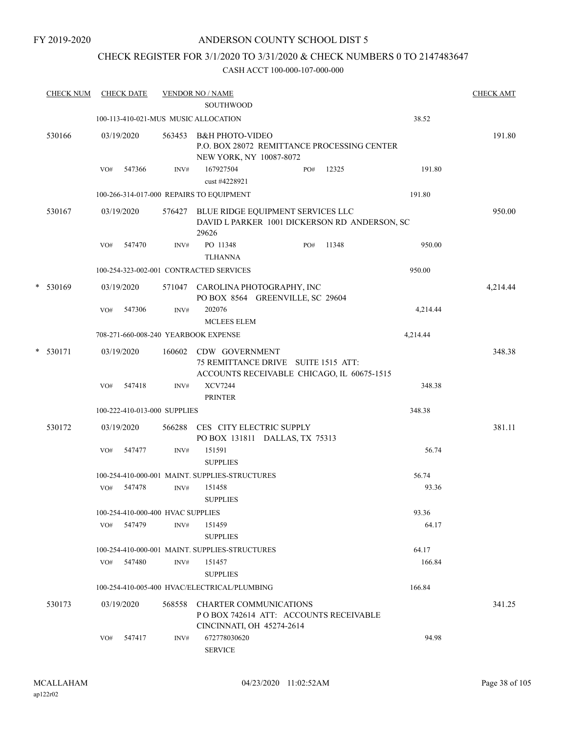## CHECK REGISTER FOR 3/1/2020 TO 3/31/2020 & CHECK NUMBERS 0 TO 2147483647

| <b>CHECK NUM</b> |     | <b>CHECK DATE</b>                 |        | <b>VENDOR NO / NAME</b><br><b>SOUTHWOOD</b>                                                          |     |       |                | <b>CHECK AMT</b> |
|------------------|-----|-----------------------------------|--------|------------------------------------------------------------------------------------------------------|-----|-------|----------------|------------------|
|                  |     |                                   |        | 100-113-410-021-MUS MUSIC ALLOCATION                                                                 |     |       | 38.52          |                  |
| 530166           |     | 03/19/2020                        | 563453 | <b>B&amp;H PHOTO-VIDEO</b><br>P.O. BOX 28072 REMITTANCE PROCESSING CENTER<br>NEW YORK, NY 10087-8072 |     |       |                | 191.80           |
|                  | VO# | 547366                            | INV#   | 167927504<br>cust #4228921                                                                           | PO# | 12325 | 191.80         |                  |
|                  |     |                                   |        | 100-266-314-017-000 REPAIRS TO EQUIPMENT                                                             |     |       | 191.80         |                  |
| 530167           |     | 03/19/2020                        | 576427 | BLUE RIDGE EQUIPMENT SERVICES LLC<br>DAVID L PARKER 1001 DICKERSON RD ANDERSON, SC<br>29626          |     |       |                | 950.00           |
|                  | VO# | 547470                            | INV#   | PO 11348<br><b>TLHANNA</b>                                                                           | PO# | 11348 | 950.00         |                  |
|                  |     |                                   |        | 100-254-323-002-001 CONTRACTED SERVICES                                                              |     |       | 950.00         |                  |
| $*$ 530169       |     | 03/19/2020                        |        | 571047 CAROLINA PHOTOGRAPHY, INC<br>PO BOX 8564 GREENVILLE, SC 29604                                 |     |       |                | 4,214.44         |
|                  | VO# | 547306                            | INV#   | 202076<br><b>MCLEES ELEM</b>                                                                         |     |       | 4,214.44       |                  |
|                  |     |                                   |        | 708-271-660-008-240 YEARBOOK EXPENSE                                                                 |     |       | 4,214.44       |                  |
| $*$ 530171       |     | 03/19/2020                        |        | 160602 CDW GOVERNMENT<br>75 REMITTANCE DRIVE SUITE 1515 ATT:                                         |     |       |                | 348.38           |
|                  | VO# | 547418                            | INV#   | ACCOUNTS RECEIVABLE CHICAGO, IL 60675-1515<br><b>XCV7244</b><br><b>PRINTER</b>                       |     |       | 348.38         |                  |
|                  |     | 100-222-410-013-000 SUPPLIES      |        |                                                                                                      |     |       | 348.38         |                  |
| 530172           |     | 03/19/2020                        | 566288 | CES CITY ELECTRIC SUPPLY<br>PO BOX 131811 DALLAS, TX 75313                                           |     |       |                | 381.11           |
|                  | VO# | 547477                            | INV#   | 151591<br><b>SUPPLIES</b>                                                                            |     |       | 56.74          |                  |
|                  | VO# | 547478                            | INV#   | 100-254-410-000-001 MAINT. SUPPLIES-STRUCTURES<br>151458<br><b>SUPPLIES</b>                          |     |       | 56.74<br>93.36 |                  |
|                  |     | 100-254-410-000-400 HVAC SUPPLIES |        |                                                                                                      |     |       | 93.36          |                  |
|                  |     | VO# 547479                        | INV#   | 151459<br><b>SUPPLIES</b>                                                                            |     |       | 64.17          |                  |
|                  |     |                                   |        | 100-254-410-000-001 MAINT. SUPPLIES-STRUCTURES                                                       |     |       | 64.17          |                  |
|                  |     | VO# 547480                        | INV#   | 151457<br><b>SUPPLIES</b>                                                                            |     |       | 166.84         |                  |
|                  |     |                                   |        | 100-254-410-005-400 HVAC/ELECTRICAL/PLUMBING                                                         |     |       | 166.84         |                  |
| 530173           |     | 03/19/2020                        |        | 568558 CHARTER COMMUNICATIONS<br>PO BOX 742614 ATT: ACCOUNTS RECEIVABLE<br>CINCINNATI, OH 45274-2614 |     |       |                | 341.25           |
|                  | VO# | 547417                            | INV#   | 672778030620<br><b>SERVICE</b>                                                                       |     |       | 94.98          |                  |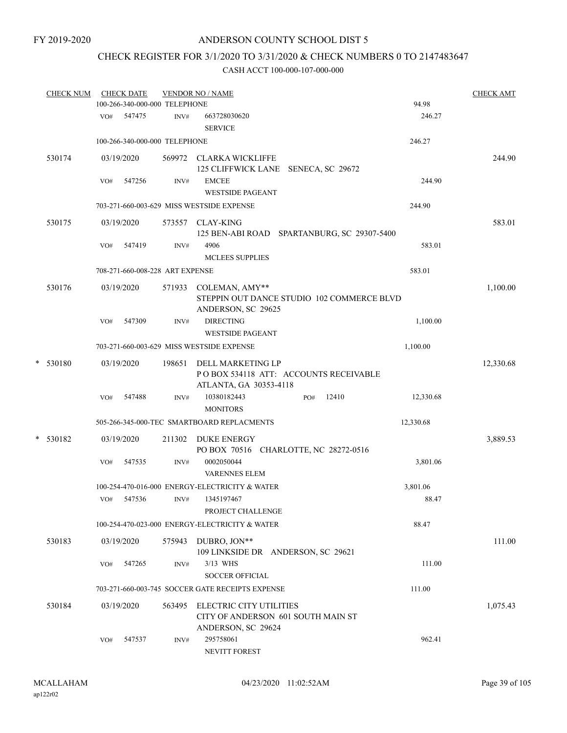## CHECK REGISTER FOR 3/1/2020 TO 3/31/2020 & CHECK NUMBERS 0 TO 2147483647

|   | <b>CHECK NUM</b> |     | <b>CHECK DATE</b> | 100-266-340-000-000 TELEPHONE   | <b>VENDOR NO / NAME</b>                                                              |                  | 94.98     | <b>CHECK AMT</b> |
|---|------------------|-----|-------------------|---------------------------------|--------------------------------------------------------------------------------------|------------------|-----------|------------------|
|   |                  | VO# | 547475            | INV#                            | 663728030620<br><b>SERVICE</b>                                                       |                  | 246.27    |                  |
|   |                  |     |                   | 100-266-340-000-000 TELEPHONE   |                                                                                      |                  | 246.27    |                  |
|   | 530174           |     | 03/19/2020        |                                 | 569972 CLARKA WICKLIFFE<br><b>125 CLIFFWICK LANE</b>                                 | SENECA, SC 29672 |           | 244.90           |
|   |                  | VO# | 547256            | INV#                            | <b>EMCEE</b><br><b>WESTSIDE PAGEANT</b>                                              |                  | 244.90    |                  |
|   |                  |     |                   |                                 | 703-271-660-003-629 MISS WESTSIDE EXPENSE                                            |                  | 244.90    |                  |
|   | 530175           |     | 03/19/2020        | 573557                          | CLAY-KING<br>125 BEN-ABI ROAD SPARTANBURG, SC 29307-5400                             |                  |           | 583.01           |
|   |                  | VO# | 547419            | INV#                            | 4906<br><b>MCLEES SUPPLIES</b>                                                       |                  | 583.01    |                  |
|   |                  |     |                   | 708-271-660-008-228 ART EXPENSE |                                                                                      |                  | 583.01    |                  |
|   | 530176           |     | 03/19/2020        | 571933                          | COLEMAN, AMY**<br>STEPPIN OUT DANCE STUDIO 102 COMMERCE BLVD<br>ANDERSON, SC 29625   |                  |           | 1,100.00         |
|   |                  | VO# | 547309            | INV#                            | <b>DIRECTING</b><br><b>WESTSIDE PAGEANT</b>                                          |                  | 1,100.00  |                  |
|   |                  |     |                   |                                 | 703-271-660-003-629 MISS WESTSIDE EXPENSE                                            |                  | 1,100.00  |                  |
| * | 530180           |     | 03/19/2020        | 198651                          | DELL MARKETING LP<br>POBOX 534118 ATT: ACCOUNTS RECEIVABLE<br>ATLANTA, GA 30353-4118 |                  |           | 12,330.68        |
|   |                  | VO# | 547488            | INV#                            | 10380182443<br><b>MONITORS</b>                                                       | 12410<br>PO#     | 12,330.68 |                  |
|   |                  |     |                   |                                 | 505-266-345-000-TEC SMARTBOARD REPLACMENTS                                           |                  | 12,330.68 |                  |
|   | * 530182         |     | 03/19/2020        | 211302                          | <b>DUKE ENERGY</b><br>PO BOX 70516 CHARLOTTE, NC 28272-0516                          |                  |           | 3,889.53         |
|   |                  | VO# | 547535            | INV#                            | 0002050044<br><b>VARENNES ELEM</b>                                                   |                  | 3,801.06  |                  |
|   |                  |     |                   |                                 | 100-254-470-016-000 ENERGY-ELECTRICITY & WATER                                       |                  | 3,801.06  |                  |
|   |                  | VO# | 547536            | INV#                            | 1345197467<br>PROJECT CHALLENGE                                                      |                  | 88.47     |                  |
|   |                  |     |                   |                                 | 100-254-470-023-000 ENERGY-ELECTRICITY & WATER                                       |                  | 88.47     |                  |
|   | 530183           |     | 03/19/2020        |                                 | 575943 DUBRO, JON**<br>109 LINKSIDE DR ANDERSON, SC 29621                            |                  |           | 111.00           |
|   |                  | VO# | 547265            | INV#                            | 3/13 WHS<br><b>SOCCER OFFICIAL</b>                                                   |                  | 111.00    |                  |
|   |                  |     |                   |                                 | 703-271-660-003-745 SOCCER GATE RECEIPTS EXPENSE                                     |                  | 111.00    |                  |
|   | 530184           |     | 03/19/2020        | 563495                          | ELECTRIC CITY UTILITIES<br>CITY OF ANDERSON 601 SOUTH MAIN ST<br>ANDERSON, SC 29624  |                  |           | 1,075.43         |
|   |                  | VO# | 547537            | INV#                            | 295758061<br>NEVITT FOREST                                                           |                  | 962.41    |                  |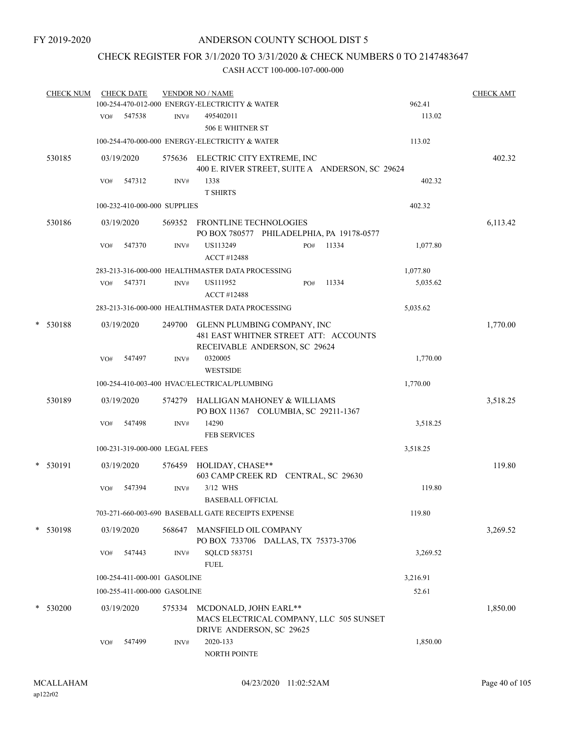## CHECK REGISTER FOR 3/1/2020 TO 3/31/2020 & CHECK NUMBERS 0 TO 2147483647

|           | <b>CHECK NUM</b> |     | <b>CHECK DATE</b>              |        | <b>VENDOR NO / NAME</b><br>100-254-470-012-000 ENERGY-ELECTRICITY & WATER                             |     |       | 962.41   | <b>CHECK AMT</b> |
|-----------|------------------|-----|--------------------------------|--------|-------------------------------------------------------------------------------------------------------|-----|-------|----------|------------------|
|           |                  | VO# | 547538                         | INV#   | 495402011<br>506 E WHITNER ST                                                                         |     |       | 113.02   |                  |
|           |                  |     |                                |        | 100-254-470-000-000 ENERGY-ELECTRICITY & WATER                                                        |     |       | 113.02   |                  |
|           | 530185           |     | 03/19/2020                     |        | 575636 ELECTRIC CITY EXTREME, INC<br>400 E. RIVER STREET, SUITE A ANDERSON, SC 29624                  |     |       |          | 402.32           |
|           |                  | VO# | 547312                         | INV#   | 1338<br><b>T SHIRTS</b>                                                                               |     |       | 402.32   |                  |
|           |                  |     | 100-232-410-000-000 SUPPLIES   |        |                                                                                                       |     |       | 402.32   |                  |
|           | 530186           |     | 03/19/2020                     |        | 569352 FRONTLINE TECHNOLOGIES<br>PO BOX 780577 PHILADELPHIA, PA 19178-0577                            |     |       |          | 6,113.42         |
|           |                  | VO# | 547370                         | INV#   | US113249<br><b>ACCT #12488</b>                                                                        | PO# | 11334 | 1,077.80 |                  |
|           |                  |     |                                |        | 283-213-316-000-000 HEALTHMASTER DATA PROCESSING                                                      |     |       | 1,077.80 |                  |
|           |                  | VO# | 547371                         | INV#   | US111952<br>ACCT #12488                                                                               | PO# | 11334 | 5,035.62 |                  |
|           |                  |     |                                |        | 283-213-316-000-000 HEALTHMASTER DATA PROCESSING                                                      |     |       | 5,035.62 |                  |
| $^{\ast}$ | 530188           |     | 03/19/2020                     | 249700 | GLENN PLUMBING COMPANY, INC<br>481 EAST WHITNER STREET ATT: ACCOUNTS<br>RECEIVABLE ANDERSON, SC 29624 |     |       |          | 1,770.00         |
|           |                  | VO# | 547497                         | INV#   | 0320005<br><b>WESTSIDE</b>                                                                            |     |       | 1,770.00 |                  |
|           |                  |     |                                |        | 100-254-410-003-400 HVAC/ELECTRICAL/PLUMBING                                                          |     |       | 1,770.00 |                  |
|           | 530189           |     | 03/19/2020                     | 574279 | HALLIGAN MAHONEY & WILLIAMS<br>PO BOX 11367 COLUMBIA, SC 29211-1367                                   |     |       |          | 3,518.25         |
|           |                  | VO# | 547498                         | INV#   | 14290<br><b>FEB SERVICES</b>                                                                          |     |       | 3,518.25 |                  |
|           |                  |     | 100-231-319-000-000 LEGAL FEES |        |                                                                                                       |     |       | 3,518.25 |                  |
|           | $*$ 530191       |     | 03/19/2020                     | 576459 | HOLIDAY, CHASE**<br>603 CAMP CREEK RD CENTRAL, SC 29630                                               |     |       |          | 119.80           |
|           |                  | VO# | 547394                         | INV#   | 3/12 WHS<br><b>BASEBALL OFFICIAL</b>                                                                  |     |       | 119.80   |                  |
|           |                  |     |                                |        | 703-271-660-003-690 BASEBALL GATE RECEIPTS EXPENSE                                                    |     |       | 119.80   |                  |
|           | * 530198         |     | 03/19/2020                     | 568647 | MANSFIELD OIL COMPANY<br>PO BOX 733706 DALLAS, TX 75373-3706                                          |     |       |          | 3,269.52         |
|           |                  | VO# | 547443                         | INV#   | <b>SQLCD 583751</b><br><b>FUEL</b>                                                                    |     |       | 3,269.52 |                  |
|           |                  |     | 100-254-411-000-001 GASOLINE   |        |                                                                                                       |     |       | 3,216.91 |                  |
|           |                  |     | 100-255-411-000-000 GASOLINE   |        |                                                                                                       |     |       | 52.61    |                  |
|           | $*$ 530200       |     | 03/19/2020                     | 575334 | MCDONALD, JOHN EARL**<br>MACS ELECTRICAL COMPANY, LLC 505 SUNSET<br>DRIVE ANDERSON, SC 29625          |     |       |          | 1,850.00         |
|           |                  | VO# | 547499                         | INV#   | 2020-133<br>NORTH POINTE                                                                              |     |       | 1,850.00 |                  |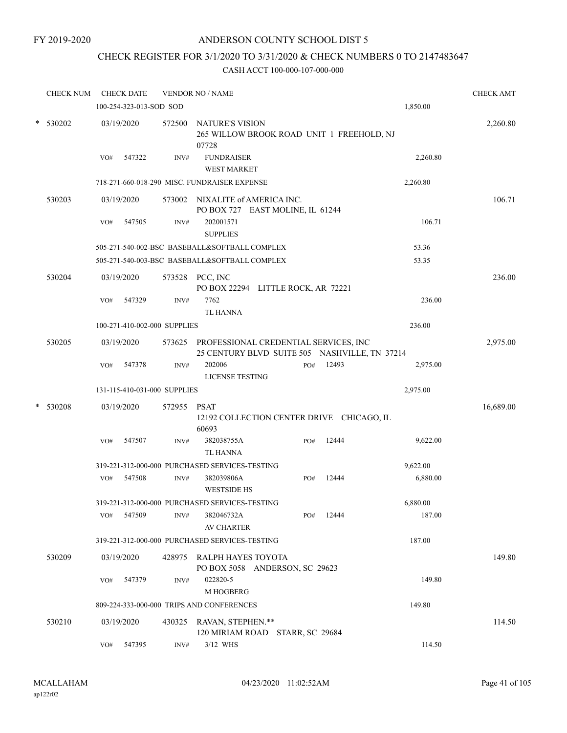## ANDERSON COUNTY SCHOOL DIST 5

## CHECK REGISTER FOR 3/1/2020 TO 3/31/2020 & CHECK NUMBERS 0 TO 2147483647

| <b>CHECK NUM</b> |     | <b>CHECK DATE</b>       |                              | <b>VENDOR NO / NAME</b>                                                                       |     |       |          | <b>CHECK AMT</b> |
|------------------|-----|-------------------------|------------------------------|-----------------------------------------------------------------------------------------------|-----|-------|----------|------------------|
|                  |     | 100-254-323-013-SOD SOD |                              |                                                                                               |     |       | 1,850.00 |                  |
| * 530202         |     | 03/19/2020              | 572500                       | NATURE'S VISION<br>265 WILLOW BROOK ROAD UNIT 1 FREEHOLD, NJ<br>07728                         |     |       |          | 2,260.80         |
|                  | VO# | 547322                  | INV#                         | <b>FUNDRAISER</b><br><b>WEST MARKET</b>                                                       |     |       | 2,260.80 |                  |
|                  |     |                         |                              | 718-271-660-018-290 MISC. FUNDRAISER EXPENSE                                                  |     |       | 2,260.80 |                  |
| 530203           |     | 03/19/2020              | 573002                       | NIXALITE of AMERICA INC.<br>PO BOX 727 EAST MOLINE, IL 61244                                  |     |       |          | 106.71           |
|                  | VO# | 547505                  | INV#                         | 202001571<br><b>SUPPLIES</b>                                                                  |     |       | 106.71   |                  |
|                  |     |                         |                              | 505-271-540-002-BSC BASEBALL&SOFTBALL COMPLEX                                                 |     |       | 53.36    |                  |
|                  |     |                         |                              | 505-271-540-003-BSC BASEBALL&SOFTBALL COMPLEX                                                 |     |       | 53.35    |                  |
| 530204           |     | 03/19/2020              |                              | 573528 PCC, INC<br>PO BOX 22294 LITTLE ROCK, AR 72221                                         |     |       |          | 236.00           |
|                  | VO# | 547329                  | INV#                         | 7762<br><b>TL HANNA</b>                                                                       |     |       | 236.00   |                  |
|                  |     |                         | 100-271-410-002-000 SUPPLIES |                                                                                               |     |       | 236.00   |                  |
| 530205           |     | 03/19/2020              |                              | 573625 PROFESSIONAL CREDENTIAL SERVICES, INC<br>25 CENTURY BLVD SUITE 505 NASHVILLE, TN 37214 |     |       |          | 2,975.00         |
|                  | VO# | 547378                  | INV#                         | 202006<br><b>LICENSE TESTING</b>                                                              | PO# | 12493 | 2,975.00 |                  |
|                  |     |                         | 131-115-410-031-000 SUPPLIES |                                                                                               |     |       | 2,975.00 |                  |
| * 530208         |     | 03/19/2020              | 572955                       | <b>PSAT</b><br>12192 COLLECTION CENTER DRIVE CHICAGO, IL<br>60693                             |     |       |          | 16,689.00        |
|                  | VO# | 547507                  | INV#                         | 382038755A<br><b>TL HANNA</b>                                                                 | PO# | 12444 | 9,622.00 |                  |
|                  |     |                         |                              | 319-221-312-000-000 PURCHASED SERVICES-TESTING                                                |     |       | 9,622.00 |                  |
|                  | VO# | 547508                  | INV#                         | 382039806A<br><b>WESTSIDE HS</b>                                                              | PO# | 12444 | 6,880.00 |                  |
|                  |     |                         |                              | 319-221-312-000-000 PURCHASED SERVICES-TESTING                                                |     |       | 6,880.00 |                  |
|                  | VO# | 547509                  | INV#                         | 382046732A<br><b>AV CHARTER</b>                                                               | PO# | 12444 | 187.00   |                  |
|                  |     |                         |                              | 319-221-312-000-000 PURCHASED SERVICES-TESTING                                                |     |       | 187.00   |                  |
| 530209           |     | 03/19/2020              | 428975                       | RALPH HAYES TOYOTA<br>PO BOX 5058 ANDERSON, SC 29623                                          |     |       |          | 149.80           |
|                  | VO# | 547379                  | INV#                         | 022820-5<br>M HOGBERG                                                                         |     |       | 149.80   |                  |
|                  |     |                         |                              | 809-224-333-000-000 TRIPS AND CONFERENCES                                                     |     |       | 149.80   |                  |
| 530210           |     | 03/19/2020              |                              | 430325 RAVAN, STEPHEN.**<br>120 MIRIAM ROAD STARR, SC 29684                                   |     |       |          | 114.50           |
|                  | VO# | 547395                  | INV#                         | 3/12 WHS                                                                                      |     |       | 114.50   |                  |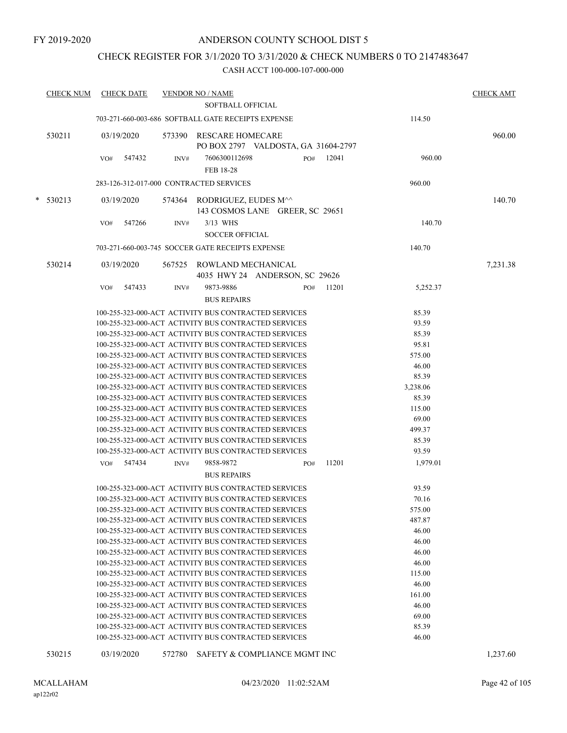## CHECK REGISTER FOR 3/1/2020 TO 3/31/2020 & CHECK NUMBERS 0 TO 2147483647

| <b>CHECK NUM</b> |     | <b>CHECK DATE</b> |        | <b>VENDOR NO / NAME</b>                                        |     |       |          | <b>CHECK AMT</b> |
|------------------|-----|-------------------|--------|----------------------------------------------------------------|-----|-------|----------|------------------|
|                  |     |                   |        | SOFTBALL OFFICIAL                                              |     |       |          |                  |
|                  |     |                   |        | 703-271-660-003-686 SOFTBALL GATE RECEIPTS EXPENSE             |     |       | 114.50   |                  |
| 530211           |     | 03/19/2020        |        | 573390 RESCARE HOMECARE<br>PO BOX 2797 VALDOSTA, GA 31604-2797 |     |       |          | 960.00           |
|                  | VO# | 547432            | INV#   | 7606300112698                                                  | PO# | 12041 | 960.00   |                  |
|                  |     |                   |        | FEB 18-28                                                      |     |       |          |                  |
|                  |     |                   |        | 283-126-312-017-000 CONTRACTED SERVICES                        |     |       | 960.00   |                  |
|                  |     |                   |        |                                                                |     |       |          |                  |
| $* 530213$       |     | 03/19/2020        |        | 574364 RODRIGUEZ, EUDES M^^<br>143 COSMOS LANE GREER, SC 29651 |     |       |          | 140.70           |
|                  | VO# | 547266            | INV#   | 3/13 WHS                                                       |     |       | 140.70   |                  |
|                  |     |                   |        | <b>SOCCER OFFICIAL</b>                                         |     |       |          |                  |
|                  |     |                   |        | 703-271-660-003-745 SOCCER GATE RECEIPTS EXPENSE               |     |       | 140.70   |                  |
|                  |     |                   |        |                                                                |     |       |          |                  |
| 530214           |     | 03/19/2020        |        | 567525 ROWLAND MECHANICAL                                      |     |       |          | 7,231.38         |
|                  |     |                   |        | 4035 HWY 24 ANDERSON, SC 29626                                 |     |       |          |                  |
|                  | VO# | 547433            | INV#   | 9873-9886                                                      | PO# | 11201 | 5,252.37 |                  |
|                  |     |                   |        | <b>BUS REPAIRS</b>                                             |     |       |          |                  |
|                  |     |                   |        | 100-255-323-000-ACT ACTIVITY BUS CONTRACTED SERVICES           |     |       | 85.39    |                  |
|                  |     |                   |        | 100-255-323-000-ACT ACTIVITY BUS CONTRACTED SERVICES           |     |       | 93.59    |                  |
|                  |     |                   |        | 100-255-323-000-ACT ACTIVITY BUS CONTRACTED SERVICES           |     |       | 85.39    |                  |
|                  |     |                   |        | 100-255-323-000-ACT ACTIVITY BUS CONTRACTED SERVICES           |     |       | 95.81    |                  |
|                  |     |                   |        | 100-255-323-000-ACT ACTIVITY BUS CONTRACTED SERVICES           |     |       | 575.00   |                  |
|                  |     |                   |        | 100-255-323-000-ACT ACTIVITY BUS CONTRACTED SERVICES           |     |       | 46.00    |                  |
|                  |     |                   |        | 100-255-323-000-ACT ACTIVITY BUS CONTRACTED SERVICES           |     |       | 85.39    |                  |
|                  |     |                   |        | 100-255-323-000-ACT ACTIVITY BUS CONTRACTED SERVICES           |     |       | 3,238.06 |                  |
|                  |     |                   |        | 100-255-323-000-ACT ACTIVITY BUS CONTRACTED SERVICES           |     |       | 85.39    |                  |
|                  |     |                   |        | 100-255-323-000-ACT ACTIVITY BUS CONTRACTED SERVICES           |     |       | 115.00   |                  |
|                  |     |                   |        | 100-255-323-000-ACT ACTIVITY BUS CONTRACTED SERVICES           |     |       | 69.00    |                  |
|                  |     |                   |        | 100-255-323-000-ACT ACTIVITY BUS CONTRACTED SERVICES           |     |       | 499.37   |                  |
|                  |     |                   |        | 100-255-323-000-ACT ACTIVITY BUS CONTRACTED SERVICES           |     |       | 85.39    |                  |
|                  |     |                   |        | 100-255-323-000-ACT ACTIVITY BUS CONTRACTED SERVICES           |     |       | 93.59    |                  |
|                  |     | VO# 547434        | INV#   | 9858-9872                                                      | PO# | 11201 | 1,979.01 |                  |
|                  |     |                   |        | <b>BUS REPAIRS</b>                                             |     |       |          |                  |
|                  |     |                   |        | 100-255-323-000-ACT ACTIVITY BUS CONTRACTED SERVICES           |     |       | 93.59    |                  |
|                  |     |                   |        | 100-255-323-000-ACT ACTIVITY BUS CONTRACTED SERVICES           |     |       | 70.16    |                  |
|                  |     |                   |        | 100-255-323-000-ACT ACTIVITY BUS CONTRACTED SERVICES           |     |       | 575.00   |                  |
|                  |     |                   |        | 100-255-323-000-ACT ACTIVITY BUS CONTRACTED SERVICES           |     |       | 487.87   |                  |
|                  |     |                   |        | 100-255-323-000-ACT ACTIVITY BUS CONTRACTED SERVICES           |     |       | 46.00    |                  |
|                  |     |                   |        | 100-255-323-000-ACT ACTIVITY BUS CONTRACTED SERVICES           |     |       | 46.00    |                  |
|                  |     |                   |        | 100-255-323-000-ACT ACTIVITY BUS CONTRACTED SERVICES           |     |       | 46.00    |                  |
|                  |     |                   |        | 100-255-323-000-ACT ACTIVITY BUS CONTRACTED SERVICES           |     |       | 46.00    |                  |
|                  |     |                   |        | 100-255-323-000-ACT ACTIVITY BUS CONTRACTED SERVICES           |     |       | 115.00   |                  |
|                  |     |                   |        | 100-255-323-000-ACT ACTIVITY BUS CONTRACTED SERVICES           |     |       | 46.00    |                  |
|                  |     |                   |        | 100-255-323-000-ACT ACTIVITY BUS CONTRACTED SERVICES           |     |       | 161.00   |                  |
|                  |     |                   |        | 100-255-323-000-ACT ACTIVITY BUS CONTRACTED SERVICES           |     |       | 46.00    |                  |
|                  |     |                   |        | 100-255-323-000-ACT ACTIVITY BUS CONTRACTED SERVICES           |     |       | 69.00    |                  |
|                  |     |                   |        | 100-255-323-000-ACT ACTIVITY BUS CONTRACTED SERVICES           |     |       | 85.39    |                  |
|                  |     |                   |        | 100-255-323-000-ACT ACTIVITY BUS CONTRACTED SERVICES           |     |       | 46.00    |                  |
| 530215           |     | 03/19/2020        | 572780 | SAFETY & COMPLIANCE MGMT INC                                   |     |       |          | 1,237.60         |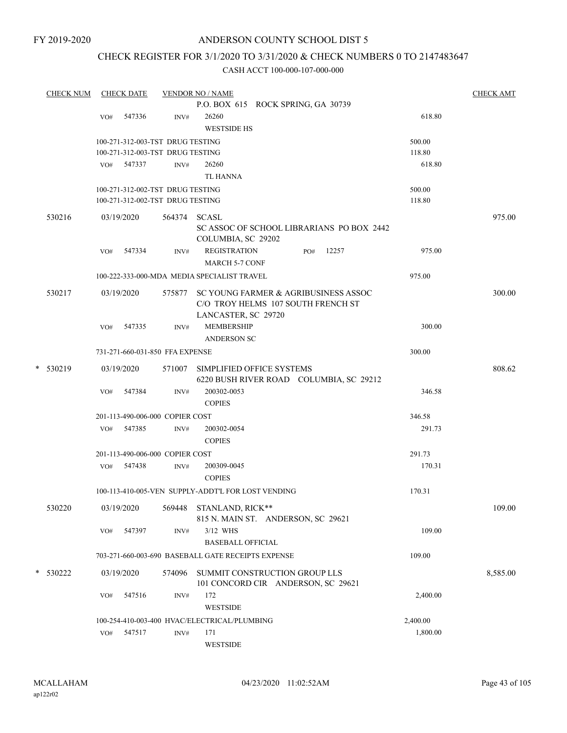## ANDERSON COUNTY SCHOOL DIST 5

## CHECK REGISTER FOR 3/1/2020 TO 3/31/2020 & CHECK NUMBERS 0 TO 2147483647

| <b>CHECK NUM</b> | <b>CHECK DATE</b>                |                | <b>VENDOR NO / NAME</b>                            |          | <b>CHECK AMT</b> |
|------------------|----------------------------------|----------------|----------------------------------------------------|----------|------------------|
|                  |                                  |                | P.O. BOX 615 ROCK SPRING, GA 30739                 |          |                  |
|                  | 547336<br>VO#                    | $\text{INV}\#$ | 26260                                              | 618.80   |                  |
|                  |                                  |                | <b>WESTSIDE HS</b>                                 |          |                  |
|                  | 100-271-312-003-TST DRUG TESTING |                |                                                    | 500.00   |                  |
|                  | 100-271-312-003-TST DRUG TESTING |                |                                                    | 118.80   |                  |
|                  | VO# 547337                       | INV#           | 26260                                              | 618.80   |                  |
|                  |                                  |                | <b>TL HANNA</b>                                    |          |                  |
|                  | 100-271-312-002-TST DRUG TESTING |                |                                                    | 500.00   |                  |
|                  | 100-271-312-002-TST DRUG TESTING |                |                                                    | 118.80   |                  |
| 530216           | 03/19/2020                       | 564374         | <b>SCASL</b>                                       |          | 975.00           |
|                  |                                  |                | SC ASSOC OF SCHOOL LIBRARIANS PO BOX 2442          |          |                  |
|                  |                                  |                | COLUMBIA, SC 29202                                 |          |                  |
|                  | 547334<br>VO#                    | INV#           | <b>REGISTRATION</b><br>12257<br>PO#                | 975.00   |                  |
|                  |                                  |                | <b>MARCH 5-7 CONF</b>                              |          |                  |
|                  |                                  |                | 100-222-333-000-MDA MEDIA SPECIALIST TRAVEL        | 975.00   |                  |
| 530217           | 03/19/2020                       | 575877         | SC YOUNG FARMER & AGRIBUSINESS ASSOC               |          | 300.00           |
|                  |                                  |                | C/O TROY HELMS 107 SOUTH FRENCH ST                 |          |                  |
|                  |                                  |                | LANCASTER, SC 29720                                |          |                  |
|                  | 547335<br>VO#                    | INV#           | MEMBERSHIP                                         | 300.00   |                  |
|                  |                                  |                | <b>ANDERSON SC</b>                                 |          |                  |
|                  | 731-271-660-031-850 FFA EXPENSE  |                |                                                    | 300.00   |                  |
| $\ast$<br>530219 | 03/19/2020                       |                | 571007 SIMPLIFIED OFFICE SYSTEMS                   |          | 808.62           |
|                  |                                  |                | 6220 BUSH RIVER ROAD COLUMBIA, SC 29212            |          |                  |
|                  | 547384<br>VO#                    | INV#           | 200302-0053                                        | 346.58   |                  |
|                  |                                  |                | <b>COPIES</b>                                      |          |                  |
|                  | 201-113-490-006-000 COPIER COST  |                |                                                    | 346.58   |                  |
|                  | VO# 547385                       | INV#           | 200302-0054                                        | 291.73   |                  |
|                  |                                  |                | <b>COPIES</b>                                      |          |                  |
|                  | 201-113-490-006-000 COPIER COST  |                |                                                    | 291.73   |                  |
|                  | 547438<br>VO#                    | INV#           | 200309-0045                                        | 170.31   |                  |
|                  |                                  |                | <b>COPIES</b>                                      |          |                  |
|                  |                                  |                | 100-113-410-005-VEN SUPPLY-ADDT'L FOR LOST VENDING | 170.31   |                  |
|                  |                                  |                |                                                    |          |                  |
| 530220           | 03/19/2020                       | 569448         | STANLAND, RICK**                                   |          | 109.00           |
|                  |                                  |                | 815 N. MAIN ST. ANDERSON, SC 29621                 |          |                  |
|                  | 547397<br>VO#                    | INV#           | 3/12 WHS                                           | 109.00   |                  |
|                  |                                  |                | <b>BASEBALL OFFICIAL</b>                           |          |                  |
|                  |                                  |                | 703-271-660-003-690 BASEBALL GATE RECEIPTS EXPENSE | 109.00   |                  |
| * 530222         | 03/19/2020                       | 574096         | SUMMIT CONSTRUCTION GROUP LLS                      |          | 8,585.00         |
|                  |                                  |                | 101 CONCORD CIR ANDERSON, SC 29621                 |          |                  |
|                  | VO#<br>547516                    | INV#           | 172                                                | 2,400.00 |                  |
|                  |                                  |                | <b>WESTSIDE</b>                                    |          |                  |
|                  |                                  |                | 100-254-410-003-400 HVAC/ELECTRICAL/PLUMBING       | 2,400.00 |                  |
|                  | 547517<br>VO#                    | INV#           | 171                                                | 1,800.00 |                  |
|                  |                                  |                | WESTSIDE                                           |          |                  |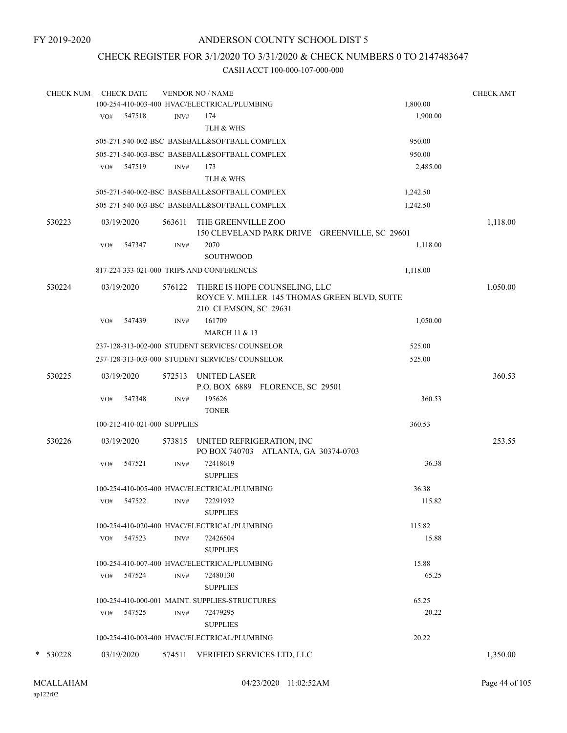## CHECK REGISTER FOR 3/1/2020 TO 3/31/2020 & CHECK NUMBERS 0 TO 2147483647

| <b>CHECK NUM</b> | <b>CHECK DATE</b>            |        | <b>VENDOR NO / NAME</b>                                                                                |          | <b>CHECK AMT</b> |
|------------------|------------------------------|--------|--------------------------------------------------------------------------------------------------------|----------|------------------|
|                  |                              |        | 100-254-410-003-400 HVAC/ELECTRICAL/PLUMBING                                                           | 1,800.00 |                  |
|                  | VO# 547518                   | INV#   | 174                                                                                                    | 1,900.00 |                  |
|                  |                              |        | TLH & WHS                                                                                              |          |                  |
|                  |                              |        | 505-271-540-002-BSC BASEBALL&SOFTBALL COMPLEX                                                          | 950.00   |                  |
|                  |                              |        | 505-271-540-003-BSC BASEBALL&SOFTBALL COMPLEX                                                          | 950.00   |                  |
|                  | 547519<br>VO#                | INV#   | 173                                                                                                    | 2,485.00 |                  |
|                  |                              |        | TLH & WHS                                                                                              |          |                  |
|                  |                              |        | 505-271-540-002-BSC BASEBALL&SOFTBALL COMPLEX                                                          | 1,242.50 |                  |
|                  |                              |        | 505-271-540-003-BSC BASEBALL&SOFTBALL COMPLEX                                                          | 1,242.50 |                  |
| 530223           | 03/19/2020                   | 563611 | THE GREENVILLE ZOO<br>150 CLEVELAND PARK DRIVE GREENVILLE, SC 29601                                    |          | 1,118.00         |
|                  | 547347<br>VO#                | INV#   | 2070                                                                                                   | 1,118.00 |                  |
|                  |                              |        | SOUTHWOOD                                                                                              |          |                  |
|                  |                              |        | 817-224-333-021-000 TRIPS AND CONFERENCES                                                              | 1,118.00 |                  |
| 530224           | 03/19/2020                   | 576122 | THERE IS HOPE COUNSELING, LLC<br>ROYCE V. MILLER 145 THOMAS GREEN BLVD, SUITE<br>210 CLEMSON, SC 29631 |          | 1,050.00         |
|                  | 547439<br>VO#                | INV#   | 161709                                                                                                 | 1,050.00 |                  |
|                  |                              |        | <b>MARCH 11 &amp; 13</b>                                                                               |          |                  |
|                  |                              |        | 237-128-313-002-000 STUDENT SERVICES/ COUNSELOR                                                        | 525.00   |                  |
|                  |                              |        | 237-128-313-003-000 STUDENT SERVICES/ COUNSELOR                                                        | 525.00   |                  |
|                  |                              |        |                                                                                                        |          |                  |
| 530225           | 03/19/2020                   | 572513 | UNITED LASER<br>P.O. BOX 6889 FLORENCE, SC 29501                                                       |          | 360.53           |
|                  | 547348<br>VO#                | INV#   | 195626<br><b>TONER</b>                                                                                 | 360.53   |                  |
|                  | 100-212-410-021-000 SUPPLIES |        |                                                                                                        | 360.53   |                  |
| 530226           | 03/19/2020                   | 573815 |                                                                                                        |          | 253.55           |
|                  |                              |        | UNITED REFRIGERATION, INC<br>PO BOX 740703 ATLANTA, GA 30374-0703                                      |          |                  |
|                  | VO#<br>547521                | INV#   | 72418619                                                                                               | 36.38    |                  |
|                  |                              |        | <b>SUPPLIES</b>                                                                                        |          |                  |
|                  |                              |        | 100-254-410-005-400 HVAC/ELECTRICAL/PLUMBING                                                           | 36.38    |                  |
|                  | 547522<br>VO#                | INV#   | 72291932                                                                                               | 115.82   |                  |
|                  |                              |        | <b>SUPPLIES</b>                                                                                        |          |                  |
|                  |                              |        | 100-254-410-020-400 HVAC/ELECTRICAL/PLUMBING                                                           | 115.82   |                  |
|                  | 547523<br>VO#                | INV#   | 72426504                                                                                               | 15.88    |                  |
|                  |                              |        | <b>SUPPLIES</b>                                                                                        |          |                  |
|                  |                              |        | 100-254-410-007-400 HVAC/ELECTRICAL/PLUMBING                                                           | 15.88    |                  |
|                  | VO# 547524                   | INV#   | 72480130                                                                                               | 65.25    |                  |
|                  |                              |        | <b>SUPPLIES</b>                                                                                        |          |                  |
|                  |                              |        | 100-254-410-000-001 MAINT. SUPPLIES-STRUCTURES                                                         | 65.25    |                  |
|                  | 547525<br>VO#                | INV#   | 72479295                                                                                               | 20.22    |                  |
|                  |                              |        | <b>SUPPLIES</b>                                                                                        |          |                  |
|                  |                              |        | 100-254-410-003-400 HVAC/ELECTRICAL/PLUMBING                                                           | 20.22    |                  |
|                  |                              |        |                                                                                                        |          |                  |
| * 530228         | 03/19/2020                   |        | 574511 VERIFIED SERVICES LTD, LLC                                                                      |          | 1,350.00         |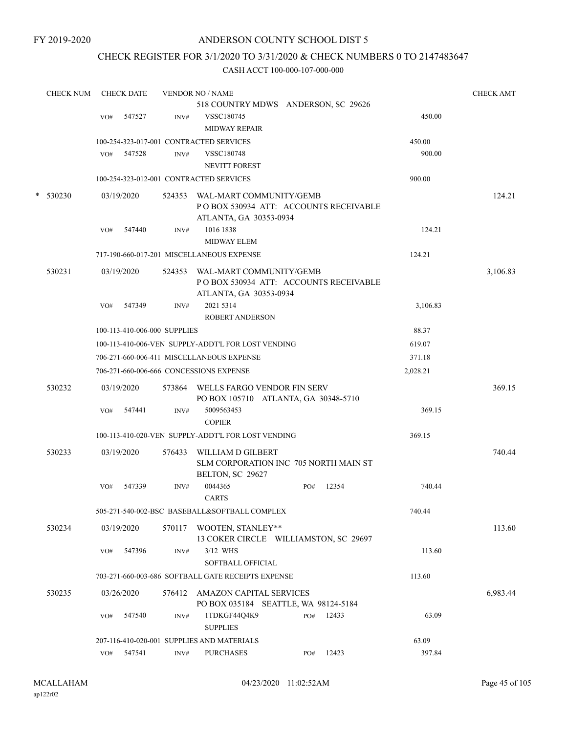## ANDERSON COUNTY SCHOOL DIST 5

## CHECK REGISTER FOR 3/1/2020 TO 3/31/2020 & CHECK NUMBERS 0 TO 2147483647

|        | <b>CHECK NUM</b> |     | <b>CHECK DATE</b> |                              | <b>VENDOR NO / NAME</b>                            |     |       |          | <b>CHECK AMT</b> |
|--------|------------------|-----|-------------------|------------------------------|----------------------------------------------------|-----|-------|----------|------------------|
|        |                  |     |                   |                              | 518 COUNTRY MDWS ANDERSON, SC 29626                |     |       |          |                  |
|        |                  | VO# | 547527            | INV#                         | VSSC180745                                         |     |       | 450.00   |                  |
|        |                  |     |                   |                              | <b>MIDWAY REPAIR</b>                               |     |       |          |                  |
|        |                  |     |                   |                              | 100-254-323-017-001 CONTRACTED SERVICES            |     |       | 450.00   |                  |
|        |                  | VO# | 547528            | INV#                         | VSSC180748                                         |     |       | 900.00   |                  |
|        |                  |     |                   |                              | <b>NEVITT FOREST</b>                               |     |       |          |                  |
|        |                  |     |                   |                              | 100-254-323-012-001 CONTRACTED SERVICES            |     |       | 900.00   |                  |
| $\ast$ | 530230           |     | 03/19/2020        |                              | 524353 WAL-MART COMMUNITY/GEMB                     |     |       |          | 124.21           |
|        |                  |     |                   |                              | POBOX 530934 ATT: ACCOUNTS RECEIVABLE              |     |       |          |                  |
|        |                  |     |                   |                              | ATLANTA, GA 30353-0934                             |     |       |          |                  |
|        |                  | VO# | 547440            | INV#                         | 1016 1838                                          |     |       | 124.21   |                  |
|        |                  |     |                   |                              | <b>MIDWAY ELEM</b>                                 |     |       |          |                  |
|        |                  |     |                   |                              | 717-190-660-017-201 MISCELLANEOUS EXPENSE          |     |       | 124.21   |                  |
|        | 530231           |     | 03/19/2020        |                              | 524353 WAL-MART COMMUNITY/GEMB                     |     |       |          | 3,106.83         |
|        |                  |     |                   |                              | POBOX 530934 ATT: ACCOUNTS RECEIVABLE              |     |       |          |                  |
|        |                  |     |                   |                              | ATLANTA, GA 30353-0934                             |     |       |          |                  |
|        |                  | VO# | 547349            | INV#                         | 2021 5314                                          |     |       | 3,106.83 |                  |
|        |                  |     |                   |                              | <b>ROBERT ANDERSON</b>                             |     |       |          |                  |
|        |                  |     |                   | 100-113-410-006-000 SUPPLIES |                                                    |     |       | 88.37    |                  |
|        |                  |     |                   |                              | 100-113-410-006-VEN SUPPLY-ADDT'L FOR LOST VENDING |     |       | 619.07   |                  |
|        |                  |     |                   |                              | 706-271-660-006-411 MISCELLANEOUS EXPENSE          |     |       | 371.18   |                  |
|        |                  |     |                   |                              |                                                    |     |       |          |                  |
|        |                  |     |                   |                              | 706-271-660-006-666 CONCESSIONS EXPENSE            |     |       | 2,028.21 |                  |
|        | 530232           |     | 03/19/2020        |                              | 573864 WELLS FARGO VENDOR FIN SERV                 |     |       |          | 369.15           |
|        |                  |     |                   |                              | PO BOX 105710 ATLANTA, GA 30348-5710               |     |       |          |                  |
|        |                  | VO# | 547441            | INV#                         | 5009563453                                         |     |       | 369.15   |                  |
|        |                  |     |                   |                              | <b>COPIER</b>                                      |     |       |          |                  |
|        |                  |     |                   |                              | 100-113-410-020-VEN SUPPLY-ADDT'L FOR LOST VENDING |     |       | 369.15   |                  |
|        | 530233           |     | 03/19/2020        | 576433                       | WILLIAM D GILBERT                                  |     |       |          | 740.44           |
|        |                  |     |                   |                              | SLM CORPORATION INC 705 NORTH MAIN ST              |     |       |          |                  |
|        |                  |     |                   |                              | BELTON, SC 29627                                   |     |       |          |                  |
|        |                  | VO# | 547339            | INV#                         | 0044365                                            | PO# | 12354 | 740.44   |                  |
|        |                  |     |                   |                              | <b>CARTS</b>                                       |     |       |          |                  |
|        |                  |     |                   |                              | 505-271-540-002-BSC BASEBALL&SOFTBALL COMPLEX      |     |       | 740.44   |                  |
|        | 530234           |     | 03/19/2020        |                              | 570117 WOOTEN, STANLEY**                           |     |       |          | 113.60           |
|        |                  |     |                   |                              | 13 COKER CIRCLE WILLIAMSTON, SC 29697              |     |       |          |                  |
|        |                  | VO# | 547396            | INV#                         | 3/12 WHS                                           |     |       | 113.60   |                  |
|        |                  |     |                   |                              | SOFTBALL OFFICIAL                                  |     |       |          |                  |
|        |                  |     |                   |                              | 703-271-660-003-686 SOFTBALL GATE RECEIPTS EXPENSE |     |       | 113.60   |                  |
|        | 530235           |     | 03/26/2020        |                              | 576412 AMAZON CAPITAL SERVICES                     |     |       |          | 6,983.44         |
|        |                  |     |                   |                              | PO BOX 035184 SEATTLE, WA 98124-5184               |     |       |          |                  |
|        |                  | VO# | 547540            | INV#                         | 1TDKGF44Q4K9                                       | PO# | 12433 | 63.09    |                  |
|        |                  |     |                   |                              | <b>SUPPLIES</b>                                    |     |       |          |                  |
|        |                  |     |                   |                              | 207-116-410-020-001 SUPPLIES AND MATERIALS         |     |       | 63.09    |                  |
|        |                  |     | VO# 547541        | INV#                         | <b>PURCHASES</b>                                   | PO# | 12423 | 397.84   |                  |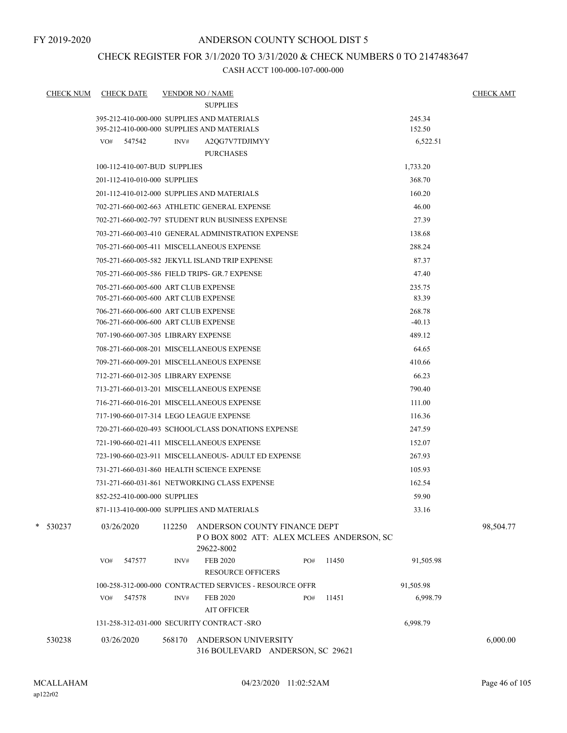## ANDERSON COUNTY SCHOOL DIST 5

## CHECK REGISTER FOR 3/1/2020 TO 3/31/2020 & CHECK NUMBERS 0 TO 2147483647

| <b>CHECK NUM</b> | <b>CHECK DATE</b>                             | <b>VENDOR NO / NAME</b> |                                                                                        |     |       |           | <b>CHECK AMT</b> |
|------------------|-----------------------------------------------|-------------------------|----------------------------------------------------------------------------------------|-----|-------|-----------|------------------|
|                  |                                               |                         | <b>SUPPLIES</b>                                                                        |     |       |           |                  |
|                  | 395-212-410-000-000 SUPPLIES AND MATERIALS    |                         |                                                                                        |     |       | 245.34    |                  |
|                  | 395-212-410-000-000 SUPPLIES AND MATERIALS    |                         |                                                                                        |     |       | 152.50    |                  |
|                  | VO# 547542                                    | INV#                    | A2QG7V7TDJIMYY<br><b>PURCHASES</b>                                                     |     |       | 6,522.51  |                  |
|                  | 100-112-410-007-BUD SUPPLIES                  |                         |                                                                                        |     |       | 1,733.20  |                  |
|                  | 201-112-410-010-000 SUPPLIES                  |                         |                                                                                        |     |       | 368.70    |                  |
|                  | 201-112-410-012-000 SUPPLIES AND MATERIALS    |                         |                                                                                        |     |       | 160.20    |                  |
|                  |                                               |                         | 702-271-660-002-663 ATHLETIC GENERAL EXPENSE                                           |     |       | 46.00     |                  |
|                  |                                               |                         | 702-271-660-002-797 STUDENT RUN BUSINESS EXPENSE                                       |     |       | 27.39     |                  |
|                  |                                               |                         | 703-271-660-003-410 GENERAL ADMINISTRATION EXPENSE                                     |     |       | 138.68    |                  |
|                  | 705-271-660-005-411 MISCELLANEOUS EXPENSE     |                         |                                                                                        |     |       | 288.24    |                  |
|                  |                                               |                         | 705-271-660-005-582 JEKYLL ISLAND TRIP EXPENSE                                         |     |       | 87.37     |                  |
|                  | 705-271-660-005-586 FIELD TRIPS- GR.7 EXPENSE |                         |                                                                                        |     |       | 47.40     |                  |
|                  | 705-271-660-005-600 ART CLUB EXPENSE          |                         |                                                                                        |     |       | 235.75    |                  |
|                  | 705-271-660-005-600 ART CLUB EXPENSE          |                         |                                                                                        |     |       | 83.39     |                  |
|                  | 706-271-660-006-600 ART CLUB EXPENSE          |                         |                                                                                        |     |       | 268.78    |                  |
|                  | 706-271-660-006-600 ART CLUB EXPENSE          |                         |                                                                                        |     |       | $-40.13$  |                  |
|                  | 707-190-660-007-305 LIBRARY EXPENSE           |                         |                                                                                        |     |       | 489.12    |                  |
|                  | 708-271-660-008-201 MISCELLANEOUS EXPENSE     |                         |                                                                                        |     |       | 64.65     |                  |
|                  | 709-271-660-009-201 MISCELLANEOUS EXPENSE     |                         |                                                                                        |     |       | 410.66    |                  |
|                  | 712-271-660-012-305 LIBRARY EXPENSE           |                         |                                                                                        |     |       | 66.23     |                  |
|                  | 713-271-660-013-201 MISCELLANEOUS EXPENSE     |                         |                                                                                        |     |       | 790.40    |                  |
|                  | 716-271-660-016-201 MISCELLANEOUS EXPENSE     |                         |                                                                                        |     |       | 111.00    |                  |
|                  | 717-190-660-017-314 LEGO LEAGUE EXPENSE       |                         |                                                                                        |     |       | 116.36    |                  |
|                  |                                               |                         | 720-271-660-020-493 SCHOOL/CLASS DONATIONS EXPENSE                                     |     |       | 247.59    |                  |
|                  | 721-190-660-021-411 MISCELLANEOUS EXPENSE     |                         |                                                                                        |     |       | 152.07    |                  |
|                  |                                               |                         | 723-190-660-023-911 MISCELLANEOUS- ADULT ED EXPENSE                                    |     |       | 267.93    |                  |
|                  | 731-271-660-031-860 HEALTH SCIENCE EXPENSE    |                         |                                                                                        |     |       | 105.93    |                  |
|                  |                                               |                         | 731-271-660-031-861 NETWORKING CLASS EXPENSE                                           |     |       | 162.54    |                  |
|                  | 852-252-410-000-000 SUPPLIES                  |                         |                                                                                        |     |       | 59.90     |                  |
|                  | 871-113-410-000-000 SUPPLIES AND MATERIALS    |                         |                                                                                        |     |       | 33.16     |                  |
| $* 530237$       | 03/26/2020                                    | 112250                  | ANDERSON COUNTY FINANCE DEPT<br>POBOX 8002 ATT: ALEX MCLEES ANDERSON, SC<br>29622-8002 |     |       |           | 98,504.77        |
|                  | 547577<br>VO#                                 | INV#                    | <b>FEB 2020</b><br><b>RESOURCE OFFICERS</b>                                            | PO# | 11450 | 91,505.98 |                  |
|                  |                                               |                         | 100-258-312-000-000 CONTRACTED SERVICES - RESOURCE OFFR                                |     |       | 91,505.98 |                  |
|                  | VO# 547578                                    | INV#                    | <b>FEB 2020</b>                                                                        | PO# | 11451 | 6,998.79  |                  |
|                  |                                               |                         | <b>AIT OFFICER</b>                                                                     |     |       |           |                  |
|                  | 131-258-312-031-000 SECURITY CONTRACT - SRO   |                         |                                                                                        |     |       | 6,998.79  |                  |
| 530238           | 03/26/2020                                    | 568170                  | <b>ANDERSON UNIVERSITY</b><br>316 BOULEVARD ANDERSON, SC 29621                         |     |       |           | 6,000.00         |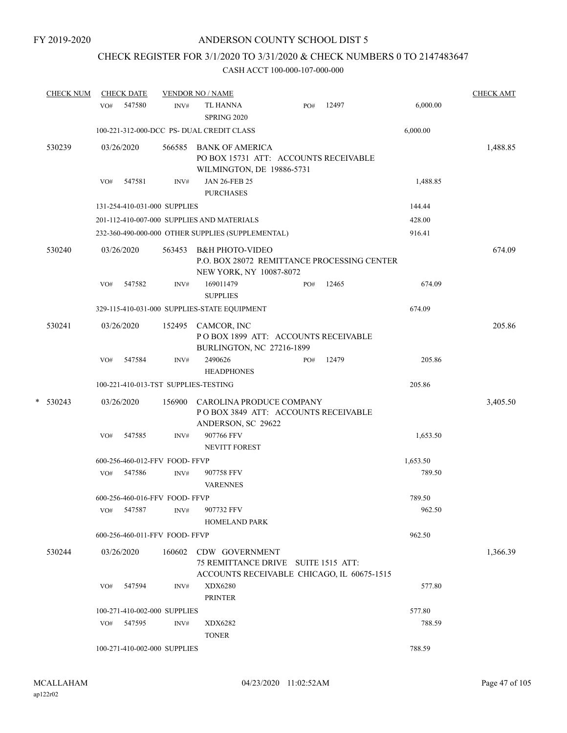## CHECK REGISTER FOR 3/1/2020 TO 3/31/2020 & CHECK NUMBERS 0 TO 2147483647

|   | <b>CHECK NUM</b> |     | <b>CHECK DATE</b>              |        | <b>VENDOR NO / NAME</b>                                                                              |     |       |          | <b>CHECK AMT</b> |
|---|------------------|-----|--------------------------------|--------|------------------------------------------------------------------------------------------------------|-----|-------|----------|------------------|
|   |                  | VO# | 547580                         | INV#   | <b>TL HANNA</b><br><b>SPRING 2020</b>                                                                | PO# | 12497 | 6,000.00 |                  |
|   |                  |     |                                |        | 100-221-312-000-DCC PS- DUAL CREDIT CLASS                                                            |     |       | 6,000.00 |                  |
|   | 530239           |     | 03/26/2020                     | 566585 | <b>BANK OF AMERICA</b><br>PO BOX 15731 ATT: ACCOUNTS RECEIVABLE<br>WILMINGTON, DE 19886-5731         |     |       |          | 1,488.85         |
|   |                  | VO# | 547581                         | INV#   | <b>JAN 26-FEB 25</b><br><b>PURCHASES</b>                                                             |     |       | 1,488.85 |                  |
|   |                  |     | 131-254-410-031-000 SUPPLIES   |        |                                                                                                      |     |       | 144.44   |                  |
|   |                  |     |                                |        | 201-112-410-007-000 SUPPLIES AND MATERIALS                                                           |     |       | 428.00   |                  |
|   |                  |     |                                |        | 232-360-490-000-000 OTHER SUPPLIES (SUPPLEMENTAL)                                                    |     |       | 916.41   |                  |
|   | 530240           |     | 03/26/2020                     | 563453 | <b>B&amp;H PHOTO-VIDEO</b><br>P.O. BOX 28072 REMITTANCE PROCESSING CENTER<br>NEW YORK, NY 10087-8072 |     |       |          | 674.09           |
|   |                  | VO# | 547582                         | INV#   | 169011479<br><b>SUPPLIES</b>                                                                         | PO# | 12465 | 674.09   |                  |
|   |                  |     |                                |        | 329-115-410-031-000 SUPPLIES-STATE EQUIPMENT                                                         |     |       | 674.09   |                  |
|   | 530241           |     | 03/26/2020                     |        | 152495 CAMCOR, INC<br>POBOX 1899 ATT: ACCOUNTS RECEIVABLE<br>BURLINGTON, NC 27216-1899               |     |       |          | 205.86           |
|   |                  | VO# | 547584                         | INV#   | 2490626<br><b>HEADPHONES</b>                                                                         | PO# | 12479 | 205.86   |                  |
|   |                  |     |                                |        | 100-221-410-013-TST SUPPLIES-TESTING                                                                 |     |       | 205.86   |                  |
| * | 530243           |     | 03/26/2020                     | 156900 | CAROLINA PRODUCE COMPANY<br>POBOX 3849 ATT: ACCOUNTS RECEIVABLE<br>ANDERSON, SC 29622                |     |       |          | 3,405.50         |
|   |                  | VO# | 547585                         | INV#   | 907766 FFV<br><b>NEVITT FOREST</b>                                                                   |     |       | 1,653.50 |                  |
|   |                  |     | 600-256-460-012-FFV FOOD-FFVP  |        |                                                                                                      |     |       | 1,653.50 |                  |
|   |                  | VO# | 547586                         | INV#   | 907758 FFV<br><b>VARENNES</b>                                                                        |     |       | 789.50   |                  |
|   |                  |     | 600-256-460-016-FFV FOOD-FFVP  |        |                                                                                                      |     |       | 789.50   |                  |
|   |                  | VO# | 547587                         | INV#   | 907732 FFV<br><b>HOMELAND PARK</b>                                                                   |     |       | 962.50   |                  |
|   |                  |     | 600-256-460-011-FFV FOOD- FFVP |        |                                                                                                      |     |       | 962.50   |                  |
|   | 530244           |     | 03/26/2020                     | 160602 | CDW GOVERNMENT<br>75 REMITTANCE DRIVE SUITE 1515 ATT:<br>ACCOUNTS RECEIVABLE CHICAGO, IL 60675-1515  |     |       |          | 1,366.39         |
|   |                  | VO# | 547594                         | INV#   | XDX6280<br><b>PRINTER</b>                                                                            |     |       | 577.80   |                  |
|   |                  |     | 100-271-410-002-000 SUPPLIES   |        |                                                                                                      |     |       | 577.80   |                  |
|   |                  | VO# | 547595                         | INV#   | XDX6282<br><b>TONER</b>                                                                              |     |       | 788.59   |                  |
|   |                  |     | 100-271-410-002-000 SUPPLIES   |        |                                                                                                      |     |       | 788.59   |                  |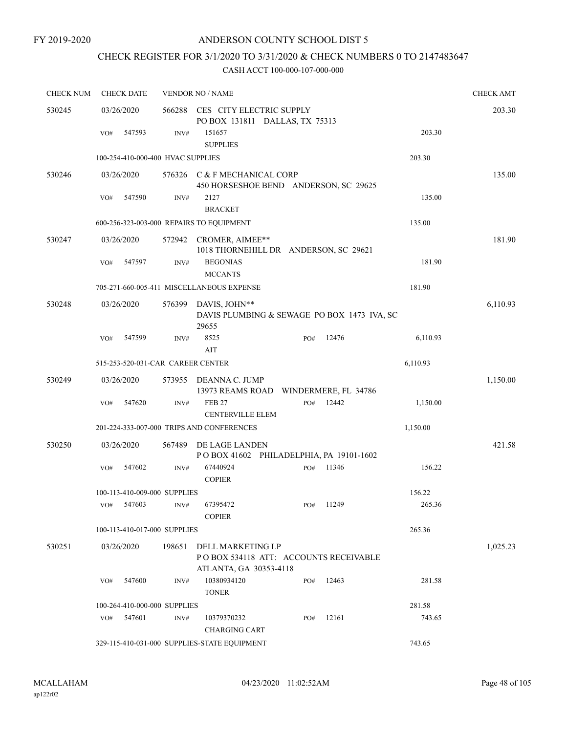# CHECK REGISTER FOR 3/1/2020 TO 3/31/2020 & CHECK NUMBERS 0 TO 2147483647

| <b>CHECK NUM</b> | <b>CHECK DATE</b>                        |        | <b>VENDOR NO / NAME</b>                                         |     |           |          |          |  |
|------------------|------------------------------------------|--------|-----------------------------------------------------------------|-----|-----------|----------|----------|--|
| 530245           | 03/26/2020                               |        | 566288 CES CITY ELECTRIC SUPPLY                                 |     |           |          | 203.30   |  |
|                  |                                          |        | PO BOX 131811 DALLAS, TX 75313                                  |     |           |          |          |  |
|                  | 547593<br>VO#                            | INV#   | 151657                                                          |     |           | 203.30   |          |  |
|                  |                                          |        | <b>SUPPLIES</b>                                                 |     |           |          |          |  |
|                  | 100-254-410-000-400 HVAC SUPPLIES        |        |                                                                 |     |           | 203.30   |          |  |
| 530246           | 03/26/2020                               |        | 576326 C & F MECHANICAL CORP                                    |     |           |          | 135.00   |  |
|                  |                                          |        | 450 HORSESHOE BEND ANDERSON, SC 29625                           |     |           |          |          |  |
|                  | 547590<br>VO#                            | INV#   | 2127<br><b>BRACKET</b>                                          |     |           | 135.00   |          |  |
|                  | 600-256-323-003-000 REPAIRS TO EQUIPMENT |        |                                                                 |     |           | 135.00   |          |  |
|                  |                                          |        |                                                                 |     |           |          |          |  |
| 530247           | 03/26/2020                               |        | 572942 CROMER, AIMEE**<br>1018 THORNEHILL DR ANDERSON, SC 29621 |     |           |          | 181.90   |  |
|                  | 547597<br>VO#                            | INV#   | <b>BEGONIAS</b>                                                 |     |           | 181.90   |          |  |
|                  |                                          |        | <b>MCCANTS</b>                                                  |     |           |          |          |  |
|                  |                                          |        | 705-271-660-005-411 MISCELLANEOUS EXPENSE                       |     |           | 181.90   |          |  |
| 530248           | 03/26/2020                               | 576399 | DAVIS, JOHN**                                                   |     |           |          | 6,110.93 |  |
|                  |                                          |        | DAVIS PLUMBING & SEWAGE PO BOX 1473 IVA, SC<br>29655            |     |           |          |          |  |
|                  | 547599<br>VO#                            | INV#   | 8525                                                            | PO# | 12476     | 6,110.93 |          |  |
|                  |                                          |        | AIT                                                             |     |           |          |          |  |
|                  | 515-253-520-031-CAR CAREER CENTER        |        |                                                                 |     |           | 6,110.93 |          |  |
| 530249           | 03/26/2020                               |        | 573955 DEANNA C. JUMP                                           |     |           |          | 1,150.00 |  |
|                  |                                          |        | 13973 REAMS ROAD WINDERMERE, FL 34786                           |     |           |          |          |  |
|                  | 547620<br>VO#                            | INV#   | <b>FEB 27</b>                                                   | PO# | 12442     | 1,150.00 |          |  |
|                  |                                          |        | <b>CENTERVILLE ELEM</b>                                         |     |           |          |          |  |
|                  |                                          |        | 201-224-333-007-000 TRIPS AND CONFERENCES                       |     |           | 1,150.00 |          |  |
| 530250           | 03/26/2020                               | 567489 | DE LAGE LANDEN                                                  |     |           |          | 421.58   |  |
|                  | 547602                                   |        | POBOX 41602 PHILADELPHIA, PA 19101-1602<br>67440924             |     | 11346     | 156.22   |          |  |
|                  | VO#                                      | INV#   | <b>COPIER</b>                                                   | PO# |           |          |          |  |
|                  | 100-113-410-009-000 SUPPLIES             |        |                                                                 |     |           | 156.22   |          |  |
|                  | VO# 547603                               | INV#   | 67395472                                                        |     | PO# 11249 | 265.36   |          |  |
|                  |                                          |        | <b>COPIER</b>                                                   |     |           |          |          |  |
|                  | 100-113-410-017-000 SUPPLIES             |        |                                                                 |     |           | 265.36   |          |  |
| 530251           | 03/26/2020                               | 198651 | DELL MARKETING LP                                               |     |           |          | 1,025.23 |  |
|                  |                                          |        | POBOX 534118 ATT: ACCOUNTS RECEIVABLE<br>ATLANTA, GA 30353-4118 |     |           |          |          |  |
|                  | 547600<br>VO#                            | INV#   | 10380934120                                                     | PO# | 12463     | 281.58   |          |  |
|                  |                                          |        | <b>TONER</b>                                                    |     |           |          |          |  |
|                  | 100-264-410-000-000 SUPPLIES             |        |                                                                 |     |           | 281.58   |          |  |
|                  | 547601<br>VO#                            | INV#   | 10379370232                                                     | PO# | 12161     | 743.65   |          |  |
|                  |                                          |        | <b>CHARGING CART</b>                                            |     |           |          |          |  |
|                  |                                          |        | 329-115-410-031-000 SUPPLIES-STATE EQUIPMENT                    |     |           | 743.65   |          |  |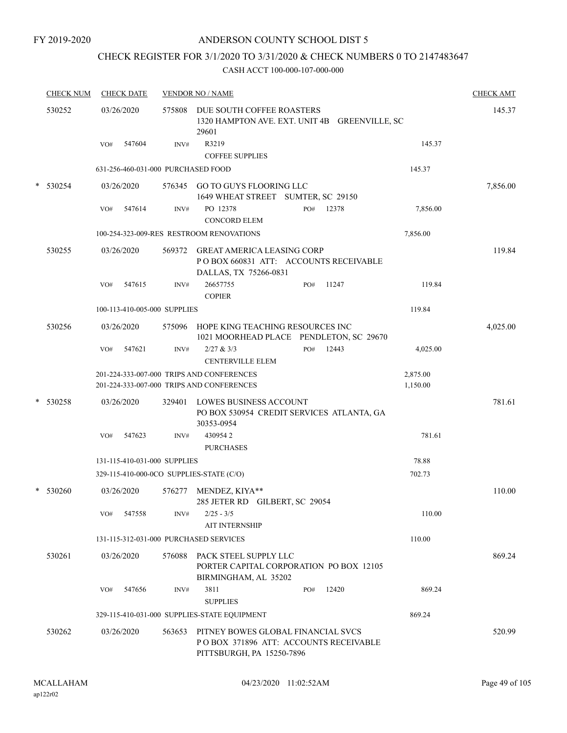## ANDERSON COUNTY SCHOOL DIST 5

## CHECK REGISTER FOR 3/1/2020 TO 3/31/2020 & CHECK NUMBERS 0 TO 2147483647

| <b>CHECK NUM</b> | <b>CHECK DATE</b>                        |        | <b>VENDOR NO / NAME</b>                                                                                        | <b>CHECK AMT</b> |
|------------------|------------------------------------------|--------|----------------------------------------------------------------------------------------------------------------|------------------|
| 530252           | 03/26/2020                               | 575808 | DUE SOUTH COFFEE ROASTERS<br>1320 HAMPTON AVE. EXT. UNIT 4B GREENVILLE, SC<br>29601                            | 145.37           |
|                  | 547604<br>VO#                            | INV#   | R3219<br>145.37<br><b>COFFEE SUPPLIES</b>                                                                      |                  |
|                  | 631-256-460-031-000 PURCHASED FOOD       |        | 145.37                                                                                                         |                  |
| $*$ 530254       | 03/26/2020                               |        | 576345 GO TO GUYS FLOORING LLC<br>1649 WHEAT STREET SUMTER, SC 29150                                           | 7,856.00         |
|                  | 547614<br>VO#                            | INV#   | PO 12378<br>12378<br>7,856.00<br>PO#                                                                           |                  |
|                  |                                          |        | <b>CONCORD ELEM</b>                                                                                            |                  |
|                  |                                          |        | 100-254-323-009-RES RESTROOM RENOVATIONS<br>7,856.00                                                           |                  |
| 530255           | 03/26/2020                               |        | 569372 GREAT AMERICA LEASING CORP<br>PO BOX 660831 ATT: ACCOUNTS RECEIVABLE<br>DALLAS, TX 75266-0831           | 119.84           |
|                  | 547615<br>VO#                            | INV#   | 26657755<br>11247<br>119.84<br>PO#<br><b>COPIER</b>                                                            |                  |
|                  | 100-113-410-005-000 SUPPLIES             |        | 119.84                                                                                                         |                  |
| 530256           | 03/26/2020                               |        | 575096 HOPE KING TEACHING RESOURCES INC<br>1021 MOORHEAD PLACE PENDLETON, SC 29670                             | 4,025.00         |
|                  | 547621<br>VO#                            | INV#   | 2/27 & 3/3<br>12443<br>PO#<br>4,025.00<br><b>CENTERVILLE ELEM</b>                                              |                  |
|                  |                                          |        | 201-224-333-007-000 TRIPS AND CONFERENCES<br>2,875.00<br>201-224-333-007-000 TRIPS AND CONFERENCES<br>1,150.00 |                  |
| $*$ 530258       | 03/26/2020                               |        | 329401 LOWES BUSINESS ACCOUNT<br>PO BOX 530954 CREDIT SERVICES ATLANTA, GA<br>30353-0954                       | 781.61           |
|                  | 547623<br>VO#                            | INV#   | 4309542<br>781.61<br><b>PURCHASES</b>                                                                          |                  |
|                  | 131-115-410-031-000 SUPPLIES             |        | 78.88                                                                                                          |                  |
|                  | 329-115-410-000-0CO SUPPLIES-STATE (C/O) |        | 702.73                                                                                                         |                  |
| $*$ 530260       | 03/26/2020                               |        | 576277 MENDEZ, KIYA**<br>285 JETER RD GILBERT, SC 29054                                                        | 110.00           |
|                  | 547558<br>VO#                            | INV#   | 110.00<br>$2/25 - 3/5$<br><b>AIT INTERNSHIP</b>                                                                |                  |
|                  | 131-115-312-031-000 PURCHASED SERVICES   |        | 110.00                                                                                                         |                  |
| 530261           | 03/26/2020                               | 576088 | PACK STEEL SUPPLY LLC<br>PORTER CAPITAL CORPORATION PO BOX 12105<br>BIRMINGHAM, AL 35202                       | 869.24           |
|                  | 547656<br>VO#                            | INV#   | 3811<br>12420<br>869.24<br>PO#<br><b>SUPPLIES</b>                                                              |                  |
|                  |                                          |        | 329-115-410-031-000 SUPPLIES-STATE EQUIPMENT<br>869.24                                                         |                  |
| 530262           | 03/26/2020                               | 563653 | PITNEY BOWES GLOBAL FINANCIAL SVCS<br>POBOX 371896 ATT: ACCOUNTS RECEIVABLE<br>PITTSBURGH, PA 15250-7896       | 520.99           |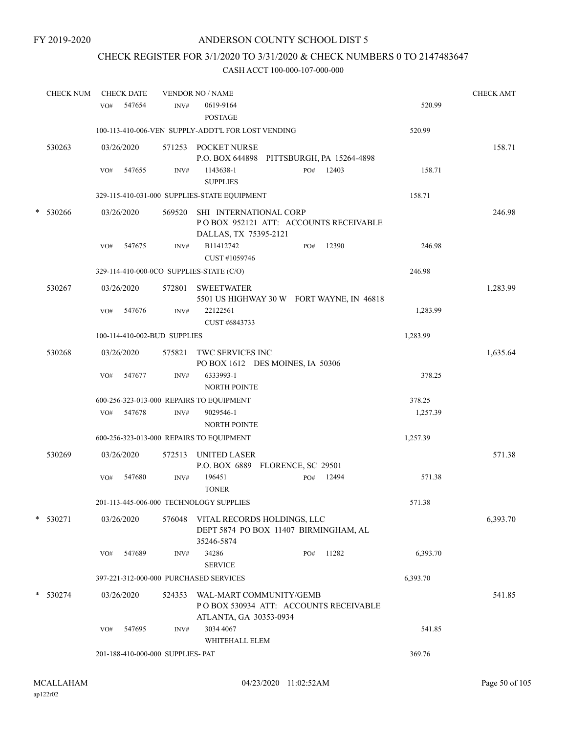## CHECK REGISTER FOR 3/1/2020 TO 3/31/2020 & CHECK NUMBERS 0 TO 2147483647

|   | <b>CHECK NUM</b> |     | <b>CHECK DATE</b> |                                   | <b>VENDOR NO / NAME</b>                                                                    |     |       |          | <b>CHECK AMT</b> |
|---|------------------|-----|-------------------|-----------------------------------|--------------------------------------------------------------------------------------------|-----|-------|----------|------------------|
|   |                  | VO# | 547654            | INV#                              | 0619-9164<br><b>POSTAGE</b>                                                                |     |       | 520.99   |                  |
|   |                  |     |                   |                                   | 100-113-410-006-VEN SUPPLY-ADDT'L FOR LOST VENDING                                         |     |       | 520.99   |                  |
|   | 530263           |     | 03/26/2020        |                                   | 571253 POCKET NURSE<br>P.O. BOX 644898 PITTSBURGH, PA 15264-4898                           |     |       |          | 158.71           |
|   |                  | VO# | 547655            | INV#                              | 1143638-1<br><b>SUPPLIES</b>                                                               | PO# | 12403 | 158.71   |                  |
|   |                  |     |                   |                                   | 329-115-410-031-000 SUPPLIES-STATE EQUIPMENT                                               |     |       | 158.71   |                  |
| * | 530266           |     | 03/26/2020        | 569520                            | SHI INTERNATIONAL CORP<br>POBOX 952121 ATT: ACCOUNTS RECEIVABLE<br>DALLAS, TX 75395-2121   |     |       |          | 246.98           |
|   |                  | VO# | 547675            | INV#                              | B11412742<br>CUST #1059746                                                                 | PO# | 12390 | 246.98   |                  |
|   |                  |     |                   |                                   | 329-114-410-000-0CO SUPPLIES-STATE (C/O)                                                   |     |       | 246.98   |                  |
|   | 530267           |     | 03/26/2020        | 572801                            | <b>SWEETWATER</b><br>5501 US HIGHWAY 30 W FORT WAYNE, IN 46818                             |     |       |          | 1,283.99         |
|   |                  | VO# | 547676            | INV#                              | 22122561<br>CUST #6843733                                                                  |     |       | 1,283.99 |                  |
|   |                  |     |                   | 100-114-410-002-BUD SUPPLIES      |                                                                                            |     |       | 1,283.99 |                  |
|   | 530268           |     | 03/26/2020        | 575821                            | TWC SERVICES INC<br>PO BOX 1612 DES MOINES, IA 50306                                       |     |       |          | 1,635.64         |
|   |                  | VO# | 547677            | INV#                              | 6333993-1<br><b>NORTH POINTE</b>                                                           |     |       | 378.25   |                  |
|   |                  |     |                   |                                   | 600-256-323-013-000 REPAIRS TO EQUIPMENT                                                   |     |       | 378.25   |                  |
|   |                  |     | VO# 547678        | INV#                              | 9029546-1<br><b>NORTH POINTE</b>                                                           |     |       | 1,257.39 |                  |
|   |                  |     |                   |                                   | 600-256-323-013-000 REPAIRS TO EQUIPMENT                                                   |     |       | 1,257.39 |                  |
|   | 530269           |     | 03/26/2020        | 572513                            | UNITED LASER<br>P.O. BOX 6889 FLORENCE, SC 29501                                           |     |       |          | 571.38           |
|   |                  | VO# | 547680            | INV#                              | 196451<br><b>TONER</b>                                                                     | PO# | 12494 | 571.38   |                  |
|   |                  |     |                   |                                   | 201-113-445-006-000 TECHNOLOGY SUPPLIES                                                    |     |       | 571.38   |                  |
|   | $*$ 530271       |     | 03/26/2020        | 576048                            | VITAL RECORDS HOLDINGS, LLC<br>DEPT 5874 PO BOX 11407 BIRMINGHAM, AL<br>35246-5874         |     |       |          | 6,393.70         |
|   |                  | VO# | 547689            | INV#                              | 34286<br><b>SERVICE</b>                                                                    | PO# | 11282 | 6,393.70 |                  |
|   |                  |     |                   |                                   | 397-221-312-000-000 PURCHASED SERVICES                                                     |     |       | 6,393.70 |                  |
|   | * 530274         |     | 03/26/2020        | 524353                            | WAL-MART COMMUNITY/GEMB<br>POBOX 530934 ATT: ACCOUNTS RECEIVABLE<br>ATLANTA, GA 30353-0934 |     |       |          | 541.85           |
|   |                  | VO# | 547695            | INV#                              | 3034 4067<br>WHITEHALL ELEM                                                                |     |       | 541.85   |                  |
|   |                  |     |                   | 201-188-410-000-000 SUPPLIES- PAT |                                                                                            |     |       | 369.76   |                  |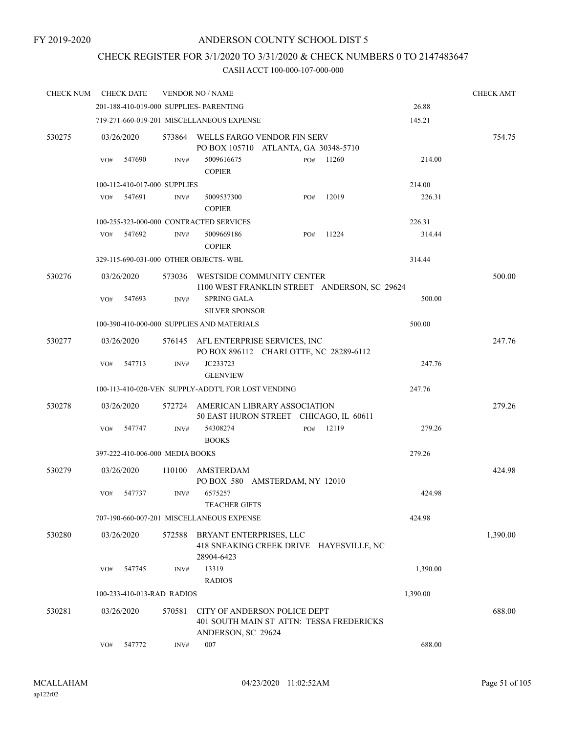## CHECK REGISTER FOR 3/1/2020 TO 3/31/2020 & CHECK NUMBERS 0 TO 2147483647

| <b>CHECK NUM</b> |     | <b>CHECK DATE</b>               |        | <b>VENDOR NO / NAME</b>                                                                        |     |       |          | <b>CHECK AMT</b> |
|------------------|-----|---------------------------------|--------|------------------------------------------------------------------------------------------------|-----|-------|----------|------------------|
|                  |     |                                 |        | 201-188-410-019-000 SUPPLIES- PARENTING                                                        |     |       | 26.88    |                  |
|                  |     |                                 |        | 719-271-660-019-201 MISCELLANEOUS EXPENSE                                                      |     |       | 145.21   |                  |
| 530275           |     | 03/26/2020                      |        | 573864 WELLS FARGO VENDOR FIN SERV<br>PO BOX 105710 ATLANTA, GA 30348-5710                     |     |       |          | 754.75           |
|                  | VO# | 547690                          | INV#   | 5009616675<br><b>COPIER</b>                                                                    | PO# | 11260 | 214.00   |                  |
|                  |     | 100-112-410-017-000 SUPPLIES    |        |                                                                                                |     |       | 214.00   |                  |
|                  | VO# | 547691                          | INV#   | 5009537300<br><b>COPIER</b>                                                                    | PO# | 12019 | 226.31   |                  |
|                  |     |                                 |        | 100-255-323-000-000 CONTRACTED SERVICES                                                        |     |       | 226.31   |                  |
|                  | VO# | 547692                          | INV#   | 5009669186<br><b>COPIER</b>                                                                    | PO# | 11224 | 314.44   |                  |
|                  |     |                                 |        | 329-115-690-031-000 OTHER OBJECTS-WBL                                                          |     |       | 314.44   |                  |
| 530276           |     | 03/26/2020                      | 573036 | WESTSIDE COMMUNITY CENTER<br>1100 WEST FRANKLIN STREET ANDERSON, SC 29624                      |     |       |          | 500.00           |
|                  | VO# | 547693                          | INV#   | <b>SPRING GALA</b><br><b>SILVER SPONSOR</b>                                                    |     |       | 500.00   |                  |
|                  |     |                                 |        | 100-390-410-000-000 SUPPLIES AND MATERIALS                                                     |     |       | 500.00   |                  |
| 530277           |     | 03/26/2020                      |        | 576145 AFL ENTERPRISE SERVICES, INC<br>PO BOX 896112 CHARLOTTE, NC 28289-6112                  |     |       |          | 247.76           |
|                  | VO# | 547713                          | INV#   | JC233723<br><b>GLENVIEW</b>                                                                    |     |       | 247.76   |                  |
|                  |     |                                 |        | 100-113-410-020-VEN SUPPLY-ADDT'L FOR LOST VENDING                                             |     |       | 247.76   |                  |
| 530278           |     | 03/26/2020                      |        | 572724 AMERICAN LIBRARY ASSOCIATION<br>50 EAST HURON STREET CHICAGO, IL 60611                  |     |       |          | 279.26           |
|                  | VO# | 547747                          | INV#   | 54308274<br><b>BOOKS</b>                                                                       | PO# | 12119 | 279.26   |                  |
|                  |     | 397-222-410-006-000 MEDIA BOOKS |        |                                                                                                |     |       | 279.26   |                  |
| 530279           |     | 03/26/2020                      | 110100 | AMSTERDAM<br>PO BOX 580 AMSTERDAM, NY 12010                                                    |     |       |          | 424.98           |
|                  | VO# | 547737                          | INV#   | 6575257<br>TEACHER GIFTS                                                                       |     |       | 424.98   |                  |
|                  |     |                                 |        | 707-190-660-007-201 MISCELLANEOUS EXPENSE                                                      |     |       | 424.98   |                  |
| 530280           |     | 03/26/2020                      | 572588 | BRYANT ENTERPRISES, LLC<br>418 SNEAKING CREEK DRIVE HAYESVILLE, NC<br>28904-6423               |     |       |          | 1,390.00         |
|                  | VO# | 547745                          | INV#   | 13319<br><b>RADIOS</b>                                                                         |     |       | 1,390.00 |                  |
|                  |     | 100-233-410-013-RAD RADIOS      |        |                                                                                                |     |       | 1,390.00 |                  |
| 530281           |     | 03/26/2020                      | 570581 | CITY OF ANDERSON POLICE DEPT<br>401 SOUTH MAIN ST ATTN: TESSA FREDERICKS<br>ANDERSON, SC 29624 |     |       |          | 688.00           |
|                  | VO# | 547772                          | INV#   | 007                                                                                            |     |       | 688.00   |                  |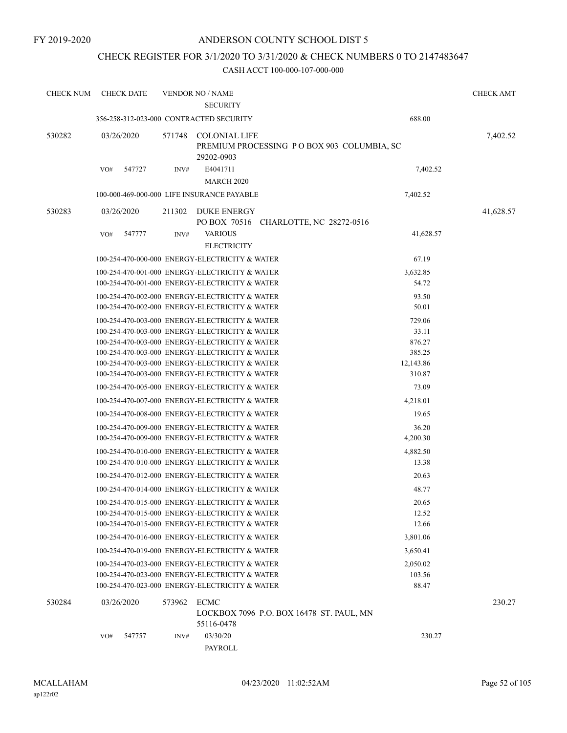## CHECK REGISTER FOR 3/1/2020 TO 3/31/2020 & CHECK NUMBERS 0 TO 2147483647

| <b>CHECK NUM</b> |            | <b>CHECK DATE</b> |        | <b>VENDOR NO / NAME</b>                        |                                            |           | <b>CHECK AMT</b> |
|------------------|------------|-------------------|--------|------------------------------------------------|--------------------------------------------|-----------|------------------|
|                  |            |                   |        | <b>SECURITY</b>                                |                                            |           |                  |
|                  |            |                   |        | 356-258-312-023-000 CONTRACTED SECURITY        |                                            | 688.00    |                  |
| 530282           | 03/26/2020 |                   | 571748 | <b>COLONIAL LIFE</b><br>29202-0903             | PREMIUM PROCESSING PO BOX 903 COLUMBIA, SC |           | 7,402.52         |
|                  | VO#        | 547727            | INV#   | E4041711<br><b>MARCH 2020</b>                  |                                            | 7,402.52  |                  |
|                  |            |                   |        | 100-000-469-000-000 LIFE INSURANCE PAYABLE     |                                            | 7,402.52  |                  |
| 530283           | 03/26/2020 |                   | 211302 | <b>DUKE ENERGY</b>                             | PO BOX 70516 CHARLOTTE, NC 28272-0516      |           | 41,628.57        |
|                  | VO#        | 547777            | INV#   | <b>VARIOUS</b><br><b>ELECTRICITY</b>           |                                            | 41,628.57 |                  |
|                  |            |                   |        | 100-254-470-000-000 ENERGY-ELECTRICITY & WATER |                                            | 67.19     |                  |
|                  |            |                   |        | 100-254-470-001-000 ENERGY-ELECTRICITY & WATER |                                            | 3,632.85  |                  |
|                  |            |                   |        | 100-254-470-001-000 ENERGY-ELECTRICITY & WATER |                                            | 54.72     |                  |
|                  |            |                   |        | 100-254-470-002-000 ENERGY-ELECTRICITY & WATER |                                            | 93.50     |                  |
|                  |            |                   |        | 100-254-470-002-000 ENERGY-ELECTRICITY & WATER |                                            | 50.01     |                  |
|                  |            |                   |        | 100-254-470-003-000 ENERGY-ELECTRICITY & WATER |                                            | 729.06    |                  |
|                  |            |                   |        | 100-254-470-003-000 ENERGY-ELECTRICITY & WATER |                                            | 33.11     |                  |
|                  |            |                   |        | 100-254-470-003-000 ENERGY-ELECTRICITY & WATER |                                            | 876.27    |                  |
|                  |            |                   |        | 100-254-470-003-000 ENERGY-ELECTRICITY & WATER |                                            | 385.25    |                  |
|                  |            |                   |        | 100-254-470-003-000 ENERGY-ELECTRICITY & WATER |                                            | 12,143.86 |                  |
|                  |            |                   |        | 100-254-470-003-000 ENERGY-ELECTRICITY & WATER |                                            | 310.87    |                  |
|                  |            |                   |        | 100-254-470-005-000 ENERGY-ELECTRICITY & WATER |                                            | 73.09     |                  |
|                  |            |                   |        | 100-254-470-007-000 ENERGY-ELECTRICITY & WATER |                                            | 4,218.01  |                  |
|                  |            |                   |        | 100-254-470-008-000 ENERGY-ELECTRICITY & WATER |                                            | 19.65     |                  |
|                  |            |                   |        | 100-254-470-009-000 ENERGY-ELECTRICITY & WATER |                                            | 36.20     |                  |
|                  |            |                   |        | 100-254-470-009-000 ENERGY-ELECTRICITY & WATER |                                            | 4,200.30  |                  |
|                  |            |                   |        | 100-254-470-010-000 ENERGY-ELECTRICITY & WATER |                                            | 4,882.50  |                  |
|                  |            |                   |        | 100-254-470-010-000 ENERGY-ELECTRICITY & WATER |                                            | 13.38     |                  |
|                  |            |                   |        | 100-254-470-012-000 ENERGY-ELECTRICITY & WATER |                                            | 20.63     |                  |
|                  |            |                   |        | 100-254-470-014-000 ENERGY-ELECTRICITY & WATER |                                            | 48.77     |                  |
|                  |            |                   |        | 100-254-470-015-000 ENERGY-ELECTRICITY & WATER |                                            | 20.65     |                  |
|                  |            |                   |        | 100-254-470-015-000 ENERGY-ELECTRICITY & WATER |                                            | 12.52     |                  |
|                  |            |                   |        | 100-254-470-015-000 ENERGY-ELECTRICITY & WATER |                                            | 12.66     |                  |
|                  |            |                   |        | 100-254-470-016-000 ENERGY-ELECTRICITY & WATER |                                            | 3,801.06  |                  |
|                  |            |                   |        | 100-254-470-019-000 ENERGY-ELECTRICITY & WATER |                                            | 3,650.41  |                  |
|                  |            |                   |        | 100-254-470-023-000 ENERGY-ELECTRICITY & WATER |                                            | 2,050.02  |                  |
|                  |            |                   |        | 100-254-470-023-000 ENERGY-ELECTRICITY & WATER |                                            | 103.56    |                  |
|                  |            |                   |        | 100-254-470-023-000 ENERGY-ELECTRICITY & WATER |                                            | 88.47     |                  |
| 530284           | 03/26/2020 |                   | 573962 | ECMC                                           |                                            |           | 230.27           |
|                  |            |                   |        |                                                | LOCKBOX 7096 P.O. BOX 16478 ST. PAUL, MN   |           |                  |
|                  |            |                   |        | 55116-0478                                     |                                            |           |                  |
|                  | VO#        | 547757            | INV#   | 03/30/20                                       |                                            | 230.27    |                  |
|                  |            |                   |        | PAYROLL                                        |                                            |           |                  |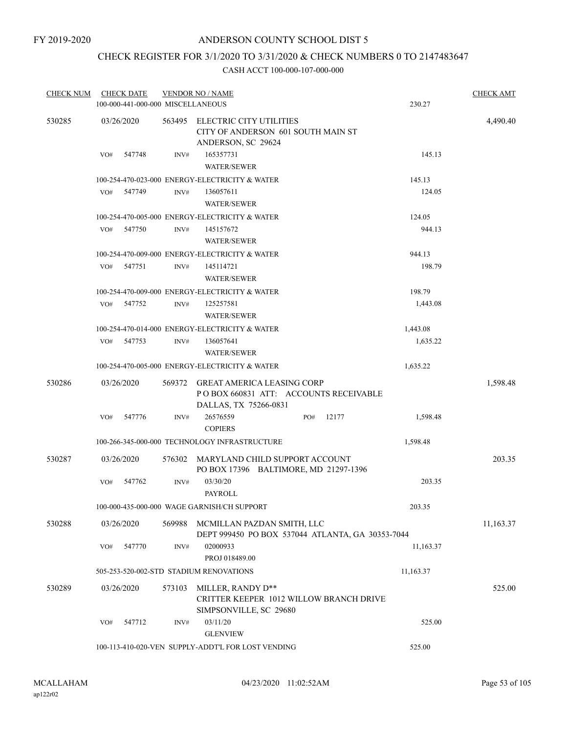## CHECK REGISTER FOR 3/1/2020 TO 3/31/2020 & CHECK NUMBERS 0 TO 2147483647

| <b>CHECK NUM</b> | <b>CHECK DATE</b> |                                   | <b>VENDOR NO / NAME</b>                                                                              |     |       |           | <b>CHECK AMT</b> |
|------------------|-------------------|-----------------------------------|------------------------------------------------------------------------------------------------------|-----|-------|-----------|------------------|
|                  |                   | 100-000-441-000-000 MISCELLANEOUS |                                                                                                      |     |       | 230.27    |                  |
| 530285           | 03/26/2020        | 563495                            | ELECTRIC CITY UTILITIES<br>CITY OF ANDERSON 601 SOUTH MAIN ST<br>ANDERSON, SC 29624                  |     |       |           | 4,490.40         |
|                  | VO#<br>547748     | INV#                              | 165357731<br><b>WATER/SEWER</b>                                                                      |     |       | 145.13    |                  |
|                  |                   |                                   | 100-254-470-023-000 ENERGY-ELECTRICITY & WATER                                                       |     |       | 145.13    |                  |
|                  | 547749<br>VO#     | INV#                              | 136057611<br><b>WATER/SEWER</b>                                                                      |     |       | 124.05    |                  |
|                  |                   |                                   | 100-254-470-005-000 ENERGY-ELECTRICITY & WATER                                                       |     |       | 124.05    |                  |
|                  | VO#<br>547750     | INV#                              | 145157672<br><b>WATER/SEWER</b>                                                                      |     |       | 944.13    |                  |
|                  |                   |                                   | 100-254-470-009-000 ENERGY-ELECTRICITY & WATER                                                       |     |       | 944.13    |                  |
|                  | 547751<br>VO#     | INV#                              | 145114721<br><b>WATER/SEWER</b>                                                                      |     |       | 198.79    |                  |
|                  |                   |                                   | 100-254-470-009-000 ENERGY-ELECTRICITY & WATER                                                       |     |       | 198.79    |                  |
|                  | 547752<br>VO#     | INV#                              | 125257581<br><b>WATER/SEWER</b>                                                                      |     |       | 1,443.08  |                  |
|                  |                   |                                   | 100-254-470-014-000 ENERGY-ELECTRICITY & WATER                                                       |     |       | 1,443.08  |                  |
|                  | 547753<br>VO#     | INV#                              | 136057641<br><b>WATER/SEWER</b>                                                                      |     |       | 1,635.22  |                  |
|                  |                   |                                   | 100-254-470-005-000 ENERGY-ELECTRICITY & WATER                                                       |     |       | 1,635.22  |                  |
| 530286           | 03/26/2020        |                                   | 569372 GREAT AMERICA LEASING CORP<br>PO BOX 660831 ATT: ACCOUNTS RECEIVABLE<br>DALLAS, TX 75266-0831 |     |       |           | 1,598.48         |
|                  | 547776<br>VO#     | INV#                              | 26576559<br><b>COPIERS</b>                                                                           | PO# | 12177 | 1,598.48  |                  |
|                  |                   |                                   | 100-266-345-000-000 TECHNOLOGY INFRASTRUCTURE                                                        |     |       | 1,598.48  |                  |
| 530287           | 03/26/2020        | 576302                            | MARYLAND CHILD SUPPORT ACCOUNT<br>PO BOX 17396 BALTIMORE, MD 21297-1396                              |     |       |           | 203.35           |
|                  | 547762<br>VO#     | INV#                              | 03/30/20<br>PAYROLL                                                                                  |     |       | 203.35    |                  |
|                  |                   |                                   | 100-000-435-000-000 WAGE GARNISH/CH SUPPORT                                                          |     |       | 203.35    |                  |
| 530288           | 03/26/2020        | 569988                            | MCMILLAN PAZDAN SMITH, LLC<br>DEPT 999450 PO BOX 537044 ATLANTA, GA 30353-7044                       |     |       |           | 11,163.37        |
|                  | 547770<br>VO#     | INV#                              | 02000933<br>PROJ 018489.00                                                                           |     |       | 11,163.37 |                  |
|                  |                   |                                   | 505-253-520-002-STD STADIUM RENOVATIONS                                                              |     |       | 11,163.37 |                  |
| 530289           | 03/26/2020        | 573103                            | MILLER, RANDY D**<br>CRITTER KEEPER 1012 WILLOW BRANCH DRIVE<br>SIMPSONVILLE, SC 29680               |     |       |           | 525.00           |
|                  | 547712<br>VO#     | INV#                              | 03/11/20<br><b>GLENVIEW</b>                                                                          |     |       | 525.00    |                  |
|                  |                   |                                   | 100-113-410-020-VEN SUPPLY-ADDT'L FOR LOST VENDING                                                   |     |       | 525.00    |                  |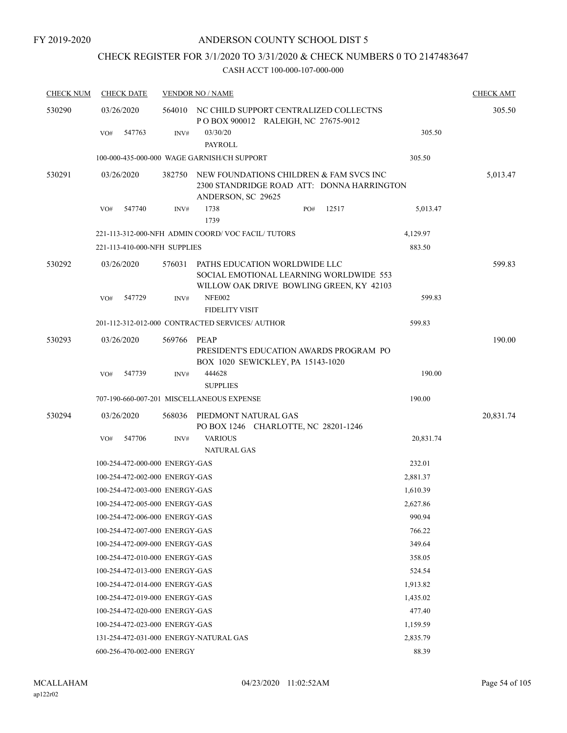## CHECK REGISTER FOR 3/1/2020 TO 3/31/2020 & CHECK NUMBERS 0 TO 2147483647

| <b>CHECK NUM</b> | <b>CHECK DATE</b>                      |        | <b>VENDOR NO / NAME</b>                                                                                              |           | <b>CHECK AMT</b> |
|------------------|----------------------------------------|--------|----------------------------------------------------------------------------------------------------------------------|-----------|------------------|
| 530290           | 03/26/2020                             |        | 564010 NC CHILD SUPPORT CENTRALIZED COLLECTNS<br>POBOX 900012 RALEIGH, NC 27675-9012                                 |           | 305.50           |
|                  | 547763<br>VO#                          | INV#   | 03/30/20<br>PAYROLL                                                                                                  | 305.50    |                  |
|                  |                                        |        | 100-000-435-000-000 WAGE GARNISH/CH SUPPORT                                                                          | 305.50    |                  |
| 530291           | 03/26/2020                             | 382750 | NEW FOUNDATIONS CHILDREN & FAM SVCS INC<br>2300 STANDRIDGE ROAD ATT: DONNA HARRINGTON<br>ANDERSON, SC 29625          |           | 5,013.47         |
|                  | 547740<br>VO#                          | INV#   | 1738<br>12517<br>PO#<br>1739                                                                                         | 5,013.47  |                  |
|                  |                                        |        | 221-113-312-000-NFH ADMIN COORD/VOC FACIL/TUTORS                                                                     | 4,129.97  |                  |
|                  | 221-113-410-000-NFH SUPPLIES           |        |                                                                                                                      | 883.50    |                  |
| 530292           | 03/26/2020                             | 576031 | PATHS EDUCATION WORLDWIDE LLC<br>SOCIAL EMOTIONAL LEARNING WORLDWIDE 553<br>WILLOW OAK DRIVE BOWLING GREEN, KY 42103 |           | 599.83           |
|                  | 547729<br>VO#                          | INV#   | <b>NFE002</b><br><b>FIDELITY VISIT</b>                                                                               | 599.83    |                  |
|                  |                                        |        | 201-112-312-012-000 CONTRACTED SERVICES/AUTHOR                                                                       | 599.83    |                  |
| 530293           | 03/26/2020                             | 569766 | PEAP<br>PRESIDENT'S EDUCATION AWARDS PROGRAM PO<br>BOX 1020 SEWICKLEY, PA 15143-1020                                 |           | 190.00           |
|                  | 547739<br>VO#                          | INV#   | 444628<br><b>SUPPLIES</b>                                                                                            | 190.00    |                  |
|                  |                                        |        | 707-190-660-007-201 MISCELLANEOUS EXPENSE                                                                            | 190.00    |                  |
| 530294           | 03/26/2020                             | 568036 | PIEDMONT NATURAL GAS<br>PO BOX 1246 CHARLOTTE, NC 28201-1246                                                         |           | 20,831.74        |
|                  | 547706<br>VO#                          | INV#   | <b>VARIOUS</b><br><b>NATURAL GAS</b>                                                                                 | 20,831.74 |                  |
|                  | 100-254-472-000-000 ENERGY-GAS         |        |                                                                                                                      | 232.01    |                  |
|                  | 100-254-472-002-000 ENERGY-GAS         |        |                                                                                                                      | 2,881.37  |                  |
|                  | 100-254-472-003-000 ENERGY-GAS         |        |                                                                                                                      | 1,610.39  |                  |
|                  | 100-254-472-005-000 ENERGY-GAS         |        |                                                                                                                      | 2,627.86  |                  |
|                  | 100-254-472-006-000 ENERGY-GAS         |        |                                                                                                                      | 990.94    |                  |
|                  | 100-254-472-007-000 ENERGY-GAS         |        |                                                                                                                      | 766.22    |                  |
|                  | 100-254-472-009-000 ENERGY-GAS         |        |                                                                                                                      | 349.64    |                  |
|                  | 100-254-472-010-000 ENERGY-GAS         |        |                                                                                                                      | 358.05    |                  |
|                  | 100-254-472-013-000 ENERGY-GAS         |        |                                                                                                                      | 524.54    |                  |
|                  | 100-254-472-014-000 ENERGY-GAS         |        |                                                                                                                      | 1,913.82  |                  |
|                  | 100-254-472-019-000 ENERGY-GAS         |        |                                                                                                                      | 1,435.02  |                  |
|                  | 100-254-472-020-000 ENERGY-GAS         |        |                                                                                                                      | 477.40    |                  |
|                  | 100-254-472-023-000 ENERGY-GAS         |        |                                                                                                                      | 1,159.59  |                  |
|                  | 131-254-472-031-000 ENERGY-NATURAL GAS |        |                                                                                                                      | 2,835.79  |                  |
|                  | 600-256-470-002-000 ENERGY             |        |                                                                                                                      | 88.39     |                  |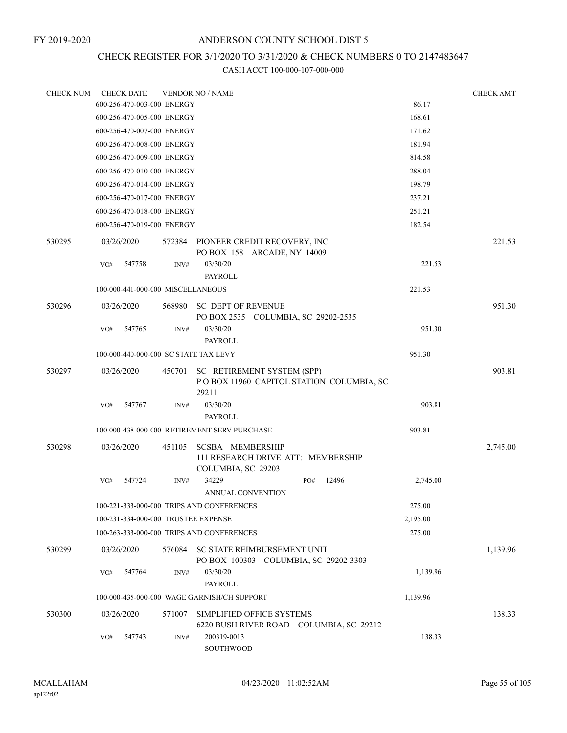## CHECK REGISTER FOR 3/1/2020 TO 3/31/2020 & CHECK NUMBERS 0 TO 2147483647

| <b>CHECK NUM</b> | <b>CHECK DATE</b> |                                              | <b>VENDOR NO / NAME</b>                                                             |     |                                          |          | <b>CHECK AMT</b> |
|------------------|-------------------|----------------------------------------------|-------------------------------------------------------------------------------------|-----|------------------------------------------|----------|------------------|
|                  |                   | 600-256-470-003-000 ENERGY                   |                                                                                     |     |                                          | 86.17    |                  |
|                  |                   | 600-256-470-005-000 ENERGY                   |                                                                                     |     |                                          | 168.61   |                  |
|                  |                   | 600-256-470-007-000 ENERGY                   |                                                                                     |     |                                          | 171.62   |                  |
|                  |                   | 600-256-470-008-000 ENERGY                   |                                                                                     |     |                                          | 181.94   |                  |
|                  |                   | 600-256-470-009-000 ENERGY                   |                                                                                     |     |                                          | 814.58   |                  |
|                  |                   | 600-256-470-010-000 ENERGY                   |                                                                                     |     |                                          | 288.04   |                  |
|                  |                   | 600-256-470-014-000 ENERGY                   |                                                                                     |     |                                          | 198.79   |                  |
|                  |                   | 600-256-470-017-000 ENERGY                   |                                                                                     |     |                                          | 237.21   |                  |
|                  |                   | 600-256-470-018-000 ENERGY                   |                                                                                     |     |                                          | 251.21   |                  |
|                  |                   | 600-256-470-019-000 ENERGY                   |                                                                                     |     |                                          | 182.54   |                  |
| 530295           | 03/26/2020        |                                              | 572384 PIONEER CREDIT RECOVERY, INC<br>PO BOX 158 ARCADE, NY 14009                  |     |                                          |          | 221.53           |
|                  | 547758<br>VO#     | INV#                                         | 03/30/20                                                                            |     |                                          | 221.53   |                  |
|                  |                   |                                              | <b>PAYROLL</b>                                                                      |     |                                          |          |                  |
|                  |                   | 100-000-441-000-000 MISCELLANEOUS            |                                                                                     |     |                                          | 221.53   |                  |
| 530296           | 03/26/2020        | 568980                                       | SC DEPT OF REVENUE<br>PO BOX 2535 COLUMBIA, SC 29202-2535                           |     |                                          |          | 951.30           |
|                  | 547765<br>VO#     | INV#                                         | 03/30/20<br><b>PAYROLL</b>                                                          |     |                                          | 951.30   |                  |
|                  |                   | 100-000-440-000-000 SC STATE TAX LEVY        |                                                                                     |     |                                          | 951.30   |                  |
| 530297           | 03/26/2020        | 450701                                       | SC RETIREMENT SYSTEM (SPP)<br>29211                                                 |     | POBOX 11960 CAPITOL STATION COLUMBIA, SC |          | 903.81           |
|                  | VO#               | 547767<br>INV#                               | 03/30/20<br>PAYROLL                                                                 |     |                                          | 903.81   |                  |
|                  |                   | 100-000-438-000-000 RETIREMENT SERV PURCHASE |                                                                                     |     |                                          | 903.81   |                  |
| 530298           | 03/26/2020        | 451105                                       | <b>SCSBA MEMBERSHIP</b><br>111 RESEARCH DRIVE ATT: MEMBERSHIP<br>COLUMBIA, SC 29203 |     |                                          |          | 2,745.00         |
|                  | VO#               | 547724<br>INV#                               | 34229<br>ANNUAL CONVENTION                                                          | PO# | 12496                                    | 2,745.00 |                  |
|                  |                   | 100-221-333-000-000 TRIPS AND CONFERENCES    |                                                                                     |     |                                          | 275.00   |                  |
|                  |                   | 100-231-334-000-000 TRUSTEE EXPENSE          |                                                                                     |     |                                          | 2,195.00 |                  |
|                  |                   | 100-263-333-000-000 TRIPS AND CONFERENCES    |                                                                                     |     |                                          | 275.00   |                  |
| 530299           | 03/26/2020        |                                              | 576084 SC STATE REIMBURSEMENT UNIT<br>PO BOX 100303 COLUMBIA, SC 29202-3303         |     |                                          |          | 1,139.96         |
|                  | VO#               | 547764<br>INV#                               | 03/30/20<br>PAYROLL                                                                 |     |                                          | 1,139.96 |                  |
|                  |                   | 100-000-435-000-000 WAGE GARNISH/CH SUPPORT  |                                                                                     |     |                                          | 1,139.96 |                  |
| 530300           | 03/26/2020        | 571007                                       | SIMPLIFIED OFFICE SYSTEMS                                                           |     | 6220 BUSH RIVER ROAD COLUMBIA, SC 29212  |          | 138.33           |
|                  | VO#               | 547743<br>INV#                               | 200319-0013<br>SOUTHWOOD                                                            |     |                                          | 138.33   |                  |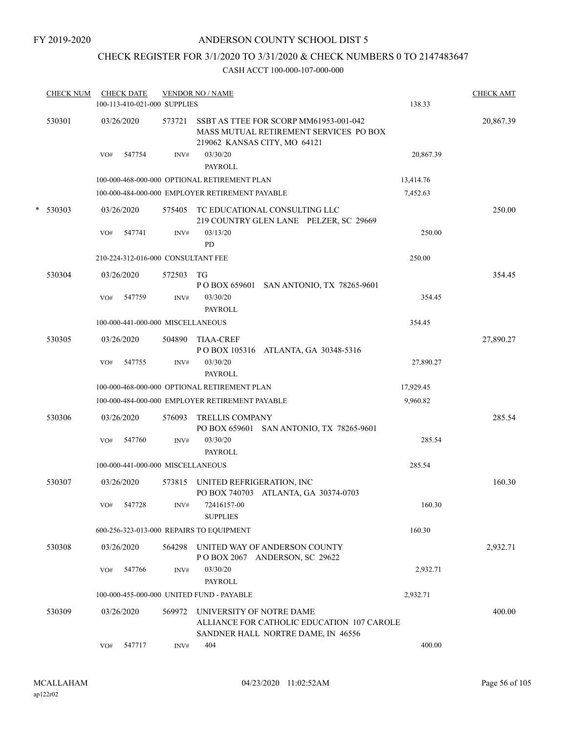## CHECK REGISTER FOR 3/1/2020 TO 3/31/2020 & CHECK NUMBERS 0 TO 2147483647

|   | <b>CHECK NUM</b> |     | <b>CHECK DATE</b><br>100-113-410-021-000 SUPPLIES |        | <b>VENDOR NO / NAME</b>                                                                                          | 138.33    | <b>CHECK AMT</b> |
|---|------------------|-----|---------------------------------------------------|--------|------------------------------------------------------------------------------------------------------------------|-----------|------------------|
|   | 530301           |     | 03/26/2020                                        | 573721 | SSBT AS TTEE FOR SCORP MM61953-001-042<br>MASS MUTUAL RETIREMENT SERVICES PO BOX<br>219062 KANSAS CITY, MO 64121 |           | 20,867.39        |
|   |                  | VO# | 547754                                            | INV#   | 03/30/20<br><b>PAYROLL</b>                                                                                       | 20,867.39 |                  |
|   |                  |     |                                                   |        | 100-000-468-000-000 OPTIONAL RETIREMENT PLAN                                                                     | 13,414.76 |                  |
|   |                  |     |                                                   |        | 100-000-484-000-000 EMPLOYER RETIREMENT PAYABLE                                                                  | 7,452.63  |                  |
| * | 530303           |     | 03/26/2020                                        | 575405 | TC EDUCATIONAL CONSULTING LLC<br>219 COUNTRY GLEN LANE PELZER, SC 29669                                          |           | 250.00           |
|   |                  | VO# | 547741                                            | INV#   | 03/13/20<br>PD                                                                                                   | 250.00    |                  |
|   |                  |     | 210-224-312-016-000 CONSULTANT FEE                |        |                                                                                                                  | 250.00    |                  |
|   | 530304           |     | 03/26/2020                                        | 572503 | TG<br>P O BOX 659601 SAN ANTONIO, TX 78265-9601                                                                  |           | 354.45           |
|   |                  | VO# | 547759                                            | INV#   | 03/30/20<br><b>PAYROLL</b>                                                                                       | 354.45    |                  |
|   |                  |     | 100-000-441-000-000 MISCELLANEOUS                 |        |                                                                                                                  | 354.45    |                  |
|   | 530305           |     | 03/26/2020                                        | 504890 | <b>TIAA-CREF</b><br>POBOX 105316 ATLANTA, GA 30348-5316                                                          |           | 27,890.27        |
|   |                  | VO# | 547755                                            | INV#   | 03/30/20<br><b>PAYROLL</b>                                                                                       | 27,890.27 |                  |
|   |                  |     |                                                   |        | 100-000-468-000-000 OPTIONAL RETIREMENT PLAN                                                                     | 17,929.45 |                  |
|   |                  |     |                                                   |        | 100-000-484-000-000 EMPLOYER RETIREMENT PAYABLE                                                                  | 9,960.82  |                  |
|   | 530306           |     | 03/26/2020                                        | 576093 | <b>TRELLIS COMPANY</b><br>PO BOX 659601 SAN ANTONIO, TX 78265-9601                                               |           | 285.54           |
|   |                  | VO# | 547760                                            | INV#   | 03/30/20<br><b>PAYROLL</b>                                                                                       | 285.54    |                  |
|   |                  |     | 100-000-441-000-000 MISCELLANEOUS                 |        |                                                                                                                  | 285.54    |                  |
|   | 530307           |     | 03/26/2020                                        | 573815 | UNITED REFRIGERATION, INC<br>PO BOX 740703 ATLANTA, GA 30374-0703                                                |           | 160.30           |
|   |                  | VO# | 547728                                            | INV#   | 72416157-00<br><b>SUPPLIES</b>                                                                                   | 160.30    |                  |
|   |                  |     |                                                   |        | 600-256-323-013-000 REPAIRS TO EQUIPMENT                                                                         | 160.30    |                  |
|   | 530308           |     | 03/26/2020                                        | 564298 | UNITED WAY OF ANDERSON COUNTY<br>POBOX 2067 ANDERSON, SC 29622                                                   |           | 2,932.71         |
|   |                  | VO# | 547766                                            | INV#   | 03/30/20<br>PAYROLL                                                                                              | 2,932.71  |                  |
|   |                  |     |                                                   |        | 100-000-455-000-000 UNITED FUND - PAYABLE                                                                        | 2,932.71  |                  |
|   | 530309           |     | 03/26/2020                                        | 569972 | UNIVERSITY OF NOTRE DAME<br>ALLIANCE FOR CATHOLIC EDUCATION 107 CAROLE<br>SANDNER HALL NORTRE DAME, IN 46556     |           | 400.00           |
|   |                  | VO# | 547717                                            | INV#   | 404                                                                                                              | 400.00    |                  |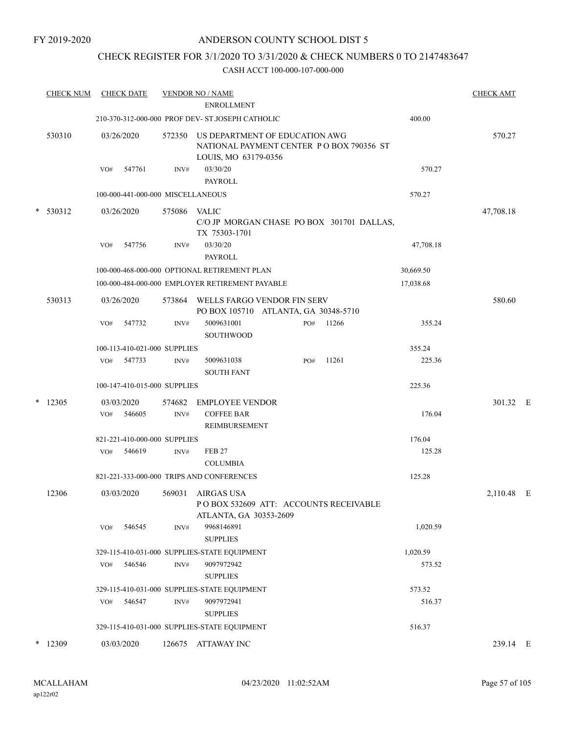## ANDERSON COUNTY SCHOOL DIST 5

## CHECK REGISTER FOR 3/1/2020 TO 3/31/2020 & CHECK NUMBERS 0 TO 2147483647

| <b>CHECK NUM</b> | <b>CHECK DATE</b>           |                                   | <b>VENDOR NO / NAME</b>                                                                            |     |       |           | <b>CHECK AMT</b> |  |
|------------------|-----------------------------|-----------------------------------|----------------------------------------------------------------------------------------------------|-----|-------|-----------|------------------|--|
|                  |                             |                                   | <b>ENROLLMENT</b>                                                                                  |     |       |           |                  |  |
|                  |                             |                                   | 210-370-312-000-000 PROF DEV- ST.JOSEPH CATHOLIC                                                   |     |       | 400.00    |                  |  |
| 530310           | 03/26/2020                  | 572350                            | US DEPARTMENT OF EDUCATION AWG<br>NATIONAL PAYMENT CENTER PO BOX 790356 ST<br>LOUIS, MO 63179-0356 |     |       |           | 570.27           |  |
|                  | 547761<br>VO#               | INV#                              | 03/30/20<br><b>PAYROLL</b>                                                                         |     |       | 570.27    |                  |  |
|                  |                             | 100-000-441-000-000 MISCELLANEOUS |                                                                                                    |     |       | 570.27    |                  |  |
| $* 530312$       | 03/26/2020                  | 575086                            | VALIC<br>C/O JP MORGAN CHASE PO BOX 301701 DALLAS,                                                 |     |       |           | 47,708.18        |  |
|                  | 547756<br>VO#               | INV#                              | TX 75303-1701<br>03/30/20<br><b>PAYROLL</b>                                                        |     |       | 47,708.18 |                  |  |
|                  |                             |                                   | 100-000-468-000-000 OPTIONAL RETIREMENT PLAN                                                       |     |       | 30,669.50 |                  |  |
|                  |                             |                                   | 100-000-484-000-000 EMPLOYER RETIREMENT PAYABLE                                                    |     |       | 17,038.68 |                  |  |
| 530313           | 03/26/2020                  | 573864                            | WELLS FARGO VENDOR FIN SERV<br>PO BOX 105710 ATLANTA, GA 30348-5710                                |     |       |           | 580.60           |  |
|                  | 547732<br>VO#               | INV#                              | 5009631001<br><b>SOUTHWOOD</b>                                                                     | PO# | 11266 | 355.24    |                  |  |
|                  |                             | 100-113-410-021-000 SUPPLIES      |                                                                                                    |     |       | 355.24    |                  |  |
|                  | VO#<br>547733               | INV#                              | 5009631038<br><b>SOUTH FANT</b>                                                                    | PO# | 11261 | 225.36    |                  |  |
|                  |                             | 100-147-410-015-000 SUPPLIES      |                                                                                                    |     |       | 225.36    |                  |  |
| $*$ 12305        | 03/03/2020<br>546605<br>VO# | 574682<br>INV#                    | <b>EMPLOYEE VENDOR</b><br><b>COFFEE BAR</b><br>REIMBURSEMENT                                       |     |       | 176.04    | 301.32 E         |  |
|                  |                             | 821-221-410-000-000 SUPPLIES      |                                                                                                    |     |       | 176.04    |                  |  |
|                  | 546619<br>VO#               | INV#                              | <b>FEB 27</b><br><b>COLUMBIA</b>                                                                   |     |       | 125.28    |                  |  |
|                  |                             |                                   | 821-221-333-000-000 TRIPS AND CONFERENCES                                                          |     |       | 125.28    |                  |  |
| 12306            | 03/03/2020                  | 569031                            | AIRGAS USA<br>POBOX 532609 ATT: ACCOUNTS RECEIVABLE<br>ATLANTA, GA 30353-2609                      |     |       |           | 2,110.48 E       |  |
|                  | 546545<br>VO#               | INV#                              | 9968146891<br><b>SUPPLIES</b>                                                                      |     |       | 1,020.59  |                  |  |
|                  |                             |                                   | 329-115-410-031-000 SUPPLIES-STATE EQUIPMENT                                                       |     |       | 1,020.59  |                  |  |
|                  | 546546<br>VO#               | $\text{INV}\#$                    | 9097972942<br><b>SUPPLIES</b>                                                                      |     |       | 573.52    |                  |  |
|                  |                             |                                   | 329-115-410-031-000 SUPPLIES-STATE EQUIPMENT                                                       |     |       | 573.52    |                  |  |
|                  | 546547<br>VO#               | INV#                              | 9097972941<br><b>SUPPLIES</b>                                                                      |     |       | 516.37    |                  |  |
|                  |                             |                                   | 329-115-410-031-000 SUPPLIES-STATE EQUIPMENT                                                       |     |       | 516.37    |                  |  |
| $*$ 12309        | 03/03/2020                  | 126675                            | ATTAWAY INC                                                                                        |     |       |           | 239.14 E         |  |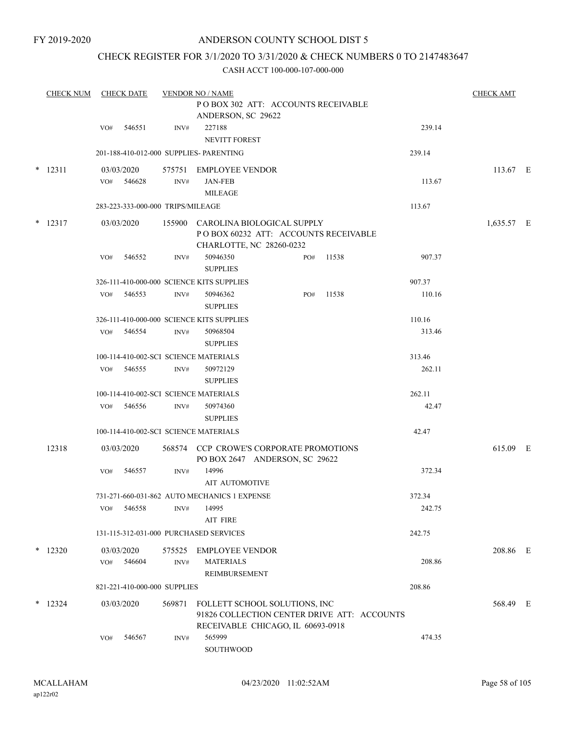## ANDERSON COUNTY SCHOOL DIST 5

## CHECK REGISTER FOR 3/1/2020 TO 3/31/2020 & CHECK NUMBERS 0 TO 2147483647

|        | <b>CHECK NUM</b> |     | <b>CHECK DATE</b>                 |        | <b>VENDOR NO / NAME</b>                                                                               |     |       |        | <b>CHECK AMT</b> |  |
|--------|------------------|-----|-----------------------------------|--------|-------------------------------------------------------------------------------------------------------|-----|-------|--------|------------------|--|
|        |                  |     |                                   |        | POBOX 302 ATT: ACCOUNTS RECEIVABLE                                                                    |     |       |        |                  |  |
|        |                  |     |                                   |        | ANDERSON, SC 29622                                                                                    |     |       |        |                  |  |
|        |                  | VO# | 546551                            | INV#   | 227188<br><b>NEVITT FOREST</b>                                                                        |     |       | 239.14 |                  |  |
|        |                  |     |                                   |        | 201-188-410-012-000 SUPPLIES- PARENTING                                                               |     |       | 239.14 |                  |  |
| $\ast$ | 12311            |     | 03/03/2020                        | 575751 | <b>EMPLOYEE VENDOR</b>                                                                                |     |       |        | 113.67 E         |  |
|        |                  | VO# | 546628                            | INV#   | <b>JAN-FEB</b>                                                                                        |     |       | 113.67 |                  |  |
|        |                  |     |                                   |        | <b>MILEAGE</b>                                                                                        |     |       |        |                  |  |
|        |                  |     | 283-223-333-000-000 TRIPS/MILEAGE |        |                                                                                                       |     |       | 113.67 |                  |  |
|        | $*$ 12317        |     | 03/03/2020                        |        | 155900 CAROLINA BIOLOGICAL SUPPLY<br>POBOX 60232 ATT: ACCOUNTS RECEIVABLE<br>CHARLOTTE, NC 28260-0232 |     |       |        | 1,635.57 E       |  |
|        |                  | VO# | 546552                            | INV#   | 50946350                                                                                              | PO# | 11538 | 907.37 |                  |  |
|        |                  |     |                                   |        | <b>SUPPLIES</b>                                                                                       |     |       |        |                  |  |
|        |                  |     |                                   |        | 326-111-410-000-000 SCIENCE KITS SUPPLIES                                                             |     |       | 907.37 |                  |  |
|        |                  | VO# | 546553                            | INV#   | 50946362<br><b>SUPPLIES</b>                                                                           | PO# | 11538 | 110.16 |                  |  |
|        |                  |     |                                   |        | 326-111-410-000-000 SCIENCE KITS SUPPLIES                                                             |     |       | 110.16 |                  |  |
|        |                  | VO# | 546554                            | INV#   | 50968504<br><b>SUPPLIES</b>                                                                           |     |       | 313.46 |                  |  |
|        |                  |     |                                   |        | 100-114-410-002-SCI SCIENCE MATERIALS                                                                 |     |       | 313.46 |                  |  |
|        |                  | VO# | 546555                            | INV#   | 50972129                                                                                              |     |       | 262.11 |                  |  |
|        |                  |     |                                   |        | <b>SUPPLIES</b>                                                                                       |     |       |        |                  |  |
|        |                  |     |                                   |        | 100-114-410-002-SCI SCIENCE MATERIALS                                                                 |     |       | 262.11 |                  |  |
|        |                  | VO# | 546556                            | INV#   | 50974360                                                                                              |     |       | 42.47  |                  |  |
|        |                  |     |                                   |        | <b>SUPPLIES</b>                                                                                       |     |       |        |                  |  |
|        |                  |     |                                   |        | 100-114-410-002-SCI SCIENCE MATERIALS                                                                 |     |       | 42.47  |                  |  |
|        | 12318            |     | 03/03/2020                        |        | 568574 CCP CROWE'S CORPORATE PROMOTIONS<br>PO BOX 2647 ANDERSON, SC 29622                             |     |       |        | 615.09 E         |  |
|        |                  | VO# | 546557                            | INV#   | 14996<br><b>AIT AUTOMOTIVE</b>                                                                        |     |       | 372.34 |                  |  |
|        |                  |     |                                   |        | 731-271-660-031-862 AUTO MECHANICS 1 EXPENSE                                                          |     |       | 372.34 |                  |  |
|        |                  | VO# | 546558                            | INV#   | 14995<br>AIT FIRE                                                                                     |     |       | 242.75 |                  |  |
|        |                  |     |                                   |        | 131-115-312-031-000 PURCHASED SERVICES                                                                |     |       | 242.75 |                  |  |
|        | $*$ 12320        |     | 03/03/2020                        | 575525 | <b>EMPLOYEE VENDOR</b>                                                                                |     |       |        | 208.86 E         |  |
|        |                  | VO# | 546604                            | INV#   | <b>MATERIALS</b>                                                                                      |     |       | 208.86 |                  |  |
|        |                  |     |                                   |        | REIMBURSEMENT                                                                                         |     |       |        |                  |  |
|        |                  |     | 821-221-410-000-000 SUPPLIES      |        |                                                                                                       |     |       | 208.86 |                  |  |
|        | $*$ 12324        |     | 03/03/2020                        | 569871 | FOLLETT SCHOOL SOLUTIONS, INC                                                                         |     |       |        | 568.49 E         |  |
|        |                  |     |                                   |        | 91826 COLLECTION CENTER DRIVE ATT: ACCOUNTS<br>RECEIVABLE CHICAGO, IL 60693-0918                      |     |       |        |                  |  |
|        |                  | VO# | 546567                            | INV#   | 565999                                                                                                |     |       | 474.35 |                  |  |
|        |                  |     |                                   |        | SOUTHWOOD                                                                                             |     |       |        |                  |  |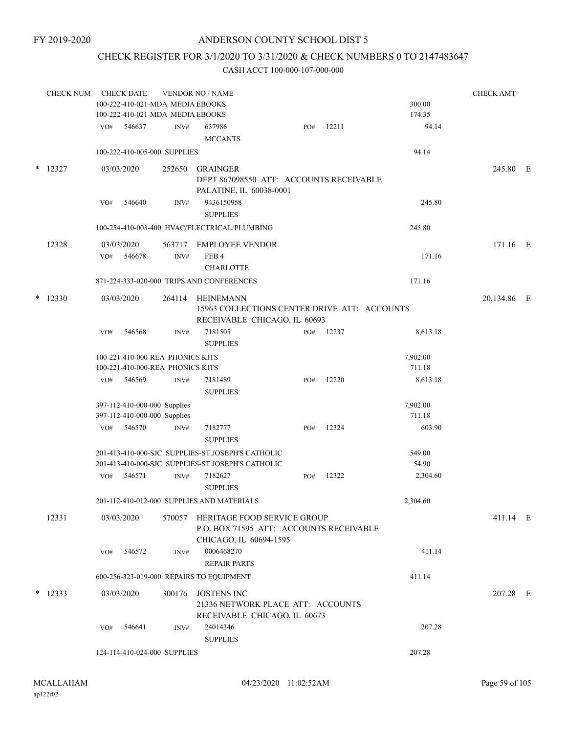## CHECK REGISTER FOR 3/1/2020 TO 3/31/2020 & CHECK NUMBERS 0 TO 2147483647

|        | <b>CHECK NUM</b> |     | <b>CHECK DATE</b> |                                                                      | <b>VENDOR NO / NAME</b>                                                                                 |     |       |                    | <b>CHECK AMT</b> |  |
|--------|------------------|-----|-------------------|----------------------------------------------------------------------|---------------------------------------------------------------------------------------------------------|-----|-------|--------------------|------------------|--|
|        |                  |     |                   | 100-222-410-021-MDA MEDIA EBOOKS                                     |                                                                                                         |     |       | 300.00             |                  |  |
|        |                  |     |                   | 100-222-410-021-MDA MEDIA EBOOKS                                     |                                                                                                         |     |       | 174.35             |                  |  |
|        |                  | VO# | 546637            | INV#                                                                 | 637986                                                                                                  | PO# | 12211 | 94.14              |                  |  |
|        |                  |     |                   |                                                                      | <b>MCCANTS</b>                                                                                          |     |       |                    |                  |  |
|        |                  |     |                   | 100-222-410-005-000 SUPPLIES                                         |                                                                                                         |     |       | 94.14              |                  |  |
| $\ast$ | 12327            |     | 03/03/2020        | 252650                                                               | <b>GRAINGER</b><br>DEPT 867098550 ATT: ACCOUNTS RECEIVABLE<br>PALATINE, IL 60038-0001                   |     |       |                    | 245.80 E         |  |
|        |                  | VO# | 546640            | INV#                                                                 | 9436150958<br><b>SUPPLIES</b>                                                                           |     |       | 245.80             |                  |  |
|        |                  |     |                   |                                                                      | 100-254-410-003-400 HVAC/ELECTRICAL/PLUMBING                                                            |     |       | 245.80             |                  |  |
|        | 12328            |     | 03/03/2020        |                                                                      | 563717 EMPLOYEE VENDOR                                                                                  |     |       |                    | 171.16 E         |  |
|        |                  | VO# | 546678            | INV#                                                                 | FEB <sub>4</sub><br><b>CHARLOTTE</b>                                                                    |     |       | 171.16             |                  |  |
|        |                  |     |                   |                                                                      | 871-224-333-020-000 TRIPS AND CONFERENCES                                                               |     |       | 171.16             |                  |  |
|        |                  |     |                   |                                                                      |                                                                                                         |     |       |                    |                  |  |
| $\ast$ | 12330            |     | 03/03/2020        | 264114                                                               | HEINEMANN<br>15963 COLLECTIONS CENTER DRIVE ATT: ACCOUNTS<br>RECEIVABLE CHICAGO, IL 60693               |     |       |                    | 20,134.86 E      |  |
|        |                  | VO# | 546568            | INV#                                                                 | 7181505<br><b>SUPPLIES</b>                                                                              | PO# | 12237 | 8,613.18           |                  |  |
|        |                  |     |                   | 100-221-410-000-REA PHONICS KITS<br>100-221-410-000-REA PHONICS KITS |                                                                                                         |     |       | 7,902.00<br>711.18 |                  |  |
|        |                  | VO# | 546569            | INV#                                                                 | 7181489<br><b>SUPPLIES</b>                                                                              | PO# | 12220 | 8,613.18           |                  |  |
|        |                  |     |                   | 397-112-410-000-000 Supplies                                         |                                                                                                         |     |       | 7,902.00           |                  |  |
|        |                  |     |                   | 397-112-410-000-000 Supplies                                         |                                                                                                         |     |       | 711.18             |                  |  |
|        |                  | VO# | 546570            | INV#                                                                 | 7182777<br><b>SUPPLIES</b>                                                                              | PO# | 12324 | 603.90             |                  |  |
|        |                  |     |                   |                                                                      | 201-413-410-000-SJC SUPPLIES-ST JOSEPH'S CATHOLIC<br>201-413-410-000-SJC SUPPLIES-ST.JOSEPH'S CATHOLIC  |     |       | 549.00<br>54.90    |                  |  |
|        |                  | VO# | 546571            | INV#                                                                 | 7182627<br><b>SUPPLIES</b>                                                                              | PO# | 12322 | 2,304.60           |                  |  |
|        |                  |     |                   |                                                                      | 201-112-410-012-000 SUPPLIES AND MATERIALS                                                              |     |       | 2,304.60           |                  |  |
|        | 12331            |     | 03/03/2020        |                                                                      | 570057 HERITAGE FOOD SERVICE GROUP<br>P.O. BOX 71595 ATT: ACCOUNTS RECEIVABLE<br>CHICAGO, IL 60694-1595 |     |       |                    | 411.14 E         |  |
|        |                  | VO# | 546572            | INV#                                                                 | 0006468270<br><b>REPAIR PARTS</b>                                                                       |     |       | 411.14             |                  |  |
|        |                  |     |                   |                                                                      | 600-256-323-019-000 REPAIRS TO EQUIPMENT                                                                |     |       | 411.14             |                  |  |
|        | $*12333$         |     | 03/03/2020        | 300176                                                               | <b>JOSTENS INC</b><br>21336 NETWORK PLACE ATT: ACCOUNTS                                                 |     |       |                    | 207.28 E         |  |
|        |                  | VO# | 546641            | INV#                                                                 | RECEIVABLE CHICAGO, IL 60673<br>24014346<br><b>SUPPLIES</b>                                             |     |       | 207.28             |                  |  |
|        |                  |     |                   | 124-114-410-024-000 SUPPLIES                                         |                                                                                                         |     |       | 207.28             |                  |  |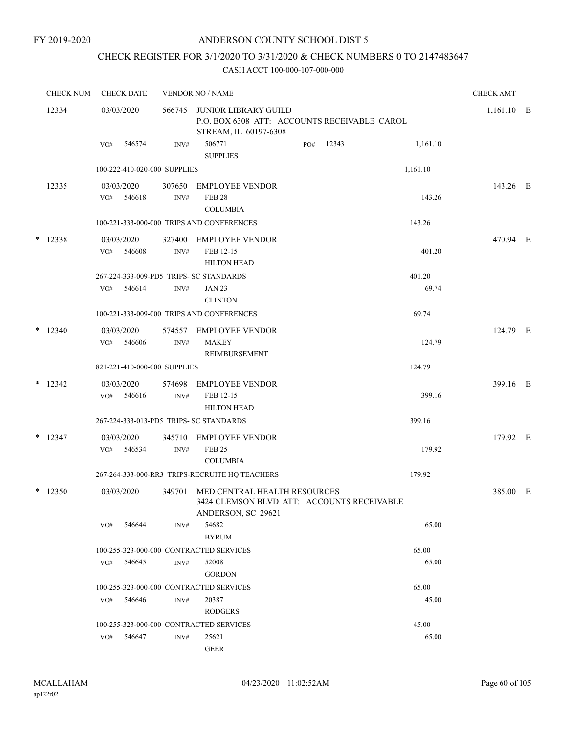## ANDERSON COUNTY SCHOOL DIST 5

## CHECK REGISTER FOR 3/1/2020 TO 3/31/2020 & CHECK NUMBERS 0 TO 2147483647

| <b>CHECK NUM</b> |           |            | <b>CHECK DATE</b>    |                              | <b>VENDOR NO / NAME</b>                                                                          |     |       |                 |              |  |
|------------------|-----------|------------|----------------------|------------------------------|--------------------------------------------------------------------------------------------------|-----|-------|-----------------|--------------|--|
| 12334            |           | 03/03/2020 |                      | 566745                       | JUNIOR LIBRARY GUILD<br>P.O. BOX 6308 ATT: ACCOUNTS RECEIVABLE CAROL<br>STREAM, IL 60197-6308    |     |       |                 | $1,161.10$ E |  |
|                  |           | VO#        | 546574               | INV#                         | 506771<br><b>SUPPLIES</b>                                                                        | PO# | 12343 | 1,161.10        |              |  |
|                  |           |            |                      | 100-222-410-020-000 SUPPLIES |                                                                                                  |     |       | 1,161.10        |              |  |
|                  | 12335     | VO#        | 03/03/2020<br>546618 | 307650<br>$\text{INV}\#$     | <b>EMPLOYEE VENDOR</b><br><b>FEB 28</b><br><b>COLUMBIA</b>                                       |     |       | 143.26          | 143.26 E     |  |
|                  |           |            |                      |                              | 100-221-333-000-000 TRIPS AND CONFERENCES                                                        |     |       | 143.26          |              |  |
|                  | $*$ 12338 | VO#        | 03/03/2020<br>546608 | 327400<br>INV#               | EMPLOYEE VENDOR<br>FEB 12-15<br><b>HILTON HEAD</b>                                               |     |       | 401.20          | 470.94 E     |  |
|                  |           | VO#        | 546614               | INV#                         | 267-224-333-009-PD5 TRIPS- SC STANDARDS<br><b>JAN 23</b><br><b>CLINTON</b>                       |     |       | 401.20<br>69.74 |              |  |
|                  |           |            |                      |                              | 100-221-333-009-000 TRIPS AND CONFERENCES                                                        |     |       | 69.74           |              |  |
|                  | $*$ 12340 | VO#        | 03/03/2020<br>546606 | 574557<br>INV#               | <b>EMPLOYEE VENDOR</b><br><b>MAKEY</b><br>REIMBURSEMENT                                          |     |       | 124.79          | 124.79 E     |  |
|                  |           |            |                      | 821-221-410-000-000 SUPPLIES |                                                                                                  |     |       | 124.79          |              |  |
|                  | $*$ 12342 | VO#        | 03/03/2020<br>546616 | 574698<br>INV#               | <b>EMPLOYEE VENDOR</b><br>FEB 12-15<br><b>HILTON HEAD</b>                                        |     |       | 399.16          | 399.16 E     |  |
|                  |           |            |                      |                              | 267-224-333-013-PD5 TRIPS- SC STANDARDS                                                          |     |       | 399.16          |              |  |
|                  | $*$ 12347 | VO#        | 03/03/2020<br>546534 | 345710<br>INV#               | EMPLOYEE VENDOR<br><b>FEB 25</b><br><b>COLUMBIA</b>                                              |     |       | 179.92          | 179.92 E     |  |
|                  |           |            |                      |                              | 267-264-333-000-RR3 TRIPS-RECRUITE HQ TEACHERS                                                   |     |       | 179.92          |              |  |
|                  | $*$ 12350 |            | 03/03/2020           | 349701                       | MED CENTRAL HEALTH RESOURCES<br>3424 CLEMSON BLVD ATT: ACCOUNTS RECEIVABLE<br>ANDERSON, SC 29621 |     |       |                 | 385.00 E     |  |
|                  |           | VO#        | 546644               | INV#                         | 54682<br><b>BYRUM</b>                                                                            |     |       | 65.00           |              |  |
|                  |           |            |                      |                              | 100-255-323-000-000 CONTRACTED SERVICES                                                          |     |       | 65.00           |              |  |
|                  |           | VO#        | 546645               | INV#                         | 52008<br><b>GORDON</b>                                                                           |     |       | 65.00           |              |  |
|                  |           |            |                      |                              | 100-255-323-000-000 CONTRACTED SERVICES                                                          |     |       | 65.00           |              |  |
|                  |           | VO#        | 546646               | INV#                         | 20387<br><b>RODGERS</b>                                                                          |     |       | 45.00           |              |  |
|                  |           |            |                      |                              | 100-255-323-000-000 CONTRACTED SERVICES                                                          |     |       | 45.00           |              |  |
|                  |           | VO#        | 546647               | INV#                         | 25621<br>GEER                                                                                    |     |       | 65.00           |              |  |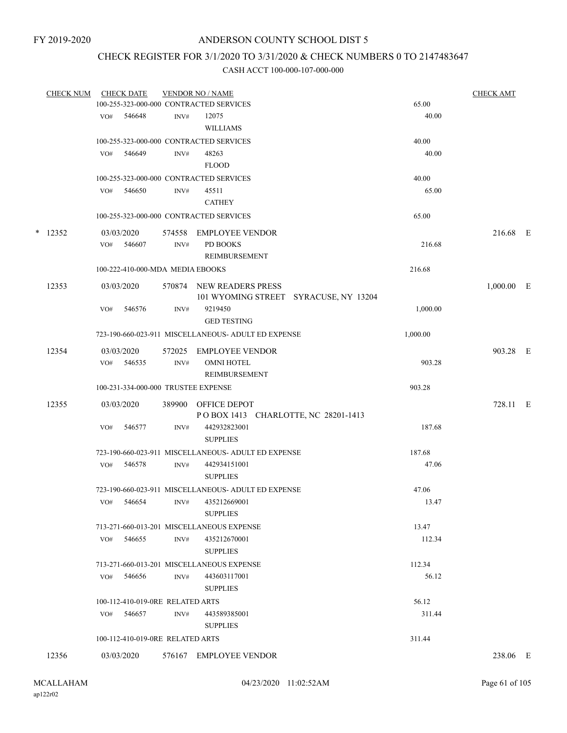# CHECK REGISTER FOR 3/1/2020 TO 3/31/2020 & CHECK NUMBERS 0 TO 2147483647

| <b>CHECK NUM</b> |     | <b>CHECK DATE</b>                |        | <b>VENDOR NO / NAME</b>                             |          | <b>CHECK AMT</b> |  |
|------------------|-----|----------------------------------|--------|-----------------------------------------------------|----------|------------------|--|
|                  |     |                                  |        | 100-255-323-000-000 CONTRACTED SERVICES             | 65.00    |                  |  |
|                  | VO# | 546648                           | INV#   | 12075                                               | 40.00    |                  |  |
|                  |     |                                  |        | <b>WILLIAMS</b>                                     |          |                  |  |
|                  |     |                                  |        | 100-255-323-000-000 CONTRACTED SERVICES             | 40.00    |                  |  |
|                  | VO# | 546649                           | INV#   | 48263                                               | 40.00    |                  |  |
|                  |     |                                  |        | <b>FLOOD</b>                                        |          |                  |  |
|                  |     |                                  |        | 100-255-323-000-000 CONTRACTED SERVICES             | 40.00    |                  |  |
|                  | VO# | 546650                           | INV#   | 45511                                               | 65.00    |                  |  |
|                  |     |                                  |        | <b>CATHEY</b>                                       |          |                  |  |
|                  |     |                                  |        | 100-255-323-000-000 CONTRACTED SERVICES             | 65.00    |                  |  |
| $*$ 12352        |     | 03/03/2020                       | 574558 | EMPLOYEE VENDOR                                     |          | 216.68 E         |  |
|                  | VO# | 546607                           | INV#   | PD BOOKS                                            | 216.68   |                  |  |
|                  |     |                                  |        | REIMBURSEMENT                                       |          |                  |  |
|                  |     | 100-222-410-000-MDA MEDIA EBOOKS |        |                                                     | 216.68   |                  |  |
| 12353            |     | 03/03/2020                       |        | 570874 NEW READERS PRESS                            |          | $1,000.00$ E     |  |
|                  |     |                                  |        | 101 WYOMING STREET SYRACUSE, NY 13204               |          |                  |  |
|                  | VO# | 546576                           | INV#   | 9219450                                             | 1,000.00 |                  |  |
|                  |     |                                  |        | <b>GED TESTING</b>                                  |          |                  |  |
|                  |     |                                  |        | 723-190-660-023-911 MISCELLANEOUS- ADULT ED EXPENSE | 1,000.00 |                  |  |
| 12354            |     | 03/03/2020                       |        | 572025 EMPLOYEE VENDOR                              |          | 903.28 E         |  |
|                  |     | VO# 546535                       | INV#   | <b>OMNI HOTEL</b>                                   | 903.28   |                  |  |
|                  |     |                                  |        | REIMBURSEMENT                                       |          |                  |  |
|                  |     |                                  |        | 100-231-334-000-000 TRUSTEE EXPENSE                 | 903.28   |                  |  |
| 12355            |     | 03/03/2020                       |        | 389900 OFFICE DEPOT                                 |          | 728.11 E         |  |
|                  |     |                                  |        | POBOX 1413 CHARLOTTE, NC 28201-1413                 |          |                  |  |
|                  | VO# | 546577                           | INV#   | 442932823001                                        | 187.68   |                  |  |
|                  |     |                                  |        | <b>SUPPLIES</b>                                     |          |                  |  |
|                  |     |                                  |        | 723-190-660-023-911 MISCELLANEOUS- ADULT ED EXPENSE | 187.68   |                  |  |
|                  | VO# | 546578                           | INV#   | 442934151001                                        | 47.06    |                  |  |
|                  |     |                                  |        | <b>SUPPLIES</b>                                     |          |                  |  |
|                  |     |                                  |        | 723-190-660-023-911 MISCELLANEOUS- ADULT ED EXPENSE | 47.06    |                  |  |
|                  |     |                                  |        | VO# 546654 INV# 435212669001                        | 13.47    |                  |  |
|                  |     |                                  |        | <b>SUPPLIES</b>                                     |          |                  |  |
|                  |     |                                  |        | 713-271-660-013-201 MISCELLANEOUS EXPENSE           | 13.47    |                  |  |
|                  | VO# | 546655                           | INV#   | 435212670001                                        | 112.34   |                  |  |
|                  |     |                                  |        | <b>SUPPLIES</b>                                     |          |                  |  |
|                  |     |                                  |        | 713-271-660-013-201 MISCELLANEOUS EXPENSE           | 112.34   |                  |  |
|                  |     | VO# 546656                       | INV#   | 443603117001                                        | 56.12    |                  |  |
|                  |     |                                  |        | <b>SUPPLIES</b>                                     |          |                  |  |
|                  |     | 100-112-410-019-0RE RELATED ARTS |        |                                                     | 56.12    |                  |  |
|                  |     | VO# 546657                       | INV#   | 443589385001                                        | 311.44   |                  |  |
|                  |     |                                  |        | <b>SUPPLIES</b>                                     |          |                  |  |
|                  |     | 100-112-410-019-0RE RELATED ARTS |        |                                                     | 311.44   |                  |  |
| 12356            |     | 03/03/2020                       |        | 576167 EMPLOYEE VENDOR                              |          | 238.06 E         |  |
|                  |     |                                  |        |                                                     |          |                  |  |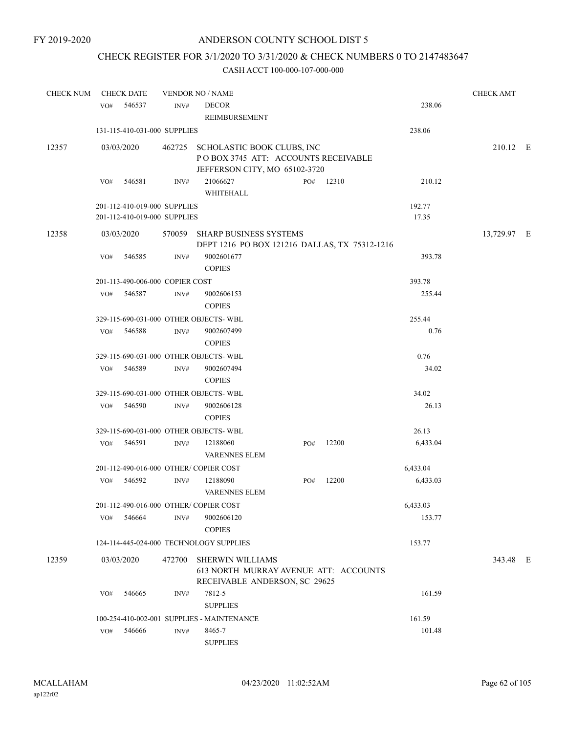## CHECK REGISTER FOR 3/1/2020 TO 3/31/2020 & CHECK NUMBERS 0 TO 2147483647

| <b>CHECK NUM</b> |     | <b>CHECK DATE</b>               |        | <b>VENDOR NO / NAME</b>                                                                                   |     |       |          | <b>CHECK AMT</b> |  |
|------------------|-----|---------------------------------|--------|-----------------------------------------------------------------------------------------------------------|-----|-------|----------|------------------|--|
|                  |     | VO# 546537                      | INV#   | <b>DECOR</b><br>REIMBURSEMENT                                                                             |     |       | 238.06   |                  |  |
|                  |     | 131-115-410-031-000 SUPPLIES    |        |                                                                                                           |     |       | 238.06   |                  |  |
| 12357            |     | 03/03/2020                      |        | 462725 SCHOLASTIC BOOK CLUBS, INC<br>POBOX 3745 ATT: ACCOUNTS RECEIVABLE<br>JEFFERSON CITY, MO 65102-3720 |     |       |          | 210.12 E         |  |
|                  | VO# | 546581                          | INV#   | 21066627<br>WHITEHALL                                                                                     | PO# | 12310 | 210.12   |                  |  |
|                  |     | 201-112-410-019-000 SUPPLIES    |        |                                                                                                           |     |       | 192.77   |                  |  |
|                  |     | 201-112-410-019-000 SUPPLIES    |        |                                                                                                           |     |       | 17.35    |                  |  |
| 12358            |     | 03/03/2020                      | 570059 | <b>SHARP BUSINESS SYSTEMS</b><br>DEPT 1216 PO BOX 121216 DALLAS, TX 75312-1216                            |     |       |          | 13,729.97 E      |  |
|                  | VO# | 546585                          | INV#   | 9002601677<br><b>COPIES</b>                                                                               |     |       | 393.78   |                  |  |
|                  |     | 201-113-490-006-000 COPIER COST |        |                                                                                                           |     |       | 393.78   |                  |  |
|                  | VO# | 546587                          | INV#   | 9002606153<br><b>COPIES</b>                                                                               |     |       | 255.44   |                  |  |
|                  |     |                                 |        | 329-115-690-031-000 OTHER OBJECTS- WBL                                                                    |     |       | 255.44   |                  |  |
|                  | VO# | 546588                          | INV#   | 9002607499<br><b>COPIES</b>                                                                               |     |       | 0.76     |                  |  |
|                  |     |                                 |        | 329-115-690-031-000 OTHER OBJECTS-WBL                                                                     |     |       | 0.76     |                  |  |
|                  | VO# | 546589                          | INV#   | 9002607494<br><b>COPIES</b>                                                                               |     |       | 34.02    |                  |  |
|                  |     |                                 |        | 329-115-690-031-000 OTHER OBJECTS-WBL                                                                     |     |       | 34.02    |                  |  |
|                  | VO# | 546590                          | INV#   | 9002606128<br><b>COPIES</b>                                                                               |     |       | 26.13    |                  |  |
|                  |     |                                 |        | 329-115-690-031-000 OTHER OBJECTS-WBL                                                                     |     |       | 26.13    |                  |  |
|                  | VO# | 546591                          | INV#   | 12188060<br><b>VARENNES ELEM</b>                                                                          | PO# | 12200 | 6,433.04 |                  |  |
|                  |     |                                 |        | 201-112-490-016-000 OTHER/COPIER COST                                                                     |     |       | 6,433.04 |                  |  |
|                  | VO# | 546592                          | INV#   | 12188090<br><b>VARENNES ELEM</b>                                                                          | PO# | 12200 | 6,433.03 |                  |  |
|                  |     |                                 |        | 201-112-490-016-000 OTHER/COPIER COST                                                                     |     |       | 6,433.03 |                  |  |
|                  | VO# | 546664                          | INV#   | 9002606120<br><b>COPIES</b>                                                                               |     |       | 153.77   |                  |  |
|                  |     |                                 |        | 124-114-445-024-000 TECHNOLOGY SUPPLIES                                                                   |     |       | 153.77   |                  |  |
| 12359            |     | 03/03/2020                      | 472700 | <b>SHERWIN WILLIAMS</b><br>613 NORTH MURRAY AVENUE ATT: ACCOUNTS<br>RECEIVABLE ANDERSON, SC 29625         |     |       |          | 343.48 E         |  |
|                  | VO# | 546665                          | INV#   | 7812-5<br><b>SUPPLIES</b>                                                                                 |     |       | 161.59   |                  |  |
|                  |     |                                 |        | 100-254-410-002-001 SUPPLIES - MAINTENANCE                                                                |     |       | 161.59   |                  |  |
|                  | VO# | 546666                          | INV#   | 8465-7<br><b>SUPPLIES</b>                                                                                 |     |       | 101.48   |                  |  |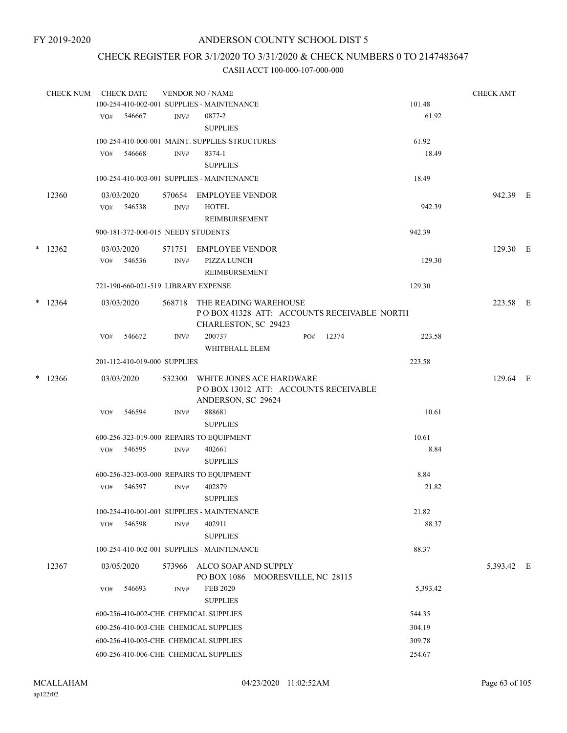## CHECK REGISTER FOR 3/1/2020 TO 3/31/2020 & CHECK NUMBERS 0 TO 2147483647

| <b>CHECK NUM</b> |     | <b>CHECK DATE</b>                   |        | <b>VENDOR NO / NAME</b>                                                                            |     |       |        |          | <b>CHECK AMT</b> |  |
|------------------|-----|-------------------------------------|--------|----------------------------------------------------------------------------------------------------|-----|-------|--------|----------|------------------|--|
|                  |     |                                     |        | 100-254-410-002-001 SUPPLIES - MAINTENANCE                                                         |     |       | 101.48 |          |                  |  |
|                  |     | VO# 546667                          | INV#   | 0877-2<br><b>SUPPLIES</b>                                                                          |     |       |        | 61.92    |                  |  |
|                  |     |                                     |        | 100-254-410-000-001 MAINT. SUPPLIES-STRUCTURES                                                     |     |       | 61.92  |          |                  |  |
|                  | VO# | 546668                              | INV#   | 8374-1<br><b>SUPPLIES</b>                                                                          |     |       |        | 18.49    |                  |  |
|                  |     |                                     |        | 100-254-410-003-001 SUPPLIES - MAINTENANCE                                                         |     |       |        | 18.49    |                  |  |
| 12360            |     | 03/03/2020                          |        | 570654 EMPLOYEE VENDOR                                                                             |     |       |        |          | 942.39 E         |  |
|                  |     | VO# 546538                          | INV#   | <b>HOTEL</b><br><b>REIMBURSEMENT</b>                                                               |     |       |        | 942.39   |                  |  |
|                  |     | 900-181-372-000-015 NEEDY STUDENTS  |        |                                                                                                    |     |       | 942.39 |          |                  |  |
| $*$ 12362        |     | 03/03/2020                          | 571751 | EMPLOYEE VENDOR                                                                                    |     |       |        |          | 129.30 E         |  |
|                  |     | VO# 546536                          | INV#   | <b>PIZZA LUNCH</b><br>REIMBURSEMENT                                                                |     |       |        | 129.30   |                  |  |
|                  |     | 721-190-660-021-519 LIBRARY EXPENSE |        |                                                                                                    |     |       | 129.30 |          |                  |  |
| $*$ 12364        |     | 03/03/2020                          |        | 568718 THE READING WAREHOUSE<br>POBOX 41328 ATT: ACCOUNTS RECEIVABLE NORTH<br>CHARLESTON, SC 29423 |     |       |        |          | 223.58 E         |  |
|                  | VO# | 546672                              | INV#   | 200737<br>WHITEHALL ELEM                                                                           | PO# | 12374 |        | 223.58   |                  |  |
|                  |     | 201-112-410-019-000 SUPPLIES        |        |                                                                                                    |     |       | 223.58 |          |                  |  |
| $*$ 12366        |     | 03/03/2020                          | 532300 | WHITE JONES ACE HARDWARE<br>POBOX 13012 ATT: ACCOUNTS RECEIVABLE<br>ANDERSON, SC 29624             |     |       |        |          | 129.64 E         |  |
|                  | VO# | 546594                              | INV#   | 888681<br><b>SUPPLIES</b>                                                                          |     |       |        | 10.61    |                  |  |
|                  |     |                                     |        | 600-256-323-019-000 REPAIRS TO EQUIPMENT                                                           |     |       | 10.61  |          |                  |  |
|                  |     | VO# 546595                          | INV#   | 402661                                                                                             |     |       |        | 8.84     |                  |  |
|                  |     |                                     |        | <b>SUPPLIES</b>                                                                                    |     |       |        |          |                  |  |
|                  |     |                                     |        | 600-256-323-003-000 REPAIRS TO EQUIPMENT                                                           |     |       |        | 8.84     |                  |  |
|                  | VO# | 546597                              | INV#   | 402879<br><b>SUPPLIES</b>                                                                          |     |       |        | 21.82    |                  |  |
|                  |     |                                     |        | 100-254-410-001-001 SUPPLIES - MAINTENANCE                                                         |     |       |        | 21.82    |                  |  |
|                  | VO# | 546598                              | INV#   | 402911<br><b>SUPPLIES</b>                                                                          |     |       |        | 88.37    |                  |  |
|                  |     |                                     |        | 100-254-410-002-001 SUPPLIES - MAINTENANCE                                                         |     |       | 88.37  |          |                  |  |
| 12367            |     | 03/05/2020                          |        | 573966 ALCO SOAP AND SUPPLY<br>PO BOX 1086 MOORESVILLE, NC 28115                                   |     |       |        |          | 5,393.42 E       |  |
|                  | VO# | 546693                              | INV#   | <b>FEB 2020</b><br><b>SUPPLIES</b>                                                                 |     |       |        | 5,393.42 |                  |  |
|                  |     |                                     |        | 600-256-410-002-CHE CHEMICAL SUPPLIES                                                              |     |       | 544.35 |          |                  |  |
|                  |     |                                     |        | 600-256-410-003-CHE CHEMICAL SUPPLIES                                                              |     |       | 304.19 |          |                  |  |
|                  |     |                                     |        | 600-256-410-005-CHE CHEMICAL SUPPLIES                                                              |     |       | 309.78 |          |                  |  |
|                  |     |                                     |        | 600-256-410-006-CHE CHEMICAL SUPPLIES                                                              |     |       | 254.67 |          |                  |  |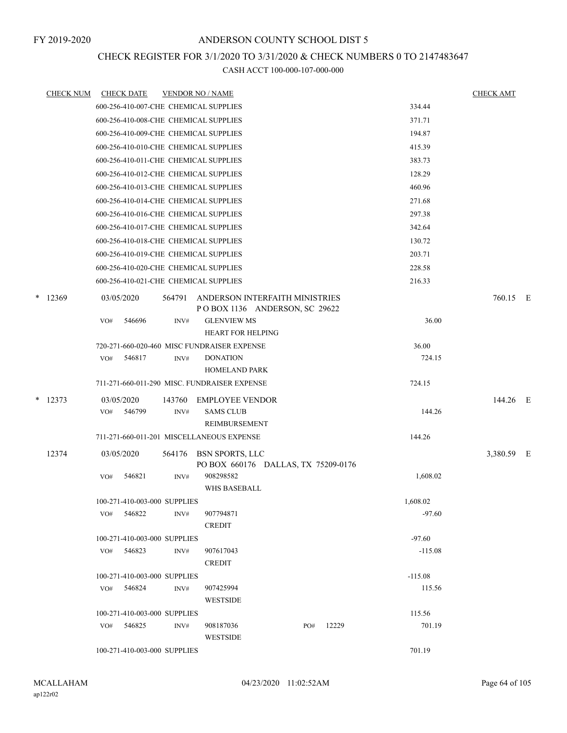## CHECK REGISTER FOR 3/1/2020 TO 3/31/2020 & CHECK NUMBERS 0 TO 2147483647

|   | <b>CHECK NUM</b> |     | <b>CHECK DATE</b> |                              | <b>VENDOR NO / NAME</b>                      |     |       |           | <b>CHECK AMT</b> |  |
|---|------------------|-----|-------------------|------------------------------|----------------------------------------------|-----|-------|-----------|------------------|--|
|   |                  |     |                   |                              | 600-256-410-007-CHE CHEMICAL SUPPLIES        |     |       | 334.44    |                  |  |
|   |                  |     |                   |                              | 600-256-410-008-CHE CHEMICAL SUPPLIES        |     |       | 371.71    |                  |  |
|   |                  |     |                   |                              | 600-256-410-009-CHE CHEMICAL SUPPLIES        |     |       | 194.87    |                  |  |
|   |                  |     |                   |                              | 600-256-410-010-CHE CHEMICAL SUPPLIES        |     |       | 415.39    |                  |  |
|   |                  |     |                   |                              | 600-256-410-011-CHE CHEMICAL SUPPLIES        |     |       | 383.73    |                  |  |
|   |                  |     |                   |                              | 600-256-410-012-CHE CHEMICAL SUPPLIES        |     |       | 128.29    |                  |  |
|   |                  |     |                   |                              | 600-256-410-013-CHE CHEMICAL SUPPLIES        |     |       | 460.96    |                  |  |
|   |                  |     |                   |                              | 600-256-410-014-CHE CHEMICAL SUPPLIES        |     |       | 271.68    |                  |  |
|   |                  |     |                   |                              | 600-256-410-016-CHE CHEMICAL SUPPLIES        |     |       | 297.38    |                  |  |
|   |                  |     |                   |                              | 600-256-410-017-CHE CHEMICAL SUPPLIES        |     |       | 342.64    |                  |  |
|   |                  |     |                   |                              | 600-256-410-018-CHE CHEMICAL SUPPLIES        |     |       | 130.72    |                  |  |
|   |                  |     |                   |                              | 600-256-410-019-CHE CHEMICAL SUPPLIES        |     |       | 203.71    |                  |  |
|   |                  |     |                   |                              | 600-256-410-020-CHE CHEMICAL SUPPLIES        |     |       | 228.58    |                  |  |
|   |                  |     |                   |                              | 600-256-410-021-CHE CHEMICAL SUPPLIES        |     |       | 216.33    |                  |  |
| * | 12369            |     | 03/05/2020        | 564791                       | ANDERSON INTERFAITH MINISTRIES               |     |       |           | 760.15 E         |  |
|   |                  |     |                   |                              | POBOX 1136 ANDERSON, SC 29622                |     |       |           |                  |  |
|   |                  | VO# | 546696            | INV#                         | <b>GLENVIEW MS</b>                           |     |       | 36.00     |                  |  |
|   |                  |     |                   |                              | <b>HEART FOR HELPING</b>                     |     |       |           |                  |  |
|   |                  |     |                   |                              | 720-271-660-020-460 MISC FUNDRAISER EXPENSE  |     |       | 36.00     |                  |  |
|   |                  | VO# | 546817            | INV#                         | <b>DONATION</b>                              |     |       | 724.15    |                  |  |
|   |                  |     |                   |                              | <b>HOMELAND PARK</b>                         |     |       |           |                  |  |
|   |                  |     |                   |                              | 711-271-660-011-290 MISC. FUNDRAISER EXPENSE |     |       | 724.15    |                  |  |
| * | 12373            |     | 03/05/2020        | 143760                       | <b>EMPLOYEE VENDOR</b>                       |     |       |           | 144.26 E         |  |
|   |                  | VO# | 546799            | INV#                         | <b>SAMS CLUB</b>                             |     |       | 144.26    |                  |  |
|   |                  |     |                   |                              | REIMBURSEMENT                                |     |       |           |                  |  |
|   |                  |     |                   |                              | 711-271-660-011-201 MISCELLANEOUS EXPENSE    |     |       | 144.26    |                  |  |
|   | 12374            |     | 03/05/2020        | 564176                       | <b>BSN SPORTS, LLC</b>                       |     |       |           | 3,380.59 E       |  |
|   |                  |     |                   |                              | PO BOX 660176 DALLAS, TX 75209-0176          |     |       |           |                  |  |
|   |                  | VO# | 546821            | INV#                         | 908298582                                    |     |       | 1,608.02  |                  |  |
|   |                  |     |                   |                              | <b>WHS BASEBALL</b>                          |     |       |           |                  |  |
|   |                  |     |                   | 100-271-410-003-000 SUPPLIES |                                              |     |       | 1,608.02  |                  |  |
|   |                  |     | VO# 546822        | INV#                         | 907794871<br><b>CREDIT</b>                   |     |       | $-97.60$  |                  |  |
|   |                  |     |                   | 100-271-410-003-000 SUPPLIES |                                              |     |       | $-97.60$  |                  |  |
|   |                  |     | VO# 546823        | INV#                         | 907617043                                    |     |       | $-115.08$ |                  |  |
|   |                  |     |                   |                              | <b>CREDIT</b>                                |     |       |           |                  |  |
|   |                  |     |                   | 100-271-410-003-000 SUPPLIES |                                              |     |       | $-115.08$ |                  |  |
|   |                  |     | VO# 546824        | INV#                         | 907425994                                    |     |       | 115.56    |                  |  |
|   |                  |     |                   |                              | <b>WESTSIDE</b>                              |     |       |           |                  |  |
|   |                  |     |                   | 100-271-410-003-000 SUPPLIES |                                              |     |       | 115.56    |                  |  |
|   |                  |     | VO# 546825        | INV#                         | 908187036                                    | PO# | 12229 | 701.19    |                  |  |
|   |                  |     |                   |                              | <b>WESTSIDE</b>                              |     |       |           |                  |  |
|   |                  |     |                   | 100-271-410-003-000 SUPPLIES |                                              |     |       | 701.19    |                  |  |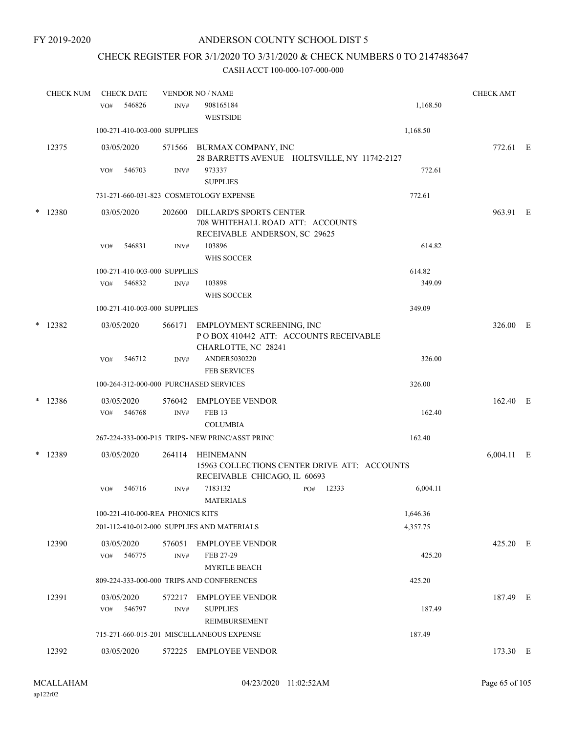## CHECK REGISTER FOR 3/1/2020 TO 3/31/2020 & CHECK NUMBERS 0 TO 2147483647

| <b>CHECK NUM</b> | <b>CHECK DATE</b>                      |                            | <b>VENDOR NO / NAME</b>                                                                             |     |       |          | <b>CHECK AMT</b> |  |
|------------------|----------------------------------------|----------------------------|-----------------------------------------------------------------------------------------------------|-----|-------|----------|------------------|--|
|                  | 546826<br>VO#                          | INV#                       | 908165184<br><b>WESTSIDE</b>                                                                        |     |       | 1,168.50 |                  |  |
|                  | 100-271-410-003-000 SUPPLIES           |                            |                                                                                                     |     |       | 1,168.50 |                  |  |
| 12375            | 03/05/2020                             | 571566                     | BURMAX COMPANY, INC<br>28 BARRETTS AVENUE HOLTSVILLE, NY 11742-2127                                 |     |       |          | 772.61 E         |  |
|                  | 546703<br>VO#                          | INV#                       | 973337<br><b>SUPPLIES</b>                                                                           |     |       | 772.61   |                  |  |
|                  |                                        |                            | 731-271-660-031-823 COSMETOLOGY EXPENSE                                                             |     |       | 772.61   |                  |  |
| * 12380          | 03/05/2020                             | 202600                     | <b>DILLARD'S SPORTS CENTER</b><br>708 WHITEHALL ROAD ATT: ACCOUNTS<br>RECEIVABLE ANDERSON, SC 29625 |     |       |          | 963.91 E         |  |
|                  | 546831<br>VO#                          | INV#                       | 103896<br>WHS SOCCER                                                                                |     |       | 614.82   |                  |  |
|                  | 100-271-410-003-000 SUPPLIES           |                            |                                                                                                     |     |       | 614.82   |                  |  |
|                  | 546832<br>VO#                          | INV#                       | 103898<br>WHS SOCCER                                                                                |     |       | 349.09   |                  |  |
|                  | 100-271-410-003-000 SUPPLIES           |                            |                                                                                                     |     |       | 349.09   |                  |  |
| $*$ 12382        | 03/05/2020                             | 566171                     | EMPLOYMENT SCREENING, INC<br>POBOX 410442 ATT: ACCOUNTS RECEIVABLE<br>CHARLOTTE, NC 28241           |     |       |          | 326.00 E         |  |
|                  | 546712<br>VO#                          | INV#                       | ANDER5030220<br><b>FEB SERVICES</b>                                                                 |     |       | 326.00   |                  |  |
|                  | 100-264-312-000-000 PURCHASED SERVICES |                            |                                                                                                     |     |       | 326.00   |                  |  |
| $*$ 12386        | 03/05/2020<br>546768<br>VO#            | 576042<br>INV#             | <b>EMPLOYEE VENDOR</b><br><b>FEB 13</b>                                                             |     |       | 162.40   | 162.40 E         |  |
|                  |                                        |                            | <b>COLUMBIA</b>                                                                                     |     |       |          |                  |  |
|                  |                                        |                            | 267-224-333-000-P15 TRIPS- NEW PRINC/ASST PRINC                                                     |     |       | 162.40   |                  |  |
| * 12389          | 03/05/2020                             | 264114                     | HEINEMANN<br>15963 COLLECTIONS CENTER DRIVE ATT: ACCOUNTS<br>RECEIVABLE CHICAGO, IL 60693           |     |       |          | $6,004.11$ E     |  |
|                  | 546716<br>VO#                          | INV#                       | 7183132<br><b>MATERIALS</b>                                                                         | PO# | 12333 | 6,004.11 |                  |  |
|                  | 100-221-410-000-REA PHONICS KITS       |                            |                                                                                                     |     |       | 1,646.36 |                  |  |
|                  |                                        |                            | 201-112-410-012-000 SUPPLIES AND MATERIALS                                                          |     |       | 4,357.75 |                  |  |
| 12390            | 03/05/2020<br>VO#<br>546775            | 576051<br>$\mathrm{INV}\#$ | <b>EMPLOYEE VENDOR</b><br>FEB 27-29<br><b>MYRTLE BEACH</b>                                          |     |       | 425.20   | 425.20 E         |  |
|                  |                                        |                            | 809-224-333-000-000 TRIPS AND CONFERENCES                                                           |     |       | 425.20   |                  |  |
| 12391            | 03/05/2020<br>546797<br>VO#            | 572217<br>INV#             | <b>EMPLOYEE VENDOR</b><br><b>SUPPLIES</b>                                                           |     |       | 187.49   | 187.49 E         |  |
|                  |                                        |                            | REIMBURSEMENT                                                                                       |     |       |          |                  |  |
|                  |                                        |                            | 715-271-660-015-201 MISCELLANEOUS EXPENSE                                                           |     |       | 187.49   |                  |  |
| 12392            | 03/05/2020                             |                            | 572225 EMPLOYEE VENDOR                                                                              |     |       |          | 173.30 E         |  |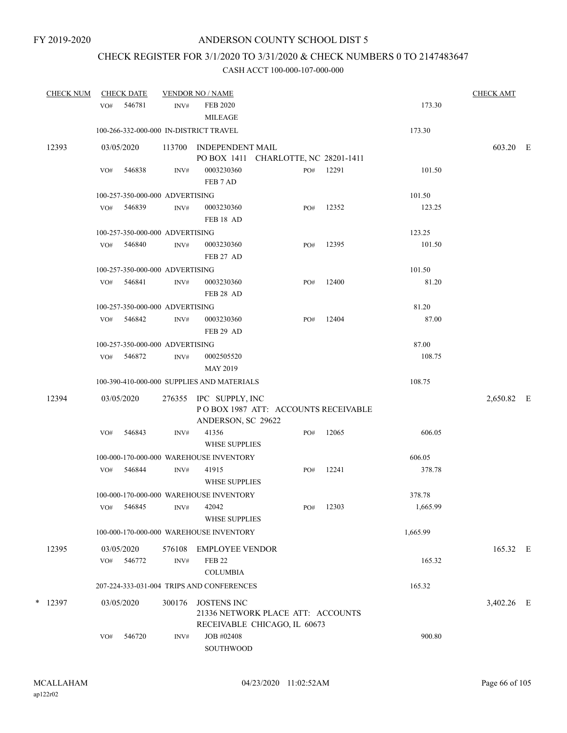# CHECK REGISTER FOR 3/1/2020 TO 3/31/2020 & CHECK NUMBERS 0 TO 2147483647

| <b>CHECK NUM</b> |     | <b>CHECK DATE</b>               |                | <b>VENDOR NO / NAME</b>                                                                 |     |           |          | <b>CHECK AMT</b> |  |
|------------------|-----|---------------------------------|----------------|-----------------------------------------------------------------------------------------|-----|-----------|----------|------------------|--|
|                  | VO# | 546781                          | INV#           | <b>FEB 2020</b><br><b>MILEAGE</b>                                                       |     |           | 173.30   |                  |  |
|                  |     |                                 |                | 100-266-332-000-000 IN-DISTRICT TRAVEL                                                  |     |           | 173.30   |                  |  |
| 12393            |     | 03/05/2020                      |                | 113700 INDEPENDENT MAIL<br>PO BOX 1411 CHARLOTTE, NC 28201-1411                         |     |           |          | 603.20 E         |  |
|                  | VO# | 546838                          | INV#           | 0003230360<br>FEB 7 AD                                                                  |     | PO# 12291 | 101.50   |                  |  |
|                  |     | 100-257-350-000-000 ADVERTISING |                |                                                                                         |     |           | 101.50   |                  |  |
|                  | VO# | 546839                          | INV#           | 0003230360<br>FEB <sub>18</sub> AD                                                      | PO# | 12352     | 123.25   |                  |  |
|                  |     | 100-257-350-000-000 ADVERTISING |                |                                                                                         |     |           | 123.25   |                  |  |
|                  | VO# | 546840                          | INV#           | 0003230360<br>FEB 27 AD                                                                 | PO# | 12395     | 101.50   |                  |  |
|                  |     | 100-257-350-000-000 ADVERTISING |                |                                                                                         |     |           | 101.50   |                  |  |
|                  |     | VO# 546841                      | INV#           | 0003230360<br>FEB 28 AD                                                                 | PO# | 12400     | 81.20    |                  |  |
|                  |     | 100-257-350-000-000 ADVERTISING |                |                                                                                         |     |           | 81.20    |                  |  |
|                  | VO# | 546842                          | $\text{INV}\#$ | 0003230360<br>FEB 29 AD                                                                 | PO# | 12404     | 87.00    |                  |  |
|                  |     | 100-257-350-000-000 ADVERTISING |                |                                                                                         |     |           | 87.00    |                  |  |
|                  | VO# | 546872                          | INV#           | 0002505520<br><b>MAY 2019</b>                                                           |     |           | 108.75   |                  |  |
|                  |     |                                 |                | 100-390-410-000-000 SUPPLIES AND MATERIALS                                              |     |           | 108.75   |                  |  |
| 12394            |     | 03/05/2020                      |                | 276355 IPC SUPPLY, INC<br>POBOX 1987 ATT: ACCOUNTS RECEIVABLE<br>ANDERSON, SC 29622     |     |           |          | 2,650.82 E       |  |
|                  | VO# | 546843                          | INV#           | 41356<br><b>WHSE SUPPLIES</b>                                                           | PO# | 12065     | 606.05   |                  |  |
|                  |     |                                 |                | 100-000-170-000-000 WAREHOUSE INVENTORY                                                 |     |           | 606.05   |                  |  |
|                  |     | VO# 546844                      | INV#           | 41915<br><b>WHSE SUPPLIES</b>                                                           | PO# | 12241     | 378.78   |                  |  |
|                  |     |                                 |                | 100-000-170-000-000 WAREHOUSE INVENTORY                                                 |     |           | 378.78   |                  |  |
|                  | VO# | 546845                          | INV#           | 42042<br><b>WHSE SUPPLIES</b>                                                           | PO# | 12303     | 1,665.99 |                  |  |
|                  |     |                                 |                | 100-000-170-000-000 WAREHOUSE INVENTORY                                                 |     |           | 1,665.99 |                  |  |
| 12395            | VO# | 03/05/2020<br>546772            | 576108<br>INV# | <b>EMPLOYEE VENDOR</b><br><b>FEB 22</b>                                                 |     |           | 165.32   | 165.32 E         |  |
|                  |     |                                 |                | <b>COLUMBIA</b>                                                                         |     |           |          |                  |  |
|                  |     |                                 |                | 207-224-333-031-004 TRIPS AND CONFERENCES                                               |     |           | 165.32   |                  |  |
| $*$ 12397        |     | 03/05/2020                      | 300176         | <b>JOSTENS INC</b><br>21336 NETWORK PLACE ATT: ACCOUNTS<br>RECEIVABLE CHICAGO, IL 60673 |     |           |          | 3,402.26 E       |  |
|                  | VO# | 546720                          | INV#           | JOB #02408<br>SOUTHWOOD                                                                 |     |           | 900.80   |                  |  |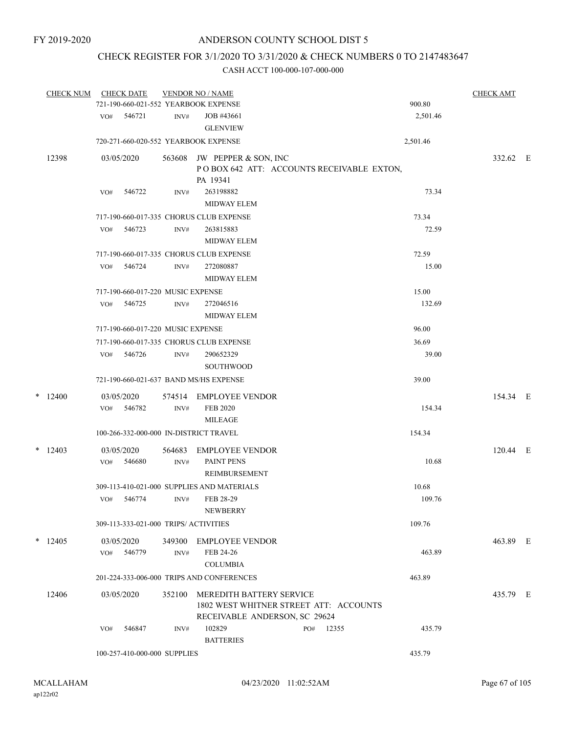## CHECK REGISTER FOR 3/1/2020 TO 3/31/2020 & CHECK NUMBERS 0 TO 2147483647

| <b>CHECK NUM</b> |     | <b>CHECK DATE</b>                     |        | <b>VENDOR NO / NAME</b>                                                              |     |       |          | <b>CHECK AMT</b> |  |
|------------------|-----|---------------------------------------|--------|--------------------------------------------------------------------------------------|-----|-------|----------|------------------|--|
|                  |     |                                       |        | 721-190-660-021-552 YEARBOOK EXPENSE                                                 |     |       | 900.80   |                  |  |
|                  |     | VO# 546721                            | INV#   | JOB #43661<br><b>GLENVIEW</b>                                                        |     |       | 2,501.46 |                  |  |
|                  |     |                                       |        | 720-271-660-020-552 YEARBOOK EXPENSE                                                 |     |       | 2,501.46 |                  |  |
| 12398            |     | 03/05/2020                            |        | 563608 JW PEPPER & SON, INC<br>POBOX 642 ATT: ACCOUNTS RECEIVABLE EXTON,<br>PA 19341 |     |       |          | 332.62 E         |  |
|                  | VO# | 546722                                | INV#   | 263198882<br><b>MIDWAY ELEM</b>                                                      |     |       | 73.34    |                  |  |
|                  |     |                                       |        | 717-190-660-017-335 CHORUS CLUB EXPENSE                                              |     |       | 73.34    |                  |  |
|                  | VO# | 546723                                | INV#   | 263815883<br><b>MIDWAY ELEM</b>                                                      |     |       | 72.59    |                  |  |
|                  |     |                                       |        | 717-190-660-017-335 CHORUS CLUB EXPENSE                                              |     |       | 72.59    |                  |  |
|                  | VO# | 546724                                | INV#   | 272080887<br><b>MIDWAY ELEM</b>                                                      |     |       | 15.00    |                  |  |
|                  |     | 717-190-660-017-220 MUSIC EXPENSE     |        |                                                                                      |     |       | 15.00    |                  |  |
|                  | VO# | 546725                                | INV#   | 272046516<br><b>MIDWAY ELEM</b>                                                      |     |       | 132.69   |                  |  |
|                  |     | 717-190-660-017-220 MUSIC EXPENSE     |        |                                                                                      |     |       | 96.00    |                  |  |
|                  |     |                                       |        | 717-190-660-017-335 CHORUS CLUB EXPENSE                                              |     |       | 36.69    |                  |  |
|                  | VO# | 546726                                | INV#   | 290652329<br><b>SOUTHWOOD</b>                                                        |     |       | 39.00    |                  |  |
|                  |     |                                       |        | 721-190-660-021-637 BAND MS/HS EXPENSE                                               |     |       | 39.00    |                  |  |
| $*$ 12400        |     | 03/05/2020                            |        | 574514 EMPLOYEE VENDOR                                                               |     |       |          | 154.34 E         |  |
|                  |     | VO# 546782                            | INV#   | <b>FEB 2020</b><br><b>MILEAGE</b>                                                    |     |       | 154.34   |                  |  |
|                  |     |                                       |        | 100-266-332-000-000 IN-DISTRICT TRAVEL                                               |     |       | 154.34   |                  |  |
| $*$ 12403        |     | 03/05/2020                            | 564683 | EMPLOYEE VENDOR                                                                      |     |       |          | 120.44 E         |  |
|                  | VO# | 546680                                | INV#   | PAINT PENS<br>REIMBURSEMENT                                                          |     |       | 10.68    |                  |  |
|                  |     |                                       |        | 309-113-410-021-000 SUPPLIES AND MATERIALS                                           |     |       | 10.68    |                  |  |
|                  | VO# | 546774                                | INV#   | FEB 28-29<br><b>NEWBERRY</b>                                                         |     |       | 109.76   |                  |  |
|                  |     | 309-113-333-021-000 TRIPS/ ACTIVITIES |        |                                                                                      |     |       | 109.76   |                  |  |
| $*$ 12405        |     | 03/05/2020                            | 349300 | EMPLOYEE VENDOR                                                                      |     |       |          | 463.89 E         |  |
|                  | VO# | 546779                                | INV#   | FEB 24-26                                                                            |     |       | 463.89   |                  |  |
|                  |     |                                       |        | <b>COLUMBIA</b>                                                                      |     |       |          |                  |  |
|                  |     |                                       |        | 201-224-333-006-000 TRIPS AND CONFERENCES                                            |     |       | 463.89   |                  |  |
| 12406            |     | 03/05/2020                            | 352100 | <b>MEREDITH BATTERY SERVICE</b><br>1802 WEST WHITNER STREET ATT: ACCOUNTS            |     |       |          | 435.79 E         |  |
|                  |     |                                       |        | RECEIVABLE ANDERSON, SC 29624<br>102829                                              |     |       |          |                  |  |
|                  | VO# | 546847                                | INV#   | <b>BATTERIES</b>                                                                     | PO# | 12355 | 435.79   |                  |  |
|                  |     | 100-257-410-000-000 SUPPLIES          |        |                                                                                      |     |       | 435.79   |                  |  |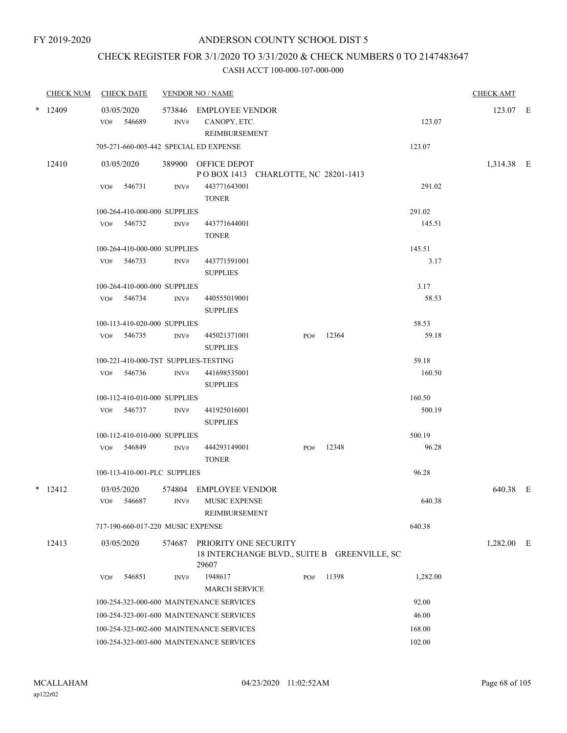## CHECK REGISTER FOR 3/1/2020 TO 3/31/2020 & CHECK NUMBERS 0 TO 2147483647

| <b>CHECK NUM</b> |     | <b>CHECK DATE</b>                 |        | <b>VENDOR NO / NAME</b>                                                        |     |       |          | <b>CHECK AMT</b> |  |
|------------------|-----|-----------------------------------|--------|--------------------------------------------------------------------------------|-----|-------|----------|------------------|--|
| $*$ 12409        |     | 03/05/2020                        |        | 573846 EMPLOYEE VENDOR                                                         |     |       |          | 123.07 E         |  |
|                  |     | VO# 546689                        | INV#   | CANOPY, ETC.                                                                   |     |       | 123.07   |                  |  |
|                  |     |                                   |        | REIMBURSEMENT<br>705-271-660-005-442 SPECIAL ED EXPENSE                        |     |       | 123.07   |                  |  |
|                  |     |                                   |        |                                                                                |     |       |          |                  |  |
| 12410            |     | 03/05/2020                        |        | 389900 OFFICE DEPOT<br>POBOX 1413 CHARLOTTE, NC 28201-1413                     |     |       |          | 1,314.38 E       |  |
|                  | VO# | 546731                            | INV#   | 443771643001<br><b>TONER</b>                                                   |     |       | 291.02   |                  |  |
|                  |     | 100-264-410-000-000 SUPPLIES      |        |                                                                                |     |       | 291.02   |                  |  |
|                  |     | VO# 546732                        | INV#   | 443771644001<br><b>TONER</b>                                                   |     |       | 145.51   |                  |  |
|                  |     | 100-264-410-000-000 SUPPLIES      |        |                                                                                |     |       | 145.51   |                  |  |
|                  |     | VO# 546733                        | INV#   | 443771591001<br><b>SUPPLIES</b>                                                |     |       | 3.17     |                  |  |
|                  |     | 100-264-410-000-000 SUPPLIES      |        |                                                                                |     |       | 3.17     |                  |  |
|                  |     | VO# 546734                        | INV#   | 440555019001<br><b>SUPPLIES</b>                                                |     |       | 58.53    |                  |  |
|                  |     | 100-113-410-020-000 SUPPLIES      |        |                                                                                |     |       | 58.53    |                  |  |
|                  |     | VO# 546735                        | INV#   | 445021371001<br><b>SUPPLIES</b>                                                | PO# | 12364 | 59.18    |                  |  |
|                  |     |                                   |        | 100-221-410-000-TST SUPPLIES-TESTING                                           |     |       | 59.18    |                  |  |
|                  | VO# | 546736                            | INV#   | 441698535001<br><b>SUPPLIES</b>                                                |     |       | 160.50   |                  |  |
|                  |     | 100-112-410-010-000 SUPPLIES      |        |                                                                                |     |       | 160.50   |                  |  |
|                  |     | VO# 546737                        | INV#   | 441925016001<br><b>SUPPLIES</b>                                                |     |       | 500.19   |                  |  |
|                  |     | 100-112-410-010-000 SUPPLIES      |        |                                                                                |     |       | 500.19   |                  |  |
|                  |     | VO# 546849                        | INV#   | 444293149001<br><b>TONER</b>                                                   | PO# | 12348 | 96.28    |                  |  |
|                  |     | 100-113-410-001-PLC SUPPLIES      |        |                                                                                |     |       | 96.28    |                  |  |
| $*$ 12412        |     | 03/05/2020                        | 574804 | <b>EMPLOYEE VENDOR</b>                                                         |     |       |          | 640.38 E         |  |
|                  |     | VO# 546687                        | INV#   | MUSIC EXPENSE<br>REIMBURSEMENT                                                 |     |       | 640.38   |                  |  |
|                  |     | 717-190-660-017-220 MUSIC EXPENSE |        |                                                                                |     |       | 640.38   |                  |  |
| 12413            |     | 03/05/2020                        | 574687 | PRIORITY ONE SECURITY<br>18 INTERCHANGE BLVD., SUITE B GREENVILLE, SC<br>29607 |     |       |          | 1,282.00 E       |  |
|                  | VO# | 546851                            | INV#   | 1948617                                                                        | PO# | 11398 | 1,282.00 |                  |  |
|                  |     |                                   |        | <b>MARCH SERVICE</b>                                                           |     |       |          |                  |  |
|                  |     |                                   |        | 100-254-323-000-600 MAINTENANCE SERVICES                                       |     |       | 92.00    |                  |  |
|                  |     |                                   |        | 100-254-323-001-600 MAINTENANCE SERVICES                                       |     |       | 46.00    |                  |  |
|                  |     |                                   |        | 100-254-323-002-600 MAINTENANCE SERVICES                                       |     |       | 168.00   |                  |  |
|                  |     |                                   |        | 100-254-323-003-600 MAINTENANCE SERVICES                                       |     |       | 102.00   |                  |  |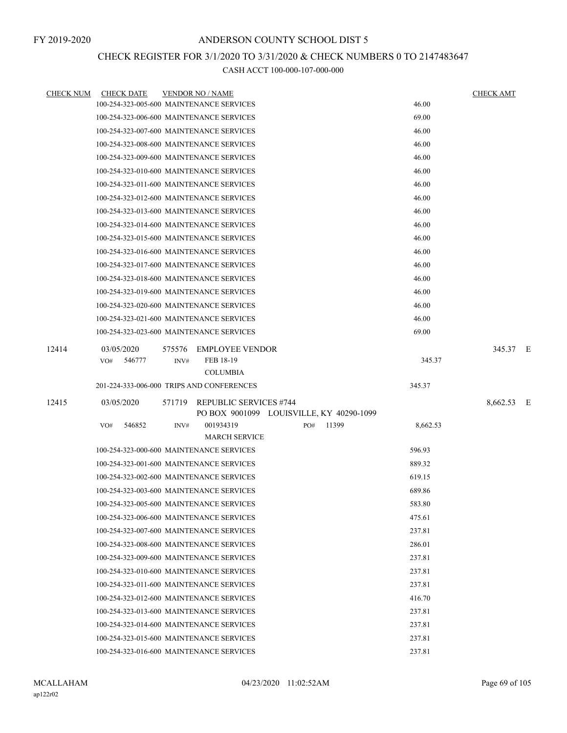## CHECK REGISTER FOR 3/1/2020 TO 3/31/2020 & CHECK NUMBERS 0 TO 2147483647

| CHECK NUM | <b>CHECK DATE</b>                         |        | <b>VENDOR NO / NAME</b>                                                   |     |       |          | <b>CHECK AMT</b> |  |
|-----------|-------------------------------------------|--------|---------------------------------------------------------------------------|-----|-------|----------|------------------|--|
|           | 100-254-323-005-600 MAINTENANCE SERVICES  |        |                                                                           |     |       | 46.00    |                  |  |
|           | 100-254-323-006-600 MAINTENANCE SERVICES  |        |                                                                           |     |       | 69.00    |                  |  |
|           | 100-254-323-007-600 MAINTENANCE SERVICES  |        |                                                                           |     |       | 46.00    |                  |  |
|           | 100-254-323-008-600 MAINTENANCE SERVICES  |        |                                                                           |     |       | 46.00    |                  |  |
|           | 100-254-323-009-600 MAINTENANCE SERVICES  |        |                                                                           |     |       | 46.00    |                  |  |
|           | 100-254-323-010-600 MAINTENANCE SERVICES  |        |                                                                           |     |       | 46.00    |                  |  |
|           | 100-254-323-011-600 MAINTENANCE SERVICES  |        |                                                                           |     |       | 46.00    |                  |  |
|           | 100-254-323-012-600 MAINTENANCE SERVICES  |        |                                                                           |     |       | 46.00    |                  |  |
|           | 100-254-323-013-600 MAINTENANCE SERVICES  |        |                                                                           |     |       | 46.00    |                  |  |
|           | 100-254-323-014-600 MAINTENANCE SERVICES  |        |                                                                           |     |       | 46.00    |                  |  |
|           | 100-254-323-015-600 MAINTENANCE SERVICES  |        |                                                                           |     |       | 46.00    |                  |  |
|           | 100-254-323-016-600 MAINTENANCE SERVICES  |        |                                                                           |     |       | 46.00    |                  |  |
|           | 100-254-323-017-600 MAINTENANCE SERVICES  |        |                                                                           |     |       | 46.00    |                  |  |
|           | 100-254-323-018-600 MAINTENANCE SERVICES  |        |                                                                           |     |       | 46.00    |                  |  |
|           | 100-254-323-019-600 MAINTENANCE SERVICES  |        |                                                                           |     |       | 46.00    |                  |  |
|           | 100-254-323-020-600 MAINTENANCE SERVICES  |        |                                                                           |     |       | 46.00    |                  |  |
|           | 100-254-323-021-600 MAINTENANCE SERVICES  |        |                                                                           |     |       | 46.00    |                  |  |
|           | 100-254-323-023-600 MAINTENANCE SERVICES  |        |                                                                           |     |       | 69.00    |                  |  |
| 12414     | 03/05/2020                                | 575576 | <b>EMPLOYEE VENDOR</b>                                                    |     |       |          | 345.37 E         |  |
|           | 546777<br>VO#                             | INV#   | FEB 18-19                                                                 |     |       | 345.37   |                  |  |
|           |                                           |        | <b>COLUMBIA</b>                                                           |     |       |          |                  |  |
|           | 201-224-333-006-000 TRIPS AND CONFERENCES |        |                                                                           |     |       | 345.37   |                  |  |
| 12415     | 03/05/2020                                |        | 571719 REPUBLIC SERVICES #744<br>PO BOX 9001099 LOUISVILLE, KY 40290-1099 |     |       |          | 8,662.53 E       |  |
|           | 546852<br>VO#                             | INV#   | 001934319<br><b>MARCH SERVICE</b>                                         | PO# | 11399 | 8,662.53 |                  |  |
|           | 100-254-323-000-600 MAINTENANCE SERVICES  |        |                                                                           |     |       | 596.93   |                  |  |
|           | 100-254-323-001-600 MAINTENANCE SERVICES  |        |                                                                           |     |       | 889.32   |                  |  |
|           | 100-254-323-002-600 MAINTENANCE SERVICES  |        |                                                                           |     |       | 619.15   |                  |  |
|           | 100-254-323-003-600 MAINTENANCE SERVICES  |        |                                                                           |     |       | 689.86   |                  |  |
|           | 100-254-323-005-600 MAINTENANCE SERVICES  |        |                                                                           |     |       | 583.80   |                  |  |
|           | 100-254-323-006-600 MAINTENANCE SERVICES  |        |                                                                           |     |       | 475.61   |                  |  |
|           | 100-254-323-007-600 MAINTENANCE SERVICES  |        |                                                                           |     |       | 237.81   |                  |  |
|           | 100-254-323-008-600 MAINTENANCE SERVICES  |        |                                                                           |     |       | 286.01   |                  |  |
|           | 100-254-323-009-600 MAINTENANCE SERVICES  |        |                                                                           |     |       | 237.81   |                  |  |
|           | 100-254-323-010-600 MAINTENANCE SERVICES  |        |                                                                           |     |       | 237.81   |                  |  |
|           | 100-254-323-011-600 MAINTENANCE SERVICES  |        |                                                                           |     |       | 237.81   |                  |  |
|           | 100-254-323-012-600 MAINTENANCE SERVICES  |        |                                                                           |     |       | 416.70   |                  |  |
|           | 100-254-323-013-600 MAINTENANCE SERVICES  |        |                                                                           |     |       | 237.81   |                  |  |
|           | 100-254-323-014-600 MAINTENANCE SERVICES  |        |                                                                           |     |       | 237.81   |                  |  |
|           | 100-254-323-015-600 MAINTENANCE SERVICES  |        |                                                                           |     |       | 237.81   |                  |  |
|           | 100-254-323-016-600 MAINTENANCE SERVICES  |        |                                                                           |     |       | 237.81   |                  |  |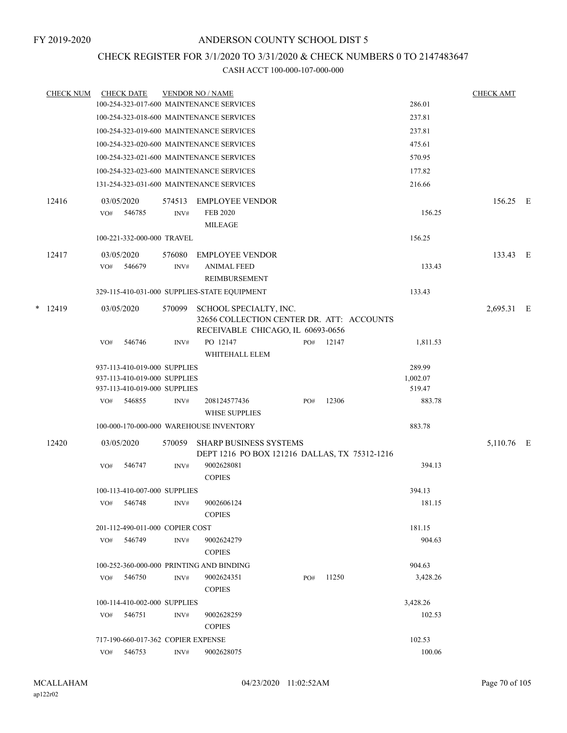## CHECK REGISTER FOR 3/1/2020 TO 3/31/2020 & CHECK NUMBERS 0 TO 2147483647

| <b>CHECK NUM</b> |     | <b>CHECK DATE</b>                      |        | <b>VENDOR NO / NAME</b>                                                        |     |       |                  | <b>CHECK AMT</b> |  |
|------------------|-----|----------------------------------------|--------|--------------------------------------------------------------------------------|-----|-------|------------------|------------------|--|
|                  |     |                                        |        | 100-254-323-017-600 MAINTENANCE SERVICES                                       |     |       | 286.01           |                  |  |
|                  |     |                                        |        | 100-254-323-018-600 MAINTENANCE SERVICES                                       |     |       | 237.81           |                  |  |
|                  |     |                                        |        | 100-254-323-019-600 MAINTENANCE SERVICES                                       |     |       | 237.81           |                  |  |
|                  |     |                                        |        | 100-254-323-020-600 MAINTENANCE SERVICES                                       |     |       | 475.61           |                  |  |
|                  |     |                                        |        | 100-254-323-021-600 MAINTENANCE SERVICES                                       |     |       | 570.95           |                  |  |
|                  |     |                                        |        | 100-254-323-023-600 MAINTENANCE SERVICES                                       |     |       | 177.82           |                  |  |
|                  |     |                                        |        | 131-254-323-031-600 MAINTENANCE SERVICES                                       |     |       | 216.66           |                  |  |
| 12416            |     | 03/05/2020                             | 574513 | <b>EMPLOYEE VENDOR</b>                                                         |     |       |                  | 156.25 E         |  |
|                  | VO# | 546785                                 | INV#   | <b>FEB 2020</b><br><b>MILEAGE</b>                                              |     |       | 156.25           |                  |  |
|                  |     | 100-221-332-000-000 TRAVEL             |        |                                                                                |     |       | 156.25           |                  |  |
| 12417            |     | 03/05/2020                             | 576080 | <b>EMPLOYEE VENDOR</b>                                                         |     |       |                  | 133.43 E         |  |
|                  | VO# | 546679                                 | INV#   | <b>ANIMAL FEED</b>                                                             |     |       | 133.43           |                  |  |
|                  |     |                                        |        | <b>REIMBURSEMENT</b>                                                           |     |       |                  |                  |  |
|                  |     |                                        |        | 329-115-410-031-000 SUPPLIES-STATE EQUIPMENT                                   |     |       | 133.43           |                  |  |
| $*$ 12419        |     | 03/05/2020                             | 570099 | SCHOOL SPECIALTY, INC.<br>32656 COLLECTION CENTER DR. ATT: ACCOUNTS            |     |       |                  | 2,695.31 E       |  |
|                  |     |                                        |        | RECEIVABLE CHICAGO, IL 60693-0656                                              |     |       |                  |                  |  |
|                  | VO# | 546746                                 | INV#   | PO 12147<br>WHITEHALL ELEM                                                     | PO# | 12147 | 1,811.53         |                  |  |
|                  |     | 937-113-410-019-000 SUPPLIES           |        |                                                                                |     |       | 289.99           |                  |  |
|                  |     | 937-113-410-019-000 SUPPLIES           |        |                                                                                |     |       | 1,002.07         |                  |  |
|                  | VO# | 937-113-410-019-000 SUPPLIES<br>546855 | INV#   | 208124577436                                                                   |     | 12306 | 519.47<br>883.78 |                  |  |
|                  |     |                                        |        | <b>WHSE SUPPLIES</b>                                                           | PO# |       |                  |                  |  |
|                  |     |                                        |        | 100-000-170-000-000 WAREHOUSE INVENTORY                                        |     |       | 883.78           |                  |  |
| 12420            |     | 03/05/2020                             | 570059 | <b>SHARP BUSINESS SYSTEMS</b><br>DEPT 1216 PO BOX 121216 DALLAS, TX 75312-1216 |     |       |                  | 5,110.76 E       |  |
|                  | VO# | 546747                                 | INV#   | 9002628081<br><b>COPIES</b>                                                    |     |       | 394.13           |                  |  |
|                  |     | 100-113-410-007-000 SUPPLIES           |        |                                                                                |     |       | 394.13           |                  |  |
|                  |     | VO# 546748                             | INV#   | 9002606124                                                                     |     |       | 181.15           |                  |  |
|                  |     |                                        |        | <b>COPIES</b>                                                                  |     |       |                  |                  |  |
|                  |     | 201-112-490-011-000 COPIER COST        |        |                                                                                |     |       | 181.15           |                  |  |
|                  |     | VO# 546749                             | INV#   | 9002624279<br><b>COPIES</b>                                                    |     |       | 904.63           |                  |  |
|                  |     |                                        |        | 100-252-360-000-000 PRINTING AND BINDING                                       |     |       | 904.63           |                  |  |
|                  |     | VO# 546750                             | INV#   | 9002624351<br><b>COPIES</b>                                                    | PO# | 11250 | 3,428.26         |                  |  |
|                  |     | 100-114-410-002-000 SUPPLIES           |        |                                                                                |     |       | 3,428.26         |                  |  |
|                  | VO# | 546751                                 | INV#   | 9002628259                                                                     |     |       | 102.53           |                  |  |
|                  |     |                                        |        | <b>COPIES</b>                                                                  |     |       |                  |                  |  |
|                  |     | 717-190-660-017-362 COPIER EXPENSE     |        |                                                                                |     |       | 102.53           |                  |  |
|                  | VO# | 546753                                 | INV#   | 9002628075                                                                     |     |       | 100.06           |                  |  |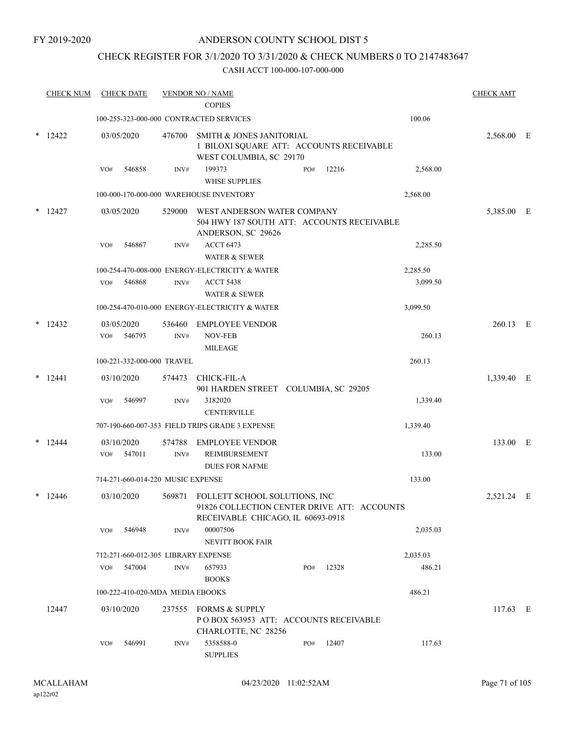## CHECK REGISTER FOR 3/1/2020 TO 3/31/2020 & CHECK NUMBERS 0 TO 2147483647

|   | <b>CHECK NUM</b> | <b>CHECK DATE</b>                   |                | <b>VENDOR NO / NAME</b><br><b>COPIES</b>                                                                                 |     |       |          | <b>CHECK AMT</b> |     |
|---|------------------|-------------------------------------|----------------|--------------------------------------------------------------------------------------------------------------------------|-----|-------|----------|------------------|-----|
|   |                  |                                     |                | 100-255-323-000-000 CONTRACTED SERVICES                                                                                  |     |       | 100.06   |                  |     |
| * | 12422            | 03/05/2020                          | 476700         | SMITH & JONES JANITORIAL<br>1 BILOXI SQUARE ATT: ACCOUNTS RECEIVABLE<br>WEST COLUMBIA, SC 29170                          |     |       |          | 2,568.00         | – E |
|   |                  | 546858<br>VO#                       | INV#           | 199373<br><b>WHSE SUPPLIES</b>                                                                                           | PO# | 12216 | 2,568.00 |                  |     |
|   |                  |                                     |                | 100-000-170-000-000 WAREHOUSE INVENTORY                                                                                  |     |       | 2,568.00 |                  |     |
|   | $*$ 12427        | 03/05/2020                          | 529000         | WEST ANDERSON WATER COMPANY<br>504 HWY 187 SOUTH ATT: ACCOUNTS RECEIVABLE<br>ANDERSON, SC 29626                          |     |       |          | 5,385.00 E       |     |
|   |                  | 546867<br>VO#                       | INV#           | <b>ACCT 6473</b><br><b>WATER &amp; SEWER</b>                                                                             |     |       | 2,285.50 |                  |     |
|   |                  |                                     |                | 100-254-470-008-000 ENERGY-ELECTRICITY & WATER                                                                           |     |       | 2,285.50 |                  |     |
|   |                  | 546868<br>VO#                       | INV#           | <b>ACCT 5438</b><br><b>WATER &amp; SEWER</b>                                                                             |     |       | 3,099.50 |                  |     |
|   |                  |                                     |                | 100-254-470-010-000 ENERGY-ELECTRICITY & WATER                                                                           |     |       | 3,099.50 |                  |     |
| * | 12432            | 03/05/2020<br>546793<br>VO#         | 536460<br>INV# | <b>EMPLOYEE VENDOR</b><br><b>NOV-FEB</b>                                                                                 |     |       | 260.13   | 260.13 E         |     |
|   |                  |                                     |                | <b>MILEAGE</b>                                                                                                           |     |       |          |                  |     |
|   |                  | 100-221-332-000-000 TRAVEL          |                |                                                                                                                          |     |       | 260.13   |                  |     |
|   | $*$ 12441        | 03/10/2020                          | 574473         | CHICK-FIL-A                                                                                                              |     |       |          | 1,339.40 E       |     |
|   |                  | 546997<br>VO#                       | INV#           | 901 HARDEN STREET COLUMBIA, SC 29205<br>3182020<br><b>CENTERVILLE</b>                                                    |     |       | 1,339.40 |                  |     |
|   |                  |                                     |                | 707-190-660-007-353 FIELD TRIPS GRADE 3 EXPENSE                                                                          |     |       | 1,339.40 |                  |     |
|   | 12444            | 03/10/2020                          | 574788         | <b>EMPLOYEE VENDOR</b>                                                                                                   |     |       |          | 133.00 E         |     |
|   |                  | 547011<br>VO#                       | INV#           | <b>REIMBURSEMENT</b><br><b>DUES FOR NAFME</b>                                                                            |     |       | 133.00   |                  |     |
|   |                  | 714-271-660-014-220 MUSIC EXPENSE   |                |                                                                                                                          |     |       | 133.00   |                  |     |
|   | $*$ 12446        | 03/10/2020                          |                | 569871 FOLLETT SCHOOL SOLUTIONS, INC<br>91826 COLLECTION CENTER DRIVE ATT: ACCOUNTS<br>RECEIVABLE CHICAGO, IL 60693-0918 |     |       |          | 2,521.24 E       |     |
|   |                  | 546948<br>VO#                       | INV#           | 00007506<br><b>NEVITT BOOK FAIR</b>                                                                                      |     |       | 2,035.03 |                  |     |
|   |                  | 712-271-660-012-305 LIBRARY EXPENSE |                |                                                                                                                          |     |       | 2,035.03 |                  |     |
|   |                  | VO#<br>547004                       | INV#           | 657933<br><b>BOOKS</b>                                                                                                   | PO# | 12328 | 486.21   |                  |     |
|   |                  | 100-222-410-020-MDA MEDIA EBOOKS    |                |                                                                                                                          |     |       | 486.21   |                  |     |
|   | 12447            | 03/10/2020                          |                | 237555 FORMS & SUPPLY<br>POBOX 563953 ATT: ACCOUNTS RECEIVABLE<br>CHARLOTTE, NC 28256                                    |     |       |          | $117.63 \t E$    |     |
|   |                  | 546991<br>VO#                       | INV#           | 5358588-0<br><b>SUPPLIES</b>                                                                                             | PO# | 12407 | 117.63   |                  |     |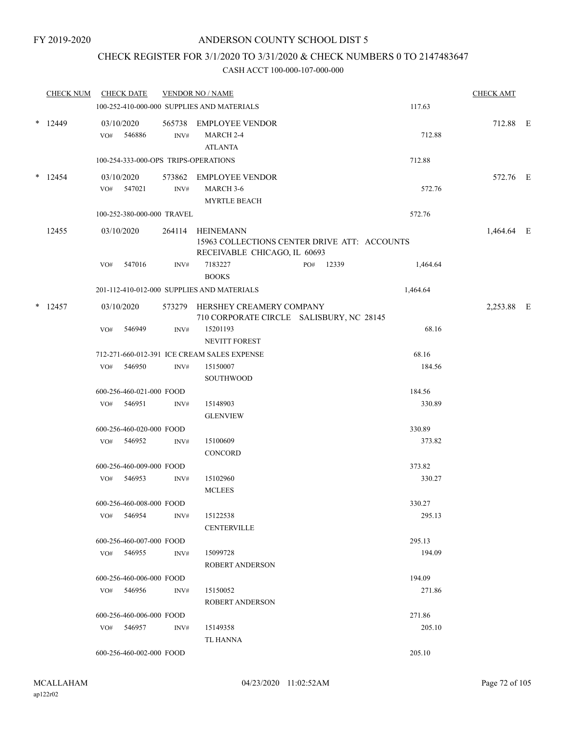## CHECK REGISTER FOR 3/1/2020 TO 3/31/2020 & CHECK NUMBERS 0 TO 2147483647

| <b>CHECK NUM</b> |     | <b>CHECK DATE</b>          |      | <b>VENDOR NO / NAME</b>                                    |                                              |          | <b>CHECK AMT</b> |  |
|------------------|-----|----------------------------|------|------------------------------------------------------------|----------------------------------------------|----------|------------------|--|
|                  |     |                            |      | 100-252-410-000-000 SUPPLIES AND MATERIALS                 |                                              | 117.63   |                  |  |
| $*$ 12449        |     | 03/10/2020<br>VO# 546886   | INV# | 565738 EMPLOYEE VENDOR<br>MARCH 2-4<br><b>ATLANTA</b>      |                                              | 712.88   | 712.88 E         |  |
|                  |     |                            |      | 100-254-333-000-OPS TRIPS-OPERATIONS                       |                                              | 712.88   |                  |  |
| $*$ 12454        |     | 03/10/2020<br>VO# 547021   | INV# | 573862 EMPLOYEE VENDOR<br>MARCH 3-6<br><b>MYRTLE BEACH</b> |                                              | 572.76   | 572.76 E         |  |
|                  |     | 100-252-380-000-000 TRAVEL |      |                                                            |                                              | 572.76   |                  |  |
| 12455            |     | 03/10/2020                 |      | 264114 HEINEMANN<br>RECEIVABLE CHICAGO, IL 60693           | 15963 COLLECTIONS CENTER DRIVE ATT: ACCOUNTS |          | 1,464.64 E       |  |
|                  | VO# | 547016                     | INV# | 7183227<br><b>BOOKS</b>                                    | 12339<br>PO#                                 | 1,464.64 |                  |  |
|                  |     |                            |      | 201-112-410-012-000 SUPPLIES AND MATERIALS                 |                                              | 1,464.64 |                  |  |
| $*$ 12457        |     | 03/10/2020                 |      | 573279 HERSHEY CREAMERY COMPANY                            | 710 CORPORATE CIRCLE SALISBURY, NC 28145     |          | 2,253.88 E       |  |
|                  | VO# | 546949                     | INV# | 15201193<br>NEVITT FOREST                                  |                                              | 68.16    |                  |  |
|                  |     |                            |      | 712-271-660-012-391 ICE CREAM SALES EXPENSE                |                                              | 68.16    |                  |  |
|                  | VO# | 546950                     | INV# | 15150007<br>SOUTHWOOD                                      |                                              | 184.56   |                  |  |
|                  |     | 600-256-460-021-000 FOOD   |      |                                                            |                                              | 184.56   |                  |  |
|                  |     | VO# 546951                 | INV# | 15148903<br><b>GLENVIEW</b>                                |                                              | 330.89   |                  |  |
|                  |     | 600-256-460-020-000 FOOD   |      |                                                            |                                              | 330.89   |                  |  |
|                  |     | VO# 546952                 | INV# | 15100609<br><b>CONCORD</b>                                 |                                              | 373.82   |                  |  |
|                  |     | 600-256-460-009-000 FOOD   |      |                                                            |                                              | 373.82   |                  |  |
|                  |     | VO# 546953                 | INV# | 15102960<br><b>MCLEES</b>                                  |                                              | 330.27   |                  |  |
|                  |     | 600-256-460-008-000 FOOD   |      |                                                            |                                              | 330.27   |                  |  |
|                  |     | $VO#$ 546954               | INV# | 15122538<br><b>CENTERVILLE</b>                             |                                              | 295.13   |                  |  |
|                  |     | 600-256-460-007-000 FOOD   |      |                                                            |                                              | 295.13   |                  |  |
|                  |     | VO# 546955                 | INV# | 15099728<br>ROBERT ANDERSON                                |                                              | 194.09   |                  |  |
|                  |     | 600-256-460-006-000 FOOD   |      |                                                            |                                              | 194.09   |                  |  |
|                  |     | $VO#$ 546956               | INV# | 15150052<br>ROBERT ANDERSON                                |                                              | 271.86   |                  |  |
|                  |     | 600-256-460-006-000 FOOD   |      |                                                            |                                              | 271.86   |                  |  |
|                  |     | VO# 546957                 | INV# | 15149358<br>TL HANNA                                       |                                              | 205.10   |                  |  |
|                  |     | 600-256-460-002-000 FOOD   |      |                                                            |                                              | 205.10   |                  |  |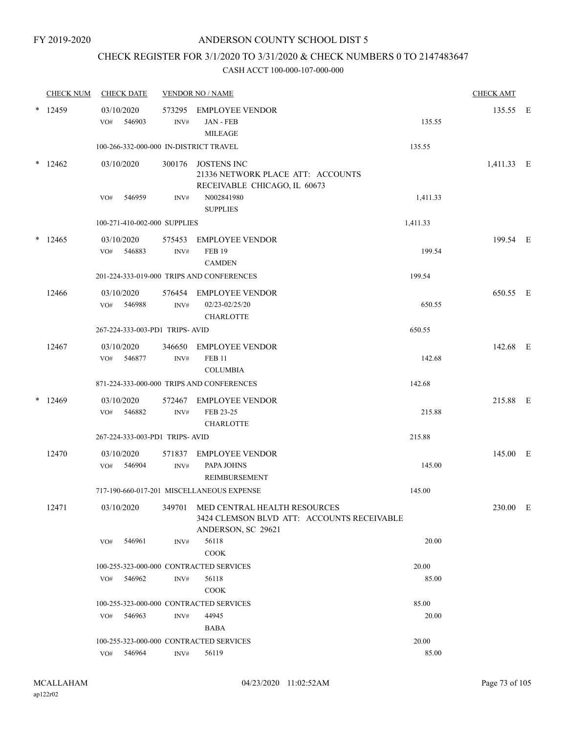## CHECK REGISTER FOR 3/1/2020 TO 3/31/2020 & CHECK NUMBERS 0 TO 2147483647

|   | <b>CHECK NUM</b> | <b>CHECK DATE</b>                       |                | <b>VENDOR NO / NAME</b>                                                                          |          | <b>CHECK AMT</b> |  |
|---|------------------|-----------------------------------------|----------------|--------------------------------------------------------------------------------------------------|----------|------------------|--|
|   | 12459            | 03/10/2020<br>546903<br>VO#             | INV#           | 573295 EMPLOYEE VENDOR<br><b>JAN - FEB</b><br><b>MILEAGE</b>                                     | 135.55   | 135.55 E         |  |
|   |                  | 100-266-332-000-000 IN-DISTRICT TRAVEL  |                |                                                                                                  | 135.55   |                  |  |
| * | 12462            | 03/10/2020                              |                | 300176 JOSTENS INC<br>21336 NETWORK PLACE ATT: ACCOUNTS<br>RECEIVABLE CHICAGO, IL 60673          |          | 1,411.33 E       |  |
|   |                  | 546959<br>VO#                           | INV#           | N002841980<br><b>SUPPLIES</b>                                                                    | 1,411.33 |                  |  |
|   |                  | 100-271-410-002-000 SUPPLIES            |                |                                                                                                  | 1,411.33 |                  |  |
|   | $*$ 12465        | 03/10/2020<br>546883<br>VO#             | 575453<br>INV# | <b>EMPLOYEE VENDOR</b><br><b>FEB 19</b><br><b>CAMDEN</b>                                         | 199.54   | 199.54 E         |  |
|   |                  |                                         |                | 201-224-333-019-000 TRIPS AND CONFERENCES                                                        | 199.54   |                  |  |
|   | 12466            | 03/10/2020<br>VO# 546988                | INV#           | 576454 EMPLOYEE VENDOR<br>02/23-02/25/20<br><b>CHARLOTTE</b>                                     | 650.55   | 650.55 E         |  |
|   |                  | 267-224-333-003-PD1 TRIPS- AVID         |                |                                                                                                  | 650.55   |                  |  |
|   | 12467            | 03/10/2020<br>546877<br>VO#             | 346650<br>INV# | <b>EMPLOYEE VENDOR</b><br><b>FEB 11</b>                                                          | 142.68   | 142.68 E         |  |
|   |                  |                                         |                | <b>COLUMBIA</b>                                                                                  |          |                  |  |
|   |                  |                                         |                | 871-224-333-000-000 TRIPS AND CONFERENCES                                                        | 142.68   |                  |  |
|   | $*12469$         | 03/10/2020<br>546882<br>VO#             | 572467<br>INV# | <b>EMPLOYEE VENDOR</b><br>FEB 23-25<br><b>CHARLOTTE</b>                                          | 215.88   | 215.88 E         |  |
|   |                  | 267-224-333-003-PD1 TRIPS- AVID         |                |                                                                                                  | 215.88   |                  |  |
|   | 12470            | 03/10/2020<br>546904<br>VO#             | 571837<br>INV# | <b>EMPLOYEE VENDOR</b><br>PAPA JOHNS<br>REIMBURSEMENT                                            | 145.00   | 145.00 E         |  |
|   |                  |                                         |                | 717-190-660-017-201 MISCELLANEOUS EXPENSE                                                        | 145.00   |                  |  |
|   | 12471            | 03/10/2020                              | 349701         | MED CENTRAL HEALTH RESOURCES<br>3424 CLEMSON BLVD ATT: ACCOUNTS RECEIVABLE<br>ANDERSON, SC 29621 |          | 230.00 E         |  |
|   |                  | 546961<br>VO#                           | INV#           | 56118<br><b>COOK</b>                                                                             | 20.00    |                  |  |
|   |                  | 100-255-323-000-000 CONTRACTED SERVICES |                |                                                                                                  | 20.00    |                  |  |
|   |                  | 546962<br>VO#                           | INV#           | 56118<br><b>COOK</b>                                                                             | 85.00    |                  |  |
|   |                  | 100-255-323-000-000 CONTRACTED SERVICES |                |                                                                                                  | 85.00    |                  |  |
|   |                  | 546963<br>VO#                           | INV#           | 44945<br>BABA                                                                                    | 20.00    |                  |  |
|   |                  | 100-255-323-000-000 CONTRACTED SERVICES |                |                                                                                                  | 20.00    |                  |  |
|   |                  | 546964<br>VO#                           | INV#           | 56119                                                                                            | 85.00    |                  |  |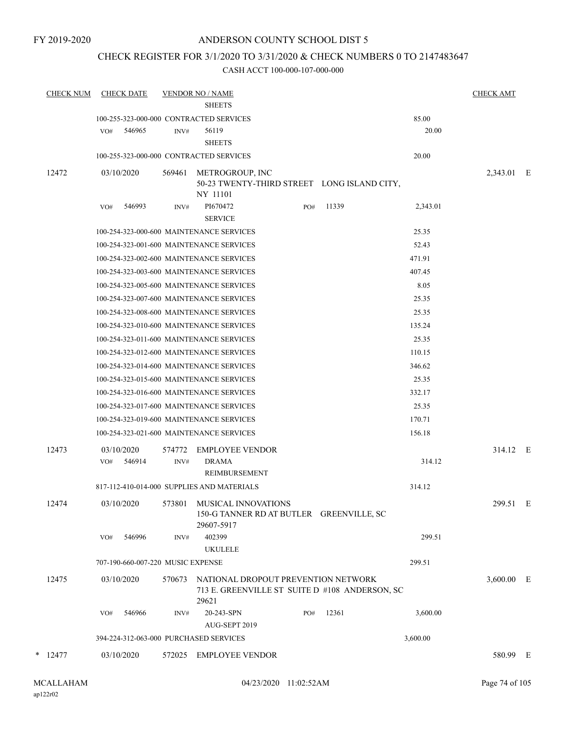## CHECK REGISTER FOR 3/1/2020 TO 3/31/2020 & CHECK NUMBERS 0 TO 2147483647

| <b>CHECK NUM</b> | <b>CHECK DATE</b>                                        |        | <b>VENDOR NO / NAME</b>                                                                        |     |       |                | <b>CHECK AMT</b> |  |
|------------------|----------------------------------------------------------|--------|------------------------------------------------------------------------------------------------|-----|-------|----------------|------------------|--|
|                  |                                                          |        | <b>SHEETS</b>                                                                                  |     |       |                |                  |  |
|                  | 100-255-323-000-000 CONTRACTED SERVICES<br>546965<br>VO# | INV#   | 56119                                                                                          |     |       | 85.00<br>20.00 |                  |  |
|                  |                                                          |        | <b>SHEETS</b>                                                                                  |     |       |                |                  |  |
|                  | 100-255-323-000-000 CONTRACTED SERVICES                  |        |                                                                                                |     |       | 20.00          |                  |  |
| 12472            | 03/10/2020                                               | 569461 | METROGROUP, INC<br>50-23 TWENTY-THIRD STREET LONG ISLAND CITY,<br>NY 11101                     |     |       |                | 2,343.01 E       |  |
|                  | 546993<br>VO#                                            | INV#   | PI670472<br><b>SERVICE</b>                                                                     | PO# | 11339 | 2,343.01       |                  |  |
|                  |                                                          |        | 100-254-323-000-600 MAINTENANCE SERVICES                                                       |     |       | 25.35          |                  |  |
|                  |                                                          |        | 100-254-323-001-600 MAINTENANCE SERVICES                                                       |     |       | 52.43          |                  |  |
|                  |                                                          |        | 100-254-323-002-600 MAINTENANCE SERVICES                                                       |     |       | 471.91         |                  |  |
|                  |                                                          |        | 100-254-323-003-600 MAINTENANCE SERVICES                                                       |     |       | 407.45         |                  |  |
|                  |                                                          |        | 100-254-323-005-600 MAINTENANCE SERVICES                                                       |     |       | 8.05           |                  |  |
|                  |                                                          |        | 100-254-323-007-600 MAINTENANCE SERVICES                                                       |     |       | 25.35          |                  |  |
|                  |                                                          |        | 100-254-323-008-600 MAINTENANCE SERVICES                                                       |     |       | 25.35          |                  |  |
|                  |                                                          |        | 100-254-323-010-600 MAINTENANCE SERVICES                                                       |     |       | 135.24         |                  |  |
|                  |                                                          |        | 100-254-323-011-600 MAINTENANCE SERVICES                                                       |     |       | 25.35          |                  |  |
|                  |                                                          |        | 100-254-323-012-600 MAINTENANCE SERVICES                                                       |     |       | 110.15         |                  |  |
|                  |                                                          |        | 100-254-323-014-600 MAINTENANCE SERVICES                                                       |     |       | 346.62         |                  |  |
|                  |                                                          |        | 100-254-323-015-600 MAINTENANCE SERVICES                                                       |     |       | 25.35          |                  |  |
|                  |                                                          |        | 100-254-323-016-600 MAINTENANCE SERVICES                                                       |     |       | 332.17         |                  |  |
|                  |                                                          |        | 100-254-323-017-600 MAINTENANCE SERVICES                                                       |     |       | 25.35          |                  |  |
|                  |                                                          |        | 100-254-323-019-600 MAINTENANCE SERVICES                                                       |     |       | 170.71         |                  |  |
|                  |                                                          |        | 100-254-323-021-600 MAINTENANCE SERVICES                                                       |     |       | 156.18         |                  |  |
| 12473            | 03/10/2020                                               | 574772 | <b>EMPLOYEE VENDOR</b>                                                                         |     |       |                | 314.12 E         |  |
|                  | 546914<br>VO#                                            | INV#   | <b>DRAMA</b><br>REIMBURSEMENT                                                                  |     |       | 314.12         |                  |  |
|                  |                                                          |        | 817-112-410-014-000 SUPPLIES AND MATERIALS                                                     |     |       | 314.12         |                  |  |
| 12474            | 03/10/2020                                               |        | 573801 MUSICAL INNOVATIONS<br>150-G TANNER RD AT BUTLER GREENVILLE, SC<br>29607-5917           |     |       |                | 299.51 E         |  |
|                  | 546996<br>VO#                                            | INV#   | 402399<br><b>UKULELE</b>                                                                       |     |       | 299.51         |                  |  |
|                  | 707-190-660-007-220 MUSIC EXPENSE                        |        |                                                                                                |     |       | 299.51         |                  |  |
| 12475            | 03/10/2020                                               | 570673 | NATIONAL DROPOUT PREVENTION NETWORK<br>713 E. GREENVILLE ST SUITE D #108 ANDERSON, SC<br>29621 |     |       |                | $3,600.00$ E     |  |
|                  | 546966<br>VO#                                            | INV#   | 20-243-SPN<br>AUG-SEPT 2019                                                                    | PO# | 12361 | 3,600.00       |                  |  |
|                  | 394-224-312-063-000 PURCHASED SERVICES                   |        |                                                                                                |     |       | 3,600.00       |                  |  |
| $*$ 12477        | 03/10/2020                                               |        | 572025 EMPLOYEE VENDOR                                                                         |     |       |                | 580.99 E         |  |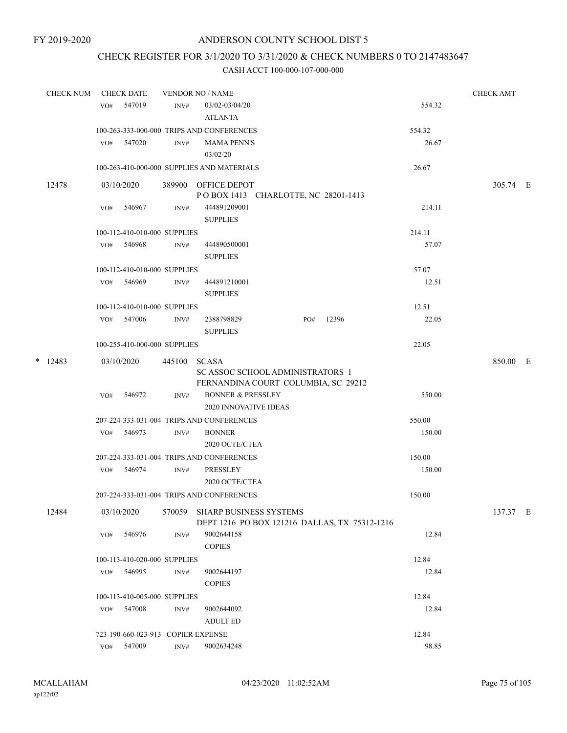## CHECK REGISTER FOR 3/1/2020 TO 3/31/2020 & CHECK NUMBERS 0 TO 2147483647

| <b>CHECK NUM</b> |           | <b>CHECK DATE</b> |                                    | <b>VENDOR NO / NAME</b> |                                                                                  |     |       | <b>CHECK AMT</b> |          |  |
|------------------|-----------|-------------------|------------------------------------|-------------------------|----------------------------------------------------------------------------------|-----|-------|------------------|----------|--|
|                  |           |                   | VO# 547019                         | INV#                    | 03/02-03/04/20                                                                   |     |       | 554.32           |          |  |
|                  |           |                   |                                    |                         | <b>ATLANTA</b>                                                                   |     |       |                  |          |  |
|                  |           |                   |                                    |                         | 100-263-333-000-000 TRIPS AND CONFERENCES                                        |     |       | 554.32           |          |  |
|                  |           |                   | VO# 547020                         | INV#                    | <b>MAMA PENN'S</b><br>03/02/20                                                   |     |       | 26.67            |          |  |
|                  |           |                   |                                    |                         | 100-263-410-000-000 SUPPLIES AND MATERIALS                                       |     |       | 26.67            |          |  |
|                  | 12478     |                   | 03/10/2020                         |                         | 389900 OFFICE DEPOT<br>POBOX 1413 CHARLOTTE, NC 28201-1413                       |     |       |                  | 305.74 E |  |
|                  |           | VO#               | 546967                             | INV#                    | 444891209001<br><b>SUPPLIES</b>                                                  |     |       | 214.11           |          |  |
|                  |           |                   | 100-112-410-010-000 SUPPLIES       |                         |                                                                                  |     |       | 214.11           |          |  |
|                  |           |                   | VO# 546968                         | INV#                    | 444890500001<br><b>SUPPLIES</b>                                                  |     |       | 57.07            |          |  |
|                  |           |                   | 100-112-410-010-000 SUPPLIES       |                         |                                                                                  |     |       | 57.07            |          |  |
|                  |           |                   | VO# 546969                         | INV#                    | 444891210001<br><b>SUPPLIES</b>                                                  |     |       | 12.51            |          |  |
|                  |           |                   | 100-112-410-010-000 SUPPLIES       |                         |                                                                                  |     |       | 12.51            |          |  |
|                  |           |                   | VO# 547006                         | INV#                    | 2388798829<br><b>SUPPLIES</b>                                                    | PO# | 12396 | 22.05            |          |  |
|                  |           |                   | 100-255-410-000-000 SUPPLIES       |                         |                                                                                  |     |       | 22.05            |          |  |
|                  | $*$ 12483 |                   | 03/10/2020                         | 445100                  | SCASA<br>SC ASSOC SCHOOL ADMINISTRATORS 1<br>FERNANDINA COURT COLUMBIA, SC 29212 |     |       |                  | 850.00 E |  |
|                  |           |                   | VO# 546972                         | INV#                    | <b>BONNER &amp; PRESSLEY</b><br><b>2020 INNOVATIVE IDEAS</b>                     |     |       | 550.00           |          |  |
|                  |           |                   |                                    |                         | 207-224-333-031-004 TRIPS AND CONFERENCES                                        |     |       | 550.00           |          |  |
|                  |           |                   | VO# 546973                         | INV#                    | <b>BONNER</b><br>2020 OCTE/CTEA                                                  |     |       | 150.00           |          |  |
|                  |           |                   |                                    |                         | 207-224-333-031-004 TRIPS AND CONFERENCES                                        |     |       | 150.00           |          |  |
|                  |           |                   | VO# 546974                         | INV#                    | <b>PRESSLEY</b><br>2020 OCTE/CTEA                                                |     |       | 150.00           |          |  |
|                  |           |                   |                                    |                         | 207-224-333-031-004 TRIPS AND CONFERENCES                                        |     |       | 150.00           |          |  |
|                  | 12484     |                   | 03/10/2020                         | 570059                  | SHARP BUSINESS SYSTEMS<br>DEPT 1216 PO BOX 121216 DALLAS, TX 75312-1216          |     |       |                  | 137.37 E |  |
|                  |           | VO#               | 546976                             | INV#                    | 9002644158<br><b>COPIES</b>                                                      |     |       | 12.84            |          |  |
|                  |           |                   | 100-113-410-020-000 SUPPLIES       |                         |                                                                                  |     |       | 12.84            |          |  |
|                  |           | VO#               | 546995                             | INV#                    | 9002644197<br><b>COPIES</b>                                                      |     |       | 12.84            |          |  |
|                  |           |                   | 100-113-410-005-000 SUPPLIES       |                         |                                                                                  |     |       | 12.84            |          |  |
|                  |           | VO#               | 547008                             | INV#                    | 9002644092<br><b>ADULT ED</b>                                                    |     |       | 12.84            |          |  |
|                  |           |                   | 723-190-660-023-913 COPIER EXPENSE |                         |                                                                                  |     |       | 12.84            |          |  |
|                  |           |                   | VO# 547009                         | $\mathrm{INV}\#$        | 9002634248                                                                       |     |       | 98.85            |          |  |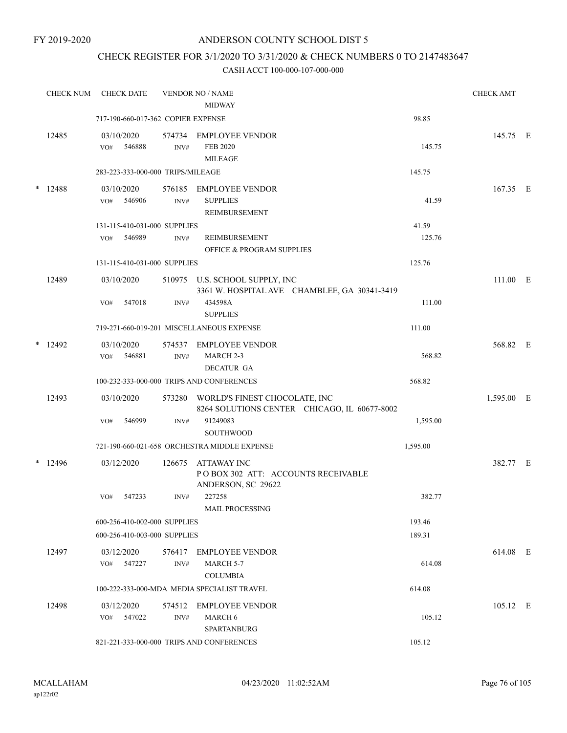## CHECK REGISTER FOR 3/1/2020 TO 3/31/2020 & CHECK NUMBERS 0 TO 2147483647

|        | <b>CHECK NUM</b> |     | <b>CHECK DATE</b>    |                                    | <b>VENDOR NO / NAME</b><br><b>MIDWAY</b>                                             |          | <b>CHECK AMT</b> |  |
|--------|------------------|-----|----------------------|------------------------------------|--------------------------------------------------------------------------------------|----------|------------------|--|
|        |                  |     |                      | 717-190-660-017-362 COPIER EXPENSE |                                                                                      | 98.85    |                  |  |
|        | 12485            | VO# | 03/10/2020<br>546888 | $\text{INV}\#$                     | 574734 EMPLOYEE VENDOR<br><b>FEB 2020</b><br><b>MILEAGE</b>                          | 145.75   | 145.75 E         |  |
|        |                  |     |                      | 283-223-333-000-000 TRIPS/MILEAGE  |                                                                                      | 145.75   |                  |  |
| $\ast$ | 12488            | VO# | 03/10/2020<br>546906 | 576185<br>$\text{INV}\#$           | <b>EMPLOYEE VENDOR</b><br><b>SUPPLIES</b><br>REIMBURSEMENT                           | 41.59    | 167.35 E         |  |
|        |                  |     |                      | 131-115-410-031-000 SUPPLIES       |                                                                                      | 41.59    |                  |  |
|        |                  | VO# | 546989               | INV#                               | REIMBURSEMENT<br><b>OFFICE &amp; PROGRAM SUPPLIES</b>                                | 125.76   |                  |  |
|        |                  |     |                      | 131-115-410-031-000 SUPPLIES       |                                                                                      | 125.76   |                  |  |
|        | 12489            |     | 03/10/2020           |                                    | 510975 U.S. SCHOOL SUPPLY, INC<br>3361 W. HOSPITAL AVE CHAMBLEE, GA 30341-3419       |          | 111.00 E         |  |
|        |                  | VO# | 547018               | INV#                               | 434598A<br><b>SUPPLIES</b>                                                           | 111.00   |                  |  |
|        |                  |     |                      |                                    | 719-271-660-019-201 MISCELLANEOUS EXPENSE                                            | 111.00   |                  |  |
|        | $*$ 12492        | VO# | 03/10/2020<br>546881 | $\text{INV}\#$                     | 574537 EMPLOYEE VENDOR<br>MARCH <sub>2-3</sub><br><b>DECATUR GA</b>                  | 568.82   | 568.82 E         |  |
|        |                  |     |                      |                                    | 100-232-333-000-000 TRIPS AND CONFERENCES                                            | 568.82   |                  |  |
|        | 12493            |     | 03/10/2020           |                                    | 573280 WORLD'S FINEST CHOCOLATE, INC<br>8264 SOLUTIONS CENTER CHICAGO, IL 60677-8002 |          | 1,595.00 E       |  |
|        |                  | VO# | 546999               | INV#                               | 91249083<br><b>SOUTHWOOD</b>                                                         | 1,595.00 |                  |  |
|        |                  |     |                      |                                    | 721-190-660-021-658 ORCHESTRA MIDDLE EXPENSE                                         | 1,595.00 |                  |  |
|        | $*$ 12496        |     | 03/12/2020           | 126675                             | <b>ATTAWAY INC</b><br>POBOX 302 ATT: ACCOUNTS RECEIVABLE<br>ANDERSON, SC 29622       |          | 382.77 E         |  |
|        |                  | VO# | 547233               | INV#                               | 227258<br><b>MAIL PROCESSING</b>                                                     | 382.77   |                  |  |
|        |                  |     |                      | 600-256-410-002-000 SUPPLIES       |                                                                                      | 193.46   |                  |  |
|        |                  |     |                      | 600-256-410-003-000 SUPPLIES       |                                                                                      | 189.31   |                  |  |
|        | 12497            | VO# | 03/12/2020<br>547227 | 576417<br>INV#                     | <b>EMPLOYEE VENDOR</b><br><b>MARCH 5-7</b><br><b>COLUMBIA</b>                        | 614.08   | 614.08 E         |  |
|        |                  |     |                      |                                    | 100-222-333-000-MDA MEDIA SPECIALIST TRAVEL                                          | 614.08   |                  |  |
|        | 12498            | VO# | 03/12/2020<br>547022 | 574512<br>INV#                     | <b>EMPLOYEE VENDOR</b><br><b>MARCH 6</b><br><b>SPARTANBURG</b>                       | 105.12   | 105.12 E         |  |
|        |                  |     |                      |                                    | 821-221-333-000-000 TRIPS AND CONFERENCES                                            | 105.12   |                  |  |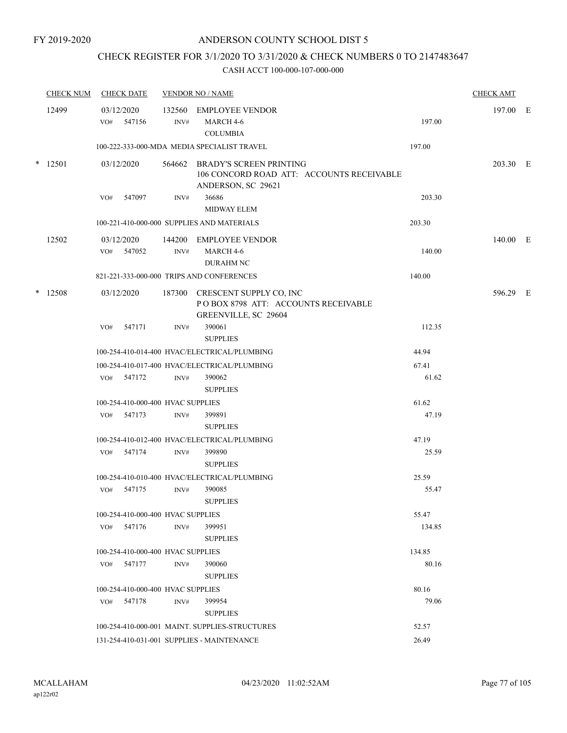## CHECK REGISTER FOR 3/1/2020 TO 3/31/2020 & CHECK NUMBERS 0 TO 2147483647

|        | <b>CHECK NUM</b> |     | <b>CHECK DATE</b>                 |                | <b>VENDOR NO / NAME</b>                                                                           |        | <b>CHECK AMT</b> |  |
|--------|------------------|-----|-----------------------------------|----------------|---------------------------------------------------------------------------------------------------|--------|------------------|--|
|        | 12499            | VO# | 03/12/2020<br>547156              | INV#           | 132560 EMPLOYEE VENDOR<br>MARCH 4-6<br><b>COLUMBIA</b>                                            | 197.00 | 197.00 E         |  |
|        |                  |     |                                   |                | 100-222-333-000-MDA MEDIA SPECIALIST TRAVEL                                                       | 197.00 |                  |  |
|        | $*$ 12501        |     | 03/12/2020                        |                | 564662 BRADY'S SCREEN PRINTING<br>106 CONCORD ROAD ATT: ACCOUNTS RECEIVABLE<br>ANDERSON, SC 29621 |        | 203.30 E         |  |
|        |                  | VO# | 547097                            | INV#           | 36686<br><b>MIDWAY ELEM</b>                                                                       | 203.30 |                  |  |
|        |                  |     |                                   |                | 100-221-410-000-000 SUPPLIES AND MATERIALS                                                        | 203.30 |                  |  |
|        | 12502            |     | 03/12/2020<br>VO# 547052          | $\text{INV}\#$ | 144200 EMPLOYEE VENDOR<br>MARCH 4-6<br><b>DURAHM NC</b>                                           | 140.00 | 140.00 E         |  |
|        |                  |     |                                   |                | 821-221-333-000-000 TRIPS AND CONFERENCES                                                         | 140.00 |                  |  |
| $\ast$ | 12508            |     | 03/12/2020                        |                | 187300 CRESCENT SUPPLY CO, INC<br>POBOX 8798 ATT: ACCOUNTS RECEIVABLE<br>GREENVILLE, SC 29604     |        | 596.29 E         |  |
|        |                  | VO# | 547171                            | INV#           | 390061<br><b>SUPPLIES</b>                                                                         | 112.35 |                  |  |
|        |                  |     |                                   |                | 100-254-410-014-400 HVAC/ELECTRICAL/PLUMBING                                                      | 44.94  |                  |  |
|        |                  |     |                                   |                | 100-254-410-017-400 HVAC/ELECTRICAL/PLUMBING                                                      | 67.41  |                  |  |
|        |                  |     | VO# 547172                        | INV#           | 390062<br><b>SUPPLIES</b>                                                                         | 61.62  |                  |  |
|        |                  |     | 100-254-410-000-400 HVAC SUPPLIES |                |                                                                                                   | 61.62  |                  |  |
|        |                  |     | VO# 547173                        | INV#           | 399891<br><b>SUPPLIES</b>                                                                         | 47.19  |                  |  |
|        |                  |     |                                   |                | 100-254-410-012-400 HVAC/ELECTRICAL/PLUMBING                                                      | 47.19  |                  |  |
|        |                  | VO# | 547174                            | INV#           | 399890<br><b>SUPPLIES</b>                                                                         | 25.59  |                  |  |
|        |                  |     |                                   |                | 100-254-410-010-400 HVAC/ELECTRICAL/PLUMBING                                                      | 25.59  |                  |  |
|        |                  | VO# | 547175                            | INV#           | 390085<br><b>SUPPLIES</b>                                                                         | 55.47  |                  |  |
|        |                  |     | 100-254-410-000-400 HVAC SUPPLIES |                |                                                                                                   | 55.47  |                  |  |
|        |                  | VO# | 547176                            | INV#           | 399951<br><b>SUPPLIES</b>                                                                         | 134.85 |                  |  |
|        |                  |     | 100-254-410-000-400 HVAC SUPPLIES |                |                                                                                                   | 134.85 |                  |  |
|        |                  |     | VO# 547177                        | INV#           | 390060<br><b>SUPPLIES</b>                                                                         | 80.16  |                  |  |
|        |                  |     | 100-254-410-000-400 HVAC SUPPLIES |                |                                                                                                   | 80.16  |                  |  |
|        |                  |     | VO# 547178                        | INV#           | 399954<br><b>SUPPLIES</b>                                                                         | 79.06  |                  |  |
|        |                  |     |                                   |                | 100-254-410-000-001 MAINT. SUPPLIES-STRUCTURES                                                    | 52.57  |                  |  |
|        |                  |     |                                   |                | 131-254-410-031-001 SUPPLIES - MAINTENANCE                                                        | 26.49  |                  |  |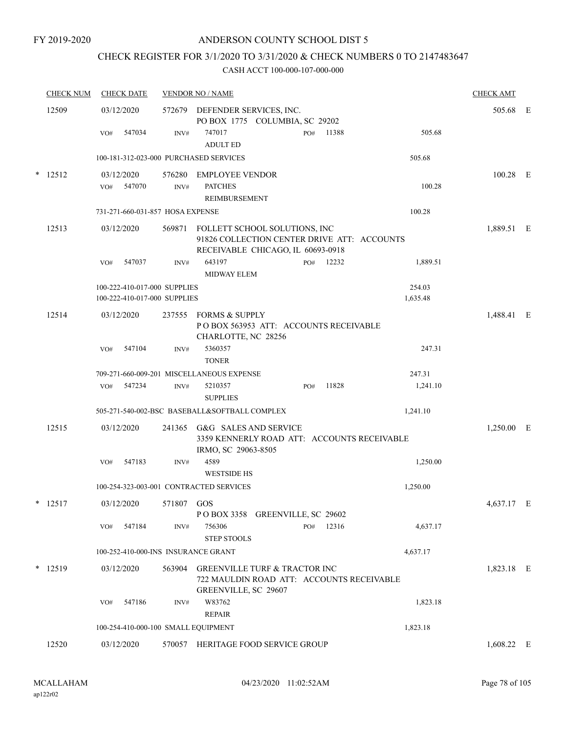## CHECK REGISTER FOR 3/1/2020 TO 3/31/2020 & CHECK NUMBERS 0 TO 2147483647

|        | <b>CHECK NUM</b> | <b>CHECK DATE</b>                                            |            | <b>VENDOR NO / NAME</b>                                                                                                  |              |                    | <b>CHECK AMT</b> |  |
|--------|------------------|--------------------------------------------------------------|------------|--------------------------------------------------------------------------------------------------------------------------|--------------|--------------------|------------------|--|
|        | 12509            | 03/12/2020                                                   |            | 572679 DEFENDER SERVICES, INC.<br>PO BOX 1775 COLUMBIA, SC 29202                                                         |              |                    | 505.68 E         |  |
|        |                  | 547034<br>VO#                                                | INV#       | 747017<br><b>ADULT ED</b>                                                                                                | 11388<br>PO# | 505.68             |                  |  |
|        |                  | 100-181-312-023-000 PURCHASED SERVICES                       |            |                                                                                                                          |              | 505.68             |                  |  |
| $\ast$ | 12512            | 03/12/2020<br>VO# 547070                                     | INV#       | 576280 EMPLOYEE VENDOR<br><b>PATCHES</b><br><b>REIMBURSEMENT</b>                                                         |              | 100.28             | 100.28 E         |  |
|        |                  | 731-271-660-031-857 HOSA EXPENSE                             |            |                                                                                                                          |              | 100.28             |                  |  |
|        | 12513            | 03/12/2020                                                   |            | 569871 FOLLETT SCHOOL SOLUTIONS, INC<br>91826 COLLECTION CENTER DRIVE ATT: ACCOUNTS<br>RECEIVABLE CHICAGO, IL 60693-0918 |              |                    | 1,889.51 E       |  |
|        |                  | 547037<br>VO#                                                | INV#       | 643197<br><b>MIDWAY ELEM</b>                                                                                             | PO# 12232    | 1,889.51           |                  |  |
|        |                  | 100-222-410-017-000 SUPPLIES<br>100-222-410-017-000 SUPPLIES |            |                                                                                                                          |              | 254.03<br>1,635.48 |                  |  |
|        | 12514            | 03/12/2020                                                   |            | 237555 FORMS & SUPPLY<br>POBOX 563953 ATT: ACCOUNTS RECEIVABLE<br>CHARLOTTE, NC 28256                                    |              |                    | 1,488.41 E       |  |
|        |                  | 547104<br>VO#                                                | INV#       | 5360357<br><b>TONER</b>                                                                                                  |              | 247.31             |                  |  |
|        |                  |                                                              |            | 709-271-660-009-201 MISCELLANEOUS EXPENSE                                                                                |              | 247.31             |                  |  |
|        |                  | 547234<br>VO#                                                | INV#       | 5210357<br><b>SUPPLIES</b>                                                                                               | 11828<br>PO# | 1,241.10           |                  |  |
|        |                  |                                                              |            | 505-271-540-002-BSC BASEBALL&SOFTBALL COMPLEX                                                                            |              | 1,241.10           |                  |  |
|        | 12515            | 03/12/2020                                                   |            | 241365 G&G SALES AND SERVICE<br>3359 KENNERLY ROAD ATT: ACCOUNTS RECEIVABLE<br>IRMO, SC 29063-8505                       |              |                    | 1,250.00 E       |  |
|        |                  | 547183<br>VO#                                                | INV#       | 4589<br><b>WESTSIDE HS</b>                                                                                               |              | 1,250.00           |                  |  |
|        |                  | 100-254-323-003-001 CONTRACTED SERVICES                      |            |                                                                                                                          |              | 1,250.00           |                  |  |
|        | $*$ 12517        | 03/12/2020                                                   | 571807 GOS | POBOX 3358 GREENVILLE, SC 29602                                                                                          |              |                    | 4,637.17 E       |  |
|        |                  | VO# 547184                                                   | INV#       | 756306<br><b>STEP STOOLS</b>                                                                                             | PO# 12316    | 4,637.17           |                  |  |
|        |                  | 100-252-410-000-INS INSURANCE GRANT                          |            |                                                                                                                          |              | 4,637.17           |                  |  |
|        | $*$ 12519        | 03/12/2020                                                   |            | 563904 GREENVILLE TURF & TRACTOR INC<br>722 MAULDIN ROAD ATT: ACCOUNTS RECEIVABLE<br><b>GREENVILLE, SC 29607</b>         |              |                    | 1,823.18 E       |  |
|        |                  | 547186<br>VO#                                                | INV#       | W83762<br><b>REPAIR</b>                                                                                                  |              | 1,823.18           |                  |  |
|        |                  | 100-254-410-000-100 SMALL EQUIPMENT                          |            |                                                                                                                          |              | 1,823.18           |                  |  |
|        | 12520            | 03/12/2020                                                   |            | 570057 HERITAGE FOOD SERVICE GROUP                                                                                       |              |                    | $1,608.22$ E     |  |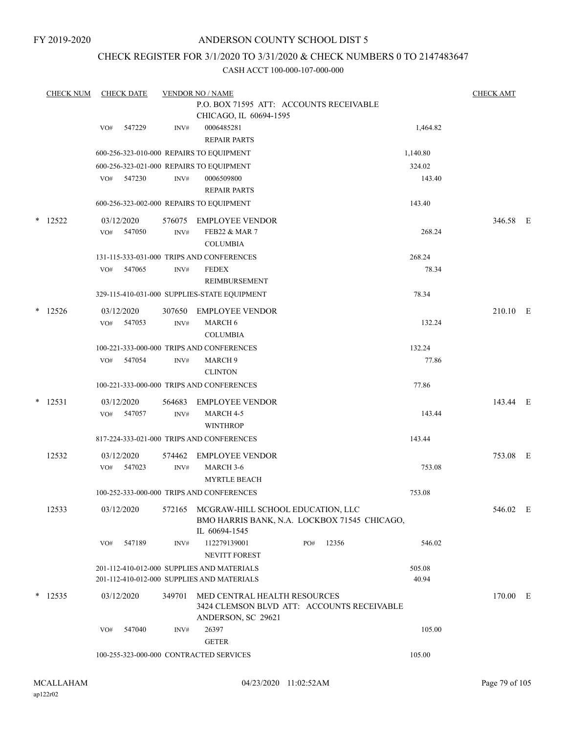## ANDERSON COUNTY SCHOOL DIST 5

## CHECK REGISTER FOR 3/1/2020 TO 3/31/2020 & CHECK NUMBERS 0 TO 2147483647

|   | <b>CHECK NUM</b> | <b>CHECK DATE</b> |                                          | <b>VENDOR NO / NAME</b>                                   |     |       |                 | <b>CHECK AMT</b> |  |
|---|------------------|-------------------|------------------------------------------|-----------------------------------------------------------|-----|-------|-----------------|------------------|--|
|   |                  |                   |                                          |                                                           |     |       |                 |                  |  |
|   |                  |                   |                                          | CHICAGO, IL 60694-1595                                    |     |       |                 |                  |  |
|   |                  | VO#               | 547229<br>INV#                           | 0006485281                                                |     |       | 1,464.82        |                  |  |
|   |                  |                   |                                          | <b>REPAIR PARTS</b>                                       |     |       |                 |                  |  |
|   |                  |                   | 600-256-323-010-000 REPAIRS TO EQUIPMENT |                                                           |     |       | 1,140.80        |                  |  |
|   |                  |                   | 600-256-323-021-000 REPAIRS TO EQUIPMENT |                                                           |     |       | 324.02          |                  |  |
|   |                  | VO#               | 547230<br>INV#                           | 0006509800<br><b>REPAIR PARTS</b>                         |     |       | 143.40          |                  |  |
|   |                  |                   | 600-256-323-002-000 REPAIRS TO EQUIPMENT |                                                           |     |       | 143.40          |                  |  |
|   |                  |                   |                                          |                                                           |     |       |                 |                  |  |
|   | $*$ 12522        | 03/12/2020        | 576075                                   | <b>EMPLOYEE VENDOR</b>                                    |     |       |                 | 346.58 E         |  |
|   |                  | VO#               | 547050<br>INV#                           | <b>FEB22 &amp; MAR 7</b>                                  |     |       | 268.24          |                  |  |
|   |                  |                   |                                          | <b>COLUMBIA</b>                                           |     |       |                 |                  |  |
|   |                  |                   | 547065                                   | 131-115-333-031-000 TRIPS AND CONFERENCES<br><b>FEDEX</b> |     |       | 268.24<br>78.34 |                  |  |
|   |                  | VO#               | INV#                                     | <b>REIMBURSEMENT</b>                                      |     |       |                 |                  |  |
|   |                  |                   |                                          | 329-115-410-031-000 SUPPLIES-STATE EQUIPMENT              |     |       | 78.34           |                  |  |
|   |                  |                   |                                          |                                                           |     |       |                 |                  |  |
| * | 12526            | 03/12/2020        | 307650                                   | <b>EMPLOYEE VENDOR</b>                                    |     |       |                 | 210.10 E         |  |
|   |                  | VO#               | 547053<br>INV#                           | <b>MARCH 6</b>                                            |     |       | 132.24          |                  |  |
|   |                  |                   |                                          | <b>COLUMBIA</b>                                           |     |       | 132.24          |                  |  |
|   |                  | VO#               | 547054<br>INV#                           | 100-221-333-000-000 TRIPS AND CONFERENCES<br>MARCH 9      |     |       | 77.86           |                  |  |
|   |                  |                   |                                          | <b>CLINTON</b>                                            |     |       |                 |                  |  |
|   |                  |                   |                                          | 100-221-333-000-000 TRIPS AND CONFERENCES                 |     |       | 77.86           |                  |  |
| * | 12531            | 03/12/2020        | 564683                                   | <b>EMPLOYEE VENDOR</b>                                    |     |       |                 | 143.44 E         |  |
|   |                  | VO#               | 547057<br>INV#                           | MARCH 4-5                                                 |     |       | 143.44          |                  |  |
|   |                  |                   |                                          | <b>WINTHROP</b>                                           |     |       |                 |                  |  |
|   |                  |                   |                                          | 817-224-333-021-000 TRIPS AND CONFERENCES                 |     |       | 143.44          |                  |  |
|   | 12532            | 03/12/2020        | 574462                                   | <b>EMPLOYEE VENDOR</b>                                    |     |       |                 | 753.08 E         |  |
|   |                  | VO#               | 547023<br>INV#                           | MARCH 3-6                                                 |     |       | 753.08          |                  |  |
|   |                  |                   |                                          | <b>MYRTLE BEACH</b>                                       |     |       |                 |                  |  |
|   |                  |                   |                                          | 100-252-333-000-000 TRIPS AND CONFERENCES                 |     |       | 753.08          |                  |  |
|   | 12533            | 03/12/2020        |                                          | 572165 MCGRAW-HILL SCHOOL EDUCATION, LLC                  |     |       |                 | 546.02 E         |  |
|   |                  |                   |                                          | BMO HARRIS BANK, N.A. LOCKBOX 71545 CHICAGO,              |     |       |                 |                  |  |
|   |                  |                   |                                          | IL 60694-1545                                             |     |       |                 |                  |  |
|   |                  | VO#               | 547189<br>INV#                           | 112279139001                                              | PO# | 12356 | 546.02          |                  |  |
|   |                  |                   |                                          | <b>NEVITT FOREST</b>                                      |     |       |                 |                  |  |
|   |                  |                   |                                          | 201-112-410-012-000 SUPPLIES AND MATERIALS                |     |       | 505.08          |                  |  |
|   |                  |                   |                                          | 201-112-410-012-000 SUPPLIES AND MATERIALS                |     |       | 40.94           |                  |  |
|   | $*$ 12535        | 03/12/2020        | 349701                                   | MED CENTRAL HEALTH RESOURCES                              |     |       |                 | 170.00 E         |  |
|   |                  |                   |                                          | 3424 CLEMSON BLVD ATT: ACCOUNTS RECEIVABLE                |     |       |                 |                  |  |
|   |                  |                   |                                          | ANDERSON, SC 29621                                        |     |       |                 |                  |  |
|   |                  | VO#               | 547040<br>INV#                           | 26397<br><b>GETER</b>                                     |     |       | 105.00          |                  |  |
|   |                  |                   |                                          |                                                           |     |       |                 |                  |  |
|   |                  |                   |                                          | 100-255-323-000-000 CONTRACTED SERVICES                   |     |       | 105.00          |                  |  |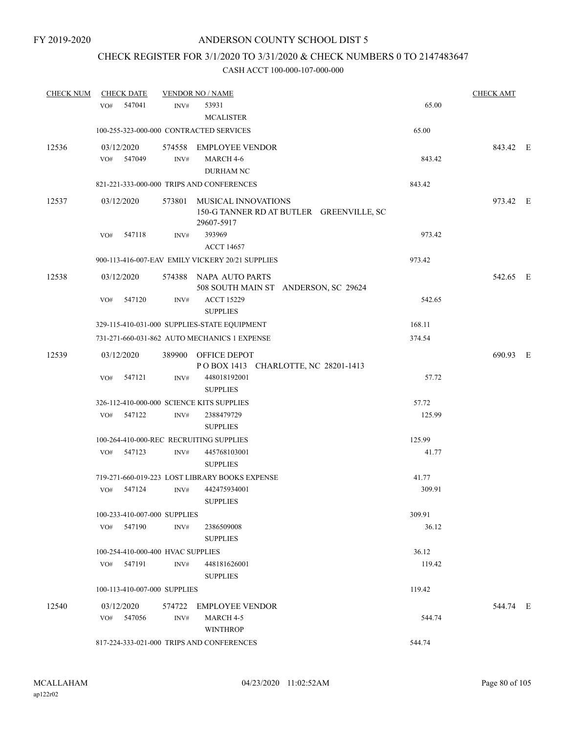## CHECK REGISTER FOR 3/1/2020 TO 3/31/2020 & CHECK NUMBERS 0 TO 2147483647

| <b>CHECK NUM</b> | <b>CHECK DATE</b>                 |                | <b>VENDOR NO / NAME</b>                                        |        | <b>CHECK AMT</b> |  |
|------------------|-----------------------------------|----------------|----------------------------------------------------------------|--------|------------------|--|
|                  | 547041<br>VO#                     | INV#           | 53931                                                          | 65.00  |                  |  |
|                  |                                   |                | <b>MCALISTER</b>                                               |        |                  |  |
|                  |                                   |                | 100-255-323-000-000 CONTRACTED SERVICES                        | 65.00  |                  |  |
| 12536            | 03/12/2020                        |                | 574558 EMPLOYEE VENDOR                                         |        | 843.42 E         |  |
|                  | VO#<br>547049                     | INV#           | MARCH 4-6                                                      | 843.42 |                  |  |
|                  |                                   |                | DURHAM NC                                                      |        |                  |  |
|                  |                                   |                | 821-221-333-000-000 TRIPS AND CONFERENCES                      | 843.42 |                  |  |
|                  | 03/12/2020                        |                | 573801 MUSICAL INNOVATIONS                                     |        | 973.42 E         |  |
| 12537            |                                   |                | 150-G TANNER RD AT BUTLER GREENVILLE, SC<br>29607-5917         |        |                  |  |
|                  | VO#<br>547118                     | INV#           | 393969<br><b>ACCT 14657</b>                                    | 973.42 |                  |  |
|                  |                                   |                | 900-113-416-007-EAV EMILY VICKERY 20/21 SUPPLIES               | 973.42 |                  |  |
|                  |                                   |                |                                                                |        |                  |  |
| 12538            | 03/12/2020                        |                | 574388 NAPA AUTO PARTS<br>508 SOUTH MAIN ST ANDERSON, SC 29624 |        | 542.65 E         |  |
|                  | 547120<br>VO#                     | INV#           | <b>ACCT 15229</b>                                              | 542.65 |                  |  |
|                  |                                   |                | <b>SUPPLIES</b>                                                |        |                  |  |
|                  |                                   |                | 329-115-410-031-000 SUPPLIES-STATE EQUIPMENT                   | 168.11 |                  |  |
|                  |                                   |                | 731-271-660-031-862 AUTO MECHANICS 1 EXPENSE                   | 374.54 |                  |  |
| 12539            | 03/12/2020                        |                | 389900 OFFICE DEPOT                                            |        | 690.93 E         |  |
|                  |                                   |                | POBOX 1413 CHARLOTTE, NC 28201-1413                            |        |                  |  |
|                  | 547121<br>VO#                     | INV#           | 448018192001                                                   | 57.72  |                  |  |
|                  |                                   |                | <b>SUPPLIES</b>                                                |        |                  |  |
|                  |                                   |                | 326-112-410-000-000 SCIENCE KITS SUPPLIES                      | 57.72  |                  |  |
|                  | 547122<br>VO#                     | INV#           | 2388479729                                                     | 125.99 |                  |  |
|                  |                                   |                | <b>SUPPLIES</b>                                                |        |                  |  |
|                  |                                   |                | 100-264-410-000-REC RECRUITING SUPPLIES                        | 125.99 |                  |  |
|                  | 547123<br>VO#                     | $\text{INV}\#$ | 445768103001                                                   | 41.77  |                  |  |
|                  |                                   |                | <b>SUPPLIES</b>                                                |        |                  |  |
|                  |                                   |                | 719-271-660-019-223 LOST LIBRARY BOOKS EXPENSE                 | 41.77  |                  |  |
|                  | 547124<br>VO#                     | INV#           | 442475934001                                                   | 309.91 |                  |  |
|                  |                                   |                | <b>SUPPLIES</b>                                                |        |                  |  |
|                  | 100-233-410-007-000 SUPPLIES      |                |                                                                | 309.91 |                  |  |
|                  | VO# 547190                        | INV#           | 2386509008                                                     | 36.12  |                  |  |
|                  |                                   |                | <b>SUPPLIES</b>                                                |        |                  |  |
|                  | 100-254-410-000-400 HVAC SUPPLIES |                |                                                                | 36.12  |                  |  |
|                  | VO# 547191                        | INV#           | 448181626001<br><b>SUPPLIES</b>                                | 119.42 |                  |  |
|                  | 100-113-410-007-000 SUPPLIES      |                |                                                                | 119.42 |                  |  |
| 12540            | 03/12/2020                        |                | 574722 EMPLOYEE VENDOR                                         |        | 544.74 E         |  |
|                  | 547056<br>VO#                     | INV#           | MARCH 4-5                                                      | 544.74 |                  |  |
|                  |                                   |                | <b>WINTHROP</b>                                                |        |                  |  |
|                  |                                   |                | 817-224-333-021-000 TRIPS AND CONFERENCES                      | 544.74 |                  |  |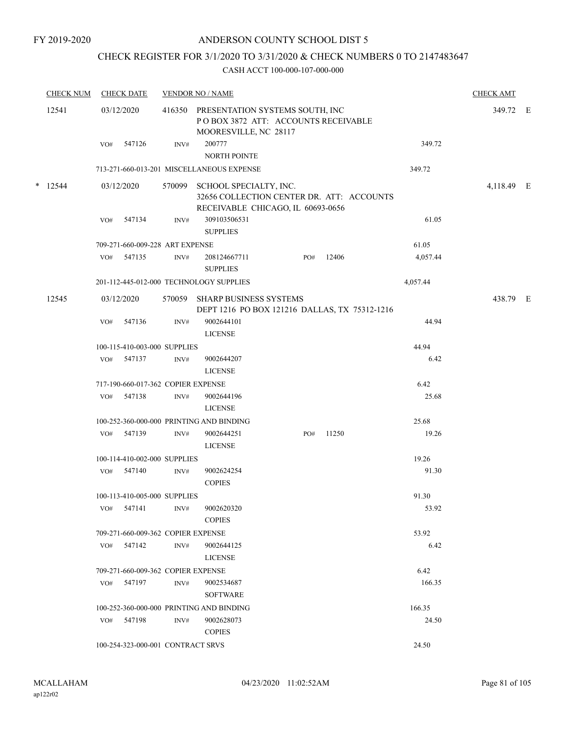## CHECK REGISTER FOR 3/1/2020 TO 3/31/2020 & CHECK NUMBERS 0 TO 2147483647

|       | <b>CHECK NUM</b> |     | <b>CHECK DATE</b>                  |                | <b>VENDOR NO / NAME</b>                                                                                         |     | <b>CHECK AMT</b> |          |            |  |
|-------|------------------|-----|------------------------------------|----------------|-----------------------------------------------------------------------------------------------------------------|-----|------------------|----------|------------|--|
| 12541 |                  |     | 03/12/2020                         |                | 416350 PRESENTATION SYSTEMS SOUTH, INC<br>POBOX 3872 ATT: ACCOUNTS RECEIVABLE<br>MOORESVILLE, NC 28117          |     |                  |          | 349.72 E   |  |
|       |                  |     | VO# 547126                         | INV#           | 200777<br>NORTH POINTE                                                                                          |     |                  | 349.72   |            |  |
|       |                  |     |                                    |                | 713-271-660-013-201 MISCELLANEOUS EXPENSE                                                                       |     |                  | 349.72   |            |  |
|       | $*$ 12544        |     | 03/12/2020                         |                | 570099 SCHOOL SPECIALTY, INC.<br>32656 COLLECTION CENTER DR. ATT: ACCOUNTS<br>RECEIVABLE CHICAGO, IL 60693-0656 |     |                  |          | 4,118.49 E |  |
|       |                  | VO# | 547134                             | INV#           | 309103506531<br><b>SUPPLIES</b>                                                                                 |     |                  | 61.05    |            |  |
|       |                  |     | 709-271-660-009-228 ART EXPENSE    |                |                                                                                                                 |     |                  | 61.05    |            |  |
|       |                  | VO# | 547135                             | INV#           | 208124667711<br><b>SUPPLIES</b>                                                                                 | PO# | 12406            | 4,057.44 |            |  |
|       |                  |     |                                    |                | 201-112-445-012-000 TECHNOLOGY SUPPLIES                                                                         |     |                  | 4,057.44 |            |  |
|       | 12545            |     | 03/12/2020                         |                | 570059 SHARP BUSINESS SYSTEMS<br>DEPT 1216 PO BOX 121216 DALLAS, TX 75312-1216                                  |     |                  |          | 438.79 E   |  |
|       |                  | VO# | 547136                             | INV#           | 9002644101<br><b>LICENSE</b>                                                                                    |     |                  | 44.94    |            |  |
|       |                  |     | 100-115-410-003-000 SUPPLIES       |                |                                                                                                                 |     |                  | 44.94    |            |  |
|       |                  |     | VO# 547137                         | INV#           | 9002644207<br><b>LICENSE</b>                                                                                    |     |                  | 6.42     |            |  |
|       |                  |     | 717-190-660-017-362 COPIER EXPENSE |                |                                                                                                                 |     |                  | 6.42     |            |  |
|       |                  | VO# | 547138                             | INV#           | 9002644196<br><b>LICENSE</b>                                                                                    |     |                  | 25.68    |            |  |
|       |                  |     |                                    |                | 100-252-360-000-000 PRINTING AND BINDING                                                                        |     |                  | 25.68    |            |  |
|       |                  | VO# | 547139                             | INV#           | 9002644251<br><b>LICENSE</b>                                                                                    | PO# | 11250            | 19.26    |            |  |
|       |                  |     | 100-114-410-002-000 SUPPLIES       |                |                                                                                                                 |     |                  | 19.26    |            |  |
|       |                  |     | VO# 547140                         | $\text{INV}\#$ | 9002624254<br><b>COPIES</b>                                                                                     |     |                  | 91.30    |            |  |
|       |                  |     | 100-113-410-005-000 SUPPLIES       |                |                                                                                                                 |     |                  | 91.30    |            |  |
|       |                  | VO# | 547141                             | INV#           | 9002620320<br><b>COPIES</b>                                                                                     |     |                  | 53.92    |            |  |
|       |                  |     | 709-271-660-009-362 COPIER EXPENSE |                |                                                                                                                 |     |                  | 53.92    |            |  |
|       |                  | VO# | 547142                             | INV#           | 9002644125<br><b>LICENSE</b>                                                                                    |     |                  | 6.42     |            |  |
|       |                  |     | 709-271-660-009-362 COPIER EXPENSE |                |                                                                                                                 |     |                  | 6.42     |            |  |
|       |                  | VO# | 547197                             | INV#           | 9002534687<br><b>SOFTWARE</b>                                                                                   |     |                  | 166.35   |            |  |
|       |                  |     |                                    |                | 100-252-360-000-000 PRINTING AND BINDING                                                                        |     |                  | 166.35   |            |  |
|       |                  | VO# | 547198                             | INV#           | 9002628073<br><b>COPIES</b>                                                                                     |     |                  | 24.50    |            |  |
|       |                  |     | 100-254-323-000-001 CONTRACT SRVS  |                |                                                                                                                 |     |                  | 24.50    |            |  |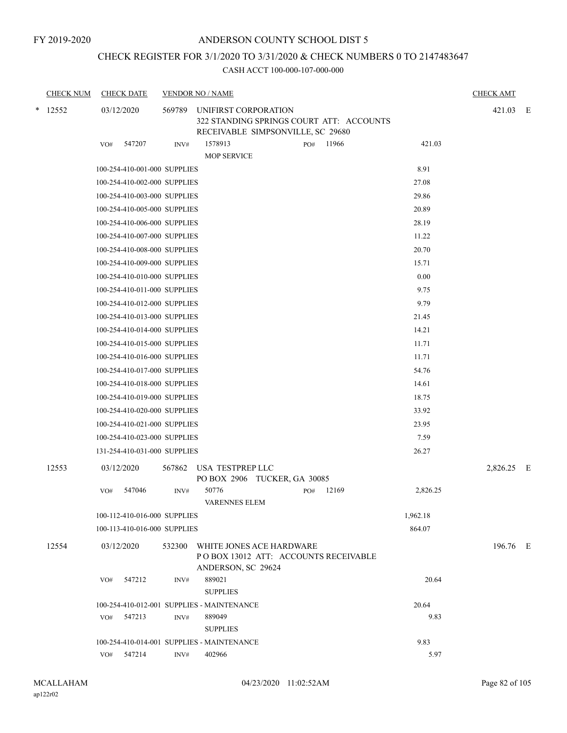## ANDERSON COUNTY SCHOOL DIST 5

## CHECK REGISTER FOR 3/1/2020 TO 3/31/2020 & CHECK NUMBERS 0 TO 2147483647

| <b>CHECK NUM</b><br><b>CHECK DATE</b> |                              |        | <b>VENDOR NO / NAME</b>                                                                               |              |          |            |  |  |
|---------------------------------------|------------------------------|--------|-------------------------------------------------------------------------------------------------------|--------------|----------|------------|--|--|
| $*$ 12552                             | 03/12/2020                   | 569789 | UNIFIRST CORPORATION<br>322 STANDING SPRINGS COURT ATT: ACCOUNTS<br>RECEIVABLE SIMPSONVILLE, SC 29680 |              |          | 421.03 E   |  |  |
|                                       | 547207<br>VO#                | INV#   | 1578913                                                                                               | 11966<br>PO# | 421.03   |            |  |  |
|                                       |                              |        | <b>MOP SERVICE</b>                                                                                    |              |          |            |  |  |
|                                       | 100-254-410-001-000 SUPPLIES |        |                                                                                                       |              | 8.91     |            |  |  |
|                                       | 100-254-410-002-000 SUPPLIES |        |                                                                                                       |              | 27.08    |            |  |  |
|                                       | 100-254-410-003-000 SUPPLIES |        |                                                                                                       |              | 29.86    |            |  |  |
|                                       | 100-254-410-005-000 SUPPLIES |        |                                                                                                       |              | 20.89    |            |  |  |
|                                       | 100-254-410-006-000 SUPPLIES |        |                                                                                                       |              | 28.19    |            |  |  |
|                                       | 100-254-410-007-000 SUPPLIES |        |                                                                                                       |              | 11.22    |            |  |  |
|                                       | 100-254-410-008-000 SUPPLIES |        |                                                                                                       |              | 20.70    |            |  |  |
|                                       | 100-254-410-009-000 SUPPLIES |        |                                                                                                       |              | 15.71    |            |  |  |
|                                       | 100-254-410-010-000 SUPPLIES |        |                                                                                                       |              | 0.00     |            |  |  |
|                                       | 100-254-410-011-000 SUPPLIES |        |                                                                                                       |              | 9.75     |            |  |  |
|                                       | 100-254-410-012-000 SUPPLIES |        |                                                                                                       |              | 9.79     |            |  |  |
|                                       | 100-254-410-013-000 SUPPLIES |        |                                                                                                       |              | 21.45    |            |  |  |
|                                       | 100-254-410-014-000 SUPPLIES |        |                                                                                                       |              | 14.21    |            |  |  |
|                                       | 100-254-410-015-000 SUPPLIES |        |                                                                                                       |              | 11.71    |            |  |  |
|                                       | 100-254-410-016-000 SUPPLIES |        |                                                                                                       |              | 11.71    |            |  |  |
|                                       | 100-254-410-017-000 SUPPLIES |        |                                                                                                       |              | 54.76    |            |  |  |
|                                       | 100-254-410-018-000 SUPPLIES |        |                                                                                                       |              | 14.61    |            |  |  |
|                                       | 100-254-410-019-000 SUPPLIES |        |                                                                                                       |              | 18.75    |            |  |  |
|                                       | 100-254-410-020-000 SUPPLIES |        |                                                                                                       |              | 33.92    |            |  |  |
|                                       | 100-254-410-021-000 SUPPLIES |        |                                                                                                       |              | 23.95    |            |  |  |
|                                       | 100-254-410-023-000 SUPPLIES |        |                                                                                                       |              | 7.59     |            |  |  |
|                                       | 131-254-410-031-000 SUPPLIES |        |                                                                                                       |              | 26.27    |            |  |  |
| 12553                                 | 03/12/2020                   | 567862 | USA TESTPREP LLC<br>PO BOX 2906 TUCKER, GA 30085                                                      |              |          | 2,826.25 E |  |  |
|                                       | 547046<br>VO#                | INV#   | 50776<br>VARENNES ELEM                                                                                | 12169<br>PO# | 2,826.25 |            |  |  |
|                                       | 100-112-410-016-000 SUPPLIES |        |                                                                                                       |              | 1,962.18 |            |  |  |
|                                       | 100-113-410-016-000 SUPPLIES |        |                                                                                                       |              | 864.07   |            |  |  |
| 12554                                 | 03/12/2020                   |        | 532300 WHITE JONES ACE HARDWARE<br>PO BOX 13012 ATT: ACCOUNTS RECEIVABLE<br>ANDERSON, SC 29624        |              |          | 196.76 E   |  |  |
|                                       | 547212<br>VO#                | INV#   | 889021                                                                                                |              | 20.64    |            |  |  |
|                                       |                              |        | <b>SUPPLIES</b>                                                                                       |              |          |            |  |  |
|                                       |                              |        | 100-254-410-012-001 SUPPLIES - MAINTENANCE                                                            |              | 20.64    |            |  |  |
|                                       | 547213<br>VO#                | INV#   | 889049                                                                                                |              | 9.83     |            |  |  |
|                                       |                              |        | <b>SUPPLIES</b>                                                                                       |              |          |            |  |  |
|                                       |                              |        | 100-254-410-014-001 SUPPLIES - MAINTENANCE                                                            |              | 9.83     |            |  |  |
|                                       | 547214<br>VO#                | INV#   | 402966                                                                                                |              | 5.97     |            |  |  |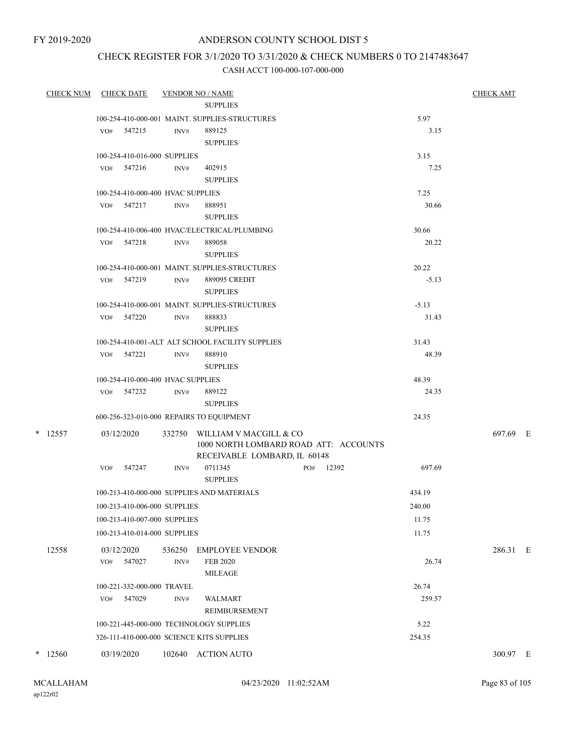## ANDERSON COUNTY SCHOOL DIST 5

## CHECK REGISTER FOR 3/1/2020 TO 3/31/2020 & CHECK NUMBERS 0 TO 2147483647

| CHECK NUM |                   | <b>CHECK DATE</b>                 |                | <b>VENDOR NO / NAME</b>                          |           |         | <b>CHECK AMT</b> |  |
|-----------|-------------------|-----------------------------------|----------------|--------------------------------------------------|-----------|---------|------------------|--|
|           |                   |                                   |                | <b>SUPPLIES</b>                                  |           |         |                  |  |
|           |                   |                                   |                | 100-254-410-000-001 MAINT. SUPPLIES-STRUCTURES   |           | 5.97    |                  |  |
|           | VO#               | 547215                            | INV#           | 889125                                           |           | 3.15    |                  |  |
|           |                   |                                   |                | <b>SUPPLIES</b>                                  |           |         |                  |  |
|           |                   | 100-254-410-016-000 SUPPLIES      |                |                                                  |           | 3.15    |                  |  |
|           |                   | $VO#$ 547216                      | INV#           | 402915                                           |           | 7.25    |                  |  |
|           |                   |                                   |                | <b>SUPPLIES</b>                                  |           |         |                  |  |
|           |                   | 100-254-410-000-400 HVAC SUPPLIES |                |                                                  |           | 7.25    |                  |  |
|           |                   | VO# 547217                        | INV#           | 888951                                           |           | 30.66   |                  |  |
|           |                   |                                   |                | <b>SUPPLIES</b>                                  |           |         |                  |  |
|           |                   |                                   |                | 100-254-410-006-400 HVAC/ELECTRICAL/PLUMBING     |           | 30.66   |                  |  |
|           |                   | VO# 547218                        | INV#           | 889058                                           |           | 20.22   |                  |  |
|           |                   |                                   |                | <b>SUPPLIES</b>                                  |           |         |                  |  |
|           |                   |                                   |                | 100-254-410-000-001 MAINT. SUPPLIES-STRUCTURES   |           | 20.22   |                  |  |
|           |                   | VO# 547219                        | INV#           | 889095 CREDIT<br><b>SUPPLIES</b>                 |           | $-5.13$ |                  |  |
|           |                   |                                   |                | 100-254-410-000-001 MAINT, SUPPLIES-STRUCTURES   |           | $-5.13$ |                  |  |
|           |                   | VO# 547220                        | INV#           | 888833                                           |           | 31.43   |                  |  |
|           |                   |                                   |                | <b>SUPPLIES</b>                                  |           |         |                  |  |
|           |                   |                                   |                | 100-254-410-001-ALT ALT SCHOOL FACILITY SUPPLIES |           | 31.43   |                  |  |
|           |                   | VO# 547221                        | INV#           | 888910                                           |           | 48.39   |                  |  |
|           |                   |                                   |                | <b>SUPPLIES</b>                                  |           |         |                  |  |
|           |                   | 100-254-410-000-400 HVAC SUPPLIES |                |                                                  |           | 48.39   |                  |  |
|           |                   | VO# 547232                        | INV#           | 889122                                           |           | 24.35   |                  |  |
|           |                   |                                   |                | <b>SUPPLIES</b>                                  |           |         |                  |  |
|           |                   |                                   |                | 600-256-323-010-000 REPAIRS TO EQUIPMENT         |           | 24.35   |                  |  |
| $*$ 12557 |                   | 03/12/2020                        | 332750         | WILLIAM V MACGILL & CO                           |           |         | 697.69 E         |  |
|           |                   |                                   |                | 1000 NORTH LOMBARD ROAD ATT: ACCOUNTS            |           |         |                  |  |
|           |                   |                                   |                | RECEIVABLE LOMBARD, IL 60148                     |           |         |                  |  |
|           | VO#               | 547247                            | INV#           | 0711345<br><b>SUPPLIES</b>                       | PO# 12392 | 697.69  |                  |  |
|           |                   |                                   |                | 100-213-410-000-000 SUPPLIES AND MATERIALS       |           | 434.19  |                  |  |
|           |                   | 100-213-410-006-000 SUPPLIES      |                |                                                  |           | 240.00  |                  |  |
|           |                   | 100-213-410-007-000 SUPPLIES      |                |                                                  |           | 11.75   |                  |  |
|           |                   | 100-213-410-014-000 SUPPLIES      |                |                                                  |           | 11.75   |                  |  |
|           |                   |                                   |                |                                                  |           |         |                  |  |
| 12558     | 03/12/2020<br>VO# | 547027                            | 536250<br>INV# | <b>EMPLOYEE VENDOR</b><br><b>FEB 2020</b>        |           | 26.74   | 286.31 E         |  |
|           |                   |                                   |                | <b>MILEAGE</b>                                   |           |         |                  |  |
|           |                   | 100-221-332-000-000 TRAVEL        |                |                                                  |           | 26.74   |                  |  |
|           | VO#               | 547029                            | INV#           | <b>WALMART</b>                                   |           | 259.57  |                  |  |
|           |                   |                                   |                | REIMBURSEMENT                                    |           |         |                  |  |
|           |                   |                                   |                | 100-221-445-000-000 TECHNOLOGY SUPPLIES          |           | 5.22    |                  |  |
|           |                   |                                   |                | 326-111-410-000-000 SCIENCE KITS SUPPLIES        |           | 254.35  |                  |  |
|           |                   |                                   |                |                                                  |           |         |                  |  |
| $*$ 12560 | 03/19/2020        |                                   |                | 102640 ACTION AUTO                               |           |         | 300.97 E         |  |
|           |                   |                                   |                |                                                  |           |         |                  |  |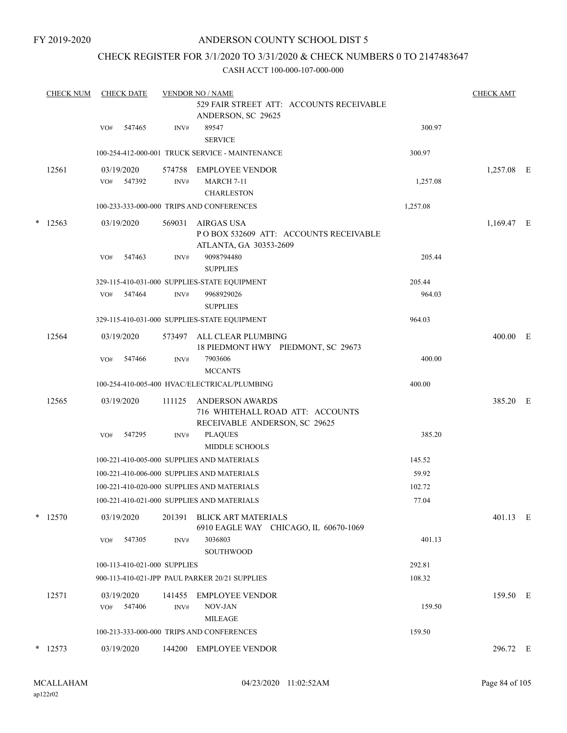## ANDERSON COUNTY SCHOOL DIST 5

## CHECK REGISTER FOR 3/1/2020 TO 3/31/2020 & CHECK NUMBERS 0 TO 2147483647

|   | <b>CHECK NUM</b> |                   | <b>CHECK DATE</b>            |                | <b>VENDOR NO / NAME</b>                                                                     |          |            |  |  |  |
|---|------------------|-------------------|------------------------------|----------------|---------------------------------------------------------------------------------------------|----------|------------|--|--|--|
|   |                  |                   |                              |                | 529 FAIR STREET ATT: ACCOUNTS RECEIVABLE<br>ANDERSON, SC 29625                              |          |            |  |  |  |
|   |                  | VO#               | 547465                       | INV#           | 89547<br><b>SERVICE</b>                                                                     | 300.97   |            |  |  |  |
|   |                  |                   |                              |                | 100-254-412-000-001 TRUCK SERVICE - MAINTENANCE                                             | 300.97   |            |  |  |  |
|   | 12561            | 03/19/2020        |                              | 574758         | <b>EMPLOYEE VENDOR</b>                                                                      |          | 1,257.08 E |  |  |  |
|   |                  | VO#               | 547392                       | INV#           | <b>MARCH 7-11</b>                                                                           | 1,257.08 |            |  |  |  |
|   |                  |                   |                              |                | <b>CHARLESTON</b>                                                                           |          |            |  |  |  |
|   |                  |                   |                              |                | 100-233-333-000-000 TRIPS AND CONFERENCES                                                   | 1,257.08 |            |  |  |  |
| * | 12563            | 03/19/2020        |                              | 569031         | <b>AIRGAS USA</b><br>POBOX 532609 ATT: ACCOUNTS RECEIVABLE<br>ATLANTA, GA 30353-2609        |          | 1,169.47 E |  |  |  |
|   |                  | VO#               | 547463                       | INV#           | 9098794480                                                                                  | 205.44   |            |  |  |  |
|   |                  |                   |                              |                | <b>SUPPLIES</b>                                                                             |          |            |  |  |  |
|   |                  |                   |                              |                | 329-115-410-031-000 SUPPLIES-STATE EQUIPMENT                                                | 205.44   |            |  |  |  |
|   |                  | VO#               | 547464                       | INV#           | 9968929026<br><b>SUPPLIES</b>                                                               | 964.03   |            |  |  |  |
|   |                  |                   |                              |                | 329-115-410-031-000 SUPPLIES-STATE EQUIPMENT                                                | 964.03   |            |  |  |  |
|   |                  |                   |                              |                |                                                                                             |          |            |  |  |  |
|   | 12564            | 03/19/2020        |                              | 573497         | ALL CLEAR PLUMBING<br>18 PIEDMONT HWY PIEDMONT, SC 29673                                    |          | 400.00 E   |  |  |  |
|   |                  | VO#               | 547466                       | INV#           | 7903606<br><b>MCCANTS</b>                                                                   | 400.00   |            |  |  |  |
|   |                  |                   |                              |                | 100-254-410-005-400 HVAC/ELECTRICAL/PLUMBING                                                | 400.00   |            |  |  |  |
|   | 12565            | 03/19/2020        |                              | 111125         | <b>ANDERSON AWARDS</b><br>716 WHITEHALL ROAD ATT: ACCOUNTS<br>RECEIVABLE ANDERSON, SC 29625 |          | 385.20 E   |  |  |  |
|   |                  | VO#               | 547295                       | INV#           | <b>PLAQUES</b><br><b>MIDDLE SCHOOLS</b>                                                     | 385.20   |            |  |  |  |
|   |                  |                   |                              |                | 100-221-410-005-000 SUPPLIES AND MATERIALS                                                  | 145.52   |            |  |  |  |
|   |                  |                   |                              |                | 100-221-410-006-000 SUPPLIES AND MATERIALS                                                  | 59.92    |            |  |  |  |
|   |                  |                   |                              |                | 100-221-410-020-000 SUPPLIES AND MATERIALS                                                  | 102.72   |            |  |  |  |
|   |                  |                   |                              |                | 100-221-410-021-000 SUPPLIES AND MATERIALS                                                  | 77.04    |            |  |  |  |
|   | $*$ 12570        | 03/19/2020        |                              | 201391         | BLICK ART MATERIALS<br>6910 EAGLE WAY CHICAGO, IL 60670-1069                                |          | 401.13 E   |  |  |  |
|   |                  | VO#               | 547305                       | INV#           | 3036803<br>SOUTHWOOD                                                                        | 401.13   |            |  |  |  |
|   |                  |                   | 100-113-410-021-000 SUPPLIES |                |                                                                                             | 292.81   |            |  |  |  |
|   |                  |                   |                              |                | 900-113-410-021-JPP PAUL PARKER 20/21 SUPPLIES                                              | 108.32   |            |  |  |  |
|   | 12571            | 03/19/2020<br>VO# | 547406                       | 141455<br>INV# | EMPLOYEE VENDOR<br>NOV-JAN                                                                  | 159.50   | 159.50 E   |  |  |  |
|   |                  |                   |                              |                | <b>MILEAGE</b>                                                                              |          |            |  |  |  |
|   |                  |                   |                              |                | 100-213-333-000-000 TRIPS AND CONFERENCES                                                   | 159.50   |            |  |  |  |
|   | * 12573          | 03/19/2020        |                              |                | 144200 EMPLOYEE VENDOR                                                                      |          | 296.72 E   |  |  |  |
|   |                  |                   |                              |                |                                                                                             |          |            |  |  |  |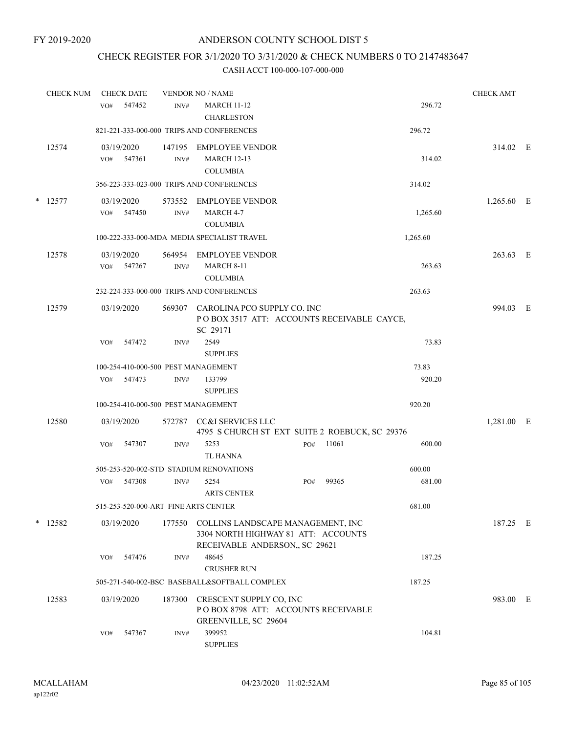## CHECK REGISTER FOR 3/1/2020 TO 3/31/2020 & CHECK NUMBERS 0 TO 2147483647

|   | <b>CHECK NUM</b> | <b>CHECK DATE</b>           |                                      | <b>VENDOR NO / NAME</b>                                                                                   |     |       |          | <b>CHECK AMT</b> |   |
|---|------------------|-----------------------------|--------------------------------------|-----------------------------------------------------------------------------------------------------------|-----|-------|----------|------------------|---|
|   |                  | 547452<br>VO#               | INV#                                 | <b>MARCH 11-12</b><br><b>CHARLESTON</b>                                                                   |     |       | 296.72   |                  |   |
|   |                  |                             |                                      | 821-221-333-000-000 TRIPS AND CONFERENCES                                                                 |     |       | 296.72   |                  |   |
|   | 12574            | 03/19/2020<br>547361<br>VO# | 147195<br>INV#                       | EMPLOYEE VENDOR<br><b>MARCH 12-13</b><br><b>COLUMBIA</b>                                                  |     |       | 314.02   | 314.02 E         |   |
|   |                  |                             |                                      | 356-223-333-023-000 TRIPS AND CONFERENCES                                                                 |     |       | 314.02   |                  |   |
| * | 12577            | 03/19/2020<br>VO#<br>547450 | 573552<br>INV#                       | EMPLOYEE VENDOR<br>MARCH 4-7<br><b>COLUMBIA</b>                                                           |     |       | 1,265.60 | 1,265.60 E       |   |
|   |                  |                             |                                      | 100-222-333-000-MDA MEDIA SPECIALIST TRAVEL                                                               |     |       | 1,265.60 |                  |   |
|   | 12578            | 03/19/2020<br>547267<br>VO# | 564954<br>INV#                       | <b>EMPLOYEE VENDOR</b><br><b>MARCH 8-11</b><br><b>COLUMBIA</b>                                            |     |       | 263.63   | 263.63 E         |   |
|   |                  |                             |                                      | 232-224-333-000-000 TRIPS AND CONFERENCES                                                                 |     |       | 263.63   |                  |   |
|   | 12579            | 03/19/2020                  | 569307                               | CAROLINA PCO SUPPLY CO. INC<br>POBOX 3517 ATT: ACCOUNTS RECEIVABLE CAYCE,<br>SC 29171                     |     |       |          | 994.03 E         |   |
|   |                  | VO#<br>547472               | INV#                                 | 2549<br><b>SUPPLIES</b>                                                                                   |     |       | 73.83    |                  |   |
|   |                  |                             | 100-254-410-000-500 PEST MANAGEMENT  |                                                                                                           |     |       | 73.83    |                  |   |
|   |                  | 547473<br>VO#               | INV#                                 | 133799<br><b>SUPPLIES</b>                                                                                 |     |       | 920.20   |                  |   |
|   |                  |                             | 100-254-410-000-500 PEST MANAGEMENT  |                                                                                                           |     |       | 920.20   |                  |   |
|   | 12580            | 03/19/2020                  | 572787                               | CC&I SERVICES LLC<br>4795 S CHURCH ST EXT SUITE 2 ROEBUCK, SC 29376                                       |     |       |          | 1,281.00         | E |
|   |                  | 547307<br>VO#               | INV#                                 | 5253<br><b>TL HANNA</b>                                                                                   | PO# | 11061 | 600.00   |                  |   |
|   |                  |                             |                                      | 505-253-520-002-STD STADIUM RENOVATIONS                                                                   |     |       | 600.00   |                  |   |
|   |                  | 547308<br>VO#               | INV#                                 | 5254<br><b>ARTS CENTER</b>                                                                                | PO# | 99365 | 681.00   |                  |   |
|   |                  |                             | 515-253-520-000-ART FINE ARTS CENTER |                                                                                                           |     |       | 681.00   |                  |   |
|   | $*$ 12582        | 03/19/2020                  | 177550                               | COLLINS LANDSCAPE MANAGEMENT, INC<br>3304 NORTH HIGHWAY 81 ATT: ACCOUNTS<br>RECEIVABLE ANDERSON, SC 29621 |     |       |          | 187.25 E         |   |
|   |                  | 547476<br>VO#               | INV#                                 | 48645<br><b>CRUSHER RUN</b>                                                                               |     |       | 187.25   |                  |   |
|   |                  |                             |                                      | 505-271-540-002-BSC BASEBALL&SOFTBALL COMPLEX                                                             |     |       | 187.25   |                  |   |
|   | 12583            | 03/19/2020                  | 187300                               | CRESCENT SUPPLY CO, INC<br>POBOX 8798 ATT: ACCOUNTS RECEIVABLE<br>GREENVILLE, SC 29604                    |     |       |          | 983.00 E         |   |
|   |                  | 547367<br>VO#               | INV#                                 | 399952<br><b>SUPPLIES</b>                                                                                 |     |       | 104.81   |                  |   |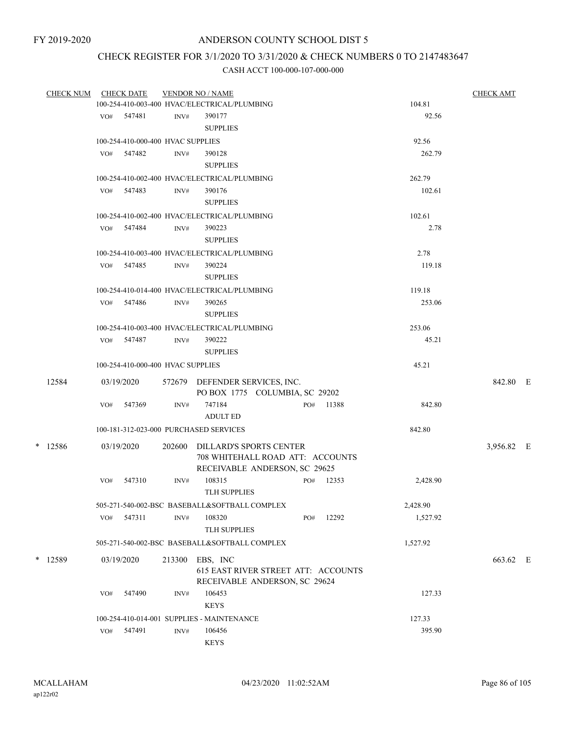# CHECK REGISTER FOR 3/1/2020 TO 3/31/2020 & CHECK NUMBERS 0 TO 2147483647

|  | <b>CHECK NUM</b> |                                                                           | <b>CHECK DATE</b>                 |        | <b>VENDOR NO / NAME</b>                                            |  |        |           |          | <b>CHECK AMT</b> |  |
|--|------------------|---------------------------------------------------------------------------|-----------------------------------|--------|--------------------------------------------------------------------|--|--------|-----------|----------|------------------|--|
|  |                  |                                                                           |                                   |        | 100-254-410-003-400 HVAC/ELECTRICAL/PLUMBING                       |  | 104.81 |           |          |                  |  |
|  |                  |                                                                           | VO# 547481                        | INV#   | 390177                                                             |  |        |           | 92.56    |                  |  |
|  |                  |                                                                           |                                   |        | <b>SUPPLIES</b>                                                    |  |        |           |          |                  |  |
|  |                  |                                                                           | 100-254-410-000-400 HVAC SUPPLIES |        |                                                                    |  |        |           | 92.56    |                  |  |
|  |                  |                                                                           | $VO#$ 547482                      | INV#   | 390128                                                             |  |        |           | 262.79   |                  |  |
|  |                  |                                                                           |                                   |        | <b>SUPPLIES</b>                                                    |  |        |           |          |                  |  |
|  |                  |                                                                           |                                   |        | 100-254-410-002-400 HVAC/ELECTRICAL/PLUMBING                       |  |        |           | 262.79   |                  |  |
|  |                  |                                                                           | VO# 547483                        | INV#   | 390176                                                             |  |        |           | 102.61   |                  |  |
|  |                  |                                                                           |                                   |        | <b>SUPPLIES</b>                                                    |  |        |           |          |                  |  |
|  |                  |                                                                           |                                   |        | 100-254-410-002-400 HVAC/ELECTRICAL/PLUMBING                       |  |        |           | 102.61   |                  |  |
|  |                  |                                                                           | VO# 547484                        | INV#   | 390223                                                             |  |        |           | 2.78     |                  |  |
|  |                  |                                                                           |                                   |        | <b>SUPPLIES</b>                                                    |  |        |           |          |                  |  |
|  |                  |                                                                           |                                   |        |                                                                    |  |        |           |          |                  |  |
|  |                  |                                                                           |                                   |        | 100-254-410-003-400 HVAC/ELECTRICAL/PLUMBING                       |  |        |           | 2.78     |                  |  |
|  |                  |                                                                           | VO# 547485                        | INV#   | 390224                                                             |  |        |           | 119.18   |                  |  |
|  |                  | <b>SUPPLIES</b><br>100-254-410-014-400 HVAC/ELECTRICAL/PLUMBING<br>119.18 |                                   |        |                                                                    |  |        |           |          |                  |  |
|  |                  |                                                                           |                                   |        |                                                                    |  |        |           |          |                  |  |
|  |                  |                                                                           | VO# 547486                        | INV#   | 390265                                                             |  |        |           | 253.06   |                  |  |
|  |                  |                                                                           |                                   |        | <b>SUPPLIES</b>                                                    |  |        |           |          |                  |  |
|  |                  |                                                                           |                                   |        | 100-254-410-003-400 HVAC/ELECTRICAL/PLUMBING                       |  |        |           | 253.06   |                  |  |
|  |                  |                                                                           | VO# 547487                        | INV#   | 390222                                                             |  |        |           | 45.21    |                  |  |
|  |                  |                                                                           |                                   |        | <b>SUPPLIES</b>                                                    |  |        |           |          |                  |  |
|  |                  |                                                                           | 100-254-410-000-400 HVAC SUPPLIES |        |                                                                    |  |        |           | 45.21    |                  |  |
|  | 12584            |                                                                           | 03/19/2020                        |        | 572679 DEFENDER SERVICES, INC.                                     |  |        |           |          | 842.80 E         |  |
|  |                  |                                                                           |                                   |        | PO BOX 1775 COLUMBIA, SC 29202                                     |  |        |           |          |                  |  |
|  |                  | VO#                                                                       | 547369                            | INV#   | 747184                                                             |  |        | PO# 11388 | 842.80   |                  |  |
|  |                  |                                                                           |                                   |        | <b>ADULT ED</b>                                                    |  |        |           |          |                  |  |
|  |                  |                                                                           |                                   |        | 100-181-312-023-000 PURCHASED SERVICES                             |  |        |           | 842.80   |                  |  |
|  |                  |                                                                           |                                   |        |                                                                    |  |        |           |          |                  |  |
|  | $*$ 12586        |                                                                           | 03/19/2020                        |        | 202600 DILLARD'S SPORTS CENTER<br>708 WHITEHALL ROAD ATT: ACCOUNTS |  |        |           |          | 3,956.82 E       |  |
|  |                  |                                                                           |                                   |        | RECEIVABLE ANDERSON, SC 29625                                      |  |        |           |          |                  |  |
|  |                  | VO#                                                                       | 547310                            | INV#   | 108315                                                             |  |        | PO# 12353 | 2,428.90 |                  |  |
|  |                  |                                                                           |                                   |        | <b>TLH SUPPLIES</b>                                                |  |        |           |          |                  |  |
|  |                  |                                                                           |                                   |        | 505-271-540-002-BSC BASEBALL&SOFTBALL COMPLEX                      |  |        |           | 2,428.90 |                  |  |
|  |                  | VO#                                                                       | 547311                            | INV#   | 108320                                                             |  | PO#    | 12292     | 1,527.92 |                  |  |
|  |                  |                                                                           |                                   |        | <b>TLH SUPPLIES</b>                                                |  |        |           |          |                  |  |
|  |                  |                                                                           |                                   |        |                                                                    |  |        |           |          |                  |  |
|  |                  |                                                                           |                                   |        | 505-271-540-002-BSC BASEBALL&SOFTBALL COMPLEX                      |  |        |           | 1,527.92 |                  |  |
|  | * 12589          |                                                                           | 03/19/2020                        | 213300 | EBS, INC                                                           |  |        |           |          | 663.62 E         |  |
|  |                  |                                                                           |                                   |        | 615 EAST RIVER STREET ATT: ACCOUNTS                                |  |        |           |          |                  |  |
|  |                  |                                                                           |                                   |        | RECEIVABLE ANDERSON, SC 29624                                      |  |        |           |          |                  |  |
|  |                  | VO#                                                                       | 547490                            | INV#   | 106453                                                             |  |        |           | 127.33   |                  |  |
|  |                  |                                                                           |                                   |        | <b>KEYS</b>                                                        |  |        |           |          |                  |  |
|  |                  |                                                                           |                                   |        | 100-254-410-014-001 SUPPLIES - MAINTENANCE                         |  |        |           | 127.33   |                  |  |
|  |                  |                                                                           | VO# 547491                        | INV#   | 106456                                                             |  |        |           | 395.90   |                  |  |
|  |                  |                                                                           |                                   |        | <b>KEYS</b>                                                        |  |        |           |          |                  |  |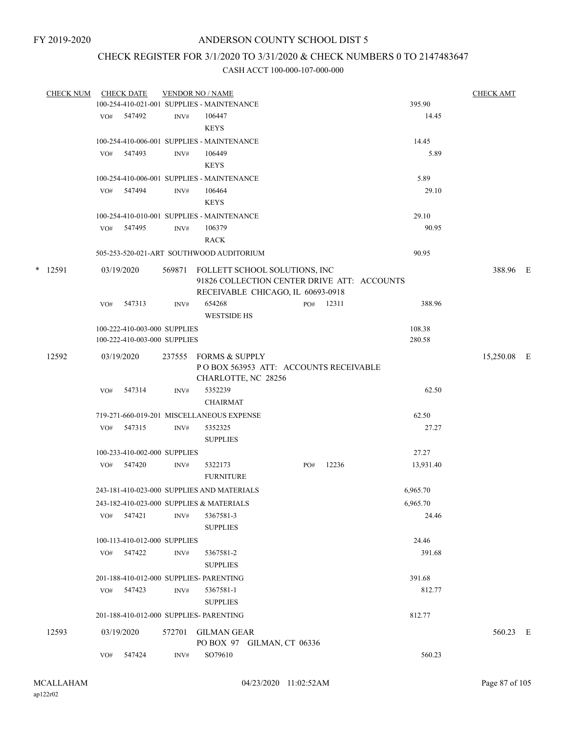## CHECK REGISTER FOR 3/1/2020 TO 3/31/2020 & CHECK NUMBERS 0 TO 2147483647

|   | <b>CHECK NUM</b> |     | <b>CHECK DATE</b>            |        | <b>VENDOR NO / NAME</b>                                                                                           |     |           |           | <b>CHECK AMT</b> |  |
|---|------------------|-----|------------------------------|--------|-------------------------------------------------------------------------------------------------------------------|-----|-----------|-----------|------------------|--|
|   |                  |     |                              |        | 100-254-410-021-001 SUPPLIES - MAINTENANCE                                                                        |     |           | 395.90    |                  |  |
|   |                  |     | VO# 547492                   | INV#   | 106447                                                                                                            |     |           | 14.45     |                  |  |
|   |                  |     |                              |        | <b>KEYS</b>                                                                                                       |     |           |           |                  |  |
|   |                  |     |                              |        | 100-254-410-006-001 SUPPLIES - MAINTENANCE                                                                        |     |           | 14.45     |                  |  |
|   |                  | VO# | 547493                       | INV#   | 106449                                                                                                            |     |           | 5.89      |                  |  |
|   |                  |     |                              |        | <b>KEYS</b>                                                                                                       |     |           |           |                  |  |
|   |                  |     |                              |        | 100-254-410-006-001 SUPPLIES - MAINTENANCE                                                                        |     |           | 5.89      |                  |  |
|   |                  |     | VO# 547494                   | INV#   | 106464<br><b>KEYS</b>                                                                                             |     |           | 29.10     |                  |  |
|   |                  |     |                              |        | 100-254-410-010-001 SUPPLIES - MAINTENANCE                                                                        |     |           | 29.10     |                  |  |
|   |                  |     | VO# 547495                   | INV#   | 106379                                                                                                            |     |           | 90.95     |                  |  |
|   |                  |     |                              |        | <b>RACK</b>                                                                                                       |     |           |           |                  |  |
|   |                  |     |                              |        | 505-253-520-021-ART SOUTHWOOD AUDITORIUM                                                                          |     |           | 90.95     |                  |  |
| * | 12591            |     | 03/19/2020                   | 569871 | FOLLETT SCHOOL SOLUTIONS, INC<br>91826 COLLECTION CENTER DRIVE ATT: ACCOUNTS<br>RECEIVABLE CHICAGO, IL 60693-0918 |     |           |           | 388.96 E         |  |
|   |                  | VO# | 547313                       | INV#   | 654268                                                                                                            |     | PO# 12311 | 388.96    |                  |  |
|   |                  |     |                              |        | <b>WESTSIDE HS</b>                                                                                                |     |           |           |                  |  |
|   |                  |     | 100-222-410-003-000 SUPPLIES |        |                                                                                                                   |     |           | 108.38    |                  |  |
|   |                  |     | 100-222-410-003-000 SUPPLIES |        |                                                                                                                   |     |           | 280.58    |                  |  |
|   | 12592            |     | 03/19/2020                   |        | 237555 FORMS & SUPPLY<br>POBOX 563953 ATT: ACCOUNTS RECEIVABLE<br>CHARLOTTE, NC 28256                             |     |           |           | 15,250.08 E      |  |
|   |                  | VO# | 547314                       | INV#   | 5352239                                                                                                           |     |           | 62.50     |                  |  |
|   |                  |     |                              |        | <b>CHAIRMAT</b>                                                                                                   |     |           |           |                  |  |
|   |                  |     |                              |        | 719-271-660-019-201 MISCELLANEOUS EXPENSE                                                                         |     |           | 62.50     |                  |  |
|   |                  | VO# | 547315                       | INV#   | 5352325                                                                                                           |     |           | 27.27     |                  |  |
|   |                  |     |                              |        | <b>SUPPLIES</b>                                                                                                   |     |           |           |                  |  |
|   |                  |     | 100-233-410-002-000 SUPPLIES |        |                                                                                                                   |     |           | 27.27     |                  |  |
|   |                  | VO# | 547420                       | INV#   | 5322173<br><b>FURNITURE</b>                                                                                       | PO# | 12236     | 13,931.40 |                  |  |
|   |                  |     |                              |        | 243-181-410-023-000 SUPPLIES AND MATERIALS                                                                        |     |           | 6,965.70  |                  |  |
|   |                  |     |                              |        | 243-182-410-023-000 SUPPLIES & MATERIALS                                                                          |     |           | 6,965.70  |                  |  |
|   |                  | VO# | 547421                       | INV#   | 5367581-3                                                                                                         |     |           | 24.46     |                  |  |
|   |                  |     |                              |        | <b>SUPPLIES</b>                                                                                                   |     |           |           |                  |  |
|   |                  |     | 100-113-410-012-000 SUPPLIES |        |                                                                                                                   |     |           | 24.46     |                  |  |
|   |                  |     | VO# 547422                   | INV#   | 5367581-2                                                                                                         |     |           | 391.68    |                  |  |
|   |                  |     |                              |        | <b>SUPPLIES</b>                                                                                                   |     |           |           |                  |  |
|   |                  |     |                              |        | 201-188-410-012-000 SUPPLIES- PARENTING                                                                           |     |           | 391.68    |                  |  |
|   |                  |     | VO# 547423                   | INV#   | 5367581-1<br><b>SUPPLIES</b>                                                                                      |     |           | 812.77    |                  |  |
|   |                  |     |                              |        | 201-188-410-012-000 SUPPLIES- PARENTING                                                                           |     |           | 812.77    |                  |  |
|   | 12593            |     | 03/19/2020                   |        | 572701 GILMAN GEAR<br>PO BOX 97 GILMAN, CT 06336                                                                  |     |           |           | 560.23 E         |  |
|   |                  | VO# | 547424                       | INV#   | SO79610                                                                                                           |     |           | 560.23    |                  |  |
|   |                  |     |                              |        |                                                                                                                   |     |           |           |                  |  |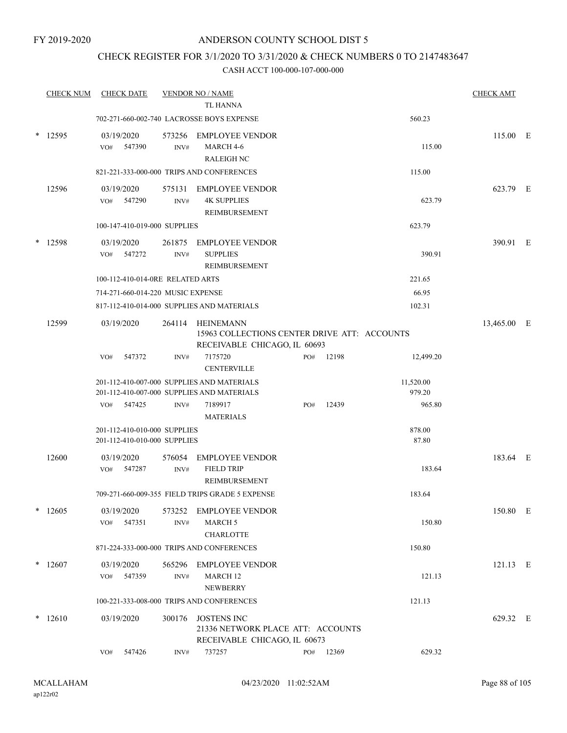## CHECK REGISTER FOR 3/1/2020 TO 3/31/2020 & CHECK NUMBERS 0 TO 2147483647

|        | <b>CHECK NUM</b> |     | <b>CHECK DATE</b>                                            |                          | <b>VENDOR NO / NAME</b><br><b>TL HANNA</b>                                                       |     |       |                     | <b>CHECK AMT</b> |  |
|--------|------------------|-----|--------------------------------------------------------------|--------------------------|--------------------------------------------------------------------------------------------------|-----|-------|---------------------|------------------|--|
|        |                  |     |                                                              |                          | 702-271-660-002-740 LACROSSE BOYS EXPENSE                                                        |     |       | 560.23              |                  |  |
|        | $*$ 12595        | VO# | 03/19/2020<br>547390                                         | 573256<br>INV#           | <b>EMPLOYEE VENDOR</b><br>MARCH 4-6<br><b>RALEIGH NC</b>                                         |     |       | 115.00              | 115.00 E         |  |
|        |                  |     |                                                              |                          | 821-221-333-000-000 TRIPS AND CONFERENCES                                                        |     |       | 115.00              |                  |  |
|        | 12596            | VO# | 03/19/2020<br>547290                                         | 575131<br>INV#           | <b>EMPLOYEE VENDOR</b><br><b>4K SUPPLIES</b><br>REIMBURSEMENT                                    |     |       | 623.79              | 623.79 E         |  |
|        |                  |     | 100-147-410-019-000 SUPPLIES                                 |                          |                                                                                                  |     |       | 623.79              |                  |  |
|        | $*$ 12598        | VO# | 03/19/2020<br>547272                                         | 261875<br>INV#           | <b>EMPLOYEE VENDOR</b><br><b>SUPPLIES</b><br>REIMBURSEMENT                                       |     |       | 390.91              | 390.91 E         |  |
|        |                  |     | 100-112-410-014-0RE RELATED ARTS                             |                          |                                                                                                  |     |       | 221.65              |                  |  |
|        |                  |     | 714-271-660-014-220 MUSIC EXPENSE                            |                          |                                                                                                  |     |       | 66.95               |                  |  |
|        |                  |     |                                                              |                          | 817-112-410-014-000 SUPPLIES AND MATERIALS                                                       |     |       | 102.31              |                  |  |
|        | 12599            |     | 03/19/2020                                                   |                          | 264114 HEINEMANN<br>15963 COLLECTIONS CENTER DRIVE ATT: ACCOUNTS<br>RECEIVABLE CHICAGO, IL 60693 |     |       |                     | 13,465.00 E      |  |
|        |                  | VO# | 547372                                                       | INV#                     | 7175720<br><b>CENTERVILLE</b>                                                                    | PO# | 12198 | 12,499.20           |                  |  |
|        |                  |     |                                                              |                          | 201-112-410-007-000 SUPPLIES AND MATERIALS<br>201-112-410-007-000 SUPPLIES AND MATERIALS         |     |       | 11,520.00<br>979.20 |                  |  |
|        |                  | VO# | 547425                                                       | INV#                     | 7189917<br><b>MATERIALS</b>                                                                      | PO# | 12439 | 965.80              |                  |  |
|        |                  |     | 201-112-410-010-000 SUPPLIES<br>201-112-410-010-000 SUPPLIES |                          |                                                                                                  |     |       | 878.00<br>87.80     |                  |  |
|        | 12600            | VO# | 03/19/2020<br>547287                                         | 576054<br>INV#           | <b>EMPLOYEE VENDOR</b><br><b>FIELD TRIP</b><br>REIMBURSEMENT                                     |     |       | 183.64              | 183.64 E         |  |
|        |                  |     |                                                              |                          | 709-271-660-009-355 FIELD TRIPS GRADE 5 EXPENSE                                                  |     |       | 183.64              |                  |  |
| $\ast$ | 12605            | VO# | 03/19/2020<br>547351                                         | 573252<br>$\text{INV}\#$ | <b>EMPLOYEE VENDOR</b><br><b>MARCH 5</b><br><b>CHARLOTTE</b>                                     |     |       | 150.80              | 150.80 E         |  |
|        |                  |     |                                                              |                          | 871-224-333-000-000 TRIPS AND CONFERENCES                                                        |     |       | 150.80              |                  |  |
|        | $*12607$         | VO# | 03/19/2020<br>547359                                         | 565296<br>$\text{INV}\#$ | <b>EMPLOYEE VENDOR</b><br>MARCH 12<br><b>NEWBERRY</b>                                            |     |       | 121.13              | $121.13$ E       |  |
|        |                  |     |                                                              |                          | 100-221-333-008-000 TRIPS AND CONFERENCES                                                        |     |       | 121.13              |                  |  |
| $\ast$ | 12610            |     | 03/19/2020                                                   | 300176                   | JOSTENS INC<br>21336 NETWORK PLACE ATT: ACCOUNTS<br>RECEIVABLE CHICAGO, IL 60673                 |     |       |                     | 629.32 E         |  |
|        |                  | VO# | 547426                                                       | INV#                     | 737257                                                                                           | PO# | 12369 | 629.32              |                  |  |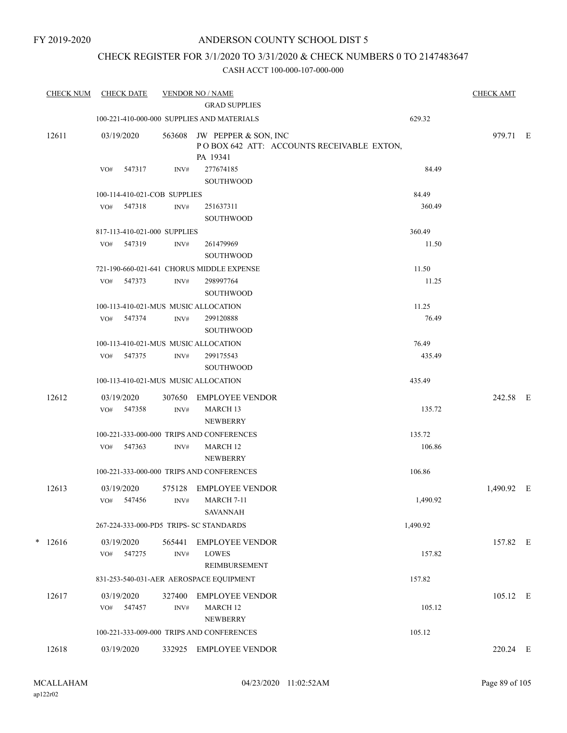## CHECK REGISTER FOR 3/1/2020 TO 3/31/2020 & CHECK NUMBERS 0 TO 2147483647

| <b>CHECK NUM</b> | <b>CHECK DATE</b>           |                                      | <b>VENDOR NO / NAME</b><br><b>GRAD SUPPLIES</b>              |                                           |          | <b>CHECK AMT</b> |  |
|------------------|-----------------------------|--------------------------------------|--------------------------------------------------------------|-------------------------------------------|----------|------------------|--|
|                  |                             |                                      | 100-221-410-000-000 SUPPLIES AND MATERIALS                   |                                           | 629.32   |                  |  |
| 12611            | 03/19/2020                  | 563608                               | JW PEPPER & SON, INC<br>PA 19341                             | POBOX 642 ATT: ACCOUNTS RECEIVABLE EXTON, |          | 979.71 E         |  |
|                  | 547317<br>VO#               | INV#                                 | 277674185<br>SOUTHWOOD                                       |                                           | 84.49    |                  |  |
|                  |                             | 100-114-410-021-COB SUPPLIES         |                                                              |                                           | 84.49    |                  |  |
|                  | 547318<br>VO#               | INV#                                 | 251637311<br>SOUTHWOOD                                       |                                           | 360.49   |                  |  |
|                  |                             | 817-113-410-021-000 SUPPLIES         |                                                              |                                           | 360.49   |                  |  |
|                  | VO#<br>547319               | INV#                                 | 261479969<br><b>SOUTHWOOD</b>                                |                                           | 11.50    |                  |  |
|                  |                             |                                      | 721-190-660-021-641 CHORUS MIDDLE EXPENSE                    |                                           | 11.50    |                  |  |
|                  | 547373<br>VO#               | INV#                                 | 298997764<br><b>SOUTHWOOD</b>                                |                                           | 11.25    |                  |  |
|                  |                             | 100-113-410-021-MUS MUSIC ALLOCATION |                                                              |                                           | 11.25    |                  |  |
|                  | VO#<br>547374               | INV#                                 | 299120888<br><b>SOUTHWOOD</b>                                |                                           | 76.49    |                  |  |
|                  |                             | 100-113-410-021-MUS MUSIC ALLOCATION |                                                              |                                           | 76.49    |                  |  |
|                  | 547375<br>VO#               | INV#                                 | 299175543<br><b>SOUTHWOOD</b>                                |                                           | 435.49   |                  |  |
|                  |                             | 100-113-410-021-MUS MUSIC ALLOCATION |                                                              |                                           | 435.49   |                  |  |
| 12612            | 03/19/2020                  | 307650                               | EMPLOYEE VENDOR                                              |                                           |          | 242.58 E         |  |
|                  | 547358<br>VO#               | $\text{INV}\#$                       | MARCH <sub>13</sub><br><b>NEWBERRY</b>                       |                                           | 135.72   |                  |  |
|                  |                             |                                      | 100-221-333-000-000 TRIPS AND CONFERENCES                    |                                           | 135.72   |                  |  |
|                  | 547363<br>VO#               | INV#                                 | MARCH 12<br><b>NEWBERRY</b>                                  |                                           | 106.86   |                  |  |
|                  |                             |                                      | 100-221-333-000-000 TRIPS AND CONFERENCES                    |                                           | 106.86   |                  |  |
| 12613            | 03/19/2020<br>VO# 547456    | 575128<br>INV#                       | <b>EMPLOYEE VENDOR</b><br><b>MARCH 7-11</b>                  |                                           | 1,490.92 | 1,490.92 E       |  |
|                  |                             |                                      | <b>SAVANNAH</b><br>267-224-333-000-PD5 TRIPS- SC STANDARDS   |                                           | 1,490.92 |                  |  |
| $* 12616$        | 03/19/2020<br>547275<br>VO# | 565441<br>INV#                       | <b>EMPLOYEE VENDOR</b><br><b>LOWES</b><br>REIMBURSEMENT      |                                           | 157.82   | 157.82 E         |  |
|                  |                             |                                      | 831-253-540-031-AER AEROSPACE EQUIPMENT                      |                                           | 157.82   |                  |  |
| 12617            | 03/19/2020<br>547457<br>VO# | 327400<br>INV#                       | <b>EMPLOYEE VENDOR</b><br>MARCH 12                           |                                           | 105.12   | 105.12 E         |  |
|                  |                             |                                      | <b>NEWBERRY</b>                                              |                                           | 105.12   |                  |  |
| 12618            | 03/19/2020                  | 332925                               | 100-221-333-009-000 TRIPS AND CONFERENCES<br>EMPLOYEE VENDOR |                                           |          | 220.24 E         |  |
|                  |                             |                                      |                                                              |                                           |          |                  |  |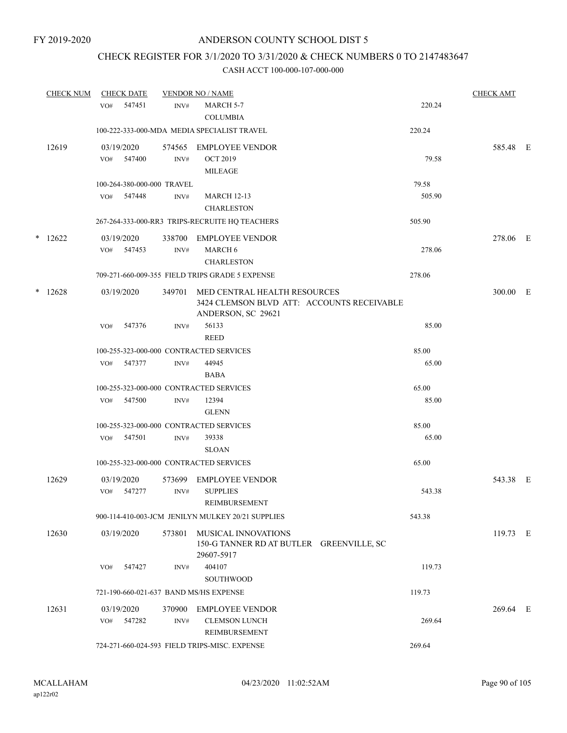## CHECK REGISTER FOR 3/1/2020 TO 3/31/2020 & CHECK NUMBERS 0 TO 2147483647

|   | <b>CHECK NUM</b> | <b>CHECK DATE</b>                      |                | <b>VENDOR NO / NAME</b>                                                                          |        | <b>CHECK AMT</b> |  |
|---|------------------|----------------------------------------|----------------|--------------------------------------------------------------------------------------------------|--------|------------------|--|
|   |                  | 547451<br>VO#                          | INV#           | MARCH 5-7<br><b>COLUMBIA</b>                                                                     | 220.24 |                  |  |
|   |                  |                                        |                | 100-222-333-000-MDA MEDIA SPECIALIST TRAVEL                                                      | 220.24 |                  |  |
|   | 12619            | 03/19/2020<br>547400<br>VO#            | 574565<br>INV# | <b>EMPLOYEE VENDOR</b><br><b>OCT 2019</b><br><b>MILEAGE</b>                                      | 79.58  | 585.48 E         |  |
|   |                  | 100-264-380-000-000 TRAVEL             |                |                                                                                                  | 79.58  |                  |  |
|   |                  | VO#<br>547448                          | INV#           | <b>MARCH 12-13</b><br><b>CHARLESTON</b>                                                          | 505.90 |                  |  |
|   |                  |                                        |                | 267-264-333-000-RR3 TRIPS-RECRUITE HQ TEACHERS                                                   | 505.90 |                  |  |
|   | $*$ 12622        | 03/19/2020<br>547453<br>VO#            | 338700<br>INV# | <b>EMPLOYEE VENDOR</b><br>MARCH 6<br><b>CHARLESTON</b>                                           | 278.06 | 278.06 E         |  |
|   |                  |                                        |                | 709-271-660-009-355 FIELD TRIPS GRADE 5 EXPENSE                                                  | 278.06 |                  |  |
| * | 12628            | 03/19/2020                             | 349701         | MED CENTRAL HEALTH RESOURCES<br>3424 CLEMSON BLVD ATT: ACCOUNTS RECEIVABLE<br>ANDERSON, SC 29621 |        | 300.00 E         |  |
|   |                  | VO#<br>547376                          | INV#           | 56133<br><b>REED</b>                                                                             | 85.00  |                  |  |
|   |                  |                                        |                | 100-255-323-000-000 CONTRACTED SERVICES                                                          | 85.00  |                  |  |
|   |                  | VO#<br>547377                          | INV#           | 44945<br><b>BABA</b>                                                                             | 65.00  |                  |  |
|   |                  |                                        |                | 100-255-323-000-000 CONTRACTED SERVICES                                                          | 65.00  |                  |  |
|   |                  | 547500<br>VO#                          | INV#           | 12394<br><b>GLENN</b>                                                                            | 85.00  |                  |  |
|   |                  |                                        |                | 100-255-323-000-000 CONTRACTED SERVICES                                                          | 85.00  |                  |  |
|   |                  | 547501<br>VO#                          | INV#           | 39338<br><b>SLOAN</b>                                                                            | 65.00  |                  |  |
|   |                  |                                        |                | 100-255-323-000-000 CONTRACTED SERVICES                                                          | 65.00  |                  |  |
|   | 12629            | 03/19/2020<br>547277<br>VO#            | 573699<br>INV# | <b>EMPLOYEE VENDOR</b><br><b>SUPPLIES</b><br>REIMBURSEMENT                                       | 543.38 | 543.38 E         |  |
|   |                  |                                        |                | 900-114-410-003-JCM JENILYN MULKEY 20/21 SUPPLIES                                                | 543.38 |                  |  |
|   | 12630            | 03/19/2020                             | 573801         | MUSICAL INNOVATIONS<br>150-G TANNER RD AT BUTLER GREENVILLE, SC<br>29607-5917                    |        | 119.73 E         |  |
|   |                  | 547427<br>VO#                          | INV#           | 404107<br><b>SOUTHWOOD</b>                                                                       | 119.73 |                  |  |
|   |                  | 721-190-660-021-637 BAND MS/HS EXPENSE |                |                                                                                                  | 119.73 |                  |  |
|   | 12631            | 03/19/2020<br>547282<br>VO#            | 370900<br>INV# | <b>EMPLOYEE VENDOR</b><br><b>CLEMSON LUNCH</b><br>REIMBURSEMENT                                  | 269.64 | 269.64 E         |  |
|   |                  |                                        |                | 724-271-660-024-593 FIELD TRIPS-MISC. EXPENSE                                                    | 269.64 |                  |  |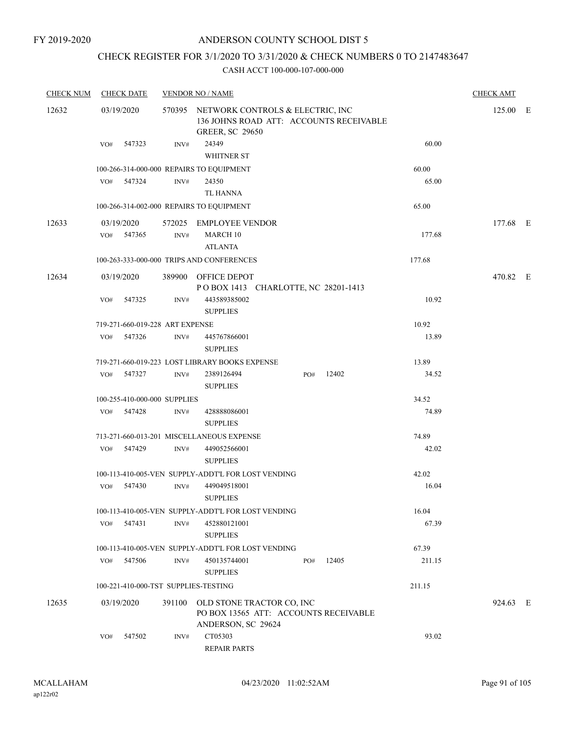## ANDERSON COUNTY SCHOOL DIST 5

## CHECK REGISTER FOR 3/1/2020 TO 3/31/2020 & CHECK NUMBERS 0 TO 2147483647

| <b>CHECK NUM</b> |     | <b>CHECK DATE</b> |                                 | <b>VENDOR NO / NAME</b>                                                                                      |     |           |        | <b>CHECK AMT</b> |  |
|------------------|-----|-------------------|---------------------------------|--------------------------------------------------------------------------------------------------------------|-----|-----------|--------|------------------|--|
| 12632            |     | 03/19/2020        |                                 | 570395 NETWORK CONTROLS & ELECTRIC, INC<br>136 JOHNS ROAD ATT: ACCOUNTS RECEIVABLE<br><b>GREER, SC 29650</b> |     |           |        | 125.00 E         |  |
|                  |     | VO# 547323        | INV#                            | 24349<br>WHITNER ST                                                                                          |     |           | 60.00  |                  |  |
|                  |     |                   |                                 | 100-266-314-000-000 REPAIRS TO EQUIPMENT                                                                     |     |           | 60.00  |                  |  |
|                  |     | VO# 547324        | INV#                            | 24350                                                                                                        |     |           | 65.00  |                  |  |
|                  |     |                   |                                 | <b>TL HANNA</b>                                                                                              |     |           |        |                  |  |
|                  |     |                   |                                 | 100-266-314-002-000 REPAIRS TO EQUIPMENT                                                                     |     |           | 65.00  |                  |  |
| 12633            |     | 03/19/2020        |                                 | 572025 EMPLOYEE VENDOR                                                                                       |     |           |        | 177.68 E         |  |
|                  | VO# | 547365            | INV#                            | MARCH 10<br><b>ATLANTA</b>                                                                                   |     |           | 177.68 |                  |  |
|                  |     |                   |                                 | 100-263-333-000-000 TRIPS AND CONFERENCES                                                                    |     |           | 177.68 |                  |  |
| 12634            |     | 03/19/2020        |                                 | 389900 OFFICE DEPOT                                                                                          |     |           |        | 470.82 E         |  |
|                  |     |                   |                                 | POBOX 1413 CHARLOTTE, NC 28201-1413                                                                          |     |           |        |                  |  |
|                  |     | VO# 547325        | INV#                            | 443589385002<br><b>SUPPLIES</b>                                                                              |     |           | 10.92  |                  |  |
|                  |     |                   | 719-271-660-019-228 ART EXPENSE |                                                                                                              |     |           | 10.92  |                  |  |
|                  | VO# | 547326            | INV#                            | 445767866001<br><b>SUPPLIES</b>                                                                              |     |           | 13.89  |                  |  |
|                  |     |                   |                                 | 719-271-660-019-223 LOST LIBRARY BOOKS EXPENSE                                                               |     |           | 13.89  |                  |  |
|                  |     | VO# 547327        | INV#                            | 2389126494<br><b>SUPPLIES</b>                                                                                |     | PO# 12402 | 34.52  |                  |  |
|                  |     |                   | 100-255-410-000-000 SUPPLIES    |                                                                                                              |     |           | 34.52  |                  |  |
|                  | VO# | 547428            | INV#                            | 428888086001<br><b>SUPPLIES</b>                                                                              |     |           | 74.89  |                  |  |
|                  |     |                   |                                 | 713-271-660-013-201 MISCELLANEOUS EXPENSE                                                                    |     |           | 74.89  |                  |  |
|                  |     | VO# 547429        | INV#                            | 449052566001<br><b>SUPPLIES</b>                                                                              |     |           | 42.02  |                  |  |
|                  |     |                   |                                 | 100-113-410-005-VEN SUPPLY-ADDT'L FOR LOST VENDING                                                           |     |           | 42.02  |                  |  |
|                  | VO# | 547430            | INV#                            | 449049518001<br><b>SUPPLIES</b>                                                                              |     |           | 16.04  |                  |  |
|                  |     |                   |                                 | 100-113-410-005-VEN SUPPLY-ADDT'L FOR LOST VENDING                                                           |     |           | 16.04  |                  |  |
|                  | VO# | 547431            | INV#                            | 452880121001<br><b>SUPPLIES</b>                                                                              |     |           | 67.39  |                  |  |
|                  |     |                   |                                 | 100-113-410-005-VEN SUPPLY-ADDT'L FOR LOST VENDING                                                           |     |           | 67.39  |                  |  |
|                  | VO# | 547506            | INV#                            | 450135744001<br><b>SUPPLIES</b>                                                                              | PO# | 12405     | 211.15 |                  |  |
|                  |     |                   |                                 | 100-221-410-000-TST SUPPLIES-TESTING                                                                         |     |           | 211.15 |                  |  |
| 12635            |     | 03/19/2020        |                                 | 391100 OLD STONE TRACTOR CO, INC<br>PO BOX 13565 ATT: ACCOUNTS RECEIVABLE<br>ANDERSON, SC 29624              |     |           |        | 924.63 E         |  |
|                  | VO# | 547502            | INV#                            | CT05303<br><b>REPAIR PARTS</b>                                                                               |     |           | 93.02  |                  |  |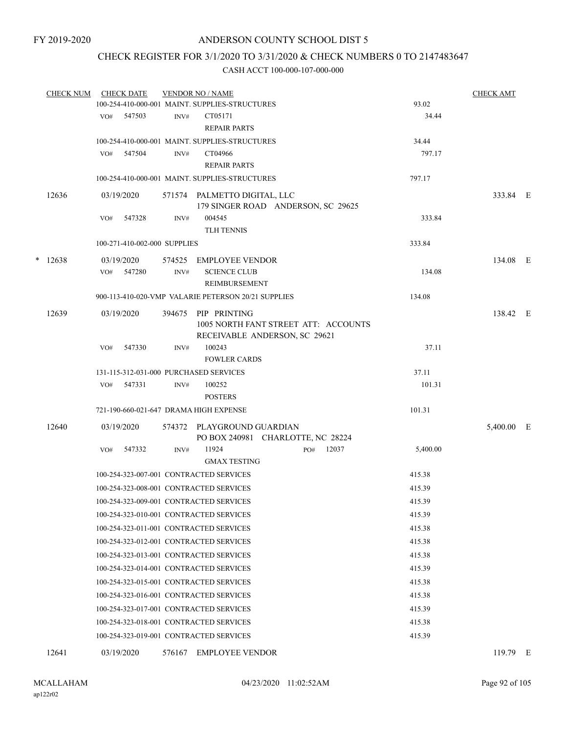## CHECK REGISTER FOR 3/1/2020 TO 3/31/2020 & CHECK NUMBERS 0 TO 2147483647

|   | <b>CHECK NUM</b> |            | <b>CHECK DATE</b>            |      | <b>VENDOR NO / NAME</b>                                               |     |       |          | <b>CHECK AMT</b> |  |
|---|------------------|------------|------------------------------|------|-----------------------------------------------------------------------|-----|-------|----------|------------------|--|
|   |                  |            |                              |      | 100-254-410-000-001 MAINT. SUPPLIES-STRUCTURES                        |     |       | 93.02    |                  |  |
|   |                  |            | VO# 547503                   | INV# | CT05171                                                               |     |       | 34.44    |                  |  |
|   |                  |            |                              |      | <b>REPAIR PARTS</b>                                                   |     |       |          |                  |  |
|   |                  |            |                              |      | 100-254-410-000-001 MAINT. SUPPLIES-STRUCTURES                        |     |       | 34.44    |                  |  |
|   |                  | VO#        | 547504                       | INV# | CT04966                                                               |     |       | 797.17   |                  |  |
|   |                  |            |                              |      | <b>REPAIR PARTS</b>                                                   |     |       |          |                  |  |
|   |                  |            |                              |      | 100-254-410-000-001 MAINT. SUPPLIES-STRUCTURES                        |     |       | 797.17   |                  |  |
|   | 12636            |            | 03/19/2020                   |      | 571574 PALMETTO DIGITAL, LLC<br>179 SINGER ROAD ANDERSON, SC 29625    |     |       |          | 333.84 E         |  |
|   |                  | VO#        | 547328                       | INV# | 004545                                                                |     |       | 333.84   |                  |  |
|   |                  |            |                              |      | <b>TLH TENNIS</b>                                                     |     |       |          |                  |  |
|   |                  |            | 100-271-410-002-000 SUPPLIES |      |                                                                       |     |       | 333.84   |                  |  |
| * | 12638            |            | 03/19/2020                   |      | 574525 EMPLOYEE VENDOR                                                |     |       |          | 134.08 E         |  |
|   |                  | VO#        | 547280                       | INV# | <b>SCIENCE CLUB</b>                                                   |     |       | 134.08   |                  |  |
|   |                  |            |                              |      | <b>REIMBURSEMENT</b>                                                  |     |       |          |                  |  |
|   |                  |            |                              |      | 900-113-410-020-VMP VALARIE PETERSON 20/21 SUPPLIES                   |     |       | 134.08   |                  |  |
|   | 12639            | 03/19/2020 |                              |      | 394675 PIP PRINTING                                                   |     |       |          | 138.42 E         |  |
|   |                  |            |                              |      | 1005 NORTH FANT STREET ATT: ACCOUNTS<br>RECEIVABLE ANDERSON, SC 29621 |     |       |          |                  |  |
|   |                  | VO#        | 547330                       | INV# | 100243                                                                |     |       | 37.11    |                  |  |
|   |                  |            |                              |      | <b>FOWLER CARDS</b>                                                   |     |       |          |                  |  |
|   |                  |            |                              |      | 131-115-312-031-000 PURCHASED SERVICES                                |     |       | 37.11    |                  |  |
|   |                  |            | VO# 547331                   | INV# | 100252                                                                |     |       | 101.31   |                  |  |
|   |                  |            |                              |      | <b>POSTERS</b>                                                        |     |       |          |                  |  |
|   |                  |            |                              |      | 721-190-660-021-647 DRAMA HIGH EXPENSE                                |     |       | 101.31   |                  |  |
|   | 12640            | 03/19/2020 |                              |      | 574372 PLAYGROUND GUARDIAN                                            |     |       |          | 5,400.00 E       |  |
|   |                  |            |                              |      | PO BOX 240981 CHARLOTTE, NC 28224                                     |     |       |          |                  |  |
|   |                  | VO#        | 547332                       | INV# | 11924                                                                 | PO# | 12037 | 5,400.00 |                  |  |
|   |                  |            |                              |      | <b>GMAX TESTING</b>                                                   |     |       |          |                  |  |
|   |                  |            |                              |      | 100-254-323-007-001 CONTRACTED SERVICES                               |     |       | 415.38   |                  |  |
|   |                  |            |                              |      | 100-254-323-008-001 CONTRACTED SERVICES                               |     |       | 415.39   |                  |  |
|   |                  |            |                              |      | 100-254-323-009-001 CONTRACTED SERVICES                               |     |       | 415.39   |                  |  |
|   |                  |            |                              |      | 100-254-323-010-001 CONTRACTED SERVICES                               |     |       | 415.39   |                  |  |
|   |                  |            |                              |      | 100-254-323-011-001 CONTRACTED SERVICES                               |     |       | 415.38   |                  |  |
|   |                  |            |                              |      | 100-254-323-012-001 CONTRACTED SERVICES                               |     |       | 415.38   |                  |  |
|   |                  |            |                              |      | 100-254-323-013-001 CONTRACTED SERVICES                               |     |       | 415.38   |                  |  |
|   |                  |            |                              |      | 100-254-323-014-001 CONTRACTED SERVICES                               |     |       | 415.39   |                  |  |
|   |                  |            |                              |      | 100-254-323-015-001 CONTRACTED SERVICES                               |     |       | 415.38   |                  |  |
|   |                  |            |                              |      | 100-254-323-016-001 CONTRACTED SERVICES                               |     |       | 415.38   |                  |  |
|   |                  |            |                              |      | 100-254-323-017-001 CONTRACTED SERVICES                               |     |       | 415.39   |                  |  |
|   |                  |            |                              |      | 100-254-323-018-001 CONTRACTED SERVICES                               |     |       | 415.38   |                  |  |
|   |                  |            |                              |      | 100-254-323-019-001 CONTRACTED SERVICES                               |     |       | 415.39   |                  |  |
|   | 12641            |            | 03/19/2020                   |      | 576167 EMPLOYEE VENDOR                                                |     |       |          | 119.79 E         |  |
|   |                  |            |                              |      |                                                                       |     |       |          |                  |  |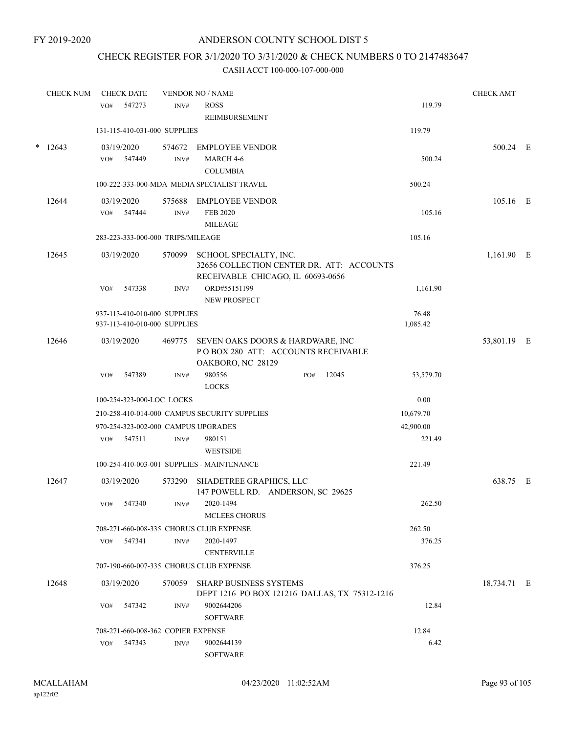## CHECK REGISTER FOR 3/1/2020 TO 3/31/2020 & CHECK NUMBERS 0 TO 2147483647

|        | <b>CHECK NUM</b> |        | <b>CHECK DATE</b> |                                    | <b>VENDOR NO / NAME</b>                                      |     |       |           | <b>CHECK AMT</b> |  |
|--------|------------------|--------|-------------------|------------------------------------|--------------------------------------------------------------|-----|-------|-----------|------------------|--|
|        |                  | VO#    | 547273            | INV#                               | <b>ROSS</b>                                                  |     |       | 119.79    |                  |  |
|        |                  |        |                   |                                    | REIMBURSEMENT                                                |     |       |           |                  |  |
|        |                  |        |                   | 131-115-410-031-000 SUPPLIES       |                                                              |     |       | 119.79    |                  |  |
| $\ast$ | 12643            |        | 03/19/2020        | 574672                             | <b>EMPLOYEE VENDOR</b>                                       |     |       |           | 500.24 E         |  |
|        |                  |        | VO# 547449        | INV#                               | MARCH 4-6                                                    |     |       | 500.24    |                  |  |
|        |                  |        |                   |                                    | <b>COLUMBIA</b>                                              |     |       |           |                  |  |
|        |                  |        |                   |                                    | 100-222-333-000-MDA MEDIA SPECIALIST TRAVEL                  |     |       | 500.24    |                  |  |
|        | 12644            |        | 03/19/2020        | 575688                             | <b>EMPLOYEE VENDOR</b>                                       |     |       |           | 105.16 E         |  |
|        |                  | VO#    | 547444            | INV#                               | <b>FEB 2020</b>                                              |     |       | 105.16    |                  |  |
|        |                  |        |                   |                                    | <b>MILEAGE</b>                                               |     |       |           |                  |  |
|        |                  |        |                   | 283-223-333-000-000 TRIPS/MILEAGE  |                                                              |     |       | 105.16    |                  |  |
|        | 12645            |        | 03/19/2020        | 570099                             | SCHOOL SPECIALTY, INC.                                       |     |       |           | 1,161.90 E       |  |
|        |                  |        |                   |                                    | 32656 COLLECTION CENTER DR. ATT: ACCOUNTS                    |     |       |           |                  |  |
|        |                  |        |                   |                                    | RECEIVABLE CHICAGO, IL 60693-0656                            |     |       |           |                  |  |
|        |                  | VO#    | 547338            | INV#                               | ORD#55151199                                                 |     |       | 1,161.90  |                  |  |
|        |                  |        |                   |                                    | NEW PROSPECT                                                 |     |       |           |                  |  |
|        |                  |        |                   | 937-113-410-010-000 SUPPLIES       |                                                              |     |       | 76.48     |                  |  |
|        |                  |        |                   | 937-113-410-010-000 SUPPLIES       |                                                              |     |       | 1,085.42  |                  |  |
|        | 12646            |        | 03/19/2020        | 469775                             | SEVEN OAKS DOORS & HARDWARE, INC                             |     |       |           | 53,801.19 E      |  |
|        |                  |        |                   |                                    | POBOX 280 ATT: ACCOUNTS RECEIVABLE                           |     |       |           |                  |  |
|        |                  |        |                   |                                    | OAKBORO, NC 28129                                            |     |       |           |                  |  |
|        |                  | VO#    | 547389            | INV#                               | 980556                                                       | PO# | 12045 | 53,579.70 |                  |  |
|        |                  |        |                   |                                    | <b>LOCKS</b>                                                 |     |       |           |                  |  |
|        |                  |        |                   | 100-254-323-000-LOC LOCKS          |                                                              |     |       | 0.00      |                  |  |
|        |                  |        |                   |                                    | 210-258-410-014-000 CAMPUS SECURITY SUPPLIES                 |     |       | 10,679.70 |                  |  |
|        |                  |        |                   |                                    | 970-254-323-002-000 CAMPUS UPGRADES                          |     |       | 42,900.00 |                  |  |
|        |                  |        | VO# 547511        | INV#                               | 980151<br><b>WESTSIDE</b>                                    |     |       | 221.49    |                  |  |
|        |                  |        |                   |                                    | 100-254-410-003-001 SUPPLIES - MAINTENANCE                   |     |       | 221.49    |                  |  |
|        |                  |        |                   |                                    |                                                              |     |       |           |                  |  |
|        | 12647            |        | 03/19/2020        | 573290                             | SHADETREE GRAPHICS, LLC<br>147 POWELL RD. ANDERSON, SC 29625 |     |       |           | 638.75 E         |  |
|        |                  |        | VO# 547340        |                                    | INV# 2020-1494                                               |     |       | 262.50    |                  |  |
|        |                  |        |                   |                                    | MCLEES CHORUS                                                |     |       |           |                  |  |
|        |                  |        |                   |                                    | 708-271-660-008-335 CHORUS CLUB EXPENSE                      |     |       | 262.50    |                  |  |
|        |                  | VO#    | 547341            | INV#                               | 2020-1497                                                    |     |       | 376.25    |                  |  |
|        |                  |        |                   |                                    | <b>CENTERVILLE</b>                                           |     |       |           |                  |  |
|        |                  |        |                   |                                    | 707-190-660-007-335 CHORUS CLUB EXPENSE                      |     |       | 376.25    |                  |  |
|        | 12648            |        | 03/19/2020        | 570059                             | <b>SHARP BUSINESS SYSTEMS</b>                                |     |       |           | 18,734.71 E      |  |
|        |                  |        |                   |                                    | DEPT 1216 PO BOX 121216 DALLAS, TX 75312-1216                |     |       |           |                  |  |
|        |                  | VO#    | 547342            | INV#                               | 9002644206                                                   |     |       | 12.84     |                  |  |
|        |                  |        |                   |                                    | <b>SOFTWARE</b>                                              |     |       |           |                  |  |
|        |                  |        |                   | 708-271-660-008-362 COPIER EXPENSE |                                                              |     |       | 12.84     |                  |  |
|        | VO#              | 547343 | INV#              | 9002644139                         |                                                              |     | 6.42  |           |                  |  |
|        |                  |        |                   |                                    | <b>SOFTWARE</b>                                              |     |       |           |                  |  |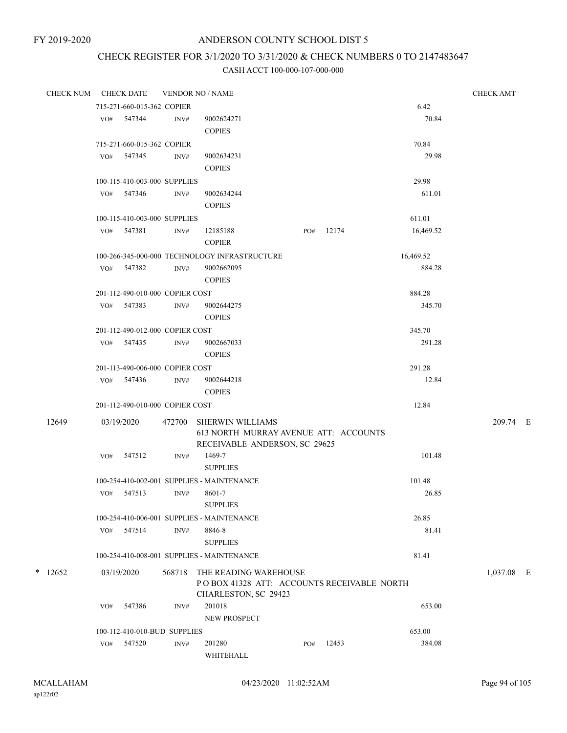# CHECK REGISTER FOR 3/1/2020 TO 3/31/2020 & CHECK NUMBERS 0 TO 2147483647

|  | <b>CHECK NUM</b> |     | <b>CHECK DATE</b>               |        | <b>VENDOR NO / NAME</b>                                             |     |       |           | <b>CHECK AMT</b> |  |
|--|------------------|-----|---------------------------------|--------|---------------------------------------------------------------------|-----|-------|-----------|------------------|--|
|  |                  |     | 715-271-660-015-362 COPIER      |        |                                                                     |     |       | 6.42      |                  |  |
|  |                  |     | VO# 547344                      | INV#   | 9002624271                                                          |     |       | 70.84     |                  |  |
|  |                  |     |                                 |        | <b>COPIES</b>                                                       |     |       |           |                  |  |
|  |                  |     | 715-271-660-015-362 COPIER      |        |                                                                     |     |       | 70.84     |                  |  |
|  |                  |     | VO# 547345                      | INV#   | 9002634231                                                          |     |       | 29.98     |                  |  |
|  |                  |     |                                 |        | <b>COPIES</b>                                                       |     |       |           |                  |  |
|  |                  |     | 100-115-410-003-000 SUPPLIES    |        |                                                                     |     |       | 29.98     |                  |  |
|  |                  |     | VO# 547346                      | INV#   | 9002634244                                                          |     |       | 611.01    |                  |  |
|  |                  |     |                                 |        | <b>COPIES</b>                                                       |     |       |           |                  |  |
|  |                  |     | 100-115-410-003-000 SUPPLIES    |        |                                                                     |     |       | 611.01    |                  |  |
|  |                  |     | VO# 547381                      | INV#   | 12185188                                                            | PO# | 12174 | 16,469.52 |                  |  |
|  |                  |     |                                 |        | <b>COPIER</b>                                                       |     |       |           |                  |  |
|  |                  |     |                                 |        | 100-266-345-000-000 TECHNOLOGY INFRASTRUCTURE                       |     |       | 16,469.52 |                  |  |
|  |                  |     | VO# 547382                      | INV#   | 9002662095                                                          |     |       | 884.28    |                  |  |
|  |                  |     |                                 |        | <b>COPIES</b>                                                       |     |       |           |                  |  |
|  |                  |     | 201-112-490-010-000 COPIER COST |        |                                                                     |     |       | 884.28    |                  |  |
|  |                  |     | VO# 547383                      | INV#   | 9002644275                                                          |     |       | 345.70    |                  |  |
|  |                  |     |                                 |        | <b>COPIES</b>                                                       |     |       |           |                  |  |
|  |                  |     | 201-112-490-012-000 COPIER COST |        |                                                                     |     |       | 345.70    |                  |  |
|  |                  |     | VO# 547435                      | INV#   | 9002667033                                                          |     |       | 291.28    |                  |  |
|  |                  |     |                                 |        | <b>COPIES</b>                                                       |     |       |           |                  |  |
|  |                  |     | 201-113-490-006-000 COPIER COST |        |                                                                     |     |       | 291.28    |                  |  |
|  |                  |     | VO# 547436                      | INV#   | 9002644218                                                          |     |       | 12.84     |                  |  |
|  |                  |     |                                 |        | <b>COPIES</b>                                                       |     |       |           |                  |  |
|  |                  |     | 201-112-490-010-000 COPIER COST |        |                                                                     |     |       | 12.84     |                  |  |
|  | 12649            |     | 03/19/2020                      |        | 472700 SHERWIN WILLIAMS                                             |     |       |           | 209.74 E         |  |
|  |                  |     |                                 |        | 613 NORTH MURRAY AVENUE ATT: ACCOUNTS                               |     |       |           |                  |  |
|  |                  |     |                                 |        | RECEIVABLE ANDERSON, SC 29625                                       |     |       |           |                  |  |
|  |                  | VO# | 547512                          | INV#   | 1469-7                                                              |     |       | 101.48    |                  |  |
|  |                  |     |                                 |        | <b>SUPPLIES</b>                                                     |     |       |           |                  |  |
|  |                  |     |                                 |        | 100-254-410-002-001 SUPPLIES - MAINTENANCE                          |     |       | 101.48    |                  |  |
|  |                  |     | VO# 547513                      | INV#   | 8601-7                                                              |     |       | 26.85     |                  |  |
|  |                  |     |                                 |        | <b>SUPPLIES</b>                                                     |     |       |           |                  |  |
|  |                  |     |                                 |        | 100-254-410-006-001 SUPPLIES - MAINTENANCE                          |     |       | 26.85     |                  |  |
|  |                  |     | VO# 547514                      | INV#   | 8846-8                                                              |     |       | 81.41     |                  |  |
|  |                  |     |                                 |        | <b>SUPPLIES</b>                                                     |     |       |           |                  |  |
|  |                  |     |                                 |        | 100-254-410-008-001 SUPPLIES - MAINTENANCE                          |     |       | 81.41     |                  |  |
|  | $*$ 12652        |     | 03/19/2020                      | 568718 | THE READING WAREHOUSE                                               |     |       |           | 1,037.08 E       |  |
|  |                  |     |                                 |        | PO BOX 41328 ATT: ACCOUNTS RECEIVABLE NORTH<br>CHARLESTON, SC 29423 |     |       |           |                  |  |
|  |                  | VO# | 547386                          | INV#   | 201018                                                              |     |       | 653.00    |                  |  |
|  |                  |     |                                 |        | <b>NEW PROSPECT</b>                                                 |     |       |           |                  |  |
|  |                  |     | 100-112-410-010-BUD SUPPLIES    |        |                                                                     |     |       | 653.00    |                  |  |
|  |                  | VO# | 547520                          | INV#   | 201280                                                              | PO# | 12453 | 384.08    |                  |  |
|  |                  |     |                                 |        | WHITEHALL                                                           |     |       |           |                  |  |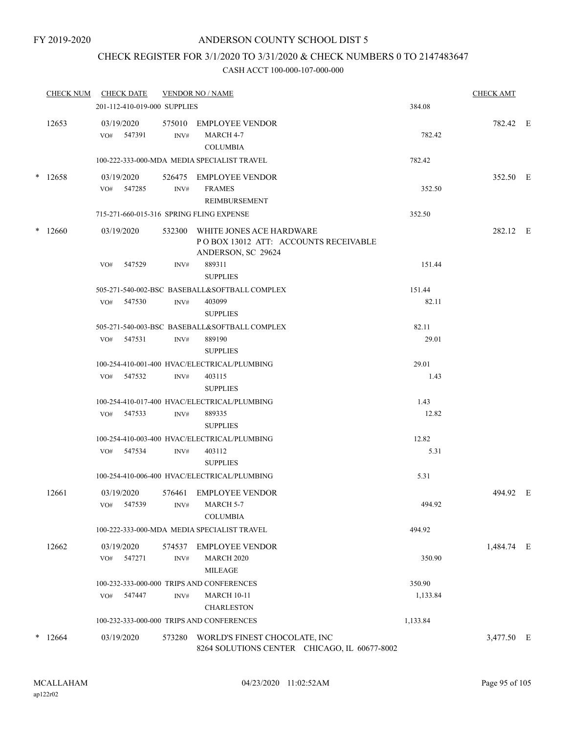## CHECK REGISTER FOR 3/1/2020 TO 3/31/2020 & CHECK NUMBERS 0 TO 2147483647

|        | <b>CHECK NUM</b> |                   | <b>CHECK DATE</b> |                              | <b>VENDOR NO / NAME</b>                                                                        |          | <b>CHECK AMT</b> |  |
|--------|------------------|-------------------|-------------------|------------------------------|------------------------------------------------------------------------------------------------|----------|------------------|--|
|        |                  |                   |                   | 201-112-410-019-000 SUPPLIES |                                                                                                | 384.08   |                  |  |
|        | 12653            | 03/19/2020        | VO# 547391        | INV#                         | 575010 EMPLOYEE VENDOR<br>MARCH 4-7<br><b>COLUMBIA</b>                                         | 782.42   | 782.42 E         |  |
|        |                  |                   |                   |                              | 100-222-333-000-MDA MEDIA SPECIALIST TRAVEL                                                    | 782.42   |                  |  |
| $\ast$ | 12658            | 03/19/2020        | VO# 547285        | INV#                         | 526475 EMPLOYEE VENDOR<br><b>FRAMES</b><br>REIMBURSEMENT                                       | 352.50   | 352.50 E         |  |
|        |                  |                   |                   |                              | 715-271-660-015-316 SPRING FLING EXPENSE                                                       | 352.50   |                  |  |
| $\ast$ | 12660            | 03/19/2020        |                   |                              | 532300 WHITE JONES ACE HARDWARE<br>PO BOX 13012 ATT: ACCOUNTS RECEIVABLE<br>ANDERSON, SC 29624 |          | 282.12 E         |  |
|        |                  | VO#               | 547529            | INV#                         | 889311<br><b>SUPPLIES</b>                                                                      | 151.44   |                  |  |
|        |                  |                   |                   |                              | 505-271-540-002-BSC BASEBALL&SOFTBALL COMPLEX                                                  | 151.44   |                  |  |
|        |                  |                   | VO# 547530        | INV#                         | 403099<br><b>SUPPLIES</b>                                                                      | 82.11    |                  |  |
|        |                  |                   |                   |                              | 505-271-540-003-BSC BASEBALL&SOFTBALL COMPLEX                                                  | 82.11    |                  |  |
|        |                  |                   | $VO#$ 547531      | INV#                         | 889190<br><b>SUPPLIES</b>                                                                      | 29.01    |                  |  |
|        |                  |                   |                   |                              | 100-254-410-001-400 HVAC/ELECTRICAL/PLUMBING                                                   | 29.01    |                  |  |
|        |                  |                   | VO# 547532        | INV#                         | 403115<br><b>SUPPLIES</b>                                                                      | 1.43     |                  |  |
|        |                  |                   |                   |                              | 100-254-410-017-400 HVAC/ELECTRICAL/PLUMBING                                                   | 1.43     |                  |  |
|        |                  |                   | VO# 547533        | INV#                         | 889335<br><b>SUPPLIES</b>                                                                      | 12.82    |                  |  |
|        |                  |                   |                   |                              | 100-254-410-003-400 HVAC/ELECTRICAL/PLUMBING                                                   | 12.82    |                  |  |
|        |                  |                   | VO# 547534        | INV#                         | 403112<br><b>SUPPLIES</b>                                                                      | 5.31     |                  |  |
|        |                  |                   |                   |                              | 100-254-410-006-400 HVAC/ELECTRICAL/PLUMBING                                                   | 5.31     |                  |  |
|        | 12661            | 03/19/2020<br>VO# | 547539            | INV#                         | 576461 EMPLOYEE VENDOR<br>MARCH 5-7<br><b>COLUMBIA</b>                                         | 494.92   | 494.92 E         |  |
|        |                  |                   |                   |                              | 100-222-333-000-MDA MEDIA SPECIALIST TRAVEL                                                    | 494.92   |                  |  |
|        | 12662            | 03/19/2020<br>VO# | 547271            | 574537<br>INV#               | <b>EMPLOYEE VENDOR</b><br><b>MARCH 2020</b><br>MILEAGE                                         | 350.90   | 1,484.74 E       |  |
|        |                  |                   |                   |                              | 100-232-333-000-000 TRIPS AND CONFERENCES                                                      | 350.90   |                  |  |
|        |                  | VO#               | 547447            | INV#                         | <b>MARCH 10-11</b><br><b>CHARLESTON</b>                                                        | 1,133.84 |                  |  |
|        |                  |                   |                   |                              | 100-232-333-000-000 TRIPS AND CONFERENCES                                                      | 1,133.84 |                  |  |
| $\ast$ | 12664            | 03/19/2020        |                   | 573280                       | WORLD'S FINEST CHOCOLATE, INC<br>8264 SOLUTIONS CENTER CHICAGO, IL 60677-8002                  |          | 3,477.50 E       |  |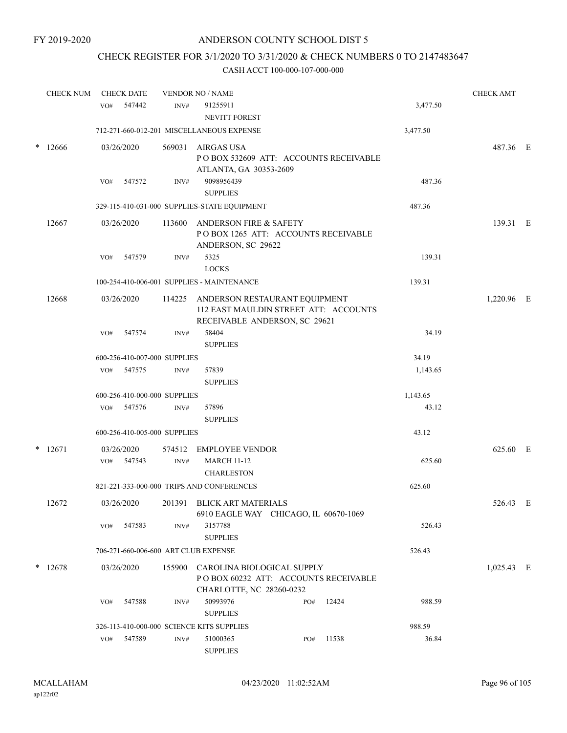## CHECK REGISTER FOR 3/1/2020 TO 3/31/2020 & CHECK NUMBERS 0 TO 2147483647

|        | <b>CHECK NUM</b> |     | <b>CHECK DATE</b> |                              | <b>VENDOR NO / NAME</b>                                                                                 |          | <b>CHECK AMT</b> |  |
|--------|------------------|-----|-------------------|------------------------------|---------------------------------------------------------------------------------------------------------|----------|------------------|--|
|        |                  | VO# | 547442            | INV#                         | 91255911<br><b>NEVITT FOREST</b>                                                                        | 3,477.50 |                  |  |
|        |                  |     |                   |                              | 712-271-660-012-201 MISCELLANEOUS EXPENSE                                                               | 3,477.50 |                  |  |
| $\ast$ | 12666            |     | 03/26/2020        | 569031                       | <b>AIRGAS USA</b><br>POBOX 532609 ATT: ACCOUNTS RECEIVABLE<br>ATLANTA, GA 30353-2609                    |          | 487.36 E         |  |
|        |                  | VO# | 547572            | INV#                         | 9098956439<br><b>SUPPLIES</b>                                                                           | 487.36   |                  |  |
|        |                  |     |                   |                              | 329-115-410-031-000 SUPPLIES-STATE EQUIPMENT                                                            | 487.36   |                  |  |
|        |                  |     |                   |                              |                                                                                                         |          |                  |  |
|        | 12667            |     | 03/26/2020        | 113600                       | ANDERSON FIRE & SAFETY<br>POBOX 1265 ATT: ACCOUNTS RECEIVABLE<br>ANDERSON, SC 29622                     |          | 139.31 E         |  |
|        |                  | VO# | 547579            | INV#                         | 5325<br><b>LOCKS</b>                                                                                    | 139.31   |                  |  |
|        |                  |     |                   |                              | 100-254-410-006-001 SUPPLIES - MAINTENANCE                                                              | 139.31   |                  |  |
|        | 12668            |     | 03/26/2020        | 114225                       | ANDERSON RESTAURANT EQUIPMENT<br>112 EAST MAULDIN STREET ATT: ACCOUNTS<br>RECEIVABLE ANDERSON, SC 29621 |          | 1,220.96 E       |  |
|        |                  | VO# | 547574            | INV#                         | 58404<br><b>SUPPLIES</b>                                                                                | 34.19    |                  |  |
|        |                  |     |                   | 600-256-410-007-000 SUPPLIES |                                                                                                         | 34.19    |                  |  |
|        |                  |     | VO# 547575        | INV#                         | 57839<br><b>SUPPLIES</b>                                                                                | 1,143.65 |                  |  |
|        |                  |     |                   | 600-256-410-000-000 SUPPLIES |                                                                                                         | 1,143.65 |                  |  |
|        |                  |     | VO# 547576        | INV#                         | 57896<br><b>SUPPLIES</b>                                                                                | 43.12    |                  |  |
|        |                  |     |                   | 600-256-410-005-000 SUPPLIES |                                                                                                         | 43.12    |                  |  |
| $\ast$ | 12671            |     | 03/26/2020        |                              | 574512 EMPLOYEE VENDOR                                                                                  |          | 625.60 E         |  |
|        |                  |     | VO# 547543        | INV#                         | <b>MARCH 11-12</b><br><b>CHARLESTON</b>                                                                 | 625.60   |                  |  |
|        |                  |     |                   |                              | 821-221-333-000-000 TRIPS AND CONFERENCES                                                               | 625.60   |                  |  |
|        | 12672            |     | 03/26/2020        |                              | 201391 BLICK ART MATERIALS<br>6910 EAGLE WAY CHICAGO, IL 60670-1069                                     |          | 526.43 E         |  |
|        |                  | VO# | 547583            | INV#                         | 3157788<br><b>SUPPLIES</b>                                                                              | 526.43   |                  |  |
|        |                  |     |                   |                              | 706-271-660-006-600 ART CLUB EXPENSE                                                                    | 526.43   |                  |  |
|        | $*12678$         |     | 03/26/2020        |                              | 155900 CAROLINA BIOLOGICAL SUPPLY<br>POBOX 60232 ATT: ACCOUNTS RECEIVABLE<br>CHARLOTTE, NC 28260-0232   |          | $1,025.43$ E     |  |
|        |                  | VO# | 547588            | INV#                         | 50993976<br>12424<br>PO#<br><b>SUPPLIES</b>                                                             | 988.59   |                  |  |
|        |                  |     |                   |                              | 326-113-410-000-000 SCIENCE KITS SUPPLIES                                                               | 988.59   |                  |  |
|        |                  | VO# | 547589            | INV#                         | 51000365<br>11538<br>PO#                                                                                | 36.84    |                  |  |
|        |                  |     |                   |                              | <b>SUPPLIES</b>                                                                                         |          |                  |  |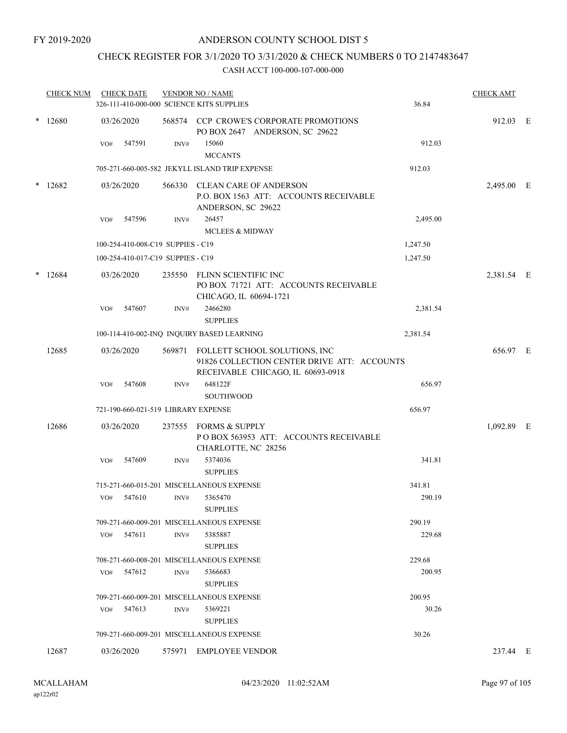## CHECK REGISTER FOR 3/1/2020 TO 3/31/2020 & CHECK NUMBERS 0 TO 2147483647

|        | <b>CHECK NUM</b> |     | <b>CHECK DATE</b>                   |        | <b>VENDOR NO / NAME</b><br>326-111-410-000-000 SCIENCE KITS SUPPLIES                                              | 36.84    | <b>CHECK AMT</b> |  |
|--------|------------------|-----|-------------------------------------|--------|-------------------------------------------------------------------------------------------------------------------|----------|------------------|--|
|        | $*12680$         |     | 03/26/2020                          |        | 568574 CCP CROWE'S CORPORATE PROMOTIONS<br>PO BOX 2647 ANDERSON, SC 29622                                         |          | 912.03 E         |  |
|        |                  | VO# | 547591                              | INV#   | 15060<br><b>MCCANTS</b>                                                                                           | 912.03   |                  |  |
|        |                  |     |                                     |        | 705-271-660-005-582 JEKYLL ISLAND TRIP EXPENSE                                                                    | 912.03   |                  |  |
|        | $*12682$         |     | 03/26/2020                          |        | 566330 CLEAN CARE OF ANDERSON<br>P.O. BOX 1563 ATT: ACCOUNTS RECEIVABLE<br>ANDERSON, SC 29622                     |          | 2,495.00 E       |  |
|        |                  | VO# | 547596                              | INV#   | 26457                                                                                                             | 2,495.00 |                  |  |
|        |                  |     |                                     |        | <b>MCLEES &amp; MIDWAY</b>                                                                                        |          |                  |  |
|        |                  |     | 100-254-410-008-C19 SUPPIES - C19   |        |                                                                                                                   | 1,247.50 |                  |  |
|        |                  |     | 100-254-410-017-C19 SUPPIES - C19   |        |                                                                                                                   | 1,247.50 |                  |  |
| $\ast$ | 12684            |     | 03/26/2020                          |        | 235550 FLINN SCIENTIFIC INC<br>PO BOX 71721 ATT: ACCOUNTS RECEIVABLE<br>CHICAGO, IL 60694-1721                    |          | 2,381.54 E       |  |
|        |                  | VO# | 547607                              | INV#   | 2466280<br><b>SUPPLIES</b>                                                                                        | 2,381.54 |                  |  |
|        |                  |     |                                     |        | 100-114-410-002-INQ INQUIRY BASED LEARNING                                                                        | 2,381.54 |                  |  |
|        | 12685            |     | 03/26/2020                          | 569871 | FOLLETT SCHOOL SOLUTIONS, INC<br>91826 COLLECTION CENTER DRIVE ATT: ACCOUNTS<br>RECEIVABLE CHICAGO, IL 60693-0918 |          | 656.97 E         |  |
|        |                  | VO# | 547608                              | INV#   | 648122F<br><b>SOUTHWOOD</b>                                                                                       | 656.97   |                  |  |
|        |                  |     | 721-190-660-021-519 LIBRARY EXPENSE |        |                                                                                                                   | 656.97   |                  |  |
|        | 12686            |     | 03/26/2020                          |        | 237555 FORMS & SUPPLY<br>POBOX 563953 ATT: ACCOUNTS RECEIVABLE<br>CHARLOTTE, NC 28256                             |          | 1,092.89 E       |  |
|        |                  | VO# | 547609                              | INV#   | 5374036<br><b>SUPPLIES</b>                                                                                        | 341.81   |                  |  |
|        |                  |     |                                     |        | 715-271-660-015-201 MISCELLANEOUS EXPENSE                                                                         | 341.81   |                  |  |
|        |                  | VO# | 547610                              | INV#   | 5365470<br><b>SUPPLIES</b>                                                                                        | 290.19   |                  |  |
|        |                  |     |                                     |        | 709-271-660-009-201 MISCELLANEOUS EXPENSE                                                                         | 290.19   |                  |  |
|        |                  | VO# | 547611                              | INV#   | 5385887<br><b>SUPPLIES</b>                                                                                        | 229.68   |                  |  |
|        |                  |     |                                     |        | 708-271-660-008-201 MISCELLANEOUS EXPENSE                                                                         | 229.68   |                  |  |
|        |                  | VO# | 547612                              | INV#   | 5366683<br><b>SUPPLIES</b>                                                                                        | 200.95   |                  |  |
|        |                  |     |                                     |        | 709-271-660-009-201 MISCELLANEOUS EXPENSE                                                                         | 200.95   |                  |  |
|        |                  |     | $VO#$ 547613                        | INV#   | 5369221<br><b>SUPPLIES</b>                                                                                        | 30.26    |                  |  |
|        |                  |     |                                     |        | 709-271-660-009-201 MISCELLANEOUS EXPENSE                                                                         | 30.26    |                  |  |
|        | 12687            |     | 03/26/2020                          |        | 575971 EMPLOYEE VENDOR                                                                                            |          | 237.44 E         |  |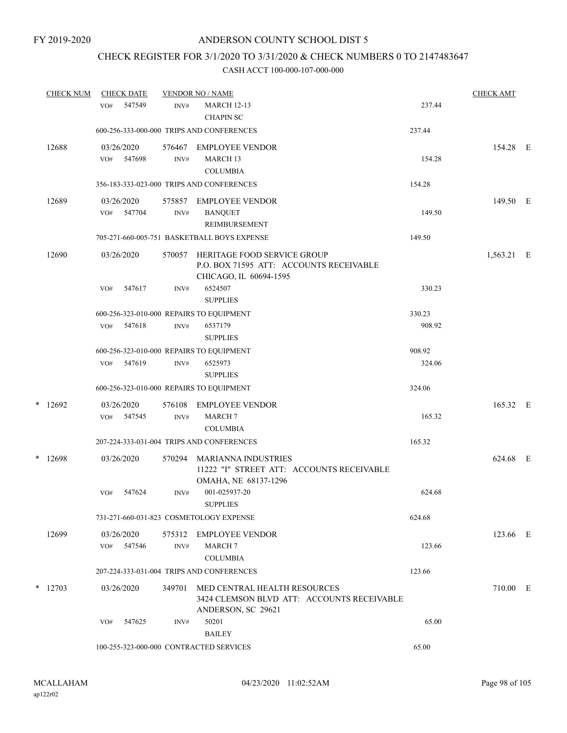## CHECK REGISTER FOR 3/1/2020 TO 3/31/2020 & CHECK NUMBERS 0 TO 2147483647

| <b>CHECK NUM</b> |           | <b>CHECK DATE</b> |                          |                          | <b>VENDOR NO / NAME</b>                                                                          |        | <b>CHECK AMT</b> |  |
|------------------|-----------|-------------------|--------------------------|--------------------------|--------------------------------------------------------------------------------------------------|--------|------------------|--|
|                  |           | VO#               | 547549                   | INV#                     | <b>MARCH 12-13</b><br><b>CHAPIN SC</b>                                                           | 237.44 |                  |  |
|                  |           |                   |                          |                          | 600-256-333-000-000 TRIPS AND CONFERENCES                                                        | 237.44 |                  |  |
|                  | 12688     | VO#               | 03/26/2020<br>547698     | 576467<br>$\text{INV}\#$ | EMPLOYEE VENDOR<br>MARCH <sub>13</sub><br><b>COLUMBIA</b>                                        | 154.28 | 154.28 E         |  |
|                  |           |                   |                          |                          | 356-183-333-023-000 TRIPS AND CONFERENCES                                                        | 154.28 |                  |  |
|                  | 12689     | VO#               | 03/26/2020<br>547704     | INV#                     | 575857 EMPLOYEE VENDOR<br><b>BANQUET</b><br><b>REIMBURSEMENT</b>                                 | 149.50 | 149.50 E         |  |
|                  |           |                   |                          |                          | 705-271-660-005-751 BASKETBALL BOYS EXPENSE                                                      | 149.50 |                  |  |
|                  | 12690     |                   | 03/26/2020               | 570057                   | HERITAGE FOOD SERVICE GROUP<br>P.O. BOX 71595 ATT: ACCOUNTS RECEIVABLE<br>CHICAGO, IL 60694-1595 |        | 1,563.21 E       |  |
|                  |           | VO#               | 547617                   | INV#                     | 6524507<br><b>SUPPLIES</b>                                                                       | 330.23 |                  |  |
|                  |           |                   |                          |                          | 600-256-323-010-000 REPAIRS TO EQUIPMENT                                                         | 330.23 |                  |  |
|                  |           |                   | VO# 547618               | INV#                     | 6537179<br><b>SUPPLIES</b>                                                                       | 908.92 |                  |  |
|                  |           |                   |                          |                          | 600-256-323-010-000 REPAIRS TO EQUIPMENT                                                         | 908.92 |                  |  |
|                  |           |                   | VO# 547619               | INV#                     | 6525973<br><b>SUPPLIES</b>                                                                       | 324.06 |                  |  |
|                  |           |                   |                          |                          | 600-256-323-010-000 REPAIRS TO EQUIPMENT                                                         | 324.06 |                  |  |
|                  | $*$ 12692 |                   | 03/26/2020<br>VO# 547545 | 576108<br>INV#           | <b>EMPLOYEE VENDOR</b><br><b>MARCH7</b><br><b>COLUMBIA</b>                                       | 165.32 | 165.32 E         |  |
|                  |           |                   |                          |                          | 207-224-333-031-004 TRIPS AND CONFERENCES                                                        | 165.32 |                  |  |
|                  | $*$ 12698 |                   | 03/26/2020               | 570294                   | MARIANNA INDUSTRIES<br>11222 "I" STREET ATT: ACCOUNTS RECEIVABLE<br>OMAHA, NE 68137-1296         |        | 624.68 E         |  |
|                  |           | VO#               | 547624                   | INV#                     | 001-025937-20<br><b>SUPPLIES</b>                                                                 | 624.68 |                  |  |
|                  |           |                   |                          |                          | 731-271-660-031-823 COSMETOLOGY EXPENSE                                                          | 624.68 |                  |  |
|                  | 12699     | VO#               | 03/26/2020<br>547546     | 575312<br>INV#           | EMPLOYEE VENDOR<br><b>MARCH7</b><br><b>COLUMBIA</b>                                              | 123.66 | 123.66 E         |  |
|                  |           |                   |                          |                          | 207-224-333-031-004 TRIPS AND CONFERENCES                                                        | 123.66 |                  |  |
|                  | $*$ 12703 | 03/26/2020        |                          | 349701                   | MED CENTRAL HEALTH RESOURCES<br>3424 CLEMSON BLVD ATT: ACCOUNTS RECEIVABLE<br>ANDERSON, SC 29621 |        | 710.00 E         |  |
|                  |           | VO#               | 547625                   | INV#                     | 50201<br><b>BAILEY</b>                                                                           | 65.00  |                  |  |
|                  |           |                   |                          |                          | 100-255-323-000-000 CONTRACTED SERVICES                                                          | 65.00  |                  |  |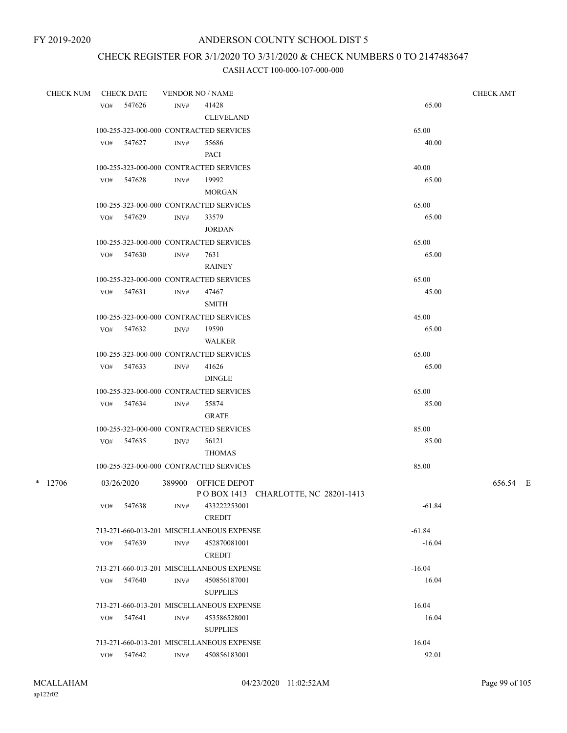## CHECK REGISTER FOR 3/1/2020 TO 3/31/2020 & CHECK NUMBERS 0 TO 2147483647

| <b>CHECK NUM</b> | <b>CHECK DATE</b> |              |      | <b>VENDOR NO / NAME</b>                   | <b>CHECK AMT</b> |          |  |
|------------------|-------------------|--------------|------|-------------------------------------------|------------------|----------|--|
|                  | VO#               | 547626       | INV# | 41428                                     | 65.00            |          |  |
|                  |                   |              |      | <b>CLEVELAND</b>                          |                  |          |  |
|                  |                   |              |      | 100-255-323-000-000 CONTRACTED SERVICES   | 65.00            |          |  |
|                  |                   | VO# 547627   | INV# | 55686                                     | 40.00            |          |  |
|                  |                   |              |      | <b>PACI</b>                               |                  |          |  |
|                  |                   |              |      | 100-255-323-000-000 CONTRACTED SERVICES   | 40.00            |          |  |
|                  |                   | VO# 547628   | INV# | 19992                                     | 65.00            |          |  |
|                  |                   |              |      | <b>MORGAN</b>                             |                  |          |  |
|                  |                   |              |      | 100-255-323-000-000 CONTRACTED SERVICES   | 65.00            |          |  |
|                  |                   | VO# 547629   | INV# | 33579                                     | 65.00            |          |  |
|                  |                   |              |      | <b>JORDAN</b>                             |                  |          |  |
|                  |                   |              |      | 100-255-323-000-000 CONTRACTED SERVICES   | 65.00            |          |  |
|                  |                   | VO# 547630   | INV# | 7631                                      | 65.00            |          |  |
|                  |                   |              |      | <b>RAINEY</b>                             |                  |          |  |
|                  |                   |              |      | 100-255-323-000-000 CONTRACTED SERVICES   | 65.00            |          |  |
|                  |                   | $VO#$ 547631 | INV# | 47467                                     | 45.00            |          |  |
|                  |                   |              |      | <b>SMITH</b>                              |                  |          |  |
|                  |                   |              |      | 100-255-323-000-000 CONTRACTED SERVICES   | 45.00            |          |  |
|                  |                   | VO# 547632   | INV# | 19590                                     | 65.00            |          |  |
|                  |                   |              |      | WALKER                                    |                  |          |  |
|                  |                   |              |      | 100-255-323-000-000 CONTRACTED SERVICES   | 65.00            |          |  |
|                  |                   | VO# 547633   | INV# | 41626                                     | 65.00            |          |  |
|                  |                   |              |      | <b>DINGLE</b>                             |                  |          |  |
|                  |                   |              |      | 100-255-323-000-000 CONTRACTED SERVICES   | 65.00            |          |  |
|                  |                   | VO# 547634   | INV# | 55874                                     | 85.00            |          |  |
|                  |                   |              |      | <b>GRATE</b>                              |                  |          |  |
|                  |                   |              |      | 100-255-323-000-000 CONTRACTED SERVICES   | 85.00            |          |  |
|                  |                   | VO# 547635   | INV# | 56121                                     | 85.00            |          |  |
|                  |                   |              |      | <b>THOMAS</b>                             |                  |          |  |
|                  |                   |              |      | 100-255-323-000-000 CONTRACTED SERVICES   | 85.00            |          |  |
| $*$ 12706        |                   | 03/26/2020   |      | 389900 OFFICE DEPOT                       |                  | 656.54 E |  |
|                  |                   |              |      | POBOX 1413 CHARLOTTE, NC 28201-1413       |                  |          |  |
|                  | VO#               | 547638       | INV# | 433222253001                              | $-61.84$         |          |  |
|                  |                   |              |      | <b>CREDIT</b>                             |                  |          |  |
|                  |                   |              |      | 713-271-660-013-201 MISCELLANEOUS EXPENSE | $-61.84$         |          |  |
|                  | VO#               | 547639       | INV# | 452870081001                              | $-16.04$         |          |  |
|                  |                   |              |      | <b>CREDIT</b>                             |                  |          |  |
|                  |                   |              |      | 713-271-660-013-201 MISCELLANEOUS EXPENSE | $-16.04$         |          |  |
|                  | VO#               | 547640       | INV# | 450856187001                              | 16.04            |          |  |
|                  |                   |              |      | <b>SUPPLIES</b>                           |                  |          |  |
|                  |                   |              |      | 713-271-660-013-201 MISCELLANEOUS EXPENSE | 16.04            |          |  |
|                  | VO#               | 547641       | INV# | 453586528001                              | 16.04            |          |  |
|                  |                   |              |      | <b>SUPPLIES</b>                           |                  |          |  |
|                  |                   |              |      | 713-271-660-013-201 MISCELLANEOUS EXPENSE | 16.04            |          |  |
|                  |                   | VO# 547642   | INV# | 450856183001                              | 92.01            |          |  |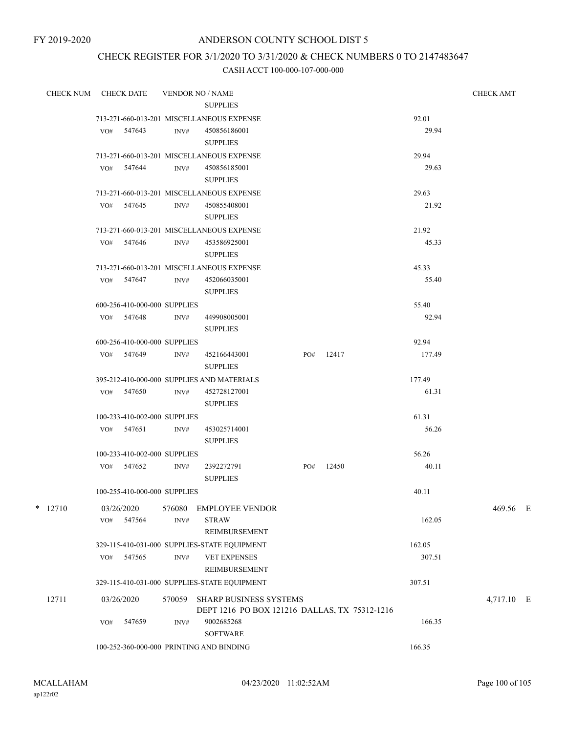## CHECK REGISTER FOR 3/1/2020 TO 3/31/2020 & CHECK NUMBERS 0 TO 2147483647

| <b>CHECK NUM</b> |     | <b>CHECK DATE</b>            |                                           | <b>VENDOR NO / NAME</b>                                                        |     |       |        | <b>CHECK AMT</b> |  |
|------------------|-----|------------------------------|-------------------------------------------|--------------------------------------------------------------------------------|-----|-------|--------|------------------|--|
|                  |     |                              |                                           | <b>SUPPLIES</b>                                                                |     |       |        |                  |  |
|                  |     |                              |                                           | 713-271-660-013-201 MISCELLANEOUS EXPENSE                                      |     |       | 92.01  |                  |  |
|                  |     | VO# 547643                   | INV#                                      | 450856186001                                                                   |     |       | 29.94  |                  |  |
|                  |     |                              |                                           | <b>SUPPLIES</b>                                                                |     |       |        |                  |  |
|                  |     |                              |                                           | 713-271-660-013-201 MISCELLANEOUS EXPENSE                                      |     |       | 29.94  |                  |  |
|                  |     | VO# 547644                   | INV#                                      | 450856185001<br><b>SUPPLIES</b>                                                |     |       | 29.63  |                  |  |
|                  |     |                              |                                           | 713-271-660-013-201 MISCELLANEOUS EXPENSE                                      |     |       | 29.63  |                  |  |
|                  |     | VO# 547645                   | INV#                                      | 450855408001<br><b>SUPPLIES</b>                                                |     |       | 21.92  |                  |  |
|                  |     |                              | 713-271-660-013-201 MISCELLANEOUS EXPENSE |                                                                                |     |       | 21.92  |                  |  |
|                  |     | VO# 547646                   | INV#                                      | 453586925001<br><b>SUPPLIES</b>                                                |     |       | 45.33  |                  |  |
|                  |     |                              |                                           | 713-271-660-013-201 MISCELLANEOUS EXPENSE                                      |     |       | 45.33  |                  |  |
|                  |     | VO# 547647                   | INV#                                      | 452066035001<br><b>SUPPLIES</b>                                                |     |       | 55.40  |                  |  |
|                  |     | 600-256-410-000-000 SUPPLIES |                                           |                                                                                |     |       | 55.40  |                  |  |
|                  |     | VO# 547648                   | INV#                                      | 449908005001<br><b>SUPPLIES</b>                                                |     |       | 92.94  |                  |  |
|                  |     | 600-256-410-000-000 SUPPLIES |                                           |                                                                                |     |       | 92.94  |                  |  |
|                  |     | VO# 547649                   | INV#                                      | 452166443001<br><b>SUPPLIES</b>                                                | PO# | 12417 | 177.49 |                  |  |
|                  |     |                              |                                           | 395-212-410-000-000 SUPPLIES AND MATERIALS                                     |     |       | 177.49 |                  |  |
|                  |     | VO# 547650                   | INV#                                      | 452728127001<br><b>SUPPLIES</b>                                                |     |       | 61.31  |                  |  |
|                  |     | 100-233-410-002-000 SUPPLIES |                                           |                                                                                |     |       | 61.31  |                  |  |
|                  |     | VO# 547651                   | INV#                                      | 453025714001<br><b>SUPPLIES</b>                                                |     |       | 56.26  |                  |  |
|                  |     | 100-233-410-002-000 SUPPLIES |                                           |                                                                                |     |       | 56.26  |                  |  |
|                  |     | VO# 547652                   | INV#                                      | 2392272791<br><b>SUPPLIES</b>                                                  | PO# | 12450 | 40.11  |                  |  |
|                  |     | 100-255-410-000-000 SUPPLIES |                                           |                                                                                |     |       | 40.11  |                  |  |
| *<br>12710       | VO# | 03/26/2020<br>547564         | 576080<br>INV#                            | <b>EMPLOYEE VENDOR</b><br><b>STRAW</b>                                         |     |       | 162.05 | 469.56 E         |  |
|                  |     |                              |                                           | REIMBURSEMENT                                                                  |     |       |        |                  |  |
|                  |     |                              |                                           | 329-115-410-031-000 SUPPLIES-STATE EQUIPMENT                                   |     |       | 162.05 |                  |  |
|                  | VO# | 547565                       | INV#                                      | <b>VET EXPENSES</b><br>REIMBURSEMENT                                           |     |       | 307.51 |                  |  |
|                  |     |                              |                                           | 329-115-410-031-000 SUPPLIES-STATE EQUIPMENT                                   |     |       | 307.51 |                  |  |
| 12711            |     | 03/26/2020                   | 570059                                    | <b>SHARP BUSINESS SYSTEMS</b><br>DEPT 1216 PO BOX 121216 DALLAS, TX 75312-1216 |     |       |        | 4,717.10 E       |  |
|                  | VO# | 547659                       | INV#                                      | 9002685268<br><b>SOFTWARE</b>                                                  |     |       | 166.35 |                  |  |
|                  |     |                              |                                           | 100-252-360-000-000 PRINTING AND BINDING                                       |     |       | 166.35 |                  |  |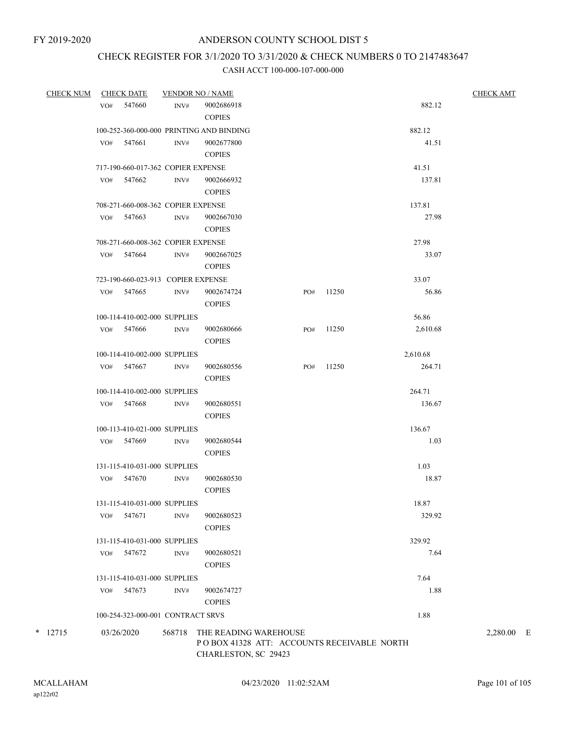# CHECK REGISTER FOR 3/1/2020 TO 3/31/2020 & CHECK NUMBERS 0 TO 2147483647

#### CASH ACCT 100-000-107-000-000

| <b>CHECK NUM</b> | <b>CHECK DATE</b> |                                    |        | <b>VENDOR NO / NAME</b>                                                                     | <b>CHECK AMT</b> |       |          |            |
|------------------|-------------------|------------------------------------|--------|---------------------------------------------------------------------------------------------|------------------|-------|----------|------------|
|                  | VO#               | 547660                             | INV#   | 9002686918<br><b>COPIES</b>                                                                 |                  |       | 882.12   |            |
|                  |                   |                                    |        | 100-252-360-000-000 PRINTING AND BINDING                                                    |                  |       | 882.12   |            |
|                  |                   | VO# 547661                         | INV#   | 9002677800<br><b>COPIES</b>                                                                 |                  |       | 41.51    |            |
|                  |                   | 717-190-660-017-362 COPIER EXPENSE |        |                                                                                             |                  |       | 41.51    |            |
|                  |                   | VO# 547662                         | INV#   | 9002666932                                                                                  |                  |       | 137.81   |            |
|                  |                   |                                    |        | <b>COPIES</b>                                                                               |                  |       |          |            |
|                  |                   | 708-271-660-008-362 COPIER EXPENSE |        |                                                                                             |                  |       | 137.81   |            |
|                  |                   | $VO#$ 547663                       | INV#   | 9002667030<br><b>COPIES</b>                                                                 |                  |       | 27.98    |            |
|                  |                   | 708-271-660-008-362 COPIER EXPENSE |        |                                                                                             |                  |       | 27.98    |            |
|                  |                   | VO# 547664                         | INV#   | 9002667025<br><b>COPIES</b>                                                                 |                  |       | 33.07    |            |
|                  |                   | 723-190-660-023-913 COPIER EXPENSE |        |                                                                                             |                  |       | 33.07    |            |
|                  |                   | VO# 547665                         | INV#   | 9002674724<br><b>COPIES</b>                                                                 | PO#              | 11250 | 56.86    |            |
|                  |                   | 100-114-410-002-000 SUPPLIES       |        |                                                                                             |                  |       | 56.86    |            |
|                  |                   | VO# 547666                         | INV#   | 9002680666<br><b>COPIES</b>                                                                 | PO#              | 11250 | 2,610.68 |            |
|                  |                   | 100-114-410-002-000 SUPPLIES       |        |                                                                                             |                  |       | 2,610.68 |            |
|                  |                   | VO# 547667                         | INV#   | 9002680556<br><b>COPIES</b>                                                                 | PO#              | 11250 | 264.71   |            |
|                  |                   | 100-114-410-002-000 SUPPLIES       |        |                                                                                             |                  |       | 264.71   |            |
|                  |                   | VO# 547668                         | INV#   | 9002680551<br><b>COPIES</b>                                                                 |                  |       | 136.67   |            |
|                  |                   | 100-113-410-021-000 SUPPLIES       |        |                                                                                             |                  |       | 136.67   |            |
|                  |                   | VO# 547669                         | INV#   | 9002680544<br><b>COPIES</b>                                                                 |                  |       | 1.03     |            |
|                  |                   | 131-115-410-031-000 SUPPLIES       |        |                                                                                             |                  |       | 1.03     |            |
|                  |                   | VO# 547670                         | INV#   | 9002680530<br><b>COPIES</b>                                                                 |                  |       | 18.87    |            |
|                  |                   | 131-115-410-031-000 SUPPLIES       |        |                                                                                             |                  |       | 18.87    |            |
|                  | VO#               | 547671                             | INV#   | 9002680523<br><b>COPIES</b>                                                                 |                  |       | 329.92   |            |
|                  |                   | 131-115-410-031-000 SUPPLIES       |        |                                                                                             |                  |       | 329.92   |            |
|                  | VO#               | 547672                             | INV#   | 9002680521<br><b>COPIES</b>                                                                 |                  |       | 7.64     |            |
|                  |                   | 131-115-410-031-000 SUPPLIES       |        |                                                                                             |                  |       | 7.64     |            |
|                  | VO#               | 547673                             | INV#   | 9002674727<br><b>COPIES</b>                                                                 |                  |       | 1.88     |            |
|                  |                   | 100-254-323-000-001 CONTRACT SRVS  |        |                                                                                             |                  |       | 1.88     |            |
| $*$ 12715        |                   | 03/26/2020                         | 568718 | THE READING WAREHOUSE<br>POBOX 41328 ATT: ACCOUNTS RECEIVABLE NORTH<br>CHARLESTON, SC 29423 |                  |       |          | 2,280.00 E |

ap122r02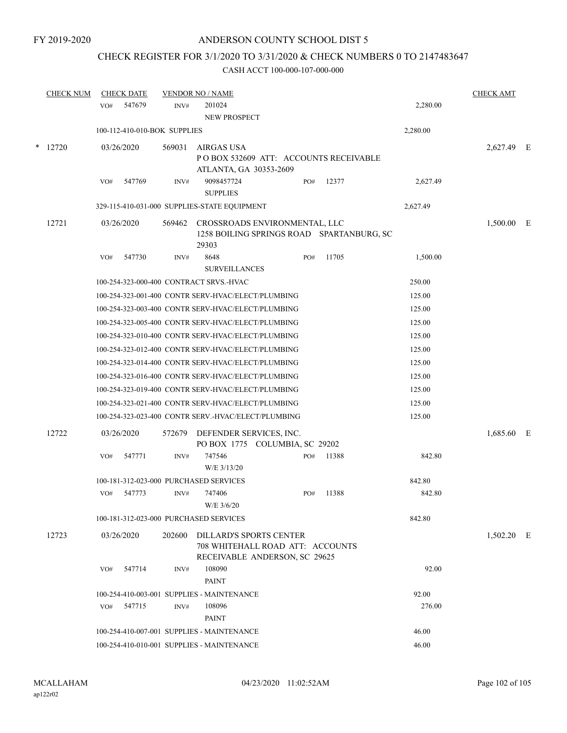## CHECK REGISTER FOR 3/1/2020 TO 3/31/2020 & CHECK NUMBERS 0 TO 2147483647

|        | <b>CHECK NUM</b> |            | <b>CHECK DATE</b>            |        | <b>VENDOR NO / NAME</b>                                                                             |     |                                           |          | <b>CHECK AMT</b> |  |
|--------|------------------|------------|------------------------------|--------|-----------------------------------------------------------------------------------------------------|-----|-------------------------------------------|----------|------------------|--|
|        |                  | VO#        | 547679                       | INV#   | 201024<br>NEW PROSPECT                                                                              |     |                                           | 2,280.00 |                  |  |
|        |                  |            | 100-112-410-010-BOK SUPPLIES |        |                                                                                                     |     |                                           | 2,280.00 |                  |  |
| $\ast$ | 12720            | 03/26/2020 |                              | 569031 | <b>AIRGAS USA</b><br>ATLANTA, GA 30353-2609                                                         |     | POBOX 532609 ATT: ACCOUNTS RECEIVABLE     |          | 2,627.49 E       |  |
|        |                  | VO#        | 547769                       | INV#   | 9098457724<br><b>SUPPLIES</b>                                                                       | PO# | 12377                                     | 2,627.49 |                  |  |
|        |                  |            |                              |        | 329-115-410-031-000 SUPPLIES-STATE EQUIPMENT                                                        |     |                                           | 2,627.49 |                  |  |
|        | 12721            |            | 03/26/2020                   | 569462 | CROSSROADS ENVIRONMENTAL, LLC<br>29303                                                              |     | 1258 BOILING SPRINGS ROAD SPARTANBURG, SC |          | 1,500.00 E       |  |
|        |                  | VO#        | 547730                       | INV#   | 8648<br><b>SURVEILLANCES</b>                                                                        | PO# | 11705                                     | 1,500.00 |                  |  |
|        |                  |            |                              |        | 100-254-323-000-400 CONTRACT SRVS.-HVAC                                                             |     |                                           | 250.00   |                  |  |
|        |                  |            |                              |        | 100-254-323-001-400 CONTR SERV-HVAC/ELECT/PLUMBING                                                  |     |                                           | 125.00   |                  |  |
|        |                  |            |                              |        | 100-254-323-003-400 CONTR SERV-HVAC/ELECT/PLUMBING                                                  |     |                                           | 125.00   |                  |  |
|        |                  |            |                              |        | 100-254-323-005-400 CONTR SERV-HVAC/ELECT/PLUMBING                                                  |     |                                           | 125.00   |                  |  |
|        |                  |            |                              |        | 100-254-323-010-400 CONTR SERV-HVAC/ELECT/PLUMBING                                                  |     |                                           | 125.00   |                  |  |
|        |                  |            |                              |        | 100-254-323-012-400 CONTR SERV-HVAC/ELECT/PLUMBING                                                  |     |                                           | 125.00   |                  |  |
|        |                  |            |                              |        | 100-254-323-014-400 CONTR SERV-HVAC/ELECT/PLUMBING                                                  |     |                                           | 125.00   |                  |  |
|        |                  |            |                              |        | 100-254-323-016-400 CONTR SERV-HVAC/ELECT/PLUMBING                                                  |     |                                           | 125.00   |                  |  |
|        |                  |            |                              |        | 100-254-323-019-400 CONTR SERV-HVAC/ELECT/PLUMBING                                                  |     |                                           | 125.00   |                  |  |
|        |                  |            |                              |        | 100-254-323-021-400 CONTR SERV-HVAC/ELECT/PLUMBING                                                  |     |                                           | 125.00   |                  |  |
|        |                  |            |                              |        | 100-254-323-023-400 CONTR SERV.-HVAC/ELECT/PLUMBING                                                 |     |                                           | 125.00   |                  |  |
|        | 12722            | 03/26/2020 |                              | 572679 | DEFENDER SERVICES, INC.<br>PO BOX 1775 COLUMBIA, SC 29202                                           |     |                                           |          | 1,685.60 E       |  |
|        |                  | VO#        | 547771                       | INV#   | 747546<br>W/E 3/13/20                                                                               | PO# | 11388                                     | 842.80   |                  |  |
|        |                  |            |                              |        | 100-181-312-023-000 PURCHASED SERVICES                                                              |     |                                           | 842.80   |                  |  |
|        |                  | VO#        | 547773                       | INV#   | 747406<br>W/E 3/6/20                                                                                | PO# | 11388                                     | 842.80   |                  |  |
|        |                  |            |                              |        | 100-181-312-023-000 PURCHASED SERVICES                                                              |     |                                           | 842.80   |                  |  |
|        | 12723            |            | 03/26/2020                   | 202600 | <b>DILLARD'S SPORTS CENTER</b><br>708 WHITEHALL ROAD ATT: ACCOUNTS<br>RECEIVABLE ANDERSON, SC 29625 |     |                                           |          | $1,502.20$ E     |  |
|        |                  | VO#        | 547714                       | INV#   | 108090<br><b>PAINT</b>                                                                              |     |                                           | 92.00    |                  |  |
|        |                  |            |                              |        | 100-254-410-003-001 SUPPLIES - MAINTENANCE                                                          |     |                                           | 92.00    |                  |  |
|        |                  | VO#        | 547715                       | INV#   | 108096<br>PAINT                                                                                     |     |                                           | 276.00   |                  |  |
|        |                  |            |                              |        | 100-254-410-007-001 SUPPLIES - MAINTENANCE                                                          |     |                                           | 46.00    |                  |  |
|        |                  |            |                              |        | 100-254-410-010-001 SUPPLIES - MAINTENANCE                                                          |     |                                           | 46.00    |                  |  |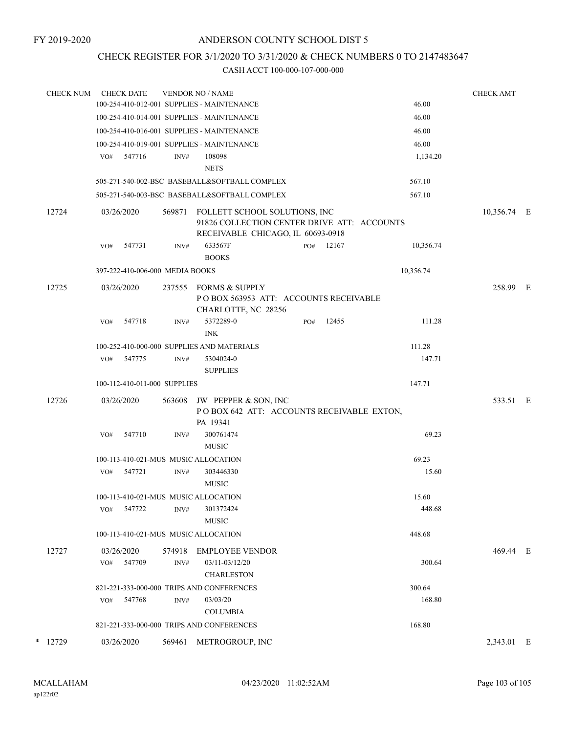## CHECK REGISTER FOR 3/1/2020 TO 3/31/2020 & CHECK NUMBERS 0 TO 2147483647

| <b>CHECK NUM</b> |       | <b>CHECK DATE</b> |            | <b>VENDOR NO / NAME</b>         |                                                                                                                   |     |       | <b>CHECK AMT</b> |             |  |
|------------------|-------|-------------------|------------|---------------------------------|-------------------------------------------------------------------------------------------------------------------|-----|-------|------------------|-------------|--|
|                  |       |                   |            |                                 | 100-254-410-012-001 SUPPLIES - MAINTENANCE                                                                        |     |       | 46.00            |             |  |
|                  |       |                   |            |                                 | 100-254-410-014-001 SUPPLIES - MAINTENANCE                                                                        |     |       | 46.00            |             |  |
|                  |       |                   |            |                                 | 100-254-410-016-001 SUPPLIES - MAINTENANCE                                                                        |     |       | 46.00            |             |  |
|                  |       |                   |            |                                 | 100-254-410-019-001 SUPPLIES - MAINTENANCE                                                                        |     |       | 46.00            |             |  |
|                  |       | VO#               | 547716     | INV#                            | 108098                                                                                                            |     |       | 1,134.20         |             |  |
|                  |       |                   |            |                                 | <b>NETS</b>                                                                                                       |     |       |                  |             |  |
|                  |       |                   |            |                                 | 505-271-540-002-BSC BASEBALL&SOFTBALL COMPLEX                                                                     |     |       | 567.10           |             |  |
|                  |       |                   |            |                                 | 505-271-540-003-BSC BASEBALL&SOFTBALL COMPLEX                                                                     |     |       | 567.10           |             |  |
|                  | 12724 |                   | 03/26/2020 | 569871                          | FOLLETT SCHOOL SOLUTIONS, INC<br>91826 COLLECTION CENTER DRIVE ATT: ACCOUNTS<br>RECEIVABLE CHICAGO, IL 60693-0918 |     |       |                  | 10,356.74 E |  |
|                  |       | VO#               | 547731     | INV#                            | 633567F<br><b>BOOKS</b>                                                                                           | PO# | 12167 | 10,356.74        |             |  |
|                  |       |                   |            | 397-222-410-006-000 MEDIA BOOKS |                                                                                                                   |     |       | 10,356.74        |             |  |
|                  | 12725 |                   | 03/26/2020 | 237555                          | <b>FORMS &amp; SUPPLY</b><br>POBOX 563953 ATT: ACCOUNTS RECEIVABLE<br>CHARLOTTE, NC 28256                         |     |       |                  | 258.99 E    |  |
|                  |       | VO#               | 547718     | INV#                            | 5372289-0<br><b>INK</b>                                                                                           | PO# | 12455 | 111.28           |             |  |
|                  |       |                   |            |                                 | 100-252-410-000-000 SUPPLIES AND MATERIALS                                                                        |     |       | 111.28           |             |  |
|                  |       | VO#               | 547775     | INV#                            | 5304024-0<br><b>SUPPLIES</b>                                                                                      |     |       | 147.71           |             |  |
|                  |       |                   |            | 100-112-410-011-000 SUPPLIES    |                                                                                                                   |     |       | 147.71           |             |  |
|                  | 12726 |                   | 03/26/2020 | 563608                          | JW PEPPER & SON, INC<br>POBOX 642 ATT: ACCOUNTS RECEIVABLE EXTON,<br>PA 19341                                     |     |       |                  | 533.51 E    |  |
|                  |       | VO#               | 547710     | INV#                            | 300761474<br><b>MUSIC</b>                                                                                         |     |       | 69.23            |             |  |
|                  |       |                   |            |                                 | 100-113-410-021-MUS MUSIC ALLOCATION                                                                              |     |       | 69.23            |             |  |
|                  |       | VO#               | 547721     | INV#                            | 303446330<br><b>MUSIC</b>                                                                                         |     |       | 15.60            |             |  |
|                  |       |                   |            |                                 | 100-113-410-021-MUS MUSIC ALLOCATION                                                                              |     |       | 15.60            |             |  |
|                  |       | VO#               | 547722     | INV#                            | 301372424<br><b>MUSIC</b>                                                                                         |     |       | 448.68           |             |  |
|                  |       |                   |            |                                 | 100-113-410-021-MUS MUSIC ALLOCATION                                                                              |     |       | 448.68           |             |  |
|                  | 12727 |                   | 03/26/2020 | 574918                          | <b>EMPLOYEE VENDOR</b>                                                                                            |     |       |                  | 469.44 E    |  |
|                  |       | VO#               | 547709     | INV#                            | 03/11-03/12/20<br><b>CHARLESTON</b>                                                                               |     |       | 300.64           |             |  |
|                  |       |                   |            |                                 | 821-221-333-000-000 TRIPS AND CONFERENCES                                                                         |     |       | 300.64           |             |  |
|                  |       | VO#               | 547768     | INV#                            | 03/03/20                                                                                                          |     |       | 168.80           |             |  |
|                  |       |                   |            |                                 | <b>COLUMBIA</b>                                                                                                   |     |       |                  |             |  |
|                  |       |                   |            |                                 | 821-221-333-000-000 TRIPS AND CONFERENCES                                                                         |     |       | 168.80           |             |  |
| *                | 12729 |                   | 03/26/2020 | 569461                          | METROGROUP, INC                                                                                                   |     |       |                  | 2,343.01 E  |  |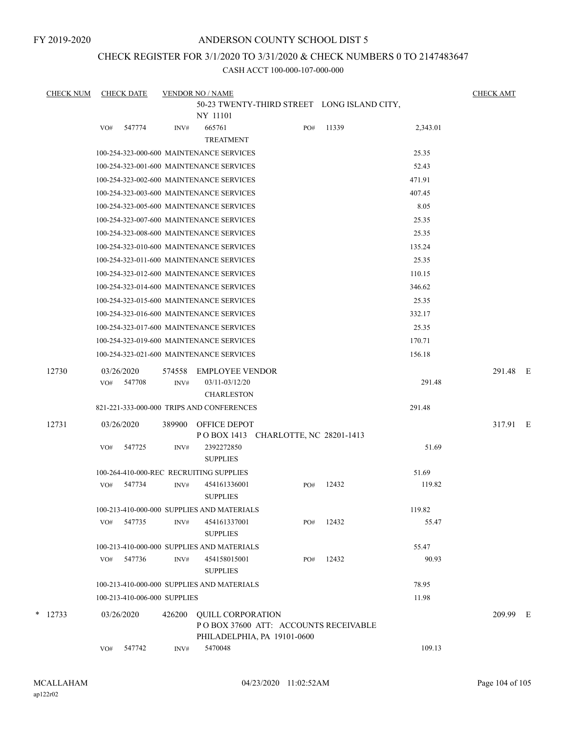## ANDERSON COUNTY SCHOOL DIST 5

## CHECK REGISTER FOR 3/1/2020 TO 3/31/2020 & CHECK NUMBERS 0 TO 2147483647

| <b>CHECK NUM</b> | <b>CHECK DATE</b>                          |        | <b>VENDOR NO / NAME</b>         |                                             |       |          | <b>CHECK AMT</b> |  |
|------------------|--------------------------------------------|--------|---------------------------------|---------------------------------------------|-------|----------|------------------|--|
|                  |                                            |        |                                 | 50-23 TWENTY-THIRD STREET LONG ISLAND CITY, |       |          |                  |  |
|                  |                                            |        | NY 11101                        |                                             |       |          |                  |  |
|                  | 547774<br>VO#                              | INV#   | 665761<br><b>TREATMENT</b>      | PO#                                         | 11339 | 2,343.01 |                  |  |
|                  | 100-254-323-000-600 MAINTENANCE SERVICES   |        |                                 |                                             |       | 25.35    |                  |  |
|                  | 100-254-323-001-600 MAINTENANCE SERVICES   |        |                                 |                                             |       | 52.43    |                  |  |
|                  | 100-254-323-002-600 MAINTENANCE SERVICES   |        |                                 |                                             |       | 471.91   |                  |  |
|                  | 100-254-323-003-600 MAINTENANCE SERVICES   |        |                                 |                                             |       | 407.45   |                  |  |
|                  | 100-254-323-005-600 MAINTENANCE SERVICES   |        |                                 |                                             |       | 8.05     |                  |  |
|                  | 100-254-323-007-600 MAINTENANCE SERVICES   |        |                                 |                                             |       | 25.35    |                  |  |
|                  | 100-254-323-008-600 MAINTENANCE SERVICES   |        |                                 |                                             |       | 25.35    |                  |  |
|                  | 100-254-323-010-600 MAINTENANCE SERVICES   |        |                                 |                                             |       | 135.24   |                  |  |
|                  | 100-254-323-011-600 MAINTENANCE SERVICES   |        |                                 |                                             |       | 25.35    |                  |  |
|                  | 100-254-323-012-600 MAINTENANCE SERVICES   |        |                                 |                                             |       | 110.15   |                  |  |
|                  | 100-254-323-014-600 MAINTENANCE SERVICES   |        |                                 |                                             |       | 346.62   |                  |  |
|                  | 100-254-323-015-600 MAINTENANCE SERVICES   |        |                                 |                                             |       | 25.35    |                  |  |
|                  | 100-254-323-016-600 MAINTENANCE SERVICES   |        |                                 |                                             |       | 332.17   |                  |  |
|                  | 100-254-323-017-600 MAINTENANCE SERVICES   |        |                                 |                                             |       | 25.35    |                  |  |
|                  | 100-254-323-019-600 MAINTENANCE SERVICES   |        |                                 |                                             |       | 170.71   |                  |  |
|                  | 100-254-323-021-600 MAINTENANCE SERVICES   |        |                                 |                                             |       | 156.18   |                  |  |
| 12730            | 03/26/2020                                 | 574558 | <b>EMPLOYEE VENDOR</b>          |                                             |       |          | 291.48 E         |  |
|                  | 547708<br>VO#                              | INV#   | 03/11-03/12/20                  |                                             |       | 291.48   |                  |  |
|                  |                                            |        | <b>CHARLESTON</b>               |                                             |       |          |                  |  |
|                  | 821-221-333-000-000 TRIPS AND CONFERENCES  |        |                                 |                                             |       | 291.48   |                  |  |
| 12731            | 03/26/2020                                 | 389900 | <b>OFFICE DEPOT</b>             | POBOX 1413 CHARLOTTE, NC 28201-1413         |       |          | 317.91 E         |  |
|                  | VO#<br>547725                              | INV#   | 2392272850<br><b>SUPPLIES</b>   |                                             |       | 51.69    |                  |  |
|                  | 100-264-410-000-REC RECRUITING SUPPLIES    |        |                                 |                                             |       | 51.69    |                  |  |
|                  | 547734<br>VO#                              | INV#   | 454161336001<br><b>SUPPLIES</b> | PO#                                         | 12432 | 119.82   |                  |  |
|                  | 100-213-410-000-000 SUPPLIES AND MATERIALS |        |                                 |                                             |       | 119.82   |                  |  |
|                  | 547735<br>VO#                              | INV#   | 454161337001<br><b>SUPPLIES</b> | PO#                                         | 12432 | 55.47    |                  |  |
|                  | 100-213-410-000-000 SUPPLIES AND MATERIALS |        |                                 |                                             |       | 55.47    |                  |  |
|                  | 547736<br>VO#                              | INV#   | 454158015001                    | PO#                                         | 12432 | 90.93    |                  |  |
|                  |                                            |        | <b>SUPPLIES</b>                 |                                             |       |          |                  |  |
|                  | 100-213-410-000-000 SUPPLIES AND MATERIALS |        |                                 |                                             |       | 78.95    |                  |  |
|                  | 100-213-410-006-000 SUPPLIES               |        |                                 |                                             |       | 11.98    |                  |  |
| $*$ 12733        | 03/26/2020                                 | 426200 | <b>QUILL CORPORATION</b>        | POBOX 37600 ATT: ACCOUNTS RECEIVABLE        |       |          | 209.99 E         |  |
|                  | 547742<br>VO#                              | INV#   | 5470048                         | PHILADELPHIA, PA 19101-0600                 |       | 109.13   |                  |  |
|                  |                                            |        |                                 |                                             |       |          |                  |  |